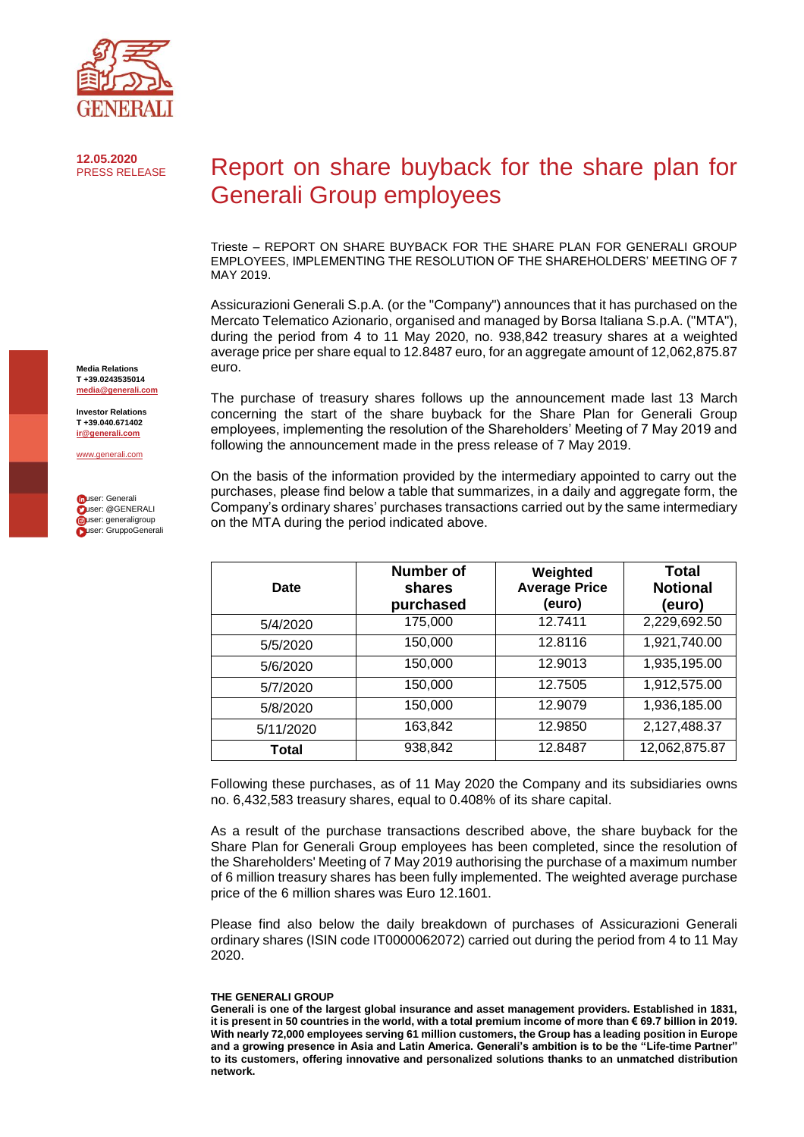

**12.05.2020**

## Report on share buyback for the share plan for Generali Group employees

Trieste – REPORT ON SHARE BUYBACK FOR THE SHARE PLAN FOR GENERALI GROUP EMPLOYEES, IMPLEMENTING THE RESOLUTION OF THE SHAREHOLDERS' MEETING OF 7 MAY 2019.

Assicurazioni Generali S.p.A. (or the "Company") announces that it has purchased on the Mercato Telematico Azionario, organised and managed by Borsa Italiana S.p.A. ("MTA"), during the period from 4 to 11 May 2020, no. 938,842 treasury shares at a weighted average price per share equal to 12.8487 euro, for an aggregate amount of 12,062,875.87 euro.

The purchase of treasury shares follows up the announcement made last 13 March concerning the start of the share buyback for the Share Plan for Generali Group employees, implementing the resolution of the Shareholders' Meeting of 7 May 2019 and following the announcement made in the press release of 7 May 2019.

On the basis of the information provided by the intermediary appointed to carry out the purchases, please find below a table that summarizes, in a daily and aggregate form, the Company's ordinary shares' purchases transactions carried out by the same intermediary on the MTA during the period indicated above.

| Date      | Number of<br>shares<br>purchased | Weighted<br><b>Average Price</b><br>(euro) | Total<br><b>Notional</b><br>(euro) |
|-----------|----------------------------------|--------------------------------------------|------------------------------------|
| 5/4/2020  | 175,000                          | 12.7411                                    | 2,229,692.50                       |
| 5/5/2020  | 150,000                          | 12.8116                                    | 1,921,740.00                       |
| 5/6/2020  | 150,000                          | 12.9013                                    | 1,935,195.00                       |
| 5/7/2020  | 150,000                          | 12.7505                                    | 1,912,575.00                       |
| 5/8/2020  | 150,000                          | 12.9079                                    | 1,936,185.00                       |
| 5/11/2020 | 163,842                          | 12.9850                                    | 2,127,488.37                       |
| Total     | 938,842                          | 12.8487                                    | 12,062,875.87                      |

Following these purchases, as of 11 May 2020 the Company and its subsidiaries owns no. 6,432,583 treasury shares, equal to 0.408% of its share capital.

As a result of the purchase transactions described above, the share buyback for the Share Plan for Generali Group employees has been completed, since the resolution of the Shareholders' Meeting of 7 May 2019 authorising the purchase of a maximum number of 6 million treasury shares has been fully implemented. The weighted average purchase price of the 6 million shares was Euro 12.1601.

Please find also below the daily breakdown of purchases of Assicurazioni Generali ordinary shares (ISIN code IT0000062072) carried out during the period from 4 to 11 May 2020.

## **THE GENERALI GROUP**

**Media Relations T +39.0243535014 [media@generali.com](mailto:media@generali.com)**

**Investor Relations T +39.040.671402 [ir@generali.com](mailto:ir@generali.com)**

[www.generali.com](http://www.generali.com/)

| muser: Generali         |
|-------------------------|
| <b>Duser: @GENERALI</b> |
| cuser: generaligroup    |
| Luser: GruppoGenerali   |

**Generali is one of the largest global insurance and asset management providers. Established in 1831, it is present in 50 countries in the world, with a total premium income of more than € 69.7 billion in 2019. With nearly 72,000 employees serving 61 million customers, the Group has a leading position in Europe and a growing presence in Asia and Latin America. Generali's ambition is to be the "Life-time Partner" to its customers, offering innovative and personalized solutions thanks to an unmatched distribution network.**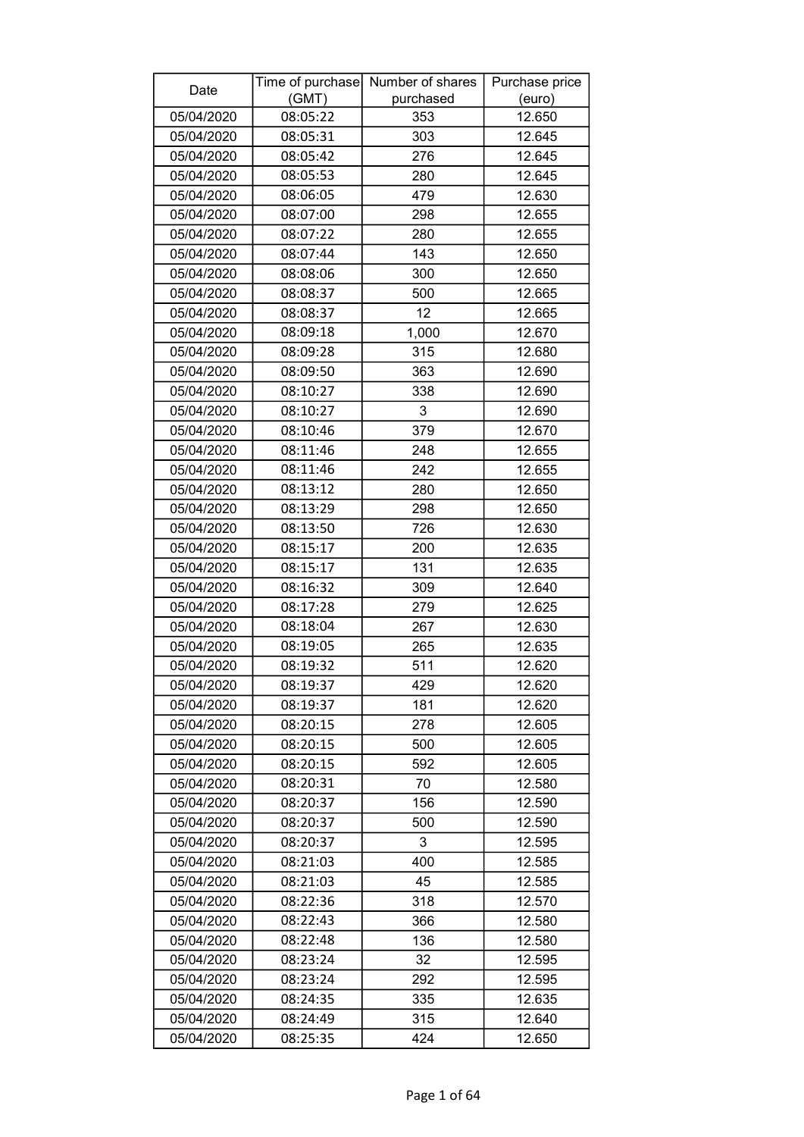| Date       |          | Time of purchase Number of shares | Purchase price |
|------------|----------|-----------------------------------|----------------|
|            | (GMT)    | purchased                         | (euro)         |
| 05/04/2020 | 08:05:22 | 353                               | 12.650         |
| 05/04/2020 | 08:05:31 | 303                               | 12.645         |
| 05/04/2020 | 08:05:42 | 276                               | 12.645         |
| 05/04/2020 | 08:05:53 | 280                               | 12.645         |
| 05/04/2020 | 08:06:05 | 479                               | 12.630         |
| 05/04/2020 | 08:07:00 | 298                               | 12.655         |
| 05/04/2020 | 08:07:22 | 280                               | 12.655         |
| 05/04/2020 | 08:07:44 | 143                               | 12.650         |
| 05/04/2020 | 08:08:06 | 300                               | 12.650         |
| 05/04/2020 | 08:08:37 | 500                               | 12.665         |
| 05/04/2020 | 08:08:37 | 12                                | 12.665         |
| 05/04/2020 | 08:09:18 | 1,000                             | 12.670         |
| 05/04/2020 | 08:09:28 | 315                               | 12.680         |
| 05/04/2020 | 08:09:50 | 363                               | 12.690         |
| 05/04/2020 | 08:10:27 | 338                               | 12.690         |
| 05/04/2020 | 08:10:27 | 3                                 | 12.690         |
| 05/04/2020 | 08:10:46 | 379                               | 12.670         |
| 05/04/2020 | 08:11:46 | 248                               | 12.655         |
| 05/04/2020 | 08:11:46 | 242                               | 12.655         |
| 05/04/2020 | 08:13:12 | 280                               | 12.650         |
| 05/04/2020 | 08:13:29 | 298                               | 12.650         |
| 05/04/2020 | 08:13:50 | 726                               | 12.630         |
| 05/04/2020 | 08:15:17 | 200                               | 12.635         |
| 05/04/2020 | 08:15:17 | 131                               | 12.635         |
| 05/04/2020 | 08:16:32 | 309                               | 12.640         |
| 05/04/2020 | 08:17:28 | 279                               | 12.625         |
| 05/04/2020 | 08:18:04 | 267                               | 12.630         |
| 05/04/2020 | 08:19:05 | 265                               | 12.635         |
| 05/04/2020 | 08:19:32 | 511                               | 12.620         |
| 05/04/2020 | 08:19:37 | 429                               | 12.620         |
| 05/04/2020 | 08:19:37 | 181                               | 12.620         |
| 05/04/2020 | 08:20:15 | 278                               | 12.605         |
| 05/04/2020 | 08:20:15 | 500                               | 12.605         |
| 05/04/2020 | 08:20:15 | 592                               | 12.605         |
| 05/04/2020 | 08:20:31 | 70                                | 12.580         |
| 05/04/2020 | 08:20:37 | 156                               | 12.590         |
| 05/04/2020 | 08:20:37 | 500                               | 12.590         |
| 05/04/2020 | 08:20:37 | 3                                 | 12.595         |
| 05/04/2020 | 08:21:03 | 400                               | 12.585         |
| 05/04/2020 | 08:21:03 | 45                                | 12.585         |
| 05/04/2020 | 08:22:36 | 318                               | 12.570         |
| 05/04/2020 | 08:22:43 | 366                               | 12.580         |
| 05/04/2020 | 08:22:48 | 136                               | 12.580         |
| 05/04/2020 | 08:23:24 | 32                                | 12.595         |
| 05/04/2020 | 08:23:24 | 292                               | 12.595         |
| 05/04/2020 | 08:24:35 | 335                               | 12.635         |
| 05/04/2020 | 08:24:49 | 315                               | 12.640         |
| 05/04/2020 | 08:25:35 | 424                               | 12.650         |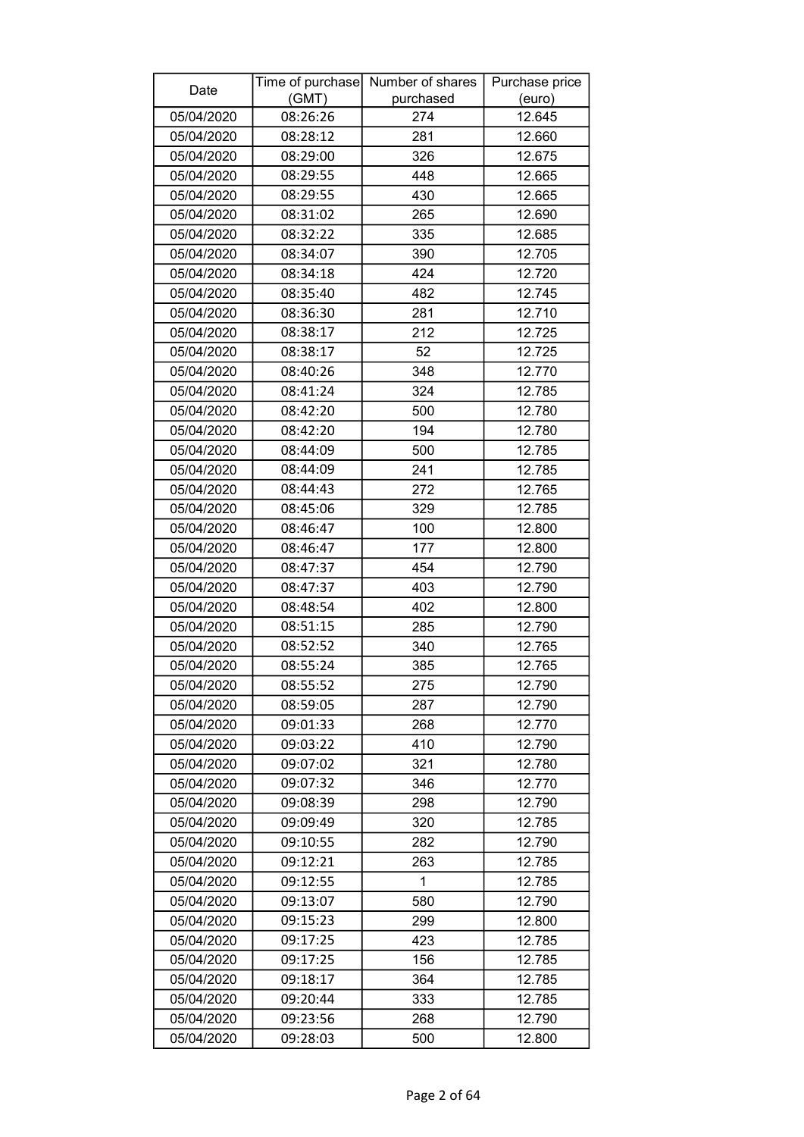| Date       | (GMT)                | Time of purchase Number of shares<br>purchased | Purchase price<br>(euro) |
|------------|----------------------|------------------------------------------------|--------------------------|
| 05/04/2020 | 08:26:26             | 274                                            | 12.645                   |
| 05/04/2020 | 08:28:12             | 281                                            | 12.660                   |
| 05/04/2020 | 08:29:00             | 326                                            | 12.675                   |
| 05/04/2020 | 08:29:55             | 448                                            | 12.665                   |
| 05/04/2020 | 08:29:55             | 430                                            | 12.665                   |
| 05/04/2020 | 08:31:02             | 265                                            | 12.690                   |
| 05/04/2020 | 08:32:22             | 335                                            | 12.685                   |
| 05/04/2020 | 08:34:07             | 390                                            | 12.705                   |
| 05/04/2020 | 08:34:18             | 424                                            | 12.720                   |
| 05/04/2020 | 08:35:40             | 482                                            | 12.745                   |
| 05/04/2020 | 08:36:30             | 281                                            | 12.710                   |
| 05/04/2020 | 08:38:17             | 212                                            | 12.725                   |
| 05/04/2020 | 08:38:17             | 52                                             | 12.725                   |
| 05/04/2020 | 08:40:26             | 348                                            | 12.770                   |
| 05/04/2020 | 08:41:24             | 324                                            | 12.785                   |
| 05/04/2020 | 08:42:20             | 500                                            | 12.780                   |
| 05/04/2020 | 08:42:20             | 194                                            | 12.780                   |
| 05/04/2020 | 08:44:09             | 500                                            | 12.785                   |
| 05/04/2020 | 08:44:09             | 241                                            | 12.785                   |
| 05/04/2020 | 08:44:43             | 272                                            | 12.765                   |
| 05/04/2020 | 08:45:06             | 329                                            | 12.785                   |
| 05/04/2020 | 08:46:47             | 100                                            | 12.800                   |
| 05/04/2020 | 08:46:47             | 177                                            | 12.800                   |
| 05/04/2020 | 08:47:37             | 454                                            | 12.790                   |
| 05/04/2020 | 08:47:37             | 403                                            | 12.790                   |
| 05/04/2020 | 08:48:54             | 402                                            | 12.800                   |
| 05/04/2020 | 08:51:15             | 285                                            | 12.790                   |
| 05/04/2020 | 08:52:52             | 340                                            | 12.765                   |
| 05/04/2020 | 08:55:24             | 385                                            | 12.765                   |
| 05/04/2020 | 08:55:52             | 275                                            | 12.790                   |
| 05/04/2020 | 08:59:05             | 287                                            | 12.790                   |
| 05/04/2020 | 09:01:33             | 268                                            | 12.770                   |
| 05/04/2020 | 09:03:22             | 410                                            | 12.790                   |
| 05/04/2020 | 09:07:02             | 321                                            | 12.780                   |
| 05/04/2020 | 09:07:32             | 346                                            | 12.770                   |
| 05/04/2020 | 09:08:39             | 298                                            | 12.790                   |
| 05/04/2020 | 09:09:49             | 320                                            | 12.785                   |
| 05/04/2020 | 09:10:55             | 282                                            | 12.790                   |
| 05/04/2020 | 09:12:21             | 263                                            | 12.785                   |
| 05/04/2020 | 09:12:55             | 1                                              | 12.785                   |
|            |                      |                                                |                          |
| 05/04/2020 | 09:13:07<br>09:15:23 | 580<br>299                                     | 12.790<br>12.800         |
| 05/04/2020 |                      | 423                                            | 12.785                   |
| 05/04/2020 | 09:17:25<br>09:17:25 |                                                |                          |
| 05/04/2020 | 09:18:17             | 156                                            | 12.785<br>12.785         |
| 05/04/2020 |                      | 364<br>333                                     | 12.785                   |
| 05/04/2020 | 09:20:44<br>09:23:56 | 268                                            | 12.790                   |
| 05/04/2020 |                      |                                                |                          |
| 05/04/2020 | 09:28:03             | 500                                            | 12.800                   |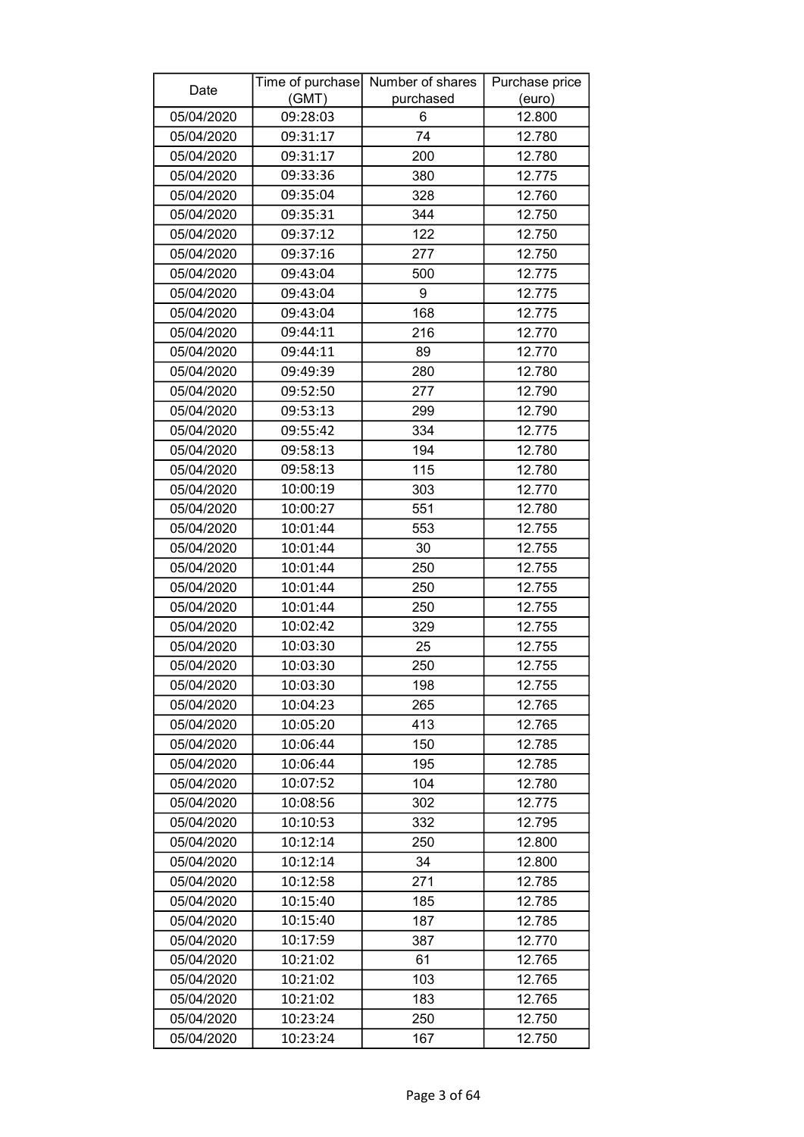| Date       |          | Time of purchase Number of shares | Purchase price |
|------------|----------|-----------------------------------|----------------|
|            | (GMT)    | purchased                         | (euro)         |
| 05/04/2020 | 09:28:03 | 6                                 | 12.800         |
| 05/04/2020 | 09:31:17 | 74                                | 12.780         |
| 05/04/2020 | 09:31:17 | 200                               | 12.780         |
| 05/04/2020 | 09:33:36 | 380                               | 12.775         |
| 05/04/2020 | 09:35:04 | 328                               | 12.760         |
| 05/04/2020 | 09:35:31 | 344                               | 12.750         |
| 05/04/2020 | 09:37:12 | 122                               | 12.750         |
| 05/04/2020 | 09:37:16 | 277                               | 12.750         |
| 05/04/2020 | 09:43:04 | 500                               | 12.775         |
| 05/04/2020 | 09:43:04 | 9                                 | 12.775         |
| 05/04/2020 | 09:43:04 | 168                               | 12.775         |
| 05/04/2020 | 09:44:11 | 216                               | 12.770         |
| 05/04/2020 | 09:44:11 | 89                                | 12.770         |
| 05/04/2020 | 09:49:39 | 280                               | 12.780         |
| 05/04/2020 | 09:52:50 | 277                               | 12.790         |
| 05/04/2020 | 09:53:13 | 299                               | 12.790         |
| 05/04/2020 | 09:55:42 | 334                               | 12.775         |
| 05/04/2020 | 09:58:13 | 194                               | 12.780         |
| 05/04/2020 | 09:58:13 | 115                               | 12.780         |
| 05/04/2020 | 10:00:19 | 303                               | 12.770         |
| 05/04/2020 | 10:00:27 | 551                               | 12.780         |
| 05/04/2020 | 10:01:44 | 553                               | 12.755         |
| 05/04/2020 | 10:01:44 | 30                                | 12.755         |
| 05/04/2020 | 10:01:44 | 250                               | 12.755         |
| 05/04/2020 | 10:01:44 | 250                               | 12.755         |
| 05/04/2020 | 10:01:44 | 250                               | 12.755         |
| 05/04/2020 | 10:02:42 | 329                               | 12.755         |
| 05/04/2020 | 10:03:30 | 25                                | 12.755         |
| 05/04/2020 | 10:03:30 | 250                               | 12.755         |
| 05/04/2020 | 10:03:30 | 198                               | 12.755         |
| 05/04/2020 | 10:04:23 | 265                               | 12.765         |
| 05/04/2020 | 10:05:20 | 413                               | 12.765         |
| 05/04/2020 | 10:06:44 | 150                               | 12.785         |
| 05/04/2020 | 10:06:44 | 195                               | 12.785         |
| 05/04/2020 | 10:07:52 | 104                               | 12.780         |
| 05/04/2020 | 10:08:56 | 302                               | 12.775         |
| 05/04/2020 | 10:10:53 | 332                               | 12.795         |
| 05/04/2020 | 10:12:14 | 250                               | 12.800         |
| 05/04/2020 | 10:12:14 | 34                                | 12.800         |
| 05/04/2020 | 10:12:58 | 271                               | 12.785         |
| 05/04/2020 | 10:15:40 | 185                               | 12.785         |
| 05/04/2020 | 10:15:40 | 187                               | 12.785         |
| 05/04/2020 | 10:17:59 | 387                               | 12.770         |
| 05/04/2020 | 10:21:02 | 61                                | 12.765         |
| 05/04/2020 | 10:21:02 | 103                               | 12.765         |
| 05/04/2020 | 10:21:02 | 183                               | 12.765         |
| 05/04/2020 | 10:23:24 | 250                               | 12.750         |
| 05/04/2020 | 10:23:24 | 167                               | 12.750         |
|            |          |                                   |                |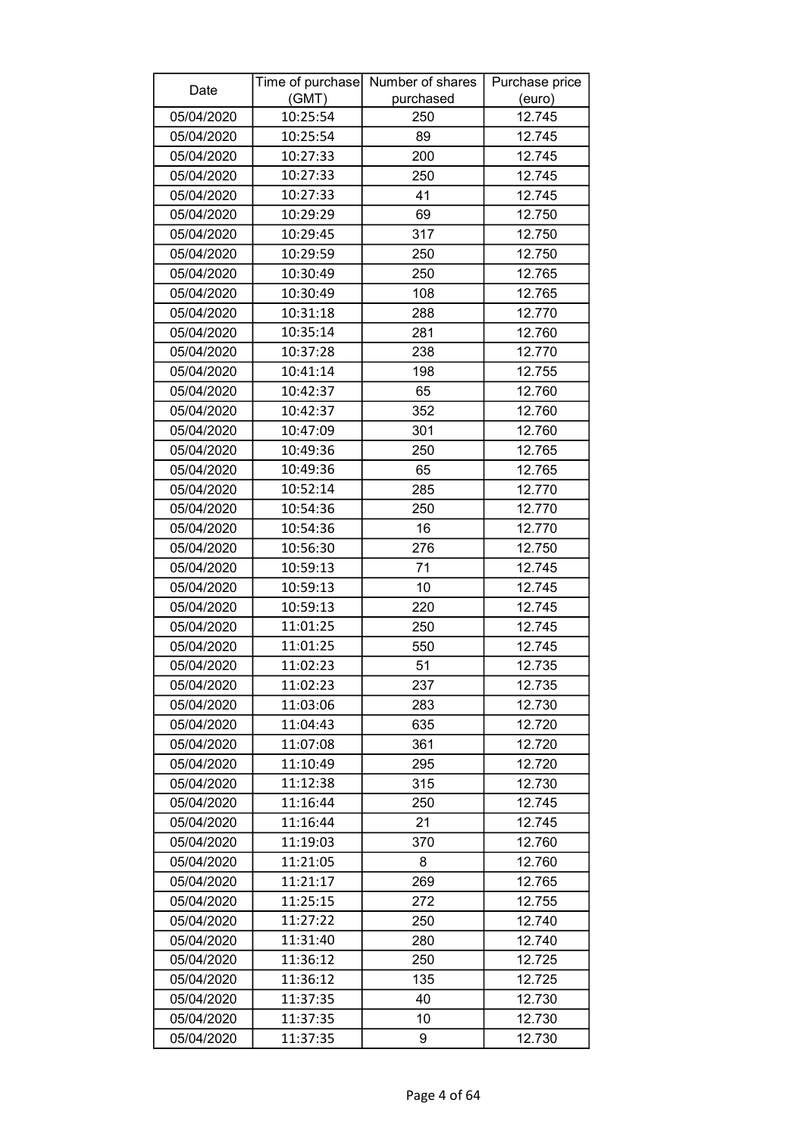| Date       |          | Time of purchase Number of shares | Purchase price |
|------------|----------|-----------------------------------|----------------|
|            | (GMT)    | purchased                         | (euro)         |
| 05/04/2020 | 10:25:54 | 250                               | 12.745         |
| 05/04/2020 | 10:25:54 | 89                                | 12.745         |
| 05/04/2020 | 10:27:33 | 200                               | 12.745         |
| 05/04/2020 | 10:27:33 | 250                               | 12.745         |
| 05/04/2020 | 10:27:33 | 41                                | 12.745         |
| 05/04/2020 | 10:29:29 | 69                                | 12.750         |
| 05/04/2020 | 10:29:45 | 317                               | 12.750         |
| 05/04/2020 | 10:29:59 | 250                               | 12.750         |
| 05/04/2020 | 10:30:49 | 250                               | 12.765         |
| 05/04/2020 | 10:30:49 | 108                               | 12.765         |
| 05/04/2020 | 10:31:18 | 288                               | 12.770         |
| 05/04/2020 | 10:35:14 | 281                               | 12.760         |
| 05/04/2020 | 10:37:28 | 238                               | 12.770         |
| 05/04/2020 | 10:41:14 | 198                               | 12.755         |
| 05/04/2020 | 10:42:37 | 65                                | 12.760         |
| 05/04/2020 | 10:42:37 | 352                               | 12.760         |
| 05/04/2020 | 10:47:09 | 301                               | 12.760         |
| 05/04/2020 | 10:49:36 | 250                               | 12.765         |
| 05/04/2020 | 10:49:36 | 65                                | 12.765         |
| 05/04/2020 | 10:52:14 | 285                               | 12.770         |
| 05/04/2020 | 10:54:36 | 250                               | 12.770         |
| 05/04/2020 | 10:54:36 | 16                                | 12.770         |
| 05/04/2020 | 10:56:30 | 276                               | 12.750         |
| 05/04/2020 | 10:59:13 | 71                                | 12.745         |
| 05/04/2020 | 10:59:13 | 10                                | 12.745         |
| 05/04/2020 | 10:59:13 | 220                               | 12.745         |
| 05/04/2020 | 11:01:25 | 250                               | 12.745         |
| 05/04/2020 | 11:01:25 | 550                               | 12.745         |
| 05/04/2020 | 11:02:23 | 51                                | 12.735         |
| 05/04/2020 | 11:02:23 | 237                               | 12.735         |
| 05/04/2020 | 11:03:06 | 283                               | 12.730         |
| 05/04/2020 | 11:04:43 | 635                               | 12.720         |
| 05/04/2020 | 11:07:08 | 361                               | 12.720         |
| 05/04/2020 | 11:10:49 | 295                               | 12.720         |
| 05/04/2020 | 11:12:38 | 315                               | 12.730         |
| 05/04/2020 | 11:16:44 | 250                               | 12.745         |
| 05/04/2020 | 11:16:44 | 21                                | 12.745         |
| 05/04/2020 | 11:19:03 | 370                               | 12.760         |
| 05/04/2020 | 11:21:05 | 8                                 | 12.760         |
| 05/04/2020 | 11:21:17 | 269                               | 12.765         |
| 05/04/2020 | 11:25:15 | 272                               | 12.755         |
| 05/04/2020 | 11:27:22 | 250                               | 12.740         |
| 05/04/2020 | 11:31:40 | 280                               | 12.740         |
| 05/04/2020 | 11:36:12 | 250                               | 12.725         |
| 05/04/2020 | 11:36:12 | 135                               | 12.725         |
| 05/04/2020 | 11:37:35 | 40                                | 12.730         |
| 05/04/2020 | 11:37:35 | 10                                | 12.730         |
| 05/04/2020 | 11:37:35 | 9                                 | 12.730         |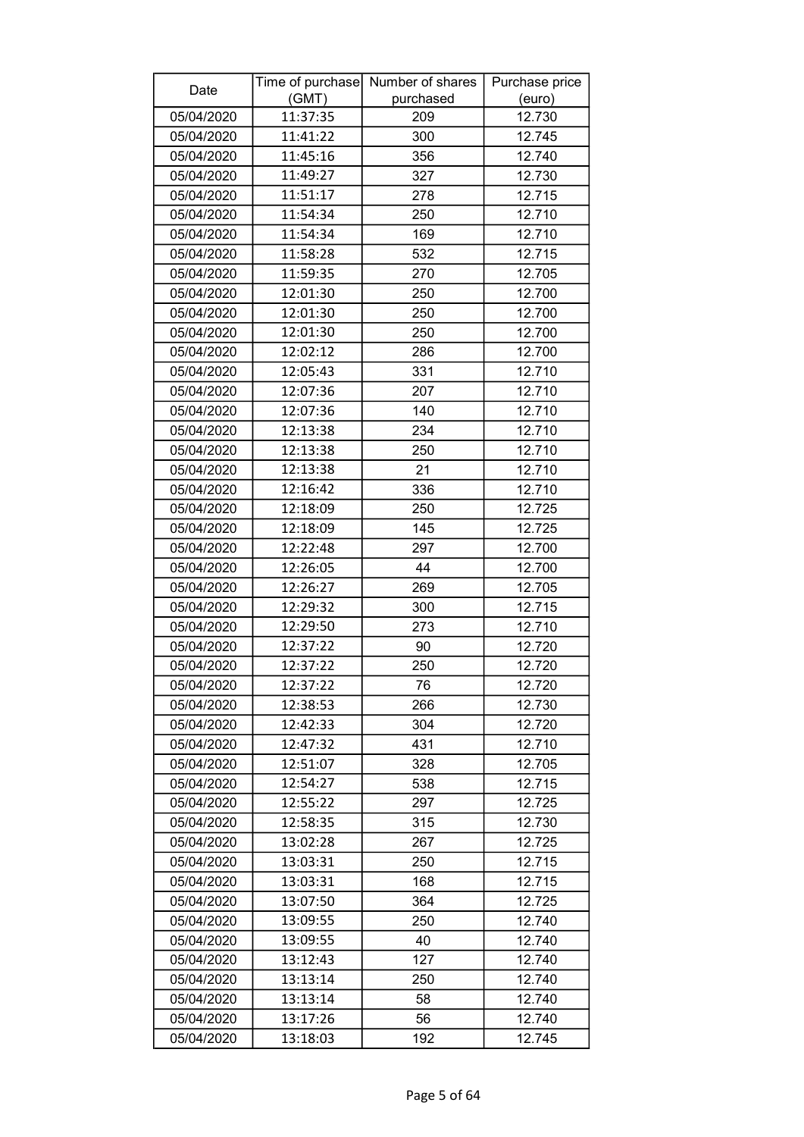| Date       |          | Time of purchase Number of shares | Purchase price |
|------------|----------|-----------------------------------|----------------|
|            | (GMT)    | purchased                         | (euro)         |
| 05/04/2020 | 11:37:35 | 209                               | 12.730         |
| 05/04/2020 | 11:41:22 | 300                               | 12.745         |
| 05/04/2020 | 11:45:16 | 356                               | 12.740         |
| 05/04/2020 | 11:49:27 | 327                               | 12.730         |
| 05/04/2020 | 11:51:17 | 278                               | 12.715         |
| 05/04/2020 | 11:54:34 | 250                               | 12.710         |
| 05/04/2020 | 11:54:34 | 169                               | 12.710         |
| 05/04/2020 | 11:58:28 | 532                               | 12.715         |
| 05/04/2020 | 11:59:35 | 270                               | 12.705         |
| 05/04/2020 | 12:01:30 | 250                               | 12.700         |
| 05/04/2020 | 12:01:30 | 250                               | 12.700         |
| 05/04/2020 | 12:01:30 | 250                               | 12.700         |
| 05/04/2020 | 12:02:12 | 286                               | 12.700         |
| 05/04/2020 | 12:05:43 | 331                               | 12.710         |
| 05/04/2020 | 12:07:36 | 207                               | 12.710         |
| 05/04/2020 | 12:07:36 | 140                               | 12.710         |
| 05/04/2020 | 12:13:38 | 234                               | 12.710         |
| 05/04/2020 | 12:13:38 | 250                               | 12.710         |
| 05/04/2020 | 12:13:38 | 21                                | 12.710         |
| 05/04/2020 | 12:16:42 | 336                               | 12.710         |
| 05/04/2020 | 12:18:09 | 250                               | 12.725         |
| 05/04/2020 | 12:18:09 | 145                               | 12.725         |
| 05/04/2020 | 12:22:48 | 297                               | 12.700         |
| 05/04/2020 | 12:26:05 | 44                                | 12.700         |
| 05/04/2020 | 12:26:27 | 269                               | 12.705         |
| 05/04/2020 | 12:29:32 | 300                               | 12.715         |
| 05/04/2020 | 12:29:50 | 273                               | 12.710         |
| 05/04/2020 | 12:37:22 | 90                                | 12.720         |
| 05/04/2020 | 12:37:22 | 250                               | 12.720         |
| 05/04/2020 | 12:37:22 | 76                                | 12.720         |
| 05/04/2020 | 12:38:53 | 266                               | 12.730         |
| 05/04/2020 | 12:42:33 | 304                               | 12.720         |
| 05/04/2020 | 12:47:32 | 431                               | 12.710         |
| 05/04/2020 | 12:51:07 | 328                               | 12.705         |
| 05/04/2020 | 12:54:27 | 538                               | 12.715         |
| 05/04/2020 | 12:55:22 | 297                               | 12.725         |
| 05/04/2020 | 12:58:35 | 315                               | 12.730         |
| 05/04/2020 | 13:02:28 | 267                               | 12.725         |
| 05/04/2020 | 13:03:31 | 250                               | 12.715         |
| 05/04/2020 | 13:03:31 | 168                               | 12.715         |
| 05/04/2020 | 13:07:50 | 364                               | 12.725         |
| 05/04/2020 | 13:09:55 | 250                               | 12.740         |
| 05/04/2020 | 13:09:55 | 40                                | 12.740         |
| 05/04/2020 | 13:12:43 | 127                               | 12.740         |
| 05/04/2020 | 13:13:14 | 250                               | 12.740         |
| 05/04/2020 | 13:13:14 | 58                                | 12.740         |
| 05/04/2020 | 13:17:26 | 56                                | 12.740         |
| 05/04/2020 | 13:18:03 | 192                               | 12.745         |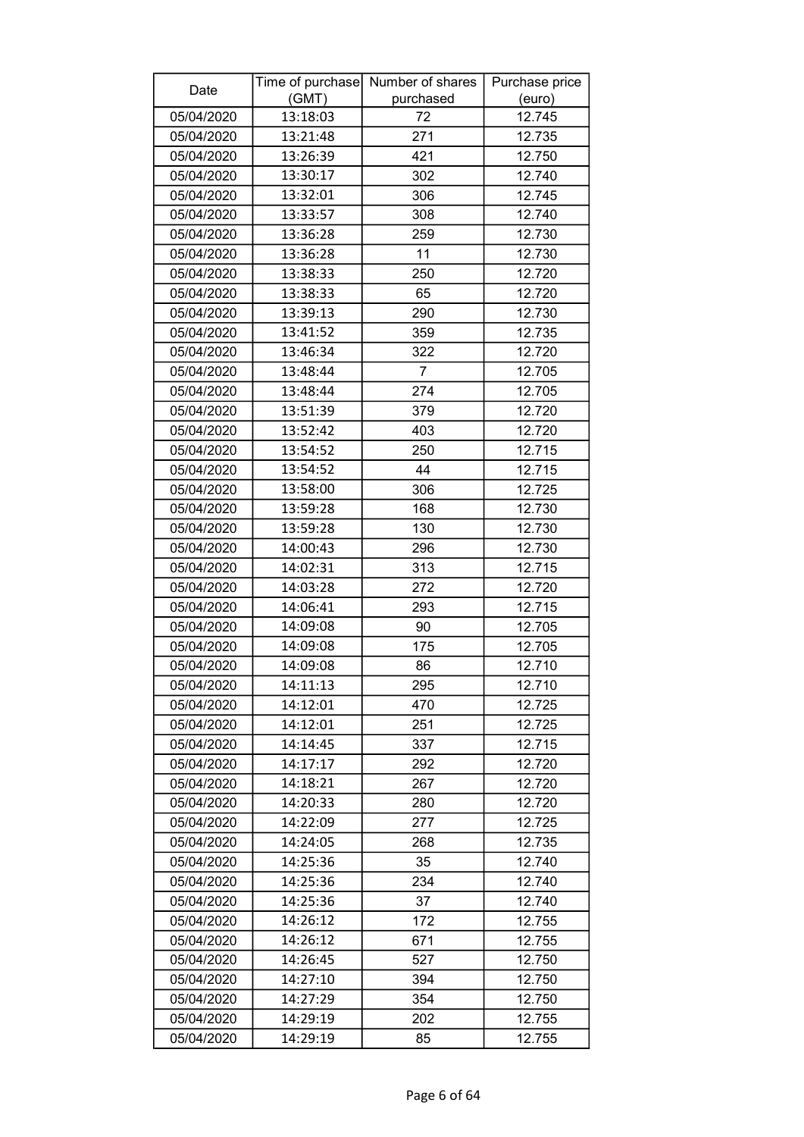| (GMT)<br>purchased<br>(euro)<br>05/04/2020<br>12.745<br>13:18:03<br>72<br>271<br>13:21:48<br>12.735<br>05/04/2020<br>05/04/2020<br>421<br>12.750<br>13:26:39<br>13:30:17<br>05/04/2020<br>302<br>12.740<br>05/04/2020<br>13:32:01<br>306<br>12.745<br>05/04/2020<br>13:33:57<br>308<br>12.740<br>259<br>12.730<br>05/04/2020<br>13:36:28<br>05/04/2020<br>13:36:28<br>11<br>12.730<br>12.720<br>05/04/2020<br>13:38:33<br>250<br>12.720<br>05/04/2020<br>13:38:33<br>65<br>13:39:13<br>290<br>12.730<br>05/04/2020<br>13:41:52<br>05/04/2020<br>359<br>12.735<br>13:46:34<br>12.720<br>05/04/2020<br>322<br>$\overline{7}$<br>13:48:44<br>12.705<br>05/04/2020<br>13:48:44<br>05/04/2020<br>274<br>12.705<br>05/04/2020<br>13:51:39<br>379<br>12.720<br>05/04/2020<br>13:52:42<br>403<br>12.720<br>05/04/2020<br>13:54:52<br>12.715<br>250<br>13:54:52<br>44<br>12.715<br>05/04/2020<br>306<br>12.725<br>05/04/2020<br>13:58:00<br>13:59:28<br>168<br>12.730<br>05/04/2020<br>05/04/2020<br>13:59:28<br>130<br>12.730<br>14:00:43<br>12.730<br>05/04/2020<br>296<br>05/04/2020<br>14:02:31<br>313<br>12.715<br>272<br>05/04/2020<br>14:03:28<br>12.720<br>05/04/2020<br>14:06:41<br>293<br>12.715<br>05/04/2020<br>14:09:08<br>90<br>12.705<br>12.705<br>05/04/2020<br>14:09:08<br>175<br>05/04/2020<br>12.710<br>14:09:08<br>86<br>14:11:13<br>12.710<br>05/04/2020<br>295<br>14:12:01<br>470<br>12.725<br>05/04/2020<br>14:12:01<br>251<br>12.725<br>05/04/2020<br>14:14:45<br>05/04/2020<br>337<br>12.715<br>14:17:17<br>05/04/2020<br>12.720<br>292<br>05/04/2020<br>14:18:21<br>267<br>12.720<br>12.720<br>05/04/2020<br>14:20:33<br>280<br>05/04/2020<br>14:22:09<br>277<br>12.725<br>05/04/2020<br>14:24:05<br>12.735<br>268<br>05/04/2020<br>14:25:36<br>35<br>12.740<br>05/04/2020<br>14:25:36<br>12.740<br>234<br>37<br>12.740<br>05/04/2020<br>14:25:36<br>14:26:12<br>172<br>12.755<br>05/04/2020<br>14:26:12<br>671<br>12.755<br>05/04/2020<br>527<br>05/04/2020<br>14:26:45<br>12.750<br>14:27:10<br>394<br>12.750<br>05/04/2020<br>354<br>12.750<br>05/04/2020<br>14:27:29<br>12.755<br>05/04/2020<br>14:29:19<br>202 | Date       |          | Time of purchase Number of shares | Purchase price |
|--------------------------------------------------------------------------------------------------------------------------------------------------------------------------------------------------------------------------------------------------------------------------------------------------------------------------------------------------------------------------------------------------------------------------------------------------------------------------------------------------------------------------------------------------------------------------------------------------------------------------------------------------------------------------------------------------------------------------------------------------------------------------------------------------------------------------------------------------------------------------------------------------------------------------------------------------------------------------------------------------------------------------------------------------------------------------------------------------------------------------------------------------------------------------------------------------------------------------------------------------------------------------------------------------------------------------------------------------------------------------------------------------------------------------------------------------------------------------------------------------------------------------------------------------------------------------------------------------------------------------------------------------------------------------------------------------------------------------------------------------------------------------------------------------------------------------------------------------------------------------------------------------------------------------------------------------------------------------------------------------------------------------------------------------------------------------------------------------------------------------------------|------------|----------|-----------------------------------|----------------|
|                                                                                                                                                                                                                                                                                                                                                                                                                                                                                                                                                                                                                                                                                                                                                                                                                                                                                                                                                                                                                                                                                                                                                                                                                                                                                                                                                                                                                                                                                                                                                                                                                                                                                                                                                                                                                                                                                                                                                                                                                                                                                                                                      |            |          |                                   |                |
|                                                                                                                                                                                                                                                                                                                                                                                                                                                                                                                                                                                                                                                                                                                                                                                                                                                                                                                                                                                                                                                                                                                                                                                                                                                                                                                                                                                                                                                                                                                                                                                                                                                                                                                                                                                                                                                                                                                                                                                                                                                                                                                                      |            |          |                                   |                |
|                                                                                                                                                                                                                                                                                                                                                                                                                                                                                                                                                                                                                                                                                                                                                                                                                                                                                                                                                                                                                                                                                                                                                                                                                                                                                                                                                                                                                                                                                                                                                                                                                                                                                                                                                                                                                                                                                                                                                                                                                                                                                                                                      |            |          |                                   |                |
|                                                                                                                                                                                                                                                                                                                                                                                                                                                                                                                                                                                                                                                                                                                                                                                                                                                                                                                                                                                                                                                                                                                                                                                                                                                                                                                                                                                                                                                                                                                                                                                                                                                                                                                                                                                                                                                                                                                                                                                                                                                                                                                                      |            |          |                                   |                |
|                                                                                                                                                                                                                                                                                                                                                                                                                                                                                                                                                                                                                                                                                                                                                                                                                                                                                                                                                                                                                                                                                                                                                                                                                                                                                                                                                                                                                                                                                                                                                                                                                                                                                                                                                                                                                                                                                                                                                                                                                                                                                                                                      |            |          |                                   |                |
|                                                                                                                                                                                                                                                                                                                                                                                                                                                                                                                                                                                                                                                                                                                                                                                                                                                                                                                                                                                                                                                                                                                                                                                                                                                                                                                                                                                                                                                                                                                                                                                                                                                                                                                                                                                                                                                                                                                                                                                                                                                                                                                                      |            |          |                                   |                |
|                                                                                                                                                                                                                                                                                                                                                                                                                                                                                                                                                                                                                                                                                                                                                                                                                                                                                                                                                                                                                                                                                                                                                                                                                                                                                                                                                                                                                                                                                                                                                                                                                                                                                                                                                                                                                                                                                                                                                                                                                                                                                                                                      |            |          |                                   |                |
|                                                                                                                                                                                                                                                                                                                                                                                                                                                                                                                                                                                                                                                                                                                                                                                                                                                                                                                                                                                                                                                                                                                                                                                                                                                                                                                                                                                                                                                                                                                                                                                                                                                                                                                                                                                                                                                                                                                                                                                                                                                                                                                                      |            |          |                                   |                |
|                                                                                                                                                                                                                                                                                                                                                                                                                                                                                                                                                                                                                                                                                                                                                                                                                                                                                                                                                                                                                                                                                                                                                                                                                                                                                                                                                                                                                                                                                                                                                                                                                                                                                                                                                                                                                                                                                                                                                                                                                                                                                                                                      |            |          |                                   |                |
|                                                                                                                                                                                                                                                                                                                                                                                                                                                                                                                                                                                                                                                                                                                                                                                                                                                                                                                                                                                                                                                                                                                                                                                                                                                                                                                                                                                                                                                                                                                                                                                                                                                                                                                                                                                                                                                                                                                                                                                                                                                                                                                                      |            |          |                                   |                |
|                                                                                                                                                                                                                                                                                                                                                                                                                                                                                                                                                                                                                                                                                                                                                                                                                                                                                                                                                                                                                                                                                                                                                                                                                                                                                                                                                                                                                                                                                                                                                                                                                                                                                                                                                                                                                                                                                                                                                                                                                                                                                                                                      |            |          |                                   |                |
|                                                                                                                                                                                                                                                                                                                                                                                                                                                                                                                                                                                                                                                                                                                                                                                                                                                                                                                                                                                                                                                                                                                                                                                                                                                                                                                                                                                                                                                                                                                                                                                                                                                                                                                                                                                                                                                                                                                                                                                                                                                                                                                                      |            |          |                                   |                |
|                                                                                                                                                                                                                                                                                                                                                                                                                                                                                                                                                                                                                                                                                                                                                                                                                                                                                                                                                                                                                                                                                                                                                                                                                                                                                                                                                                                                                                                                                                                                                                                                                                                                                                                                                                                                                                                                                                                                                                                                                                                                                                                                      |            |          |                                   |                |
|                                                                                                                                                                                                                                                                                                                                                                                                                                                                                                                                                                                                                                                                                                                                                                                                                                                                                                                                                                                                                                                                                                                                                                                                                                                                                                                                                                                                                                                                                                                                                                                                                                                                                                                                                                                                                                                                                                                                                                                                                                                                                                                                      |            |          |                                   |                |
|                                                                                                                                                                                                                                                                                                                                                                                                                                                                                                                                                                                                                                                                                                                                                                                                                                                                                                                                                                                                                                                                                                                                                                                                                                                                                                                                                                                                                                                                                                                                                                                                                                                                                                                                                                                                                                                                                                                                                                                                                                                                                                                                      |            |          |                                   |                |
|                                                                                                                                                                                                                                                                                                                                                                                                                                                                                                                                                                                                                                                                                                                                                                                                                                                                                                                                                                                                                                                                                                                                                                                                                                                                                                                                                                                                                                                                                                                                                                                                                                                                                                                                                                                                                                                                                                                                                                                                                                                                                                                                      |            |          |                                   |                |
|                                                                                                                                                                                                                                                                                                                                                                                                                                                                                                                                                                                                                                                                                                                                                                                                                                                                                                                                                                                                                                                                                                                                                                                                                                                                                                                                                                                                                                                                                                                                                                                                                                                                                                                                                                                                                                                                                                                                                                                                                                                                                                                                      |            |          |                                   |                |
|                                                                                                                                                                                                                                                                                                                                                                                                                                                                                                                                                                                                                                                                                                                                                                                                                                                                                                                                                                                                                                                                                                                                                                                                                                                                                                                                                                                                                                                                                                                                                                                                                                                                                                                                                                                                                                                                                                                                                                                                                                                                                                                                      |            |          |                                   |                |
|                                                                                                                                                                                                                                                                                                                                                                                                                                                                                                                                                                                                                                                                                                                                                                                                                                                                                                                                                                                                                                                                                                                                                                                                                                                                                                                                                                                                                                                                                                                                                                                                                                                                                                                                                                                                                                                                                                                                                                                                                                                                                                                                      |            |          |                                   |                |
|                                                                                                                                                                                                                                                                                                                                                                                                                                                                                                                                                                                                                                                                                                                                                                                                                                                                                                                                                                                                                                                                                                                                                                                                                                                                                                                                                                                                                                                                                                                                                                                                                                                                                                                                                                                                                                                                                                                                                                                                                                                                                                                                      |            |          |                                   |                |
|                                                                                                                                                                                                                                                                                                                                                                                                                                                                                                                                                                                                                                                                                                                                                                                                                                                                                                                                                                                                                                                                                                                                                                                                                                                                                                                                                                                                                                                                                                                                                                                                                                                                                                                                                                                                                                                                                                                                                                                                                                                                                                                                      |            |          |                                   |                |
|                                                                                                                                                                                                                                                                                                                                                                                                                                                                                                                                                                                                                                                                                                                                                                                                                                                                                                                                                                                                                                                                                                                                                                                                                                                                                                                                                                                                                                                                                                                                                                                                                                                                                                                                                                                                                                                                                                                                                                                                                                                                                                                                      |            |          |                                   |                |
|                                                                                                                                                                                                                                                                                                                                                                                                                                                                                                                                                                                                                                                                                                                                                                                                                                                                                                                                                                                                                                                                                                                                                                                                                                                                                                                                                                                                                                                                                                                                                                                                                                                                                                                                                                                                                                                                                                                                                                                                                                                                                                                                      |            |          |                                   |                |
|                                                                                                                                                                                                                                                                                                                                                                                                                                                                                                                                                                                                                                                                                                                                                                                                                                                                                                                                                                                                                                                                                                                                                                                                                                                                                                                                                                                                                                                                                                                                                                                                                                                                                                                                                                                                                                                                                                                                                                                                                                                                                                                                      |            |          |                                   |                |
|                                                                                                                                                                                                                                                                                                                                                                                                                                                                                                                                                                                                                                                                                                                                                                                                                                                                                                                                                                                                                                                                                                                                                                                                                                                                                                                                                                                                                                                                                                                                                                                                                                                                                                                                                                                                                                                                                                                                                                                                                                                                                                                                      |            |          |                                   |                |
|                                                                                                                                                                                                                                                                                                                                                                                                                                                                                                                                                                                                                                                                                                                                                                                                                                                                                                                                                                                                                                                                                                                                                                                                                                                                                                                                                                                                                                                                                                                                                                                                                                                                                                                                                                                                                                                                                                                                                                                                                                                                                                                                      |            |          |                                   |                |
|                                                                                                                                                                                                                                                                                                                                                                                                                                                                                                                                                                                                                                                                                                                                                                                                                                                                                                                                                                                                                                                                                                                                                                                                                                                                                                                                                                                                                                                                                                                                                                                                                                                                                                                                                                                                                                                                                                                                                                                                                                                                                                                                      |            |          |                                   |                |
|                                                                                                                                                                                                                                                                                                                                                                                                                                                                                                                                                                                                                                                                                                                                                                                                                                                                                                                                                                                                                                                                                                                                                                                                                                                                                                                                                                                                                                                                                                                                                                                                                                                                                                                                                                                                                                                                                                                                                                                                                                                                                                                                      |            |          |                                   |                |
|                                                                                                                                                                                                                                                                                                                                                                                                                                                                                                                                                                                                                                                                                                                                                                                                                                                                                                                                                                                                                                                                                                                                                                                                                                                                                                                                                                                                                                                                                                                                                                                                                                                                                                                                                                                                                                                                                                                                                                                                                                                                                                                                      |            |          |                                   |                |
|                                                                                                                                                                                                                                                                                                                                                                                                                                                                                                                                                                                                                                                                                                                                                                                                                                                                                                                                                                                                                                                                                                                                                                                                                                                                                                                                                                                                                                                                                                                                                                                                                                                                                                                                                                                                                                                                                                                                                                                                                                                                                                                                      |            |          |                                   |                |
|                                                                                                                                                                                                                                                                                                                                                                                                                                                                                                                                                                                                                                                                                                                                                                                                                                                                                                                                                                                                                                                                                                                                                                                                                                                                                                                                                                                                                                                                                                                                                                                                                                                                                                                                                                                                                                                                                                                                                                                                                                                                                                                                      |            |          |                                   |                |
|                                                                                                                                                                                                                                                                                                                                                                                                                                                                                                                                                                                                                                                                                                                                                                                                                                                                                                                                                                                                                                                                                                                                                                                                                                                                                                                                                                                                                                                                                                                                                                                                                                                                                                                                                                                                                                                                                                                                                                                                                                                                                                                                      |            |          |                                   |                |
|                                                                                                                                                                                                                                                                                                                                                                                                                                                                                                                                                                                                                                                                                                                                                                                                                                                                                                                                                                                                                                                                                                                                                                                                                                                                                                                                                                                                                                                                                                                                                                                                                                                                                                                                                                                                                                                                                                                                                                                                                                                                                                                                      |            |          |                                   |                |
|                                                                                                                                                                                                                                                                                                                                                                                                                                                                                                                                                                                                                                                                                                                                                                                                                                                                                                                                                                                                                                                                                                                                                                                                                                                                                                                                                                                                                                                                                                                                                                                                                                                                                                                                                                                                                                                                                                                                                                                                                                                                                                                                      |            |          |                                   |                |
|                                                                                                                                                                                                                                                                                                                                                                                                                                                                                                                                                                                                                                                                                                                                                                                                                                                                                                                                                                                                                                                                                                                                                                                                                                                                                                                                                                                                                                                                                                                                                                                                                                                                                                                                                                                                                                                                                                                                                                                                                                                                                                                                      |            |          |                                   |                |
|                                                                                                                                                                                                                                                                                                                                                                                                                                                                                                                                                                                                                                                                                                                                                                                                                                                                                                                                                                                                                                                                                                                                                                                                                                                                                                                                                                                                                                                                                                                                                                                                                                                                                                                                                                                                                                                                                                                                                                                                                                                                                                                                      |            |          |                                   |                |
|                                                                                                                                                                                                                                                                                                                                                                                                                                                                                                                                                                                                                                                                                                                                                                                                                                                                                                                                                                                                                                                                                                                                                                                                                                                                                                                                                                                                                                                                                                                                                                                                                                                                                                                                                                                                                                                                                                                                                                                                                                                                                                                                      |            |          |                                   |                |
|                                                                                                                                                                                                                                                                                                                                                                                                                                                                                                                                                                                                                                                                                                                                                                                                                                                                                                                                                                                                                                                                                                                                                                                                                                                                                                                                                                                                                                                                                                                                                                                                                                                                                                                                                                                                                                                                                                                                                                                                                                                                                                                                      |            |          |                                   |                |
|                                                                                                                                                                                                                                                                                                                                                                                                                                                                                                                                                                                                                                                                                                                                                                                                                                                                                                                                                                                                                                                                                                                                                                                                                                                                                                                                                                                                                                                                                                                                                                                                                                                                                                                                                                                                                                                                                                                                                                                                                                                                                                                                      |            |          |                                   |                |
|                                                                                                                                                                                                                                                                                                                                                                                                                                                                                                                                                                                                                                                                                                                                                                                                                                                                                                                                                                                                                                                                                                                                                                                                                                                                                                                                                                                                                                                                                                                                                                                                                                                                                                                                                                                                                                                                                                                                                                                                                                                                                                                                      |            |          |                                   |                |
|                                                                                                                                                                                                                                                                                                                                                                                                                                                                                                                                                                                                                                                                                                                                                                                                                                                                                                                                                                                                                                                                                                                                                                                                                                                                                                                                                                                                                                                                                                                                                                                                                                                                                                                                                                                                                                                                                                                                                                                                                                                                                                                                      |            |          |                                   |                |
|                                                                                                                                                                                                                                                                                                                                                                                                                                                                                                                                                                                                                                                                                                                                                                                                                                                                                                                                                                                                                                                                                                                                                                                                                                                                                                                                                                                                                                                                                                                                                                                                                                                                                                                                                                                                                                                                                                                                                                                                                                                                                                                                      |            |          |                                   |                |
|                                                                                                                                                                                                                                                                                                                                                                                                                                                                                                                                                                                                                                                                                                                                                                                                                                                                                                                                                                                                                                                                                                                                                                                                                                                                                                                                                                                                                                                                                                                                                                                                                                                                                                                                                                                                                                                                                                                                                                                                                                                                                                                                      |            |          |                                   |                |
|                                                                                                                                                                                                                                                                                                                                                                                                                                                                                                                                                                                                                                                                                                                                                                                                                                                                                                                                                                                                                                                                                                                                                                                                                                                                                                                                                                                                                                                                                                                                                                                                                                                                                                                                                                                                                                                                                                                                                                                                                                                                                                                                      |            |          |                                   |                |
|                                                                                                                                                                                                                                                                                                                                                                                                                                                                                                                                                                                                                                                                                                                                                                                                                                                                                                                                                                                                                                                                                                                                                                                                                                                                                                                                                                                                                                                                                                                                                                                                                                                                                                                                                                                                                                                                                                                                                                                                                                                                                                                                      |            |          |                                   |                |
|                                                                                                                                                                                                                                                                                                                                                                                                                                                                                                                                                                                                                                                                                                                                                                                                                                                                                                                                                                                                                                                                                                                                                                                                                                                                                                                                                                                                                                                                                                                                                                                                                                                                                                                                                                                                                                                                                                                                                                                                                                                                                                                                      |            |          |                                   |                |
|                                                                                                                                                                                                                                                                                                                                                                                                                                                                                                                                                                                                                                                                                                                                                                                                                                                                                                                                                                                                                                                                                                                                                                                                                                                                                                                                                                                                                                                                                                                                                                                                                                                                                                                                                                                                                                                                                                                                                                                                                                                                                                                                      |            |          |                                   |                |
|                                                                                                                                                                                                                                                                                                                                                                                                                                                                                                                                                                                                                                                                                                                                                                                                                                                                                                                                                                                                                                                                                                                                                                                                                                                                                                                                                                                                                                                                                                                                                                                                                                                                                                                                                                                                                                                                                                                                                                                                                                                                                                                                      |            |          |                                   |                |
|                                                                                                                                                                                                                                                                                                                                                                                                                                                                                                                                                                                                                                                                                                                                                                                                                                                                                                                                                                                                                                                                                                                                                                                                                                                                                                                                                                                                                                                                                                                                                                                                                                                                                                                                                                                                                                                                                                                                                                                                                                                                                                                                      | 05/04/2020 | 14:29:19 | 85                                | 12.755         |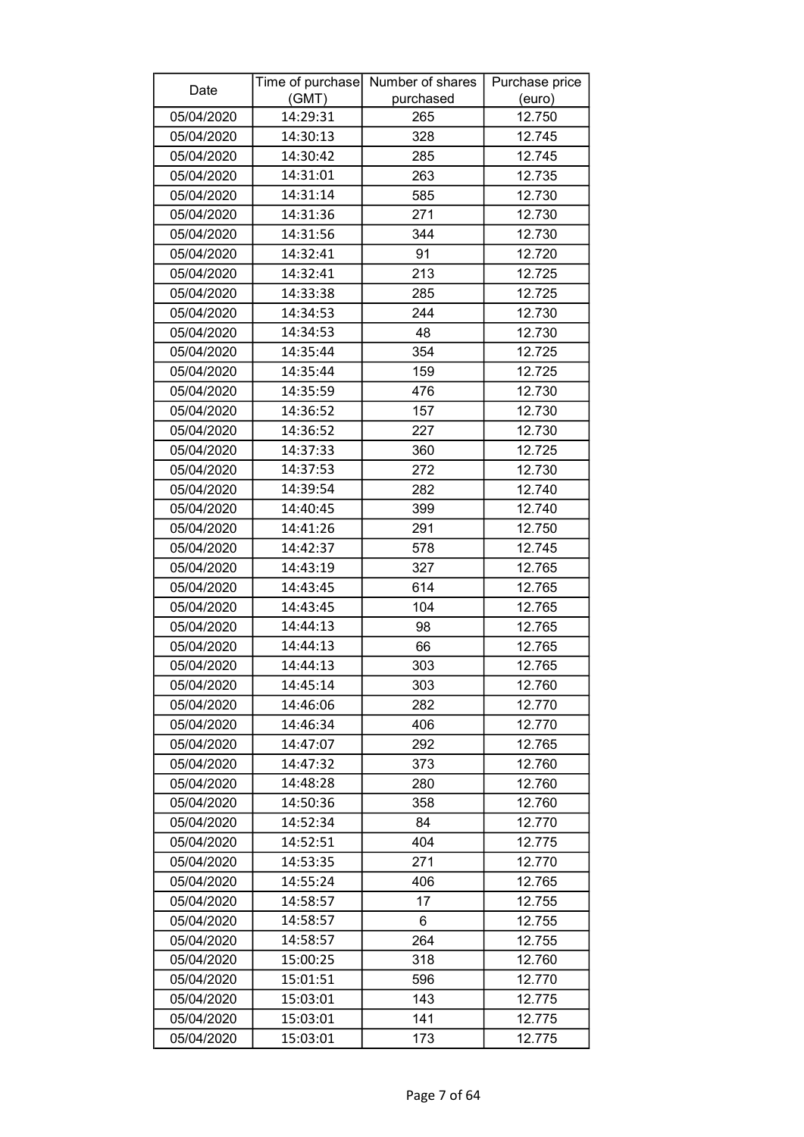| Date       |          | Time of purchase Number of shares | Purchase price |
|------------|----------|-----------------------------------|----------------|
|            | (GMT)    | purchased                         | (euro)         |
| 05/04/2020 | 14:29:31 | 265                               | 12.750         |
| 05/04/2020 | 14:30:13 | 328                               | 12.745         |
| 05/04/2020 | 14:30:42 | 285                               | 12.745         |
| 05/04/2020 | 14:31:01 | 263                               | 12.735         |
| 05/04/2020 | 14:31:14 | 585                               | 12.730         |
| 05/04/2020 | 14:31:36 | 271                               | 12.730         |
| 05/04/2020 | 14:31:56 | 344                               | 12.730         |
| 05/04/2020 | 14:32:41 | 91                                | 12.720         |
| 05/04/2020 | 14:32:41 | 213                               | 12.725         |
| 05/04/2020 | 14:33:38 | 285                               | 12.725         |
| 05/04/2020 | 14:34:53 | 244                               | 12.730         |
| 05/04/2020 | 14:34:53 | 48                                | 12.730         |
| 05/04/2020 | 14:35:44 | 354                               | 12.725         |
| 05/04/2020 | 14:35:44 | 159                               | 12.725         |
| 05/04/2020 | 14:35:59 | 476                               | 12.730         |
| 05/04/2020 | 14:36:52 | 157                               | 12.730         |
| 05/04/2020 | 14:36:52 | 227                               | 12.730         |
| 05/04/2020 | 14:37:33 | 360                               | 12.725         |
| 05/04/2020 | 14:37:53 | 272                               | 12.730         |
| 05/04/2020 | 14:39:54 | 282                               | 12.740         |
| 05/04/2020 | 14:40:45 | 399                               | 12.740         |
| 05/04/2020 | 14:41:26 | 291                               | 12.750         |
| 05/04/2020 | 14:42:37 | 578                               | 12.745         |
| 05/04/2020 | 14:43:19 | 327                               | 12.765         |
| 05/04/2020 | 14:43:45 | 614                               | 12.765         |
| 05/04/2020 | 14:43:45 | 104                               | 12.765         |
| 05/04/2020 | 14:44:13 | 98                                | 12.765         |
| 05/04/2020 | 14:44:13 | 66                                | 12.765         |
| 05/04/2020 | 14:44:13 | 303                               | 12.765         |
| 05/04/2020 | 14:45:14 | 303                               | 12.760         |
| 05/04/2020 | 14:46:06 | 282                               | 12.770         |
| 05/04/2020 | 14:46:34 | 406                               | 12.770         |
| 05/04/2020 | 14:47:07 | 292                               | 12.765         |
| 05/04/2020 | 14:47:32 | 373                               | 12.760         |
| 05/04/2020 | 14:48:28 | 280                               | 12.760         |
| 05/04/2020 | 14:50:36 | 358                               | 12.760         |
| 05/04/2020 | 14:52:34 | 84                                | 12.770         |
| 05/04/2020 | 14:52:51 | 404                               | 12.775         |
| 05/04/2020 | 14:53:35 | 271                               | 12.770         |
| 05/04/2020 | 14:55:24 | 406                               | 12.765         |
| 05/04/2020 | 14:58:57 | 17                                | 12.755         |
| 05/04/2020 | 14:58:57 | 6                                 | 12.755         |
| 05/04/2020 | 14:58:57 | 264                               | 12.755         |
| 05/04/2020 | 15:00:25 | 318                               | 12.760         |
| 05/04/2020 | 15:01:51 | 596                               | 12.770         |
| 05/04/2020 | 15:03:01 | 143                               | 12.775         |
| 05/04/2020 | 15:03:01 | 141                               | 12.775         |
| 05/04/2020 | 15:03:01 | 173                               | 12.775         |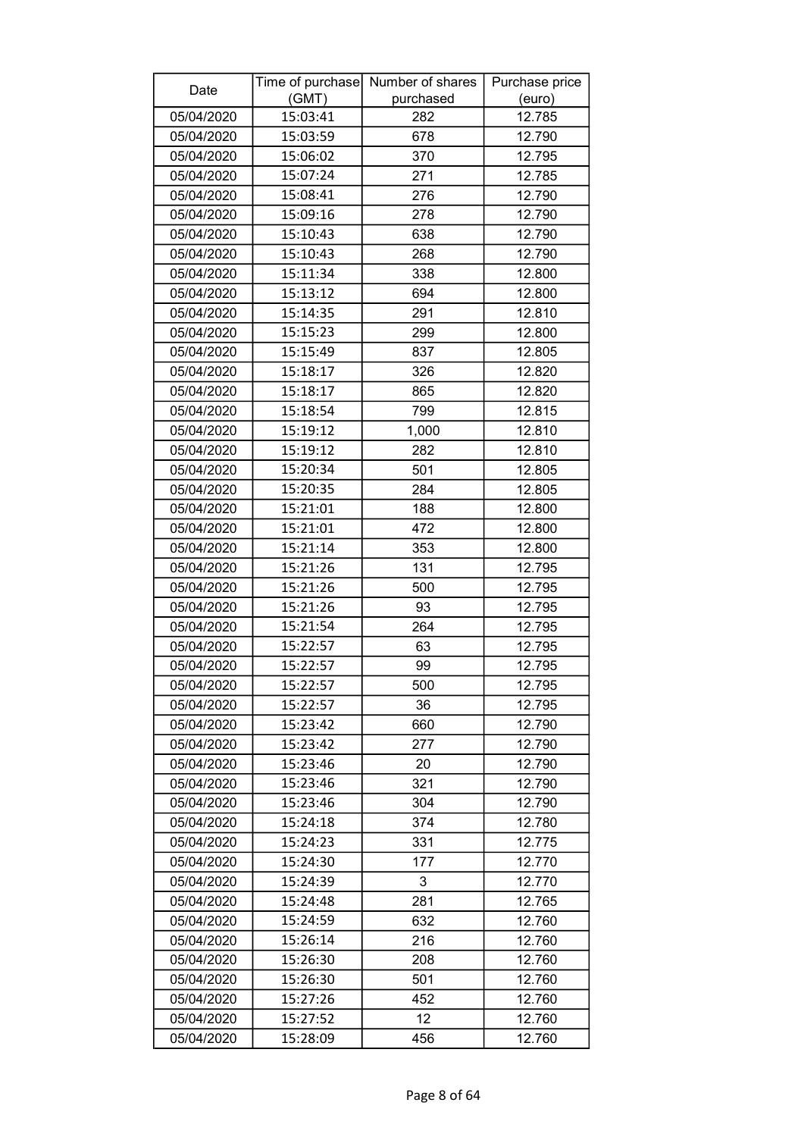| (GMT)<br>purchased<br>(euro)<br>05/04/2020<br>12.785<br>15:03:41<br>282<br>678<br>05/04/2020<br>15:03:59<br>12.790<br>05/04/2020<br>370<br>12.795<br>15:06:02<br>15:07:24<br>12.785<br>05/04/2020<br>271<br>05/04/2020<br>15:08:41<br>276<br>12.790<br>05/04/2020<br>15:09:16<br>278<br>12.790<br>15:10:43<br>638<br>12.790<br>05/04/2020<br>05/04/2020<br>15:10:43<br>268<br>12.790<br>05/04/2020<br>15:11:34<br>338<br>12.800<br>05/04/2020<br>15:13:12<br>694<br>12.800<br>15:14:35<br>291<br>12.810<br>05/04/2020<br>15:15:23<br>05/04/2020<br>299<br>12.800<br>15:15:49<br>05/04/2020<br>837<br>12.805<br>15:18:17<br>326<br>12.820<br>05/04/2020<br>15:18:17<br>05/04/2020<br>865<br>12.820<br>799<br>12.815<br>05/04/2020<br>15:18:54<br>05/04/2020<br>15:19:12<br>12.810<br>1,000<br>05/04/2020<br>15:19:12<br>12.810<br>282<br>15:20:34<br>501<br>05/04/2020<br>12.805<br>05/04/2020<br>15:20:35<br>284<br>12.805<br>15:21:01<br>05/04/2020<br>188<br>12.800<br>05/04/2020<br>15:21:01<br>472<br>12.800<br>15:21:14<br>05/04/2020<br>353<br>12.800<br>131<br>05/04/2020<br>15:21:26<br>12.795<br>05/04/2020<br>15:21:26<br>500<br>12.795<br>15:21:26<br>05/04/2020<br>93<br>12.795<br>15:21:54<br>05/04/2020<br>264<br>12.795<br>12.795<br>05/04/2020<br>15:22:57<br>63<br>05/04/2020<br>99<br>12.795<br>15:22:57<br>15:22:57<br>12.795<br>05/04/2020<br>500<br>15:22:57<br>36<br>12.795<br>05/04/2020<br>660<br>12.790<br>05/04/2020<br>15:23:42<br>05/04/2020<br>15:23:42<br>277<br>12.790<br>05/04/2020<br>15:23:46<br>12.790<br>20<br>05/04/2020<br>15:23:46<br>321<br>12.790<br>304<br>12.790<br>05/04/2020<br>15:23:46<br>374<br>05/04/2020<br>15:24:18<br>12.780<br>05/04/2020<br>15:24:23<br>331<br>12.775<br>177<br>05/04/2020<br>15:24:30<br>12.770<br>12.770<br>05/04/2020<br>15:24:39<br>3<br>281<br>12.765<br>05/04/2020<br>15:24:48<br>15:24:59<br>632<br>05/04/2020<br>12.760<br>216<br>12.760<br>05/04/2020<br>15:26:14<br>05/04/2020<br>15:26:30<br>208<br>12.760<br>15:26:30<br>12.760<br>05/04/2020<br>501<br>452<br>12.760<br>05/04/2020<br>15:27:26<br>12<br>05/04/2020<br>15:27:52<br>12.760 | Date       |          | Time of purchase Number of shares | Purchase price |
|-----------------------------------------------------------------------------------------------------------------------------------------------------------------------------------------------------------------------------------------------------------------------------------------------------------------------------------------------------------------------------------------------------------------------------------------------------------------------------------------------------------------------------------------------------------------------------------------------------------------------------------------------------------------------------------------------------------------------------------------------------------------------------------------------------------------------------------------------------------------------------------------------------------------------------------------------------------------------------------------------------------------------------------------------------------------------------------------------------------------------------------------------------------------------------------------------------------------------------------------------------------------------------------------------------------------------------------------------------------------------------------------------------------------------------------------------------------------------------------------------------------------------------------------------------------------------------------------------------------------------------------------------------------------------------------------------------------------------------------------------------------------------------------------------------------------------------------------------------------------------------------------------------------------------------------------------------------------------------------------------------------------------------------------------------------------------------------------------------------------------------|------------|----------|-----------------------------------|----------------|
|                                                                                                                                                                                                                                                                                                                                                                                                                                                                                                                                                                                                                                                                                                                                                                                                                                                                                                                                                                                                                                                                                                                                                                                                                                                                                                                                                                                                                                                                                                                                                                                                                                                                                                                                                                                                                                                                                                                                                                                                                                                                                                                             |            |          |                                   |                |
|                                                                                                                                                                                                                                                                                                                                                                                                                                                                                                                                                                                                                                                                                                                                                                                                                                                                                                                                                                                                                                                                                                                                                                                                                                                                                                                                                                                                                                                                                                                                                                                                                                                                                                                                                                                                                                                                                                                                                                                                                                                                                                                             |            |          |                                   |                |
|                                                                                                                                                                                                                                                                                                                                                                                                                                                                                                                                                                                                                                                                                                                                                                                                                                                                                                                                                                                                                                                                                                                                                                                                                                                                                                                                                                                                                                                                                                                                                                                                                                                                                                                                                                                                                                                                                                                                                                                                                                                                                                                             |            |          |                                   |                |
|                                                                                                                                                                                                                                                                                                                                                                                                                                                                                                                                                                                                                                                                                                                                                                                                                                                                                                                                                                                                                                                                                                                                                                                                                                                                                                                                                                                                                                                                                                                                                                                                                                                                                                                                                                                                                                                                                                                                                                                                                                                                                                                             |            |          |                                   |                |
|                                                                                                                                                                                                                                                                                                                                                                                                                                                                                                                                                                                                                                                                                                                                                                                                                                                                                                                                                                                                                                                                                                                                                                                                                                                                                                                                                                                                                                                                                                                                                                                                                                                                                                                                                                                                                                                                                                                                                                                                                                                                                                                             |            |          |                                   |                |
|                                                                                                                                                                                                                                                                                                                                                                                                                                                                                                                                                                                                                                                                                                                                                                                                                                                                                                                                                                                                                                                                                                                                                                                                                                                                                                                                                                                                                                                                                                                                                                                                                                                                                                                                                                                                                                                                                                                                                                                                                                                                                                                             |            |          |                                   |                |
|                                                                                                                                                                                                                                                                                                                                                                                                                                                                                                                                                                                                                                                                                                                                                                                                                                                                                                                                                                                                                                                                                                                                                                                                                                                                                                                                                                                                                                                                                                                                                                                                                                                                                                                                                                                                                                                                                                                                                                                                                                                                                                                             |            |          |                                   |                |
|                                                                                                                                                                                                                                                                                                                                                                                                                                                                                                                                                                                                                                                                                                                                                                                                                                                                                                                                                                                                                                                                                                                                                                                                                                                                                                                                                                                                                                                                                                                                                                                                                                                                                                                                                                                                                                                                                                                                                                                                                                                                                                                             |            |          |                                   |                |
|                                                                                                                                                                                                                                                                                                                                                                                                                                                                                                                                                                                                                                                                                                                                                                                                                                                                                                                                                                                                                                                                                                                                                                                                                                                                                                                                                                                                                                                                                                                                                                                                                                                                                                                                                                                                                                                                                                                                                                                                                                                                                                                             |            |          |                                   |                |
|                                                                                                                                                                                                                                                                                                                                                                                                                                                                                                                                                                                                                                                                                                                                                                                                                                                                                                                                                                                                                                                                                                                                                                                                                                                                                                                                                                                                                                                                                                                                                                                                                                                                                                                                                                                                                                                                                                                                                                                                                                                                                                                             |            |          |                                   |                |
|                                                                                                                                                                                                                                                                                                                                                                                                                                                                                                                                                                                                                                                                                                                                                                                                                                                                                                                                                                                                                                                                                                                                                                                                                                                                                                                                                                                                                                                                                                                                                                                                                                                                                                                                                                                                                                                                                                                                                                                                                                                                                                                             |            |          |                                   |                |
|                                                                                                                                                                                                                                                                                                                                                                                                                                                                                                                                                                                                                                                                                                                                                                                                                                                                                                                                                                                                                                                                                                                                                                                                                                                                                                                                                                                                                                                                                                                                                                                                                                                                                                                                                                                                                                                                                                                                                                                                                                                                                                                             |            |          |                                   |                |
|                                                                                                                                                                                                                                                                                                                                                                                                                                                                                                                                                                                                                                                                                                                                                                                                                                                                                                                                                                                                                                                                                                                                                                                                                                                                                                                                                                                                                                                                                                                                                                                                                                                                                                                                                                                                                                                                                                                                                                                                                                                                                                                             |            |          |                                   |                |
|                                                                                                                                                                                                                                                                                                                                                                                                                                                                                                                                                                                                                                                                                                                                                                                                                                                                                                                                                                                                                                                                                                                                                                                                                                                                                                                                                                                                                                                                                                                                                                                                                                                                                                                                                                                                                                                                                                                                                                                                                                                                                                                             |            |          |                                   |                |
|                                                                                                                                                                                                                                                                                                                                                                                                                                                                                                                                                                                                                                                                                                                                                                                                                                                                                                                                                                                                                                                                                                                                                                                                                                                                                                                                                                                                                                                                                                                                                                                                                                                                                                                                                                                                                                                                                                                                                                                                                                                                                                                             |            |          |                                   |                |
|                                                                                                                                                                                                                                                                                                                                                                                                                                                                                                                                                                                                                                                                                                                                                                                                                                                                                                                                                                                                                                                                                                                                                                                                                                                                                                                                                                                                                                                                                                                                                                                                                                                                                                                                                                                                                                                                                                                                                                                                                                                                                                                             |            |          |                                   |                |
|                                                                                                                                                                                                                                                                                                                                                                                                                                                                                                                                                                                                                                                                                                                                                                                                                                                                                                                                                                                                                                                                                                                                                                                                                                                                                                                                                                                                                                                                                                                                                                                                                                                                                                                                                                                                                                                                                                                                                                                                                                                                                                                             |            |          |                                   |                |
|                                                                                                                                                                                                                                                                                                                                                                                                                                                                                                                                                                                                                                                                                                                                                                                                                                                                                                                                                                                                                                                                                                                                                                                                                                                                                                                                                                                                                                                                                                                                                                                                                                                                                                                                                                                                                                                                                                                                                                                                                                                                                                                             |            |          |                                   |                |
|                                                                                                                                                                                                                                                                                                                                                                                                                                                                                                                                                                                                                                                                                                                                                                                                                                                                                                                                                                                                                                                                                                                                                                                                                                                                                                                                                                                                                                                                                                                                                                                                                                                                                                                                                                                                                                                                                                                                                                                                                                                                                                                             |            |          |                                   |                |
|                                                                                                                                                                                                                                                                                                                                                                                                                                                                                                                                                                                                                                                                                                                                                                                                                                                                                                                                                                                                                                                                                                                                                                                                                                                                                                                                                                                                                                                                                                                                                                                                                                                                                                                                                                                                                                                                                                                                                                                                                                                                                                                             |            |          |                                   |                |
|                                                                                                                                                                                                                                                                                                                                                                                                                                                                                                                                                                                                                                                                                                                                                                                                                                                                                                                                                                                                                                                                                                                                                                                                                                                                                                                                                                                                                                                                                                                                                                                                                                                                                                                                                                                                                                                                                                                                                                                                                                                                                                                             |            |          |                                   |                |
|                                                                                                                                                                                                                                                                                                                                                                                                                                                                                                                                                                                                                                                                                                                                                                                                                                                                                                                                                                                                                                                                                                                                                                                                                                                                                                                                                                                                                                                                                                                                                                                                                                                                                                                                                                                                                                                                                                                                                                                                                                                                                                                             |            |          |                                   |                |
|                                                                                                                                                                                                                                                                                                                                                                                                                                                                                                                                                                                                                                                                                                                                                                                                                                                                                                                                                                                                                                                                                                                                                                                                                                                                                                                                                                                                                                                                                                                                                                                                                                                                                                                                                                                                                                                                                                                                                                                                                                                                                                                             |            |          |                                   |                |
|                                                                                                                                                                                                                                                                                                                                                                                                                                                                                                                                                                                                                                                                                                                                                                                                                                                                                                                                                                                                                                                                                                                                                                                                                                                                                                                                                                                                                                                                                                                                                                                                                                                                                                                                                                                                                                                                                                                                                                                                                                                                                                                             |            |          |                                   |                |
|                                                                                                                                                                                                                                                                                                                                                                                                                                                                                                                                                                                                                                                                                                                                                                                                                                                                                                                                                                                                                                                                                                                                                                                                                                                                                                                                                                                                                                                                                                                                                                                                                                                                                                                                                                                                                                                                                                                                                                                                                                                                                                                             |            |          |                                   |                |
|                                                                                                                                                                                                                                                                                                                                                                                                                                                                                                                                                                                                                                                                                                                                                                                                                                                                                                                                                                                                                                                                                                                                                                                                                                                                                                                                                                                                                                                                                                                                                                                                                                                                                                                                                                                                                                                                                                                                                                                                                                                                                                                             |            |          |                                   |                |
|                                                                                                                                                                                                                                                                                                                                                                                                                                                                                                                                                                                                                                                                                                                                                                                                                                                                                                                                                                                                                                                                                                                                                                                                                                                                                                                                                                                                                                                                                                                                                                                                                                                                                                                                                                                                                                                                                                                                                                                                                                                                                                                             |            |          |                                   |                |
|                                                                                                                                                                                                                                                                                                                                                                                                                                                                                                                                                                                                                                                                                                                                                                                                                                                                                                                                                                                                                                                                                                                                                                                                                                                                                                                                                                                                                                                                                                                                                                                                                                                                                                                                                                                                                                                                                                                                                                                                                                                                                                                             |            |          |                                   |                |
|                                                                                                                                                                                                                                                                                                                                                                                                                                                                                                                                                                                                                                                                                                                                                                                                                                                                                                                                                                                                                                                                                                                                                                                                                                                                                                                                                                                                                                                                                                                                                                                                                                                                                                                                                                                                                                                                                                                                                                                                                                                                                                                             |            |          |                                   |                |
|                                                                                                                                                                                                                                                                                                                                                                                                                                                                                                                                                                                                                                                                                                                                                                                                                                                                                                                                                                                                                                                                                                                                                                                                                                                                                                                                                                                                                                                                                                                                                                                                                                                                                                                                                                                                                                                                                                                                                                                                                                                                                                                             |            |          |                                   |                |
|                                                                                                                                                                                                                                                                                                                                                                                                                                                                                                                                                                                                                                                                                                                                                                                                                                                                                                                                                                                                                                                                                                                                                                                                                                                                                                                                                                                                                                                                                                                                                                                                                                                                                                                                                                                                                                                                                                                                                                                                                                                                                                                             |            |          |                                   |                |
|                                                                                                                                                                                                                                                                                                                                                                                                                                                                                                                                                                                                                                                                                                                                                                                                                                                                                                                                                                                                                                                                                                                                                                                                                                                                                                                                                                                                                                                                                                                                                                                                                                                                                                                                                                                                                                                                                                                                                                                                                                                                                                                             |            |          |                                   |                |
|                                                                                                                                                                                                                                                                                                                                                                                                                                                                                                                                                                                                                                                                                                                                                                                                                                                                                                                                                                                                                                                                                                                                                                                                                                                                                                                                                                                                                                                                                                                                                                                                                                                                                                                                                                                                                                                                                                                                                                                                                                                                                                                             |            |          |                                   |                |
|                                                                                                                                                                                                                                                                                                                                                                                                                                                                                                                                                                                                                                                                                                                                                                                                                                                                                                                                                                                                                                                                                                                                                                                                                                                                                                                                                                                                                                                                                                                                                                                                                                                                                                                                                                                                                                                                                                                                                                                                                                                                                                                             |            |          |                                   |                |
|                                                                                                                                                                                                                                                                                                                                                                                                                                                                                                                                                                                                                                                                                                                                                                                                                                                                                                                                                                                                                                                                                                                                                                                                                                                                                                                                                                                                                                                                                                                                                                                                                                                                                                                                                                                                                                                                                                                                                                                                                                                                                                                             |            |          |                                   |                |
|                                                                                                                                                                                                                                                                                                                                                                                                                                                                                                                                                                                                                                                                                                                                                                                                                                                                                                                                                                                                                                                                                                                                                                                                                                                                                                                                                                                                                                                                                                                                                                                                                                                                                                                                                                                                                                                                                                                                                                                                                                                                                                                             |            |          |                                   |                |
|                                                                                                                                                                                                                                                                                                                                                                                                                                                                                                                                                                                                                                                                                                                                                                                                                                                                                                                                                                                                                                                                                                                                                                                                                                                                                                                                                                                                                                                                                                                                                                                                                                                                                                                                                                                                                                                                                                                                                                                                                                                                                                                             |            |          |                                   |                |
|                                                                                                                                                                                                                                                                                                                                                                                                                                                                                                                                                                                                                                                                                                                                                                                                                                                                                                                                                                                                                                                                                                                                                                                                                                                                                                                                                                                                                                                                                                                                                                                                                                                                                                                                                                                                                                                                                                                                                                                                                                                                                                                             |            |          |                                   |                |
|                                                                                                                                                                                                                                                                                                                                                                                                                                                                                                                                                                                                                                                                                                                                                                                                                                                                                                                                                                                                                                                                                                                                                                                                                                                                                                                                                                                                                                                                                                                                                                                                                                                                                                                                                                                                                                                                                                                                                                                                                                                                                                                             |            |          |                                   |                |
|                                                                                                                                                                                                                                                                                                                                                                                                                                                                                                                                                                                                                                                                                                                                                                                                                                                                                                                                                                                                                                                                                                                                                                                                                                                                                                                                                                                                                                                                                                                                                                                                                                                                                                                                                                                                                                                                                                                                                                                                                                                                                                                             |            |          |                                   |                |
|                                                                                                                                                                                                                                                                                                                                                                                                                                                                                                                                                                                                                                                                                                                                                                                                                                                                                                                                                                                                                                                                                                                                                                                                                                                                                                                                                                                                                                                                                                                                                                                                                                                                                                                                                                                                                                                                                                                                                                                                                                                                                                                             |            |          |                                   |                |
|                                                                                                                                                                                                                                                                                                                                                                                                                                                                                                                                                                                                                                                                                                                                                                                                                                                                                                                                                                                                                                                                                                                                                                                                                                                                                                                                                                                                                                                                                                                                                                                                                                                                                                                                                                                                                                                                                                                                                                                                                                                                                                                             |            |          |                                   |                |
|                                                                                                                                                                                                                                                                                                                                                                                                                                                                                                                                                                                                                                                                                                                                                                                                                                                                                                                                                                                                                                                                                                                                                                                                                                                                                                                                                                                                                                                                                                                                                                                                                                                                                                                                                                                                                                                                                                                                                                                                                                                                                                                             |            |          |                                   |                |
|                                                                                                                                                                                                                                                                                                                                                                                                                                                                                                                                                                                                                                                                                                                                                                                                                                                                                                                                                                                                                                                                                                                                                                                                                                                                                                                                                                                                                                                                                                                                                                                                                                                                                                                                                                                                                                                                                                                                                                                                                                                                                                                             |            |          |                                   |                |
|                                                                                                                                                                                                                                                                                                                                                                                                                                                                                                                                                                                                                                                                                                                                                                                                                                                                                                                                                                                                                                                                                                                                                                                                                                                                                                                                                                                                                                                                                                                                                                                                                                                                                                                                                                                                                                                                                                                                                                                                                                                                                                                             |            |          |                                   |                |
|                                                                                                                                                                                                                                                                                                                                                                                                                                                                                                                                                                                                                                                                                                                                                                                                                                                                                                                                                                                                                                                                                                                                                                                                                                                                                                                                                                                                                                                                                                                                                                                                                                                                                                                                                                                                                                                                                                                                                                                                                                                                                                                             |            |          |                                   |                |
|                                                                                                                                                                                                                                                                                                                                                                                                                                                                                                                                                                                                                                                                                                                                                                                                                                                                                                                                                                                                                                                                                                                                                                                                                                                                                                                                                                                                                                                                                                                                                                                                                                                                                                                                                                                                                                                                                                                                                                                                                                                                                                                             |            |          |                                   |                |
|                                                                                                                                                                                                                                                                                                                                                                                                                                                                                                                                                                                                                                                                                                                                                                                                                                                                                                                                                                                                                                                                                                                                                                                                                                                                                                                                                                                                                                                                                                                                                                                                                                                                                                                                                                                                                                                                                                                                                                                                                                                                                                                             |            |          |                                   |                |
|                                                                                                                                                                                                                                                                                                                                                                                                                                                                                                                                                                                                                                                                                                                                                                                                                                                                                                                                                                                                                                                                                                                                                                                                                                                                                                                                                                                                                                                                                                                                                                                                                                                                                                                                                                                                                                                                                                                                                                                                                                                                                                                             | 05/04/2020 | 15:28:09 | 456                               | 12.760         |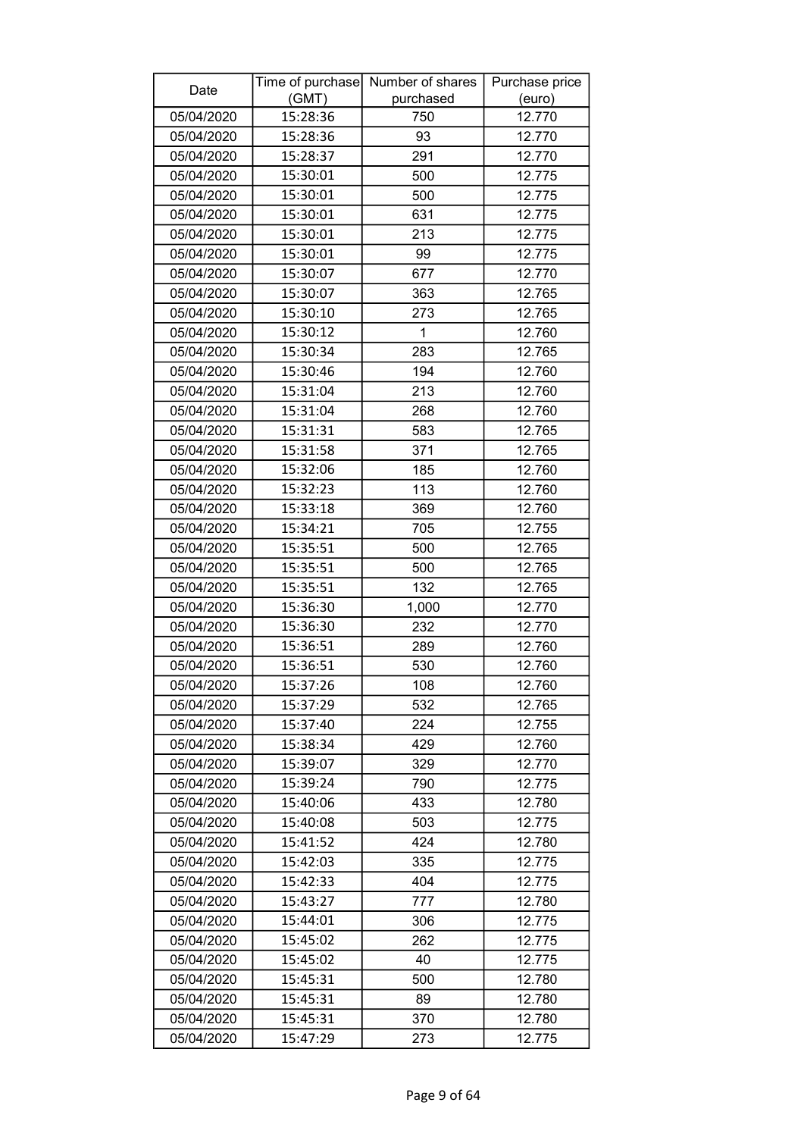| Date       |          | Time of purchase Number of shares | Purchase price |
|------------|----------|-----------------------------------|----------------|
|            | (GMT)    | purchased                         | (euro)         |
| 05/04/2020 | 15:28:36 | 750                               | 12.770         |
| 05/04/2020 | 15:28:36 | 93                                | 12.770         |
| 05/04/2020 | 15:28:37 | 291                               | 12.770         |
| 05/04/2020 | 15:30:01 | 500                               | 12.775         |
| 05/04/2020 | 15:30:01 | 500                               | 12.775         |
| 05/04/2020 | 15:30:01 | 631                               | 12.775         |
| 05/04/2020 | 15:30:01 | 213                               | 12.775         |
| 05/04/2020 | 15:30:01 | 99                                | 12.775         |
| 05/04/2020 | 15:30:07 | 677                               | 12.770         |
| 05/04/2020 | 15:30:07 | 363                               | 12.765         |
| 05/04/2020 | 15:30:10 | 273                               | 12.765         |
| 05/04/2020 | 15:30:12 | $\mathbf{1}$                      | 12.760         |
| 05/04/2020 | 15:30:34 | 283                               | 12.765         |
| 05/04/2020 | 15:30:46 | 194                               | 12.760         |
| 05/04/2020 | 15:31:04 | 213                               | 12.760         |
| 05/04/2020 | 15:31:04 | 268                               | 12.760         |
| 05/04/2020 | 15:31:31 | 583                               | 12.765         |
| 05/04/2020 | 15:31:58 | 371                               | 12.765         |
| 05/04/2020 | 15:32:06 | 185                               | 12.760         |
| 05/04/2020 | 15:32:23 | 113                               | 12.760         |
| 05/04/2020 | 15:33:18 | 369                               | 12.760         |
| 05/04/2020 | 15:34:21 | 705                               | 12.755         |
| 05/04/2020 | 15:35:51 | 500                               | 12.765         |
| 05/04/2020 | 15:35:51 | 500                               | 12.765         |
| 05/04/2020 | 15:35:51 | 132                               | 12.765         |
| 05/04/2020 | 15:36:30 | 1,000                             | 12.770         |
| 05/04/2020 | 15:36:30 | 232                               | 12.770         |
| 05/04/2020 | 15:36:51 | 289                               | 12.760         |
| 05/04/2020 | 15:36:51 | 530                               | 12.760         |
| 05/04/2020 | 15:37:26 | 108                               | 12.760         |
| 05/04/2020 | 15:37:29 | 532                               | 12.765         |
| 05/04/2020 | 15:37:40 | 224                               | 12.755         |
| 05/04/2020 | 15:38:34 | 429                               | 12.760         |
| 05/04/2020 | 15:39:07 | 329                               | 12.770         |
| 05/04/2020 | 15:39:24 | 790                               | 12.775         |
| 05/04/2020 | 15:40:06 | 433                               | 12.780         |
| 05/04/2020 | 15:40:08 | 503                               | 12.775         |
| 05/04/2020 | 15:41:52 | 424                               | 12.780         |
| 05/04/2020 | 15:42:03 | 335                               | 12.775         |
| 05/04/2020 | 15:42:33 | 404                               | 12.775         |
| 05/04/2020 | 15:43:27 | 777                               | 12.780         |
| 05/04/2020 | 15:44:01 | 306                               | 12.775         |
| 05/04/2020 | 15:45:02 | 262                               | 12.775         |
| 05/04/2020 | 15:45:02 | 40                                | 12.775         |
| 05/04/2020 | 15:45:31 | 500                               | 12.780         |
| 05/04/2020 | 15:45:31 | 89                                | 12.780         |
| 05/04/2020 | 15:45:31 | 370                               | 12.780         |
| 05/04/2020 | 15:47:29 | 273                               | 12.775         |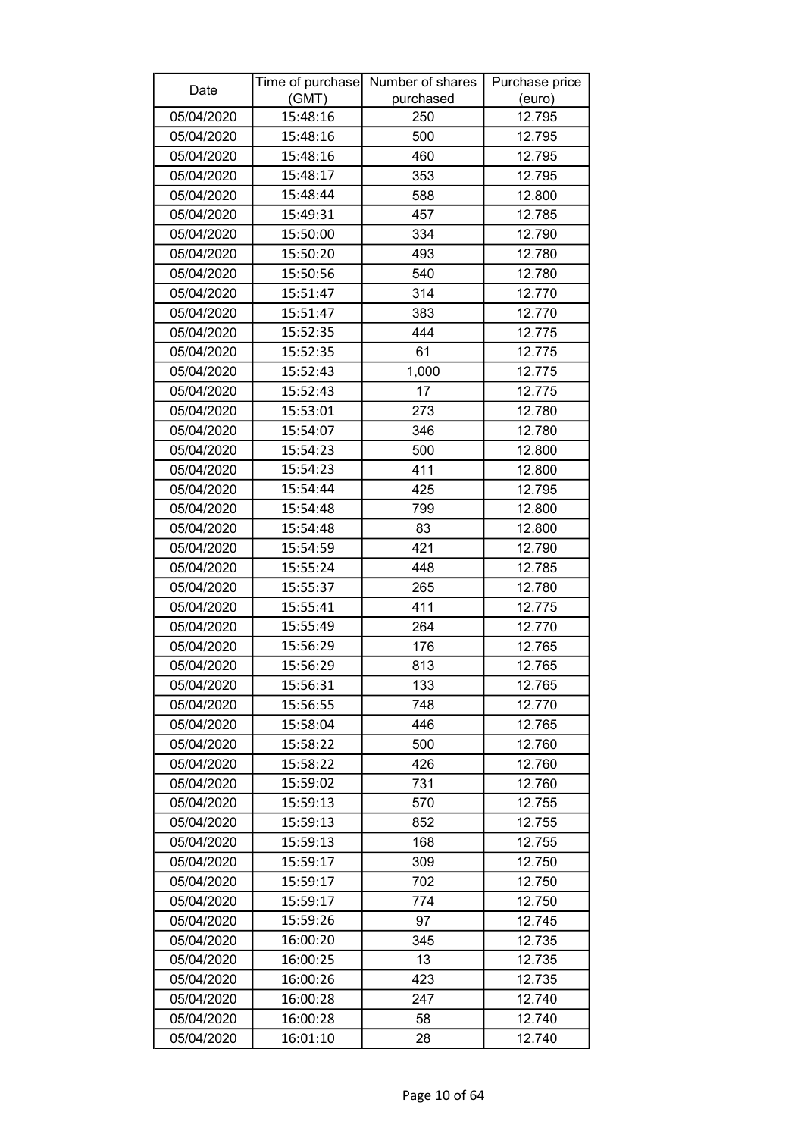| Date       |          | Time of purchase Number of shares | Purchase price |
|------------|----------|-----------------------------------|----------------|
|            | (GMT)    | purchased                         | (euro)         |
| 05/04/2020 | 15:48:16 | 250                               | 12.795         |
| 05/04/2020 | 15:48:16 | 500                               | 12.795         |
| 05/04/2020 | 15:48:16 | 460                               | 12.795         |
| 05/04/2020 | 15:48:17 | 353                               | 12.795         |
| 05/04/2020 | 15:48:44 | 588                               | 12.800         |
| 05/04/2020 | 15:49:31 | 457                               | 12.785         |
| 05/04/2020 | 15:50:00 | 334                               | 12.790         |
| 05/04/2020 | 15:50:20 | 493                               | 12.780         |
| 05/04/2020 | 15:50:56 | 540                               | 12.780         |
| 05/04/2020 | 15:51:47 | 314                               | 12.770         |
| 05/04/2020 | 15:51:47 | 383                               | 12.770         |
| 05/04/2020 | 15:52:35 | 444                               | 12.775         |
| 05/04/2020 | 15:52:35 | 61                                | 12.775         |
| 05/04/2020 | 15:52:43 | 1,000                             | 12.775         |
| 05/04/2020 | 15:52:43 | 17                                | 12.775         |
| 05/04/2020 | 15:53:01 | 273                               | 12.780         |
| 05/04/2020 | 15:54:07 | 346                               | 12.780         |
| 05/04/2020 | 15:54:23 | 500                               | 12.800         |
| 05/04/2020 | 15:54:23 | 411                               | 12.800         |
| 05/04/2020 | 15:54:44 | 425                               | 12.795         |
| 05/04/2020 | 15:54:48 | 799                               | 12.800         |
| 05/04/2020 | 15:54:48 | 83                                | 12.800         |
| 05/04/2020 | 15:54:59 | 421                               | 12.790         |
| 05/04/2020 | 15:55:24 | 448                               | 12.785         |
| 05/04/2020 | 15:55:37 | 265                               | 12.780         |
| 05/04/2020 | 15:55:41 | 411                               | 12.775         |
| 05/04/2020 | 15:55:49 | 264                               | 12.770         |
| 05/04/2020 | 15:56:29 | 176                               | 12.765         |
| 05/04/2020 | 15:56:29 | 813                               | 12.765         |
| 05/04/2020 | 15:56:31 | 133                               | 12.765         |
| 05/04/2020 | 15:56:55 | 748                               | 12.770         |
| 05/04/2020 | 15:58:04 | 446                               | 12.765         |
| 05/04/2020 | 15:58:22 | 500                               | 12.760         |
| 05/04/2020 | 15:58:22 | 426                               | 12.760         |
| 05/04/2020 | 15:59:02 | 731                               | 12.760         |
| 05/04/2020 | 15:59:13 | 570                               | 12.755         |
| 05/04/2020 | 15:59:13 | 852                               | 12.755         |
| 05/04/2020 | 15:59:13 | 168                               | 12.755         |
| 05/04/2020 | 15:59:17 | 309                               | 12.750         |
| 05/04/2020 | 15:59:17 | 702                               | 12.750         |
| 05/04/2020 | 15:59:17 | 774                               | 12.750         |
| 05/04/2020 | 15:59:26 | 97                                | 12.745         |
| 05/04/2020 | 16:00:20 | 345                               | 12.735         |
| 05/04/2020 | 16:00:25 | 13                                | 12.735         |
| 05/04/2020 | 16:00:26 | 423                               | 12.735         |
| 05/04/2020 | 16:00:28 | 247                               | 12.740         |
| 05/04/2020 | 16:00:28 | 58                                | 12.740         |
| 05/04/2020 | 16:01:10 | 28                                | 12.740         |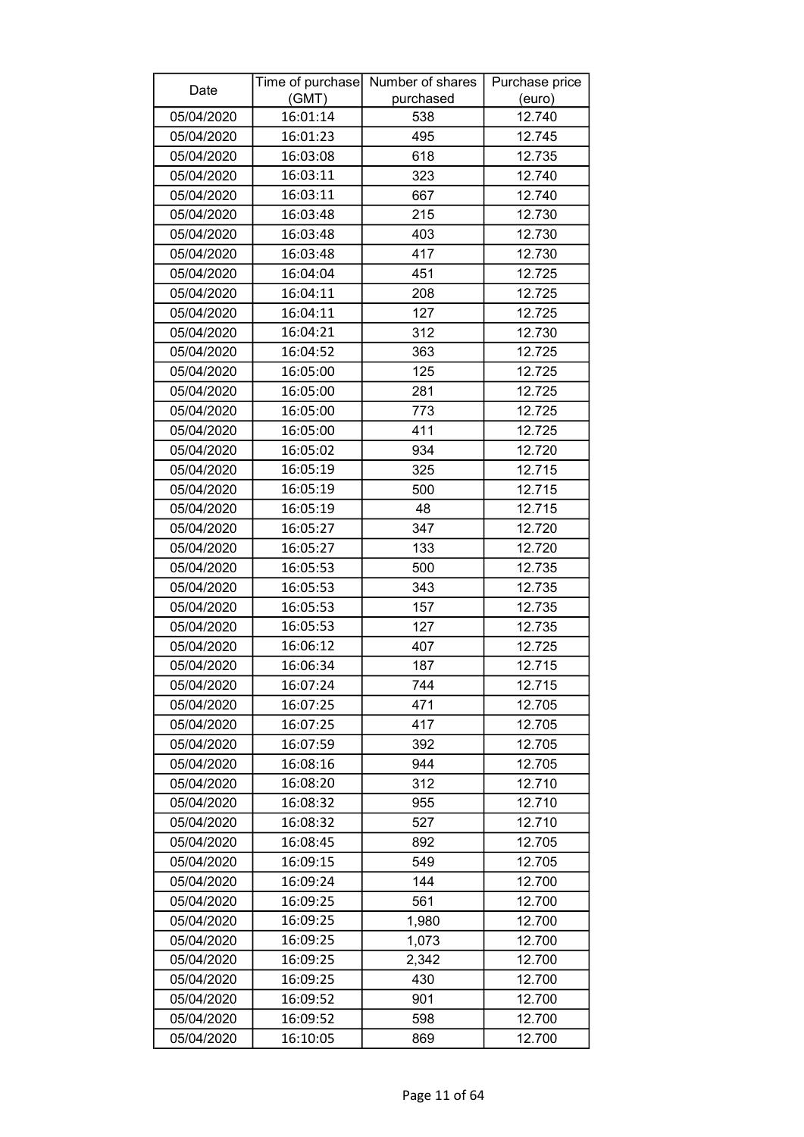| (GMT)<br>purchased<br>(euro)<br>05/04/2020<br>16:01:14<br>12.740<br>538<br>12.745<br>05/04/2020<br>16:01:23<br>495<br>05/04/2020<br>618<br>16:03:08<br>12.735<br>16:03:11<br>12.740<br>05/04/2020<br>323<br>05/04/2020<br>16:03:11<br>667<br>12.740<br>215<br>05/04/2020<br>16:03:48<br>12.730<br>403<br>12.730<br>05/04/2020<br>16:03:48<br>05/04/2020<br>16:03:48<br>417<br>12.730<br>12.725<br>05/04/2020<br>16:04:04<br>451<br>05/04/2020<br>16:04:11<br>208<br>12.725<br>16:04:11<br>127<br>12.725<br>05/04/2020<br>16:04:21<br>12.730<br>05/04/2020<br>312<br>16:04:52<br>363<br>12.725<br>05/04/2020<br>125<br>12.725<br>05/04/2020<br>16:05:00<br>16:05:00<br>05/04/2020<br>281<br>12.725<br>773<br>12.725<br>05/04/2020<br>16:05:00<br>12.725<br>05/04/2020<br>16:05:00<br>411<br>05/04/2020<br>16:05:02<br>934<br>12.720<br>16:05:19<br>325<br>12.715<br>05/04/2020<br>05/04/2020<br>16:05:19<br>500<br>12.715<br>12.715<br>16:05:19<br>48<br>05/04/2020<br>05/04/2020<br>16:05:27<br>347<br>12.720<br>16:05:27<br>12.720<br>05/04/2020<br>133<br>05/04/2020<br>16:05:53<br>500<br>12.735<br>16:05:53<br>343<br>05/04/2020<br>12.735<br>16:05:53<br>05/04/2020<br>157<br>12.735<br>05/04/2020<br>16:05:53<br>127<br>12.735<br>12.725<br>05/04/2020<br>16:06:12<br>407<br>05/04/2020<br>12.715<br>16:06:34<br>187<br>05/04/2020<br>16:07:24<br>12.715<br>744<br>05/04/2020<br>16:07:25<br>471<br>12.705<br>16:07:25<br>417<br>12.705<br>05/04/2020<br>12.705<br>05/04/2020<br>16:07:59<br>392<br>16:08:16<br>05/04/2020<br>944<br>12.705<br>12.710<br>05/04/2020<br>16:08:20<br>312<br>05/04/2020<br>16:08:32<br>955<br>12.710<br>527<br>05/04/2020<br>16:08:32<br>12.710<br>05/04/2020<br>16:08:45<br>892<br>12.705<br>12.705<br>05/04/2020<br>16:09:15<br>549<br>05/04/2020<br>144<br>12.700<br>16:09:24<br>05/04/2020<br>16:09:25<br>561<br>12.700<br>16:09:25<br>1,980<br>12.700<br>05/04/2020<br>05/04/2020<br>16:09:25<br>1,073<br>12.700<br>16:09:25<br>12.700<br>05/04/2020<br>2,342<br>16:09:25<br>12.700<br>05/04/2020<br>430<br>901<br>12.700<br>05/04/2020<br>16:09:52<br>12.700<br>05/04/2020<br>16:09:52<br>598<br>12.700<br>05/04/2020<br>16:10:05<br>869 | Date | Time of purchase Number of shares | Purchase price |
|-----------------------------------------------------------------------------------------------------------------------------------------------------------------------------------------------------------------------------------------------------------------------------------------------------------------------------------------------------------------------------------------------------------------------------------------------------------------------------------------------------------------------------------------------------------------------------------------------------------------------------------------------------------------------------------------------------------------------------------------------------------------------------------------------------------------------------------------------------------------------------------------------------------------------------------------------------------------------------------------------------------------------------------------------------------------------------------------------------------------------------------------------------------------------------------------------------------------------------------------------------------------------------------------------------------------------------------------------------------------------------------------------------------------------------------------------------------------------------------------------------------------------------------------------------------------------------------------------------------------------------------------------------------------------------------------------------------------------------------------------------------------------------------------------------------------------------------------------------------------------------------------------------------------------------------------------------------------------------------------------------------------------------------------------------------------------------------------------------------------------------------------------------------------------------------|------|-----------------------------------|----------------|
|                                                                                                                                                                                                                                                                                                                                                                                                                                                                                                                                                                                                                                                                                                                                                                                                                                                                                                                                                                                                                                                                                                                                                                                                                                                                                                                                                                                                                                                                                                                                                                                                                                                                                                                                                                                                                                                                                                                                                                                                                                                                                                                                                                                   |      |                                   |                |
|                                                                                                                                                                                                                                                                                                                                                                                                                                                                                                                                                                                                                                                                                                                                                                                                                                                                                                                                                                                                                                                                                                                                                                                                                                                                                                                                                                                                                                                                                                                                                                                                                                                                                                                                                                                                                                                                                                                                                                                                                                                                                                                                                                                   |      |                                   |                |
|                                                                                                                                                                                                                                                                                                                                                                                                                                                                                                                                                                                                                                                                                                                                                                                                                                                                                                                                                                                                                                                                                                                                                                                                                                                                                                                                                                                                                                                                                                                                                                                                                                                                                                                                                                                                                                                                                                                                                                                                                                                                                                                                                                                   |      |                                   |                |
|                                                                                                                                                                                                                                                                                                                                                                                                                                                                                                                                                                                                                                                                                                                                                                                                                                                                                                                                                                                                                                                                                                                                                                                                                                                                                                                                                                                                                                                                                                                                                                                                                                                                                                                                                                                                                                                                                                                                                                                                                                                                                                                                                                                   |      |                                   |                |
|                                                                                                                                                                                                                                                                                                                                                                                                                                                                                                                                                                                                                                                                                                                                                                                                                                                                                                                                                                                                                                                                                                                                                                                                                                                                                                                                                                                                                                                                                                                                                                                                                                                                                                                                                                                                                                                                                                                                                                                                                                                                                                                                                                                   |      |                                   |                |
|                                                                                                                                                                                                                                                                                                                                                                                                                                                                                                                                                                                                                                                                                                                                                                                                                                                                                                                                                                                                                                                                                                                                                                                                                                                                                                                                                                                                                                                                                                                                                                                                                                                                                                                                                                                                                                                                                                                                                                                                                                                                                                                                                                                   |      |                                   |                |
|                                                                                                                                                                                                                                                                                                                                                                                                                                                                                                                                                                                                                                                                                                                                                                                                                                                                                                                                                                                                                                                                                                                                                                                                                                                                                                                                                                                                                                                                                                                                                                                                                                                                                                                                                                                                                                                                                                                                                                                                                                                                                                                                                                                   |      |                                   |                |
|                                                                                                                                                                                                                                                                                                                                                                                                                                                                                                                                                                                                                                                                                                                                                                                                                                                                                                                                                                                                                                                                                                                                                                                                                                                                                                                                                                                                                                                                                                                                                                                                                                                                                                                                                                                                                                                                                                                                                                                                                                                                                                                                                                                   |      |                                   |                |
|                                                                                                                                                                                                                                                                                                                                                                                                                                                                                                                                                                                                                                                                                                                                                                                                                                                                                                                                                                                                                                                                                                                                                                                                                                                                                                                                                                                                                                                                                                                                                                                                                                                                                                                                                                                                                                                                                                                                                                                                                                                                                                                                                                                   |      |                                   |                |
|                                                                                                                                                                                                                                                                                                                                                                                                                                                                                                                                                                                                                                                                                                                                                                                                                                                                                                                                                                                                                                                                                                                                                                                                                                                                                                                                                                                                                                                                                                                                                                                                                                                                                                                                                                                                                                                                                                                                                                                                                                                                                                                                                                                   |      |                                   |                |
|                                                                                                                                                                                                                                                                                                                                                                                                                                                                                                                                                                                                                                                                                                                                                                                                                                                                                                                                                                                                                                                                                                                                                                                                                                                                                                                                                                                                                                                                                                                                                                                                                                                                                                                                                                                                                                                                                                                                                                                                                                                                                                                                                                                   |      |                                   |                |
|                                                                                                                                                                                                                                                                                                                                                                                                                                                                                                                                                                                                                                                                                                                                                                                                                                                                                                                                                                                                                                                                                                                                                                                                                                                                                                                                                                                                                                                                                                                                                                                                                                                                                                                                                                                                                                                                                                                                                                                                                                                                                                                                                                                   |      |                                   |                |
|                                                                                                                                                                                                                                                                                                                                                                                                                                                                                                                                                                                                                                                                                                                                                                                                                                                                                                                                                                                                                                                                                                                                                                                                                                                                                                                                                                                                                                                                                                                                                                                                                                                                                                                                                                                                                                                                                                                                                                                                                                                                                                                                                                                   |      |                                   |                |
|                                                                                                                                                                                                                                                                                                                                                                                                                                                                                                                                                                                                                                                                                                                                                                                                                                                                                                                                                                                                                                                                                                                                                                                                                                                                                                                                                                                                                                                                                                                                                                                                                                                                                                                                                                                                                                                                                                                                                                                                                                                                                                                                                                                   |      |                                   |                |
|                                                                                                                                                                                                                                                                                                                                                                                                                                                                                                                                                                                                                                                                                                                                                                                                                                                                                                                                                                                                                                                                                                                                                                                                                                                                                                                                                                                                                                                                                                                                                                                                                                                                                                                                                                                                                                                                                                                                                                                                                                                                                                                                                                                   |      |                                   |                |
|                                                                                                                                                                                                                                                                                                                                                                                                                                                                                                                                                                                                                                                                                                                                                                                                                                                                                                                                                                                                                                                                                                                                                                                                                                                                                                                                                                                                                                                                                                                                                                                                                                                                                                                                                                                                                                                                                                                                                                                                                                                                                                                                                                                   |      |                                   |                |
|                                                                                                                                                                                                                                                                                                                                                                                                                                                                                                                                                                                                                                                                                                                                                                                                                                                                                                                                                                                                                                                                                                                                                                                                                                                                                                                                                                                                                                                                                                                                                                                                                                                                                                                                                                                                                                                                                                                                                                                                                                                                                                                                                                                   |      |                                   |                |
|                                                                                                                                                                                                                                                                                                                                                                                                                                                                                                                                                                                                                                                                                                                                                                                                                                                                                                                                                                                                                                                                                                                                                                                                                                                                                                                                                                                                                                                                                                                                                                                                                                                                                                                                                                                                                                                                                                                                                                                                                                                                                                                                                                                   |      |                                   |                |
|                                                                                                                                                                                                                                                                                                                                                                                                                                                                                                                                                                                                                                                                                                                                                                                                                                                                                                                                                                                                                                                                                                                                                                                                                                                                                                                                                                                                                                                                                                                                                                                                                                                                                                                                                                                                                                                                                                                                                                                                                                                                                                                                                                                   |      |                                   |                |
|                                                                                                                                                                                                                                                                                                                                                                                                                                                                                                                                                                                                                                                                                                                                                                                                                                                                                                                                                                                                                                                                                                                                                                                                                                                                                                                                                                                                                                                                                                                                                                                                                                                                                                                                                                                                                                                                                                                                                                                                                                                                                                                                                                                   |      |                                   |                |
|                                                                                                                                                                                                                                                                                                                                                                                                                                                                                                                                                                                                                                                                                                                                                                                                                                                                                                                                                                                                                                                                                                                                                                                                                                                                                                                                                                                                                                                                                                                                                                                                                                                                                                                                                                                                                                                                                                                                                                                                                                                                                                                                                                                   |      |                                   |                |
|                                                                                                                                                                                                                                                                                                                                                                                                                                                                                                                                                                                                                                                                                                                                                                                                                                                                                                                                                                                                                                                                                                                                                                                                                                                                                                                                                                                                                                                                                                                                                                                                                                                                                                                                                                                                                                                                                                                                                                                                                                                                                                                                                                                   |      |                                   |                |
|                                                                                                                                                                                                                                                                                                                                                                                                                                                                                                                                                                                                                                                                                                                                                                                                                                                                                                                                                                                                                                                                                                                                                                                                                                                                                                                                                                                                                                                                                                                                                                                                                                                                                                                                                                                                                                                                                                                                                                                                                                                                                                                                                                                   |      |                                   |                |
|                                                                                                                                                                                                                                                                                                                                                                                                                                                                                                                                                                                                                                                                                                                                                                                                                                                                                                                                                                                                                                                                                                                                                                                                                                                                                                                                                                                                                                                                                                                                                                                                                                                                                                                                                                                                                                                                                                                                                                                                                                                                                                                                                                                   |      |                                   |                |
|                                                                                                                                                                                                                                                                                                                                                                                                                                                                                                                                                                                                                                                                                                                                                                                                                                                                                                                                                                                                                                                                                                                                                                                                                                                                                                                                                                                                                                                                                                                                                                                                                                                                                                                                                                                                                                                                                                                                                                                                                                                                                                                                                                                   |      |                                   |                |
|                                                                                                                                                                                                                                                                                                                                                                                                                                                                                                                                                                                                                                                                                                                                                                                                                                                                                                                                                                                                                                                                                                                                                                                                                                                                                                                                                                                                                                                                                                                                                                                                                                                                                                                                                                                                                                                                                                                                                                                                                                                                                                                                                                                   |      |                                   |                |
|                                                                                                                                                                                                                                                                                                                                                                                                                                                                                                                                                                                                                                                                                                                                                                                                                                                                                                                                                                                                                                                                                                                                                                                                                                                                                                                                                                                                                                                                                                                                                                                                                                                                                                                                                                                                                                                                                                                                                                                                                                                                                                                                                                                   |      |                                   |                |
|                                                                                                                                                                                                                                                                                                                                                                                                                                                                                                                                                                                                                                                                                                                                                                                                                                                                                                                                                                                                                                                                                                                                                                                                                                                                                                                                                                                                                                                                                                                                                                                                                                                                                                                                                                                                                                                                                                                                                                                                                                                                                                                                                                                   |      |                                   |                |
|                                                                                                                                                                                                                                                                                                                                                                                                                                                                                                                                                                                                                                                                                                                                                                                                                                                                                                                                                                                                                                                                                                                                                                                                                                                                                                                                                                                                                                                                                                                                                                                                                                                                                                                                                                                                                                                                                                                                                                                                                                                                                                                                                                                   |      |                                   |                |
|                                                                                                                                                                                                                                                                                                                                                                                                                                                                                                                                                                                                                                                                                                                                                                                                                                                                                                                                                                                                                                                                                                                                                                                                                                                                                                                                                                                                                                                                                                                                                                                                                                                                                                                                                                                                                                                                                                                                                                                                                                                                                                                                                                                   |      |                                   |                |
|                                                                                                                                                                                                                                                                                                                                                                                                                                                                                                                                                                                                                                                                                                                                                                                                                                                                                                                                                                                                                                                                                                                                                                                                                                                                                                                                                                                                                                                                                                                                                                                                                                                                                                                                                                                                                                                                                                                                                                                                                                                                                                                                                                                   |      |                                   |                |
|                                                                                                                                                                                                                                                                                                                                                                                                                                                                                                                                                                                                                                                                                                                                                                                                                                                                                                                                                                                                                                                                                                                                                                                                                                                                                                                                                                                                                                                                                                                                                                                                                                                                                                                                                                                                                                                                                                                                                                                                                                                                                                                                                                                   |      |                                   |                |
|                                                                                                                                                                                                                                                                                                                                                                                                                                                                                                                                                                                                                                                                                                                                                                                                                                                                                                                                                                                                                                                                                                                                                                                                                                                                                                                                                                                                                                                                                                                                                                                                                                                                                                                                                                                                                                                                                                                                                                                                                                                                                                                                                                                   |      |                                   |                |
|                                                                                                                                                                                                                                                                                                                                                                                                                                                                                                                                                                                                                                                                                                                                                                                                                                                                                                                                                                                                                                                                                                                                                                                                                                                                                                                                                                                                                                                                                                                                                                                                                                                                                                                                                                                                                                                                                                                                                                                                                                                                                                                                                                                   |      |                                   |                |
|                                                                                                                                                                                                                                                                                                                                                                                                                                                                                                                                                                                                                                                                                                                                                                                                                                                                                                                                                                                                                                                                                                                                                                                                                                                                                                                                                                                                                                                                                                                                                                                                                                                                                                                                                                                                                                                                                                                                                                                                                                                                                                                                                                                   |      |                                   |                |
|                                                                                                                                                                                                                                                                                                                                                                                                                                                                                                                                                                                                                                                                                                                                                                                                                                                                                                                                                                                                                                                                                                                                                                                                                                                                                                                                                                                                                                                                                                                                                                                                                                                                                                                                                                                                                                                                                                                                                                                                                                                                                                                                                                                   |      |                                   |                |
|                                                                                                                                                                                                                                                                                                                                                                                                                                                                                                                                                                                                                                                                                                                                                                                                                                                                                                                                                                                                                                                                                                                                                                                                                                                                                                                                                                                                                                                                                                                                                                                                                                                                                                                                                                                                                                                                                                                                                                                                                                                                                                                                                                                   |      |                                   |                |
|                                                                                                                                                                                                                                                                                                                                                                                                                                                                                                                                                                                                                                                                                                                                                                                                                                                                                                                                                                                                                                                                                                                                                                                                                                                                                                                                                                                                                                                                                                                                                                                                                                                                                                                                                                                                                                                                                                                                                                                                                                                                                                                                                                                   |      |                                   |                |
|                                                                                                                                                                                                                                                                                                                                                                                                                                                                                                                                                                                                                                                                                                                                                                                                                                                                                                                                                                                                                                                                                                                                                                                                                                                                                                                                                                                                                                                                                                                                                                                                                                                                                                                                                                                                                                                                                                                                                                                                                                                                                                                                                                                   |      |                                   |                |
|                                                                                                                                                                                                                                                                                                                                                                                                                                                                                                                                                                                                                                                                                                                                                                                                                                                                                                                                                                                                                                                                                                                                                                                                                                                                                                                                                                                                                                                                                                                                                                                                                                                                                                                                                                                                                                                                                                                                                                                                                                                                                                                                                                                   |      |                                   |                |
|                                                                                                                                                                                                                                                                                                                                                                                                                                                                                                                                                                                                                                                                                                                                                                                                                                                                                                                                                                                                                                                                                                                                                                                                                                                                                                                                                                                                                                                                                                                                                                                                                                                                                                                                                                                                                                                                                                                                                                                                                                                                                                                                                                                   |      |                                   |                |
|                                                                                                                                                                                                                                                                                                                                                                                                                                                                                                                                                                                                                                                                                                                                                                                                                                                                                                                                                                                                                                                                                                                                                                                                                                                                                                                                                                                                                                                                                                                                                                                                                                                                                                                                                                                                                                                                                                                                                                                                                                                                                                                                                                                   |      |                                   |                |
|                                                                                                                                                                                                                                                                                                                                                                                                                                                                                                                                                                                                                                                                                                                                                                                                                                                                                                                                                                                                                                                                                                                                                                                                                                                                                                                                                                                                                                                                                                                                                                                                                                                                                                                                                                                                                                                                                                                                                                                                                                                                                                                                                                                   |      |                                   |                |
|                                                                                                                                                                                                                                                                                                                                                                                                                                                                                                                                                                                                                                                                                                                                                                                                                                                                                                                                                                                                                                                                                                                                                                                                                                                                                                                                                                                                                                                                                                                                                                                                                                                                                                                                                                                                                                                                                                                                                                                                                                                                                                                                                                                   |      |                                   |                |
|                                                                                                                                                                                                                                                                                                                                                                                                                                                                                                                                                                                                                                                                                                                                                                                                                                                                                                                                                                                                                                                                                                                                                                                                                                                                                                                                                                                                                                                                                                                                                                                                                                                                                                                                                                                                                                                                                                                                                                                                                                                                                                                                                                                   |      |                                   |                |
|                                                                                                                                                                                                                                                                                                                                                                                                                                                                                                                                                                                                                                                                                                                                                                                                                                                                                                                                                                                                                                                                                                                                                                                                                                                                                                                                                                                                                                                                                                                                                                                                                                                                                                                                                                                                                                                                                                                                                                                                                                                                                                                                                                                   |      |                                   |                |
|                                                                                                                                                                                                                                                                                                                                                                                                                                                                                                                                                                                                                                                                                                                                                                                                                                                                                                                                                                                                                                                                                                                                                                                                                                                                                                                                                                                                                                                                                                                                                                                                                                                                                                                                                                                                                                                                                                                                                                                                                                                                                                                                                                                   |      |                                   |                |
|                                                                                                                                                                                                                                                                                                                                                                                                                                                                                                                                                                                                                                                                                                                                                                                                                                                                                                                                                                                                                                                                                                                                                                                                                                                                                                                                                                                                                                                                                                                                                                                                                                                                                                                                                                                                                                                                                                                                                                                                                                                                                                                                                                                   |      |                                   |                |
|                                                                                                                                                                                                                                                                                                                                                                                                                                                                                                                                                                                                                                                                                                                                                                                                                                                                                                                                                                                                                                                                                                                                                                                                                                                                                                                                                                                                                                                                                                                                                                                                                                                                                                                                                                                                                                                                                                                                                                                                                                                                                                                                                                                   |      |                                   |                |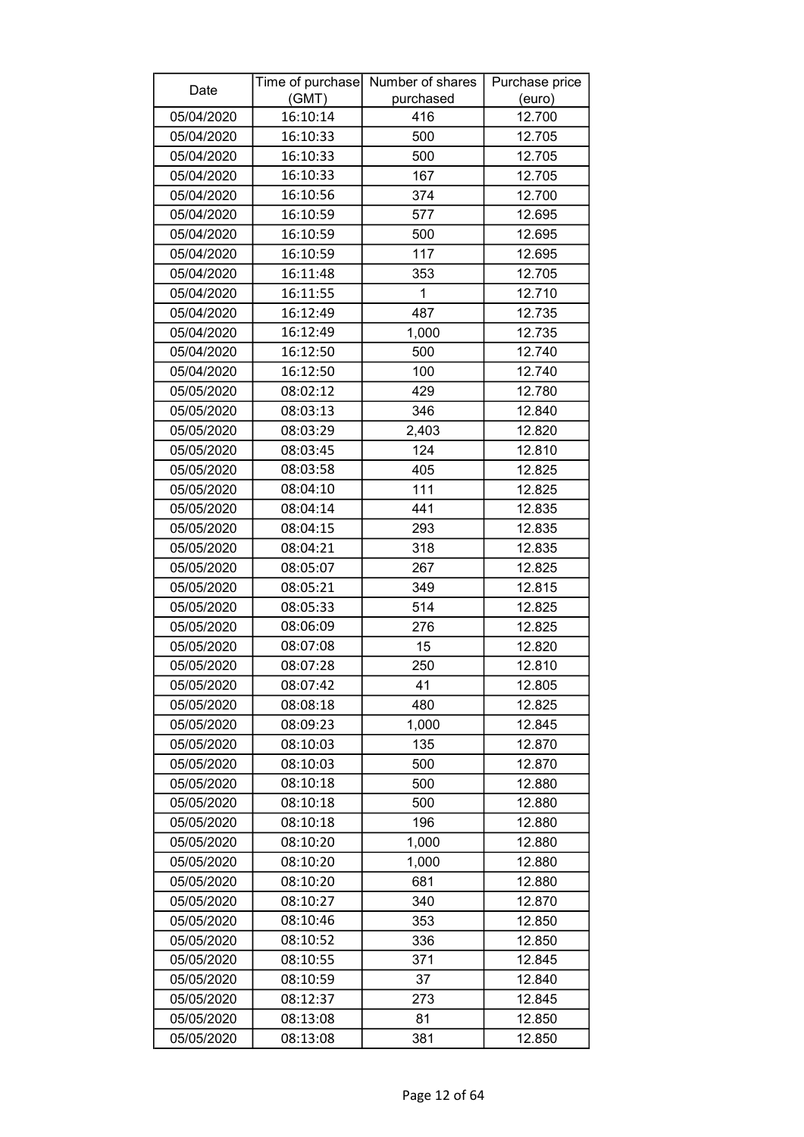| Date       | (GMT)    | Time of purchase Number of shares<br>purchased | Purchase price<br>(euro) |
|------------|----------|------------------------------------------------|--------------------------|
| 05/04/2020 | 16:10:14 | 416                                            | 12.700                   |
| 05/04/2020 | 16:10:33 | 500                                            | 12.705                   |
| 05/04/2020 | 16:10:33 | 500                                            | 12.705                   |
| 05/04/2020 | 16:10:33 | 167                                            | 12.705                   |
| 05/04/2020 | 16:10:56 | 374                                            | 12.700                   |
| 05/04/2020 | 16:10:59 | 577                                            | 12.695                   |
| 05/04/2020 | 16:10:59 | 500                                            | 12.695                   |
| 05/04/2020 | 16:10:59 | 117                                            | 12.695                   |
| 05/04/2020 | 16:11:48 | 353                                            | 12.705                   |
| 05/04/2020 | 16:11:55 | 1                                              | 12.710                   |
| 05/04/2020 | 16:12:49 | 487                                            | 12.735                   |
| 05/04/2020 | 16:12:49 | 1,000                                          | 12.735                   |
| 05/04/2020 | 16:12:50 | 500                                            | 12.740                   |
| 05/04/2020 | 16:12:50 | 100                                            | 12.740                   |
| 05/05/2020 | 08:02:12 | 429                                            | 12.780                   |
| 05/05/2020 | 08:03:13 | 346                                            | 12.840                   |
| 05/05/2020 | 08:03:29 | 2,403                                          | 12.820                   |
| 05/05/2020 | 08:03:45 | 124                                            | 12.810                   |
| 05/05/2020 | 08:03:58 | 405                                            | 12.825                   |
| 05/05/2020 | 08:04:10 | 111                                            | 12.825                   |
| 05/05/2020 | 08:04:14 | 441                                            | 12.835                   |
| 05/05/2020 | 08:04:15 | 293                                            | 12.835                   |
| 05/05/2020 | 08:04:21 | 318                                            | 12.835                   |
| 05/05/2020 | 08:05:07 | 267                                            | 12.825                   |
| 05/05/2020 | 08:05:21 | 349                                            | 12.815                   |
| 05/05/2020 | 08:05:33 | 514                                            | 12.825                   |
| 05/05/2020 | 08:06:09 | 276                                            | 12.825                   |
| 05/05/2020 | 08:07:08 | 15                                             | 12.820                   |
| 05/05/2020 | 08:07:28 | 250                                            | 12.810                   |
| 05/05/2020 | 08:07:42 | 41                                             | 12.805                   |
| 05/05/2020 | 08:08:18 | 480                                            | 12.825                   |
| 05/05/2020 | 08:09:23 | 1,000                                          | 12.845                   |
| 05/05/2020 | 08:10:03 | 135                                            | 12.870                   |
| 05/05/2020 | 08:10:03 | 500                                            | 12.870                   |
| 05/05/2020 | 08:10:18 | 500                                            | 12.880                   |
| 05/05/2020 | 08:10:18 | 500                                            | 12.880                   |
| 05/05/2020 | 08:10:18 | 196                                            | 12.880                   |
| 05/05/2020 | 08:10:20 | 1,000                                          | 12.880                   |
| 05/05/2020 | 08:10:20 | 1,000                                          | 12.880                   |
| 05/05/2020 | 08:10:20 | 681                                            | 12.880                   |
| 05/05/2020 | 08:10:27 | 340                                            | 12.870                   |
| 05/05/2020 | 08:10:46 | 353                                            | 12.850                   |
| 05/05/2020 | 08:10:52 | 336                                            | 12.850                   |
| 05/05/2020 | 08:10:55 | 371                                            | 12.845                   |
| 05/05/2020 | 08:10:59 | 37                                             | 12.840                   |
| 05/05/2020 | 08:12:37 | 273                                            | 12.845                   |
| 05/05/2020 | 08:13:08 | 81                                             | 12.850                   |
| 05/05/2020 | 08:13:08 | 381                                            | 12.850                   |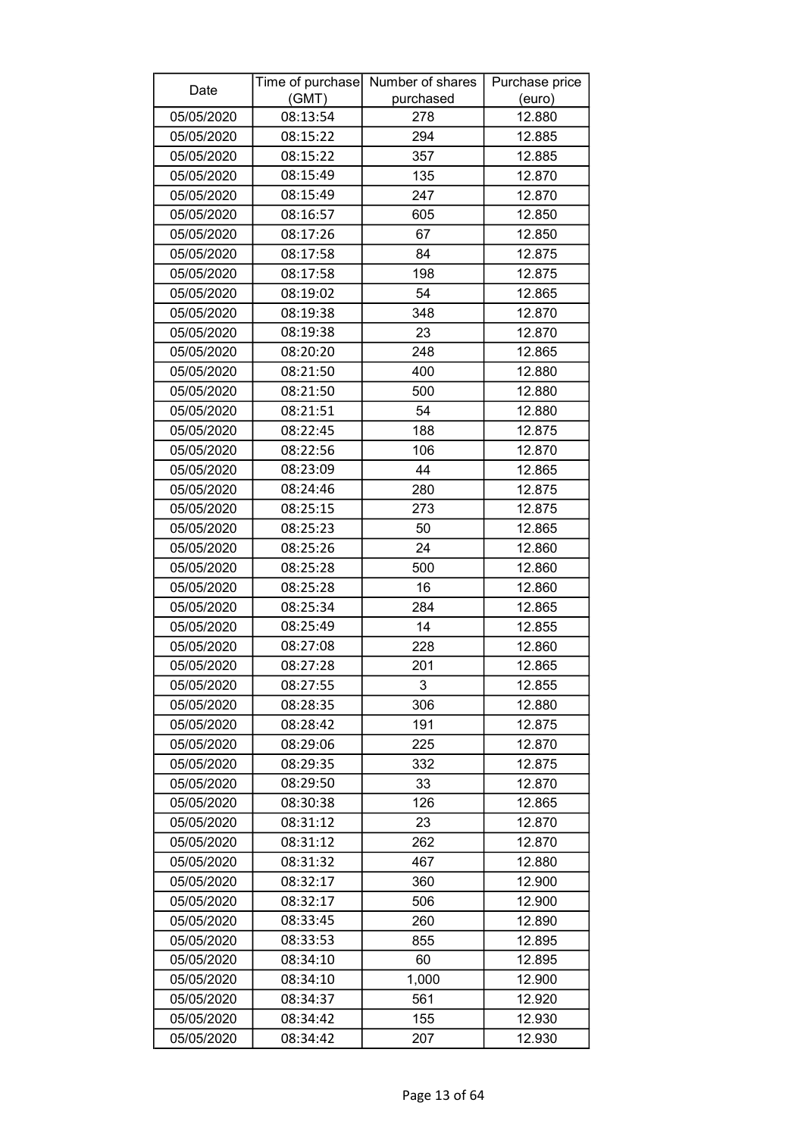| Date       | Time of purchase<br>(GMT) | Number of shares<br>purchased | Purchase price<br>(euro) |
|------------|---------------------------|-------------------------------|--------------------------|
| 05/05/2020 | 08:13:54                  | 278                           | 12.880                   |
| 05/05/2020 | 08:15:22                  | 294                           | 12.885                   |
| 05/05/2020 | 08:15:22                  | 357                           | 12.885                   |
| 05/05/2020 | 08:15:49                  | 135                           | 12.870                   |
| 05/05/2020 | 08:15:49                  | 247                           | 12.870                   |
| 05/05/2020 | 08:16:57                  | 605                           | 12.850                   |
| 05/05/2020 | 08:17:26                  | 67                            | 12.850                   |
| 05/05/2020 | 08:17:58                  | 84                            | 12.875                   |
| 05/05/2020 | 08:17:58                  | 198                           | 12.875                   |
| 05/05/2020 | 08:19:02                  | 54                            | 12.865                   |
| 05/05/2020 | 08:19:38                  | 348                           | 12.870                   |
| 05/05/2020 | 08:19:38                  | 23                            | 12.870                   |
| 05/05/2020 | 08:20:20                  | 248                           | 12.865                   |
| 05/05/2020 | 08:21:50                  | 400                           | 12.880                   |
| 05/05/2020 | 08:21:50                  | 500                           | 12.880                   |
| 05/05/2020 | 08:21:51                  | 54                            | 12.880                   |
| 05/05/2020 | 08:22:45                  | 188                           | 12.875                   |
| 05/05/2020 | 08:22:56                  | 106                           | 12.870                   |
| 05/05/2020 | 08:23:09                  | 44                            | 12.865                   |
| 05/05/2020 | 08:24:46                  | 280                           | 12.875                   |
| 05/05/2020 | 08:25:15                  | 273                           | 12.875                   |
| 05/05/2020 | 08:25:23                  | 50                            | 12.865                   |
| 05/05/2020 | 08:25:26                  | 24                            | 12.860                   |
| 05/05/2020 | 08:25:28                  | 500                           | 12.860                   |
| 05/05/2020 | 08:25:28                  | 16                            | 12.860                   |
| 05/05/2020 | 08:25:34                  | 284                           | 12.865                   |
| 05/05/2020 | 08:25:49                  | 14                            | 12.855                   |
| 05/05/2020 | 08:27:08                  | 228                           | 12.860                   |
| 05/05/2020 | 08:27:28                  | 201                           | 12.865                   |
| 05/05/2020 | 08:27:55                  | 3                             | 12.855                   |
| 05/05/2020 | 08:28:35                  | 306                           | 12.880                   |
| 05/05/2020 | 08:28:42                  | 191                           | 12.875                   |
| 05/05/2020 | 08:29:06                  | 225                           | 12.870                   |
| 05/05/2020 | 08:29:35                  | 332                           | 12.875                   |
| 05/05/2020 | 08:29:50                  | 33                            | 12.870                   |
| 05/05/2020 | 08:30:38                  | 126                           | 12.865                   |
| 05/05/2020 | 08:31:12                  | 23                            | 12.870                   |
| 05/05/2020 | 08:31:12                  | 262                           | 12.870                   |
| 05/05/2020 | 08:31:32                  | 467                           | 12.880                   |
| 05/05/2020 | 08:32:17                  | 360                           | 12.900                   |
| 05/05/2020 | 08:32:17                  | 506                           | 12.900                   |
| 05/05/2020 | 08:33:45                  | 260                           | 12.890                   |
| 05/05/2020 | 08:33:53                  | 855                           | 12.895                   |
| 05/05/2020 | 08:34:10                  | 60                            | 12.895                   |
| 05/05/2020 | 08:34:10                  | 1,000                         | 12.900                   |
| 05/05/2020 | 08:34:37                  | 561                           | 12.920                   |
| 05/05/2020 | 08:34:42                  | 155                           | 12.930                   |
| 05/05/2020 | 08:34:42                  | 207                           | 12.930                   |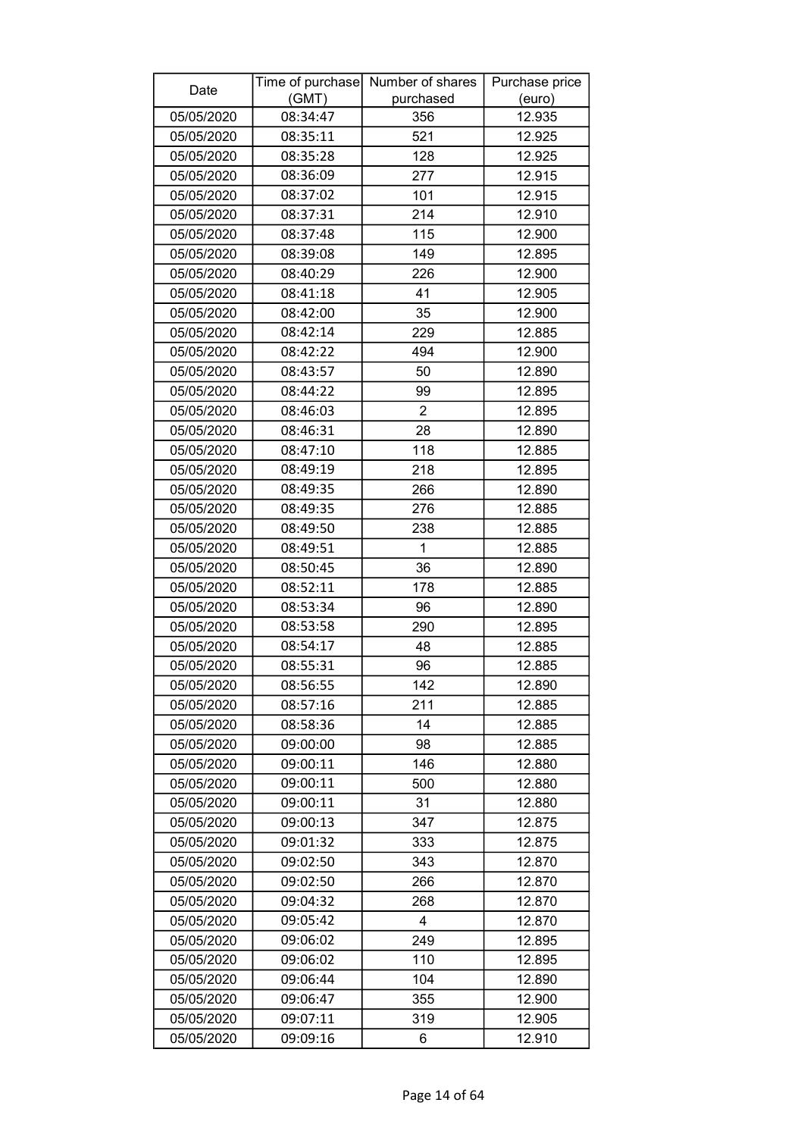| Date                     | Time of purchase<br>(GMT) | Number of shares<br>purchased | Purchase price<br>(euro) |
|--------------------------|---------------------------|-------------------------------|--------------------------|
| 05/05/2020               | 08:34:47                  | 356                           | 12.935                   |
| 05/05/2020               | 08:35:11                  | 521                           | 12.925                   |
| 05/05/2020               | 08:35:28                  | 128                           | 12.925                   |
| 05/05/2020               | 08:36:09                  | 277                           | 12.915                   |
| 05/05/2020               | 08:37:02                  | 101                           | 12.915                   |
| 05/05/2020               | 08:37:31                  | 214                           | 12.910                   |
| 05/05/2020               | 08:37:48                  | 115                           | 12.900                   |
| 05/05/2020               | 08:39:08                  | 149                           | 12.895                   |
| 05/05/2020               | 08:40:29                  | 226                           | 12.900                   |
| 05/05/2020               | 08:41:18                  | 41                            | 12.905                   |
| 05/05/2020               | 08:42:00                  | 35                            | 12.900                   |
| 05/05/2020               | 08:42:14                  | 229                           | 12.885                   |
| 05/05/2020               | 08:42:22                  | 494                           | 12.900                   |
| 05/05/2020               | 08:43:57                  | 50                            | 12.890                   |
| 05/05/2020               | 08:44:22                  | 99                            | 12.895                   |
| 05/05/2020               | 08:46:03                  | $\overline{2}$                | 12.895                   |
| 05/05/2020               | 08:46:31                  | 28                            | 12.890                   |
| 05/05/2020               | 08:47:10                  | 118                           | 12.885                   |
| 05/05/2020               | 08:49:19                  | 218                           | 12.895                   |
| 05/05/2020               | 08:49:35                  | 266                           | 12.890                   |
| 05/05/2020               | 08:49:35                  | 276                           | 12.885                   |
| 05/05/2020               | 08:49:50                  | 238                           | 12.885                   |
| 05/05/2020               | 08:49:51                  | 1                             | 12.885                   |
|                          | 08:50:45                  | 36                            | 12.890                   |
| 05/05/2020<br>05/05/2020 | 08:52:11                  | 178                           | 12.885                   |
|                          | 08:53:34                  |                               |                          |
| 05/05/2020<br>05/05/2020 | 08:53:58                  | 96                            | 12.890                   |
| 05/05/2020               | 08:54:17                  | 290<br>48                     | 12.895<br>12.885         |
| 05/05/2020               | 08:55:31                  | 96                            | 12.885                   |
| 05/05/2020               | 08:56:55                  | 142                           | 12.890                   |
| 05/05/2020               | 08:57:16                  | 211                           | 12.885                   |
| 05/05/2020               | 08:58:36                  | 14                            | 12.885                   |
| 05/05/2020               | 09:00:00                  | 98                            | 12.885                   |
| 05/05/2020               | 09:00:11                  | 146                           | 12.880                   |
| 05/05/2020               | 09:00:11                  | 500                           | 12.880                   |
| 05/05/2020               | 09:00:11                  | 31                            | 12.880                   |
| 05/05/2020               |                           |                               |                          |
| 05/05/2020               | 09:00:13<br>09:01:32      | 347<br>333                    | 12.875<br>12.875         |
| 05/05/2020               | 09:02:50                  | 343                           | 12.870                   |
|                          |                           |                               |                          |
| 05/05/2020               | 09:02:50                  | 266                           | 12.870                   |
| 05/05/2020               | 09:04:32                  | 268<br>4                      | 12.870                   |
| 05/05/2020               | 09:05:42                  |                               | 12.870                   |
| 05/05/2020               | 09:06:02                  | 249                           | 12.895                   |
| 05/05/2020               | 09:06:02                  | 110                           | 12.895                   |
| 05/05/2020               | 09:06:44                  | 104                           | 12.890                   |
| 05/05/2020               | 09:06:47                  | 355                           | 12.900                   |
| 05/05/2020               | 09:07:11                  | 319                           | 12.905                   |
| 05/05/2020               | 09:09:16                  | 6                             | 12.910                   |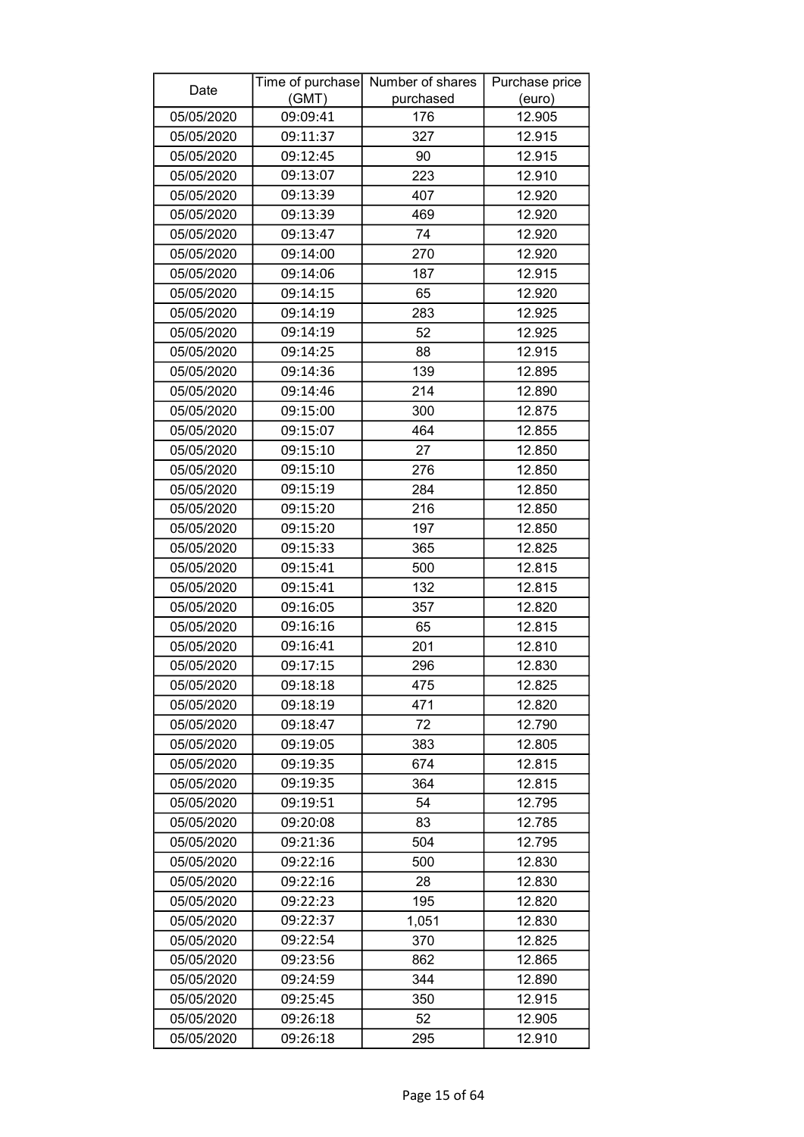| Date       |          | Time of purchase Number of shares | Purchase price |
|------------|----------|-----------------------------------|----------------|
|            | (GMT)    | purchased                         | (euro)         |
| 05/05/2020 | 09:09:41 | 176                               | 12.905         |
| 05/05/2020 | 09:11:37 | 327                               | 12.915         |
| 05/05/2020 | 09:12:45 | 90                                | 12.915         |
| 05/05/2020 | 09:13:07 | 223                               | 12.910         |
| 05/05/2020 | 09:13:39 | 407                               | 12.920         |
| 05/05/2020 | 09:13:39 | 469                               | 12.920         |
| 05/05/2020 | 09:13:47 | 74                                | 12.920         |
| 05/05/2020 | 09:14:00 | 270                               | 12.920         |
| 05/05/2020 | 09:14:06 | 187                               | 12.915         |
| 05/05/2020 | 09:14:15 | 65                                | 12.920         |
| 05/05/2020 | 09:14:19 | 283                               | 12.925         |
| 05/05/2020 | 09:14:19 | 52                                | 12.925         |
| 05/05/2020 | 09:14:25 | 88                                | 12.915         |
| 05/05/2020 | 09:14:36 | 139                               | 12.895         |
| 05/05/2020 | 09:14:46 | 214                               | 12.890         |
| 05/05/2020 | 09:15:00 | 300                               | 12.875         |
| 05/05/2020 | 09:15:07 | 464                               | 12.855         |
| 05/05/2020 | 09:15:10 | 27                                | 12.850         |
| 05/05/2020 | 09:15:10 | 276                               | 12.850         |
| 05/05/2020 | 09:15:19 | 284                               | 12.850         |
| 05/05/2020 | 09:15:20 | 216                               | 12.850         |
| 05/05/2020 | 09:15:20 | 197                               | 12.850         |
| 05/05/2020 | 09:15:33 | 365                               | 12.825         |
| 05/05/2020 | 09:15:41 | 500                               | 12.815         |
| 05/05/2020 | 09:15:41 | 132                               | 12.815         |
| 05/05/2020 | 09:16:05 | 357                               | 12.820         |
| 05/05/2020 | 09:16:16 | 65                                | 12.815         |
| 05/05/2020 | 09:16:41 | 201                               | 12.810         |
| 05/05/2020 | 09:17:15 | 296                               | 12.830         |
| 05/05/2020 | 09:18:18 | 475                               | 12.825         |
| 05/05/2020 | 09:18:19 | 471                               | 12.820         |
| 05/05/2020 | 09:18:47 | 72                                | 12.790         |
| 05/05/2020 | 09:19:05 | 383                               | 12.805         |
| 05/05/2020 | 09:19:35 | 674                               | 12.815         |
| 05/05/2020 | 09:19:35 | 364                               | 12.815         |
| 05/05/2020 | 09:19:51 | 54                                | 12.795         |
| 05/05/2020 | 09:20:08 | 83                                | 12.785         |
| 05/05/2020 | 09:21:36 | 504                               | 12.795         |
| 05/05/2020 | 09:22:16 | 500                               | 12.830         |
| 05/05/2020 | 09:22:16 | 28                                | 12.830         |
| 05/05/2020 | 09:22:23 | 195                               | 12.820         |
| 05/05/2020 | 09:22:37 | 1,051                             | 12.830         |
| 05/05/2020 | 09:22:54 | 370                               | 12.825         |
| 05/05/2020 | 09:23:56 | 862                               | 12.865         |
| 05/05/2020 | 09:24:59 | 344                               | 12.890         |
| 05/05/2020 | 09:25:45 | 350                               | 12.915         |
| 05/05/2020 | 09:26:18 | 52                                | 12.905         |
| 05/05/2020 | 09:26:18 | 295                               | 12.910         |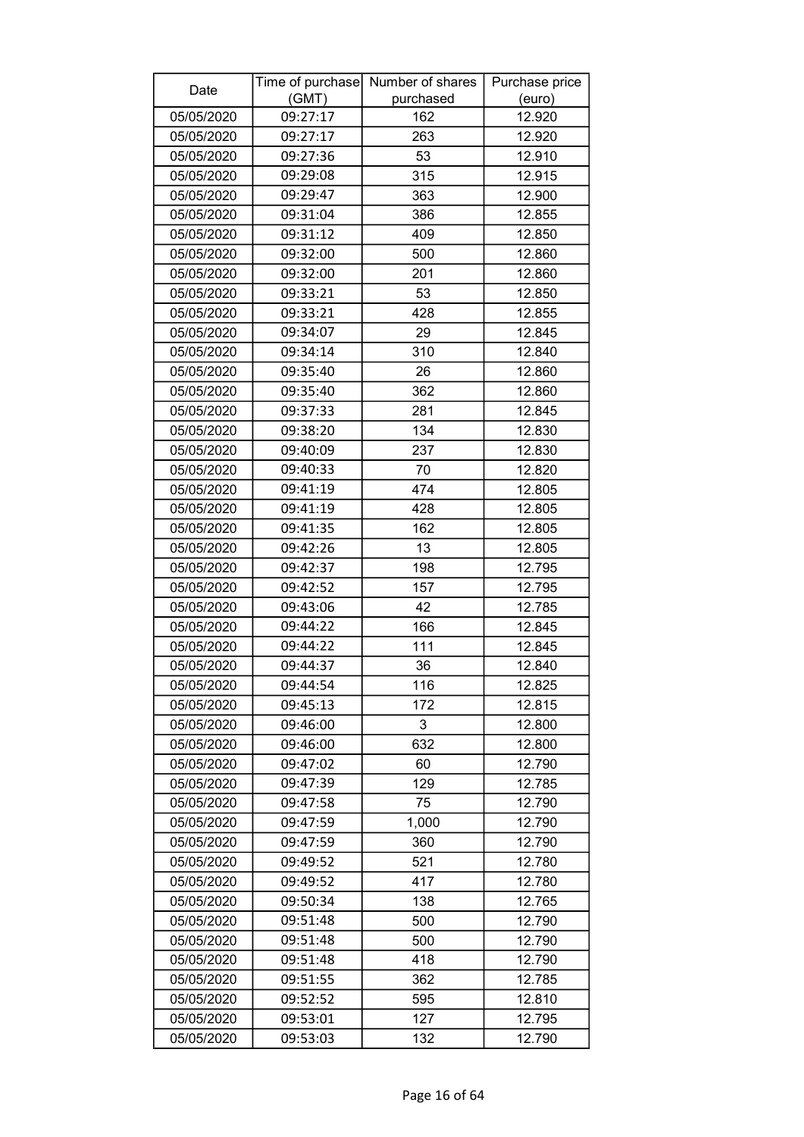| Date       | (GMT)    | Time of purchase Number of shares<br>purchased | Purchase price<br>(euro) |
|------------|----------|------------------------------------------------|--------------------------|
| 05/05/2020 | 09:27:17 | 162                                            | 12.920                   |
| 05/05/2020 | 09:27:17 | 263                                            | 12.920                   |
| 05/05/2020 | 09:27:36 | 53                                             | 12.910                   |
| 05/05/2020 | 09:29:08 | 315                                            | 12.915                   |
| 05/05/2020 | 09:29:47 | 363                                            | 12.900                   |
| 05/05/2020 | 09:31:04 | 386                                            | 12.855                   |
| 05/05/2020 | 09:31:12 | 409                                            | 12.850                   |
| 05/05/2020 | 09:32:00 | 500                                            | 12.860                   |
| 05/05/2020 | 09:32:00 | 201                                            | 12.860                   |
| 05/05/2020 | 09:33:21 | 53                                             | 12.850                   |
| 05/05/2020 | 09:33:21 | 428                                            | 12.855                   |
| 05/05/2020 | 09:34:07 | 29                                             | 12.845                   |
| 05/05/2020 | 09:34:14 | 310                                            | 12.840                   |
| 05/05/2020 | 09:35:40 | 26                                             | 12.860                   |
| 05/05/2020 | 09:35:40 | 362                                            | 12.860                   |
| 05/05/2020 | 09:37:33 | 281                                            | 12.845                   |
| 05/05/2020 | 09:38:20 | 134                                            | 12.830                   |
| 05/05/2020 | 09:40:09 | 237                                            | 12.830                   |
| 05/05/2020 | 09:40:33 | 70                                             | 12.820                   |
| 05/05/2020 | 09:41:19 | 474                                            | 12.805                   |
| 05/05/2020 | 09:41:19 | 428                                            | 12.805                   |
| 05/05/2020 | 09:41:35 | 162                                            | 12.805                   |
| 05/05/2020 | 09:42:26 | 13                                             | 12.805                   |
| 05/05/2020 | 09:42:37 | 198                                            | 12.795                   |
| 05/05/2020 | 09:42:52 | 157                                            | 12.795                   |
| 05/05/2020 | 09:43:06 | 42                                             | 12.785                   |
| 05/05/2020 | 09:44:22 | 166                                            | 12.845                   |
| 05/05/2020 | 09:44:22 | 111                                            | 12.845                   |
| 05/05/2020 | 09:44:37 | 36                                             | 12.840                   |
| 05/05/2020 | 09:44:54 | 116                                            | 12.825                   |
| 05/05/2020 | 09:45:13 | 172                                            | 12.815                   |
| 05/05/2020 | 09:46:00 | 3                                              | 12.800                   |
| 05/05/2020 | 09:46:00 | 632                                            | 12.800                   |
| 05/05/2020 | 09:47:02 | 60                                             | 12.790                   |
| 05/05/2020 | 09:47:39 | 129                                            | 12.785                   |
| 05/05/2020 | 09:47:58 | 75                                             | 12.790                   |
| 05/05/2020 | 09:47:59 | 1,000                                          | 12.790                   |
| 05/05/2020 | 09:47:59 | 360                                            | 12.790                   |
| 05/05/2020 | 09:49:52 | 521                                            | 12.780                   |
| 05/05/2020 | 09:49:52 | 417                                            | 12.780                   |
| 05/05/2020 | 09:50:34 | 138                                            | 12.765                   |
| 05/05/2020 | 09:51:48 | 500                                            | 12.790                   |
| 05/05/2020 | 09:51:48 | 500                                            | 12.790                   |
| 05/05/2020 | 09:51:48 | 418                                            | 12.790                   |
| 05/05/2020 | 09:51:55 | 362                                            | 12.785                   |
| 05/05/2020 | 09:52:52 | 595                                            | 12.810                   |
| 05/05/2020 | 09:53:01 | 127                                            | 12.795                   |
| 05/05/2020 | 09:53:03 | 132                                            | 12.790                   |
|            |          |                                                |                          |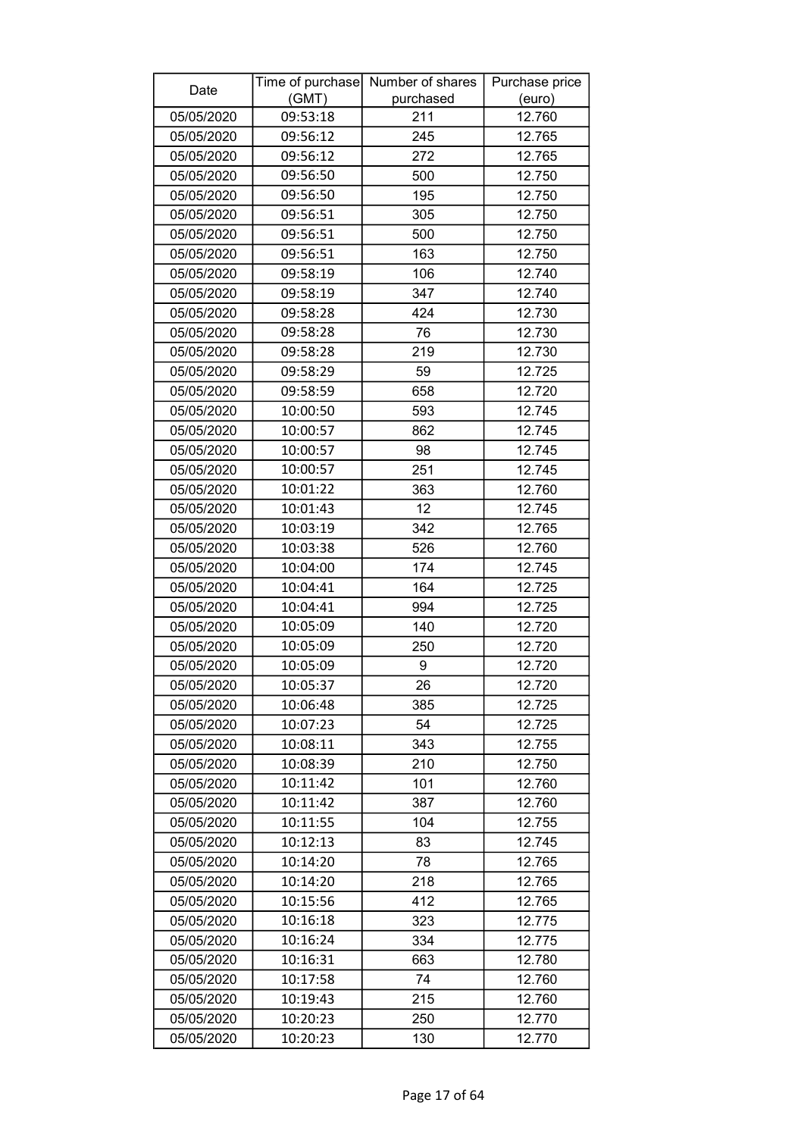| (GMT)<br>purchased<br>(euro)<br>12.760<br>05/05/2020<br>09:53:18<br>211<br>245<br>05/05/2020<br>09:56:12<br>12.765<br>05/05/2020<br>272<br>12.765<br>09:56:12<br>09:56:50<br>05/05/2020<br>500<br>12.750<br>05/05/2020<br>09:56:50<br>195<br>12.750<br>05/05/2020<br>09:56:51<br>305<br>12.750<br>09:56:51<br>500<br>05/05/2020<br>12.750<br>09:56:51<br>12.750<br>05/05/2020<br>163<br>12.740<br>05/05/2020<br>09:58:19<br>106<br>347<br>05/05/2020<br>09:58:19<br>12.740<br>09:58:28<br>424<br>12.730<br>05/05/2020<br>09:58:28<br>76<br>05/05/2020<br>12.730<br>09:58:28<br>219<br>05/05/2020<br>12.730<br>09:58:29<br>12.725<br>05/05/2020<br>59<br>09:58:59<br>12.720<br>05/05/2020<br>658<br>12.745<br>05/05/2020<br>10:00:50<br>593<br>05/05/2020<br>10:00:57<br>862<br>12.745<br>05/05/2020<br>10:00:57<br>12.745<br>98<br>10:00:57<br>251<br>12.745<br>05/05/2020<br>05/05/2020<br>10:01:22<br>363<br>12.760<br>10:01:43<br>12<br>12.745<br>05/05/2020<br>05/05/2020<br>342<br>12.765<br>10:03:19<br>10:03:38<br>05/05/2020<br>526<br>12.760<br>10:04:00<br>174<br>12.745<br>05/05/2020<br>164<br>05/05/2020<br>10:04:41<br>12.725<br>05/05/2020<br>10:04:41<br>994<br>12.725<br>10:05:09<br>12.720<br>05/05/2020<br>140<br>12.720<br>05/05/2020<br>10:05:09<br>250<br>12.720<br>05/05/2020<br>10:05:09<br>9<br>10:05:37<br>05/05/2020<br>26<br>12.720<br>05/05/2020<br>10:06:48<br>385<br>12.725<br>10:07:23<br>54<br>12.725<br>05/05/2020<br>343<br>05/05/2020<br>10:08:11<br>12.755<br>10:08:39<br>05/05/2020<br>210<br>12.750<br>101<br>05/05/2020<br>10:11:42<br>12.760<br>10:11:42<br>387<br>12.760<br>05/05/2020<br>05/05/2020<br>10:11:55<br>104<br>12.755<br>05/05/2020<br>10:12:13<br>83<br>12.745<br>78<br>05/05/2020<br>10:14:20<br>12.765<br>218<br>10:14:20<br>12.765<br>05/05/2020<br>10:15:56<br>412<br>12.765<br>05/05/2020 | Date       |          | Time of purchase Number of shares | Purchase price |
|-------------------------------------------------------------------------------------------------------------------------------------------------------------------------------------------------------------------------------------------------------------------------------------------------------------------------------------------------------------------------------------------------------------------------------------------------------------------------------------------------------------------------------------------------------------------------------------------------------------------------------------------------------------------------------------------------------------------------------------------------------------------------------------------------------------------------------------------------------------------------------------------------------------------------------------------------------------------------------------------------------------------------------------------------------------------------------------------------------------------------------------------------------------------------------------------------------------------------------------------------------------------------------------------------------------------------------------------------------------------------------------------------------------------------------------------------------------------------------------------------------------------------------------------------------------------------------------------------------------------------------------------------------------------------------------------------------------------------------------------------------------------------------------------------------------------------------------------------------|------------|----------|-----------------------------------|----------------|
|                                                                                                                                                                                                                                                                                                                                                                                                                                                                                                                                                                                                                                                                                                                                                                                                                                                                                                                                                                                                                                                                                                                                                                                                                                                                                                                                                                                                                                                                                                                                                                                                                                                                                                                                                                                                                                                       |            |          |                                   |                |
|                                                                                                                                                                                                                                                                                                                                                                                                                                                                                                                                                                                                                                                                                                                                                                                                                                                                                                                                                                                                                                                                                                                                                                                                                                                                                                                                                                                                                                                                                                                                                                                                                                                                                                                                                                                                                                                       |            |          |                                   |                |
|                                                                                                                                                                                                                                                                                                                                                                                                                                                                                                                                                                                                                                                                                                                                                                                                                                                                                                                                                                                                                                                                                                                                                                                                                                                                                                                                                                                                                                                                                                                                                                                                                                                                                                                                                                                                                                                       |            |          |                                   |                |
|                                                                                                                                                                                                                                                                                                                                                                                                                                                                                                                                                                                                                                                                                                                                                                                                                                                                                                                                                                                                                                                                                                                                                                                                                                                                                                                                                                                                                                                                                                                                                                                                                                                                                                                                                                                                                                                       |            |          |                                   |                |
|                                                                                                                                                                                                                                                                                                                                                                                                                                                                                                                                                                                                                                                                                                                                                                                                                                                                                                                                                                                                                                                                                                                                                                                                                                                                                                                                                                                                                                                                                                                                                                                                                                                                                                                                                                                                                                                       |            |          |                                   |                |
|                                                                                                                                                                                                                                                                                                                                                                                                                                                                                                                                                                                                                                                                                                                                                                                                                                                                                                                                                                                                                                                                                                                                                                                                                                                                                                                                                                                                                                                                                                                                                                                                                                                                                                                                                                                                                                                       |            |          |                                   |                |
|                                                                                                                                                                                                                                                                                                                                                                                                                                                                                                                                                                                                                                                                                                                                                                                                                                                                                                                                                                                                                                                                                                                                                                                                                                                                                                                                                                                                                                                                                                                                                                                                                                                                                                                                                                                                                                                       |            |          |                                   |                |
|                                                                                                                                                                                                                                                                                                                                                                                                                                                                                                                                                                                                                                                                                                                                                                                                                                                                                                                                                                                                                                                                                                                                                                                                                                                                                                                                                                                                                                                                                                                                                                                                                                                                                                                                                                                                                                                       |            |          |                                   |                |
|                                                                                                                                                                                                                                                                                                                                                                                                                                                                                                                                                                                                                                                                                                                                                                                                                                                                                                                                                                                                                                                                                                                                                                                                                                                                                                                                                                                                                                                                                                                                                                                                                                                                                                                                                                                                                                                       |            |          |                                   |                |
|                                                                                                                                                                                                                                                                                                                                                                                                                                                                                                                                                                                                                                                                                                                                                                                                                                                                                                                                                                                                                                                                                                                                                                                                                                                                                                                                                                                                                                                                                                                                                                                                                                                                                                                                                                                                                                                       |            |          |                                   |                |
|                                                                                                                                                                                                                                                                                                                                                                                                                                                                                                                                                                                                                                                                                                                                                                                                                                                                                                                                                                                                                                                                                                                                                                                                                                                                                                                                                                                                                                                                                                                                                                                                                                                                                                                                                                                                                                                       |            |          |                                   |                |
|                                                                                                                                                                                                                                                                                                                                                                                                                                                                                                                                                                                                                                                                                                                                                                                                                                                                                                                                                                                                                                                                                                                                                                                                                                                                                                                                                                                                                                                                                                                                                                                                                                                                                                                                                                                                                                                       |            |          |                                   |                |
|                                                                                                                                                                                                                                                                                                                                                                                                                                                                                                                                                                                                                                                                                                                                                                                                                                                                                                                                                                                                                                                                                                                                                                                                                                                                                                                                                                                                                                                                                                                                                                                                                                                                                                                                                                                                                                                       |            |          |                                   |                |
|                                                                                                                                                                                                                                                                                                                                                                                                                                                                                                                                                                                                                                                                                                                                                                                                                                                                                                                                                                                                                                                                                                                                                                                                                                                                                                                                                                                                                                                                                                                                                                                                                                                                                                                                                                                                                                                       |            |          |                                   |                |
|                                                                                                                                                                                                                                                                                                                                                                                                                                                                                                                                                                                                                                                                                                                                                                                                                                                                                                                                                                                                                                                                                                                                                                                                                                                                                                                                                                                                                                                                                                                                                                                                                                                                                                                                                                                                                                                       |            |          |                                   |                |
|                                                                                                                                                                                                                                                                                                                                                                                                                                                                                                                                                                                                                                                                                                                                                                                                                                                                                                                                                                                                                                                                                                                                                                                                                                                                                                                                                                                                                                                                                                                                                                                                                                                                                                                                                                                                                                                       |            |          |                                   |                |
|                                                                                                                                                                                                                                                                                                                                                                                                                                                                                                                                                                                                                                                                                                                                                                                                                                                                                                                                                                                                                                                                                                                                                                                                                                                                                                                                                                                                                                                                                                                                                                                                                                                                                                                                                                                                                                                       |            |          |                                   |                |
|                                                                                                                                                                                                                                                                                                                                                                                                                                                                                                                                                                                                                                                                                                                                                                                                                                                                                                                                                                                                                                                                                                                                                                                                                                                                                                                                                                                                                                                                                                                                                                                                                                                                                                                                                                                                                                                       |            |          |                                   |                |
|                                                                                                                                                                                                                                                                                                                                                                                                                                                                                                                                                                                                                                                                                                                                                                                                                                                                                                                                                                                                                                                                                                                                                                                                                                                                                                                                                                                                                                                                                                                                                                                                                                                                                                                                                                                                                                                       |            |          |                                   |                |
|                                                                                                                                                                                                                                                                                                                                                                                                                                                                                                                                                                                                                                                                                                                                                                                                                                                                                                                                                                                                                                                                                                                                                                                                                                                                                                                                                                                                                                                                                                                                                                                                                                                                                                                                                                                                                                                       |            |          |                                   |                |
|                                                                                                                                                                                                                                                                                                                                                                                                                                                                                                                                                                                                                                                                                                                                                                                                                                                                                                                                                                                                                                                                                                                                                                                                                                                                                                                                                                                                                                                                                                                                                                                                                                                                                                                                                                                                                                                       |            |          |                                   |                |
|                                                                                                                                                                                                                                                                                                                                                                                                                                                                                                                                                                                                                                                                                                                                                                                                                                                                                                                                                                                                                                                                                                                                                                                                                                                                                                                                                                                                                                                                                                                                                                                                                                                                                                                                                                                                                                                       |            |          |                                   |                |
|                                                                                                                                                                                                                                                                                                                                                                                                                                                                                                                                                                                                                                                                                                                                                                                                                                                                                                                                                                                                                                                                                                                                                                                                                                                                                                                                                                                                                                                                                                                                                                                                                                                                                                                                                                                                                                                       |            |          |                                   |                |
|                                                                                                                                                                                                                                                                                                                                                                                                                                                                                                                                                                                                                                                                                                                                                                                                                                                                                                                                                                                                                                                                                                                                                                                                                                                                                                                                                                                                                                                                                                                                                                                                                                                                                                                                                                                                                                                       |            |          |                                   |                |
|                                                                                                                                                                                                                                                                                                                                                                                                                                                                                                                                                                                                                                                                                                                                                                                                                                                                                                                                                                                                                                                                                                                                                                                                                                                                                                                                                                                                                                                                                                                                                                                                                                                                                                                                                                                                                                                       |            |          |                                   |                |
|                                                                                                                                                                                                                                                                                                                                                                                                                                                                                                                                                                                                                                                                                                                                                                                                                                                                                                                                                                                                                                                                                                                                                                                                                                                                                                                                                                                                                                                                                                                                                                                                                                                                                                                                                                                                                                                       |            |          |                                   |                |
|                                                                                                                                                                                                                                                                                                                                                                                                                                                                                                                                                                                                                                                                                                                                                                                                                                                                                                                                                                                                                                                                                                                                                                                                                                                                                                                                                                                                                                                                                                                                                                                                                                                                                                                                                                                                                                                       |            |          |                                   |                |
|                                                                                                                                                                                                                                                                                                                                                                                                                                                                                                                                                                                                                                                                                                                                                                                                                                                                                                                                                                                                                                                                                                                                                                                                                                                                                                                                                                                                                                                                                                                                                                                                                                                                                                                                                                                                                                                       |            |          |                                   |                |
|                                                                                                                                                                                                                                                                                                                                                                                                                                                                                                                                                                                                                                                                                                                                                                                                                                                                                                                                                                                                                                                                                                                                                                                                                                                                                                                                                                                                                                                                                                                                                                                                                                                                                                                                                                                                                                                       |            |          |                                   |                |
|                                                                                                                                                                                                                                                                                                                                                                                                                                                                                                                                                                                                                                                                                                                                                                                                                                                                                                                                                                                                                                                                                                                                                                                                                                                                                                                                                                                                                                                                                                                                                                                                                                                                                                                                                                                                                                                       |            |          |                                   |                |
|                                                                                                                                                                                                                                                                                                                                                                                                                                                                                                                                                                                                                                                                                                                                                                                                                                                                                                                                                                                                                                                                                                                                                                                                                                                                                                                                                                                                                                                                                                                                                                                                                                                                                                                                                                                                                                                       |            |          |                                   |                |
|                                                                                                                                                                                                                                                                                                                                                                                                                                                                                                                                                                                                                                                                                                                                                                                                                                                                                                                                                                                                                                                                                                                                                                                                                                                                                                                                                                                                                                                                                                                                                                                                                                                                                                                                                                                                                                                       |            |          |                                   |                |
|                                                                                                                                                                                                                                                                                                                                                                                                                                                                                                                                                                                                                                                                                                                                                                                                                                                                                                                                                                                                                                                                                                                                                                                                                                                                                                                                                                                                                                                                                                                                                                                                                                                                                                                                                                                                                                                       |            |          |                                   |                |
|                                                                                                                                                                                                                                                                                                                                                                                                                                                                                                                                                                                                                                                                                                                                                                                                                                                                                                                                                                                                                                                                                                                                                                                                                                                                                                                                                                                                                                                                                                                                                                                                                                                                                                                                                                                                                                                       |            |          |                                   |                |
|                                                                                                                                                                                                                                                                                                                                                                                                                                                                                                                                                                                                                                                                                                                                                                                                                                                                                                                                                                                                                                                                                                                                                                                                                                                                                                                                                                                                                                                                                                                                                                                                                                                                                                                                                                                                                                                       |            |          |                                   |                |
|                                                                                                                                                                                                                                                                                                                                                                                                                                                                                                                                                                                                                                                                                                                                                                                                                                                                                                                                                                                                                                                                                                                                                                                                                                                                                                                                                                                                                                                                                                                                                                                                                                                                                                                                                                                                                                                       |            |          |                                   |                |
|                                                                                                                                                                                                                                                                                                                                                                                                                                                                                                                                                                                                                                                                                                                                                                                                                                                                                                                                                                                                                                                                                                                                                                                                                                                                                                                                                                                                                                                                                                                                                                                                                                                                                                                                                                                                                                                       |            |          |                                   |                |
|                                                                                                                                                                                                                                                                                                                                                                                                                                                                                                                                                                                                                                                                                                                                                                                                                                                                                                                                                                                                                                                                                                                                                                                                                                                                                                                                                                                                                                                                                                                                                                                                                                                                                                                                                                                                                                                       |            |          |                                   |                |
|                                                                                                                                                                                                                                                                                                                                                                                                                                                                                                                                                                                                                                                                                                                                                                                                                                                                                                                                                                                                                                                                                                                                                                                                                                                                                                                                                                                                                                                                                                                                                                                                                                                                                                                                                                                                                                                       |            |          |                                   |                |
|                                                                                                                                                                                                                                                                                                                                                                                                                                                                                                                                                                                                                                                                                                                                                                                                                                                                                                                                                                                                                                                                                                                                                                                                                                                                                                                                                                                                                                                                                                                                                                                                                                                                                                                                                                                                                                                       |            |          |                                   |                |
|                                                                                                                                                                                                                                                                                                                                                                                                                                                                                                                                                                                                                                                                                                                                                                                                                                                                                                                                                                                                                                                                                                                                                                                                                                                                                                                                                                                                                                                                                                                                                                                                                                                                                                                                                                                                                                                       |            |          |                                   |                |
|                                                                                                                                                                                                                                                                                                                                                                                                                                                                                                                                                                                                                                                                                                                                                                                                                                                                                                                                                                                                                                                                                                                                                                                                                                                                                                                                                                                                                                                                                                                                                                                                                                                                                                                                                                                                                                                       |            |          |                                   |                |
|                                                                                                                                                                                                                                                                                                                                                                                                                                                                                                                                                                                                                                                                                                                                                                                                                                                                                                                                                                                                                                                                                                                                                                                                                                                                                                                                                                                                                                                                                                                                                                                                                                                                                                                                                                                                                                                       | 05/05/2020 | 10:16:18 | 323                               | 12.775         |
| 05/05/2020<br>10:16:24<br>334<br>12.775                                                                                                                                                                                                                                                                                                                                                                                                                                                                                                                                                                                                                                                                                                                                                                                                                                                                                                                                                                                                                                                                                                                                                                                                                                                                                                                                                                                                                                                                                                                                                                                                                                                                                                                                                                                                               |            |          |                                   |                |
| 10:16:31<br>05/05/2020<br>663<br>12.780                                                                                                                                                                                                                                                                                                                                                                                                                                                                                                                                                                                                                                                                                                                                                                                                                                                                                                                                                                                                                                                                                                                                                                                                                                                                                                                                                                                                                                                                                                                                                                                                                                                                                                                                                                                                               |            |          |                                   |                |
| 10:17:58<br>74<br>12.760<br>05/05/2020                                                                                                                                                                                                                                                                                                                                                                                                                                                                                                                                                                                                                                                                                                                                                                                                                                                                                                                                                                                                                                                                                                                                                                                                                                                                                                                                                                                                                                                                                                                                                                                                                                                                                                                                                                                                                |            |          |                                   |                |
| 215<br>12.760<br>05/05/2020<br>10:19:43                                                                                                                                                                                                                                                                                                                                                                                                                                                                                                                                                                                                                                                                                                                                                                                                                                                                                                                                                                                                                                                                                                                                                                                                                                                                                                                                                                                                                                                                                                                                                                                                                                                                                                                                                                                                               |            |          |                                   |                |
| 250<br>12.770<br>05/05/2020<br>10:20:23                                                                                                                                                                                                                                                                                                                                                                                                                                                                                                                                                                                                                                                                                                                                                                                                                                                                                                                                                                                                                                                                                                                                                                                                                                                                                                                                                                                                                                                                                                                                                                                                                                                                                                                                                                                                               |            |          |                                   |                |
| 130<br>05/05/2020<br>10:20:23<br>12.770                                                                                                                                                                                                                                                                                                                                                                                                                                                                                                                                                                                                                                                                                                                                                                                                                                                                                                                                                                                                                                                                                                                                                                                                                                                                                                                                                                                                                                                                                                                                                                                                                                                                                                                                                                                                               |            |          |                                   |                |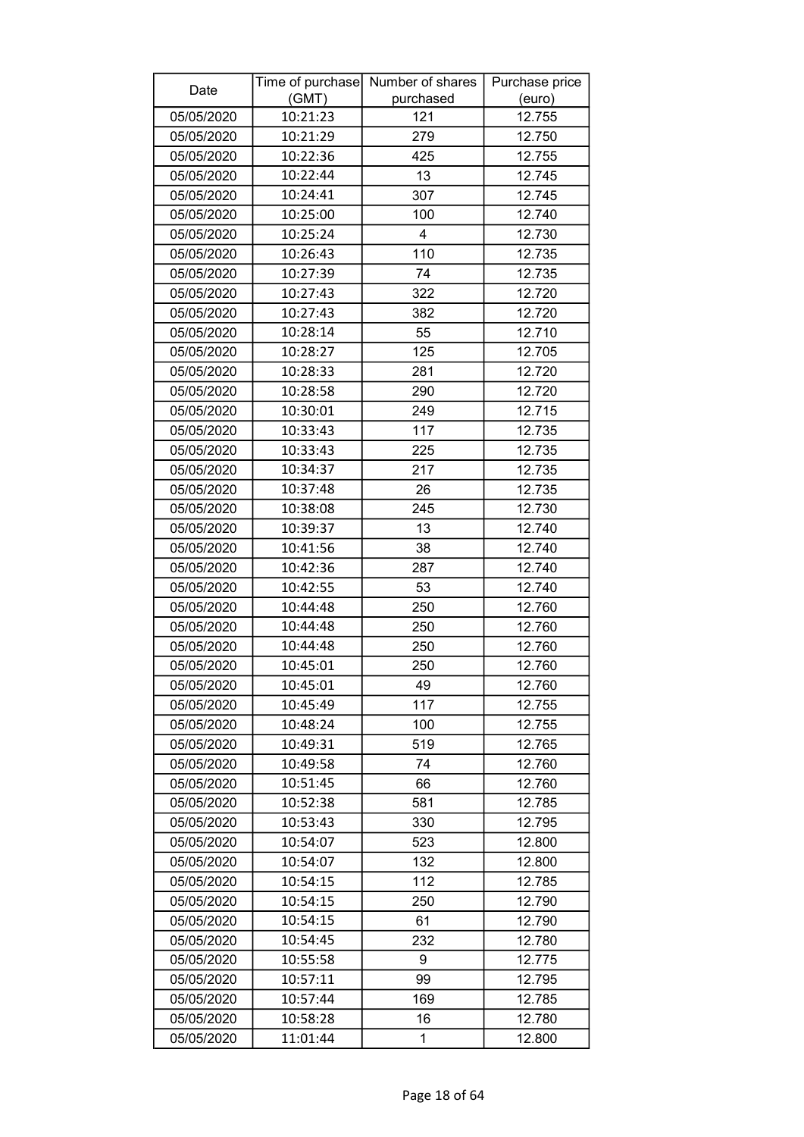| Date       |          | Time of purchase Number of shares | Purchase price |
|------------|----------|-----------------------------------|----------------|
|            | (GMT)    | purchased                         | (euro)         |
| 05/05/2020 | 10:21:23 | 121                               | 12.755         |
| 05/05/2020 | 10:21:29 | 279                               | 12.750         |
| 05/05/2020 | 10:22:36 | 425                               | 12.755         |
| 05/05/2020 | 10:22:44 | 13                                | 12.745         |
| 05/05/2020 | 10:24:41 | 307                               | 12.745         |
| 05/05/2020 | 10:25:00 | 100                               | 12.740         |
| 05/05/2020 | 10:25:24 | 4                                 | 12.730         |
| 05/05/2020 | 10:26:43 | 110                               | 12.735         |
| 05/05/2020 | 10:27:39 | 74                                | 12.735         |
| 05/05/2020 | 10:27:43 | 322                               | 12.720         |
| 05/05/2020 | 10:27:43 | 382                               | 12.720         |
| 05/05/2020 | 10:28:14 | 55                                | 12.710         |
| 05/05/2020 | 10:28:27 | 125                               | 12.705         |
| 05/05/2020 | 10:28:33 | 281                               | 12.720         |
| 05/05/2020 | 10:28:58 | 290                               | 12.720         |
| 05/05/2020 | 10:30:01 | 249                               | 12.715         |
| 05/05/2020 | 10:33:43 | 117                               | 12.735         |
| 05/05/2020 | 10:33:43 | 225                               | 12.735         |
| 05/05/2020 | 10:34:37 | 217                               | 12.735         |
| 05/05/2020 | 10:37:48 | 26                                | 12.735         |
| 05/05/2020 | 10:38:08 | 245                               | 12.730         |
| 05/05/2020 | 10:39:37 | 13                                | 12.740         |
| 05/05/2020 | 10:41:56 | 38                                | 12.740         |
| 05/05/2020 | 10:42:36 | 287                               | 12.740         |
| 05/05/2020 | 10:42:55 | 53                                | 12.740         |
| 05/05/2020 | 10:44:48 | 250                               | 12.760         |
| 05/05/2020 | 10:44:48 | 250                               | 12.760         |
| 05/05/2020 | 10:44:48 | 250                               | 12.760         |
| 05/05/2020 | 10:45:01 | 250                               | 12.760         |
| 05/05/2020 | 10:45:01 | 49                                | 12.760         |
| 05/05/2020 | 10:45:49 | 117                               | 12.755         |
| 05/05/2020 | 10:48:24 | 100                               | 12.755         |
| 05/05/2020 | 10:49:31 | 519                               | 12.765         |
| 05/05/2020 | 10:49:58 | 74                                | 12.760         |
| 05/05/2020 | 10:51:45 | 66                                | 12.760         |
| 05/05/2020 | 10:52:38 | 581                               | 12.785         |
| 05/05/2020 | 10:53:43 | 330                               | 12.795         |
| 05/05/2020 | 10:54:07 | 523                               | 12.800         |
| 05/05/2020 | 10:54:07 | 132                               | 12.800         |
| 05/05/2020 | 10:54:15 | 112                               | 12.785         |
| 05/05/2020 | 10:54:15 | 250                               | 12.790         |
| 05/05/2020 | 10:54:15 | 61                                | 12.790         |
| 05/05/2020 | 10:54:45 | 232                               | 12.780         |
| 05/05/2020 | 10:55:58 | 9                                 | 12.775         |
| 05/05/2020 | 10:57:11 | 99                                | 12.795         |
| 05/05/2020 | 10:57:44 | 169                               | 12.785         |
| 05/05/2020 | 10:58:28 | 16                                | 12.780         |
| 05/05/2020 | 11:01:44 | 1                                 | 12.800         |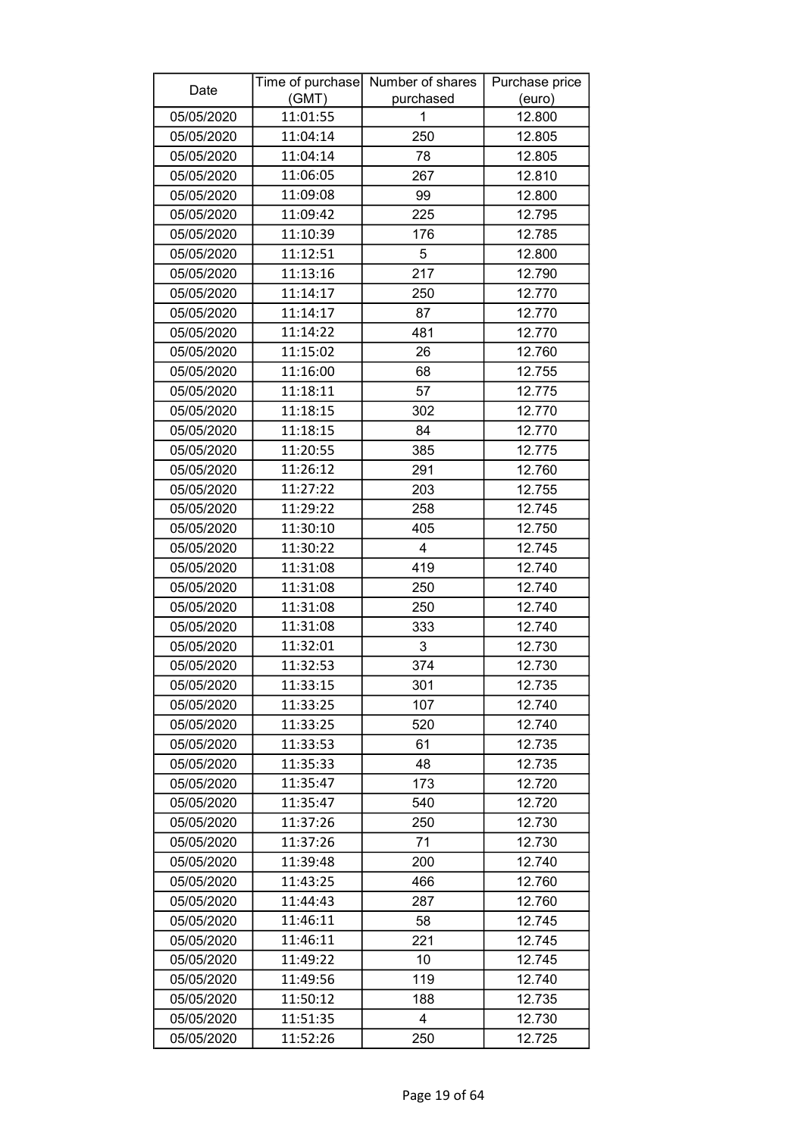| Date       |          | Time of purchase Number of shares | Purchase price |
|------------|----------|-----------------------------------|----------------|
|            | (GMT)    | purchased                         | (euro)         |
| 05/05/2020 | 11:01:55 | 1                                 | 12.800         |
| 05/05/2020 | 11:04:14 | 250                               | 12.805         |
| 05/05/2020 | 11:04:14 | 78                                | 12.805         |
| 05/05/2020 | 11:06:05 | 267                               | 12.810         |
| 05/05/2020 | 11:09:08 | 99                                | 12.800         |
| 05/05/2020 | 11:09:42 | 225                               | 12.795         |
| 05/05/2020 | 11:10:39 | 176                               | 12.785         |
| 05/05/2020 | 11:12:51 | 5                                 | 12.800         |
| 05/05/2020 | 11:13:16 | 217                               | 12.790         |
| 05/05/2020 | 11:14:17 | 250                               | 12.770         |
| 05/05/2020 | 11:14:17 | 87                                | 12.770         |
| 05/05/2020 | 11:14:22 | 481                               | 12.770         |
| 05/05/2020 | 11:15:02 | 26                                | 12.760         |
| 05/05/2020 | 11:16:00 | 68                                | 12.755         |
| 05/05/2020 | 11:18:11 | 57                                | 12.775         |
| 05/05/2020 | 11:18:15 | 302                               | 12.770         |
| 05/05/2020 | 11:18:15 | 84                                | 12.770         |
| 05/05/2020 | 11:20:55 | 385                               | 12.775         |
| 05/05/2020 | 11:26:12 | 291                               | 12.760         |
| 05/05/2020 | 11:27:22 | 203                               | 12.755         |
| 05/05/2020 | 11:29:22 | 258                               | 12.745         |
| 05/05/2020 | 11:30:10 | 405                               | 12.750         |
| 05/05/2020 | 11:30:22 | 4                                 | 12.745         |
| 05/05/2020 | 11:31:08 | 419                               | 12.740         |
| 05/05/2020 | 11:31:08 | 250                               | 12.740         |
| 05/05/2020 | 11:31:08 | 250                               | 12.740         |
| 05/05/2020 | 11:31:08 | 333                               | 12.740         |
| 05/05/2020 | 11:32:01 | 3                                 | 12.730         |
| 05/05/2020 | 11:32:53 | 374                               | 12.730         |
| 05/05/2020 | 11:33:15 | 301                               | 12.735         |
| 05/05/2020 | 11:33:25 | 107                               | 12.740         |
| 05/05/2020 | 11:33:25 | 520                               | 12.740         |
| 05/05/2020 | 11:33:53 | 61                                | 12.735         |
| 05/05/2020 | 11:35:33 | 48                                | 12.735         |
| 05/05/2020 | 11:35:47 | 173                               | 12.720         |
| 05/05/2020 | 11:35:47 | 540                               | 12.720         |
| 05/05/2020 | 11:37:26 | 250                               | 12.730         |
| 05/05/2020 | 11:37:26 | 71                                | 12.730         |
| 05/05/2020 | 11:39:48 | 200                               | 12.740         |
| 05/05/2020 | 11:43:25 | 466                               | 12.760         |
| 05/05/2020 | 11:44:43 | 287                               | 12.760         |
| 05/05/2020 | 11:46:11 | 58                                | 12.745         |
| 05/05/2020 | 11:46:11 | 221                               | 12.745         |
| 05/05/2020 | 11:49:22 | 10                                | 12.745         |
| 05/05/2020 | 11:49:56 | 119                               | 12.740         |
| 05/05/2020 | 11:50:12 | 188                               | 12.735         |
| 05/05/2020 | 11:51:35 | 4                                 | 12.730         |
| 05/05/2020 | 11:52:26 | 250                               | 12.725         |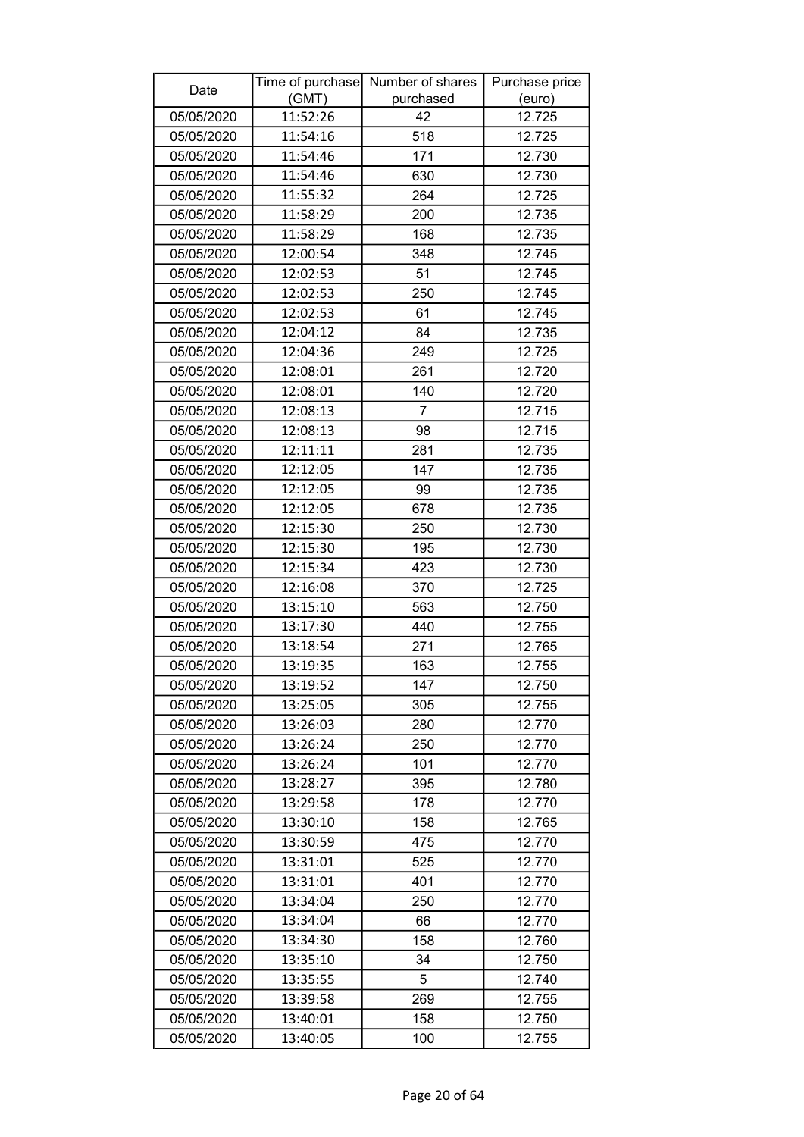| Date       |          | Time of purchase Number of shares | Purchase price |
|------------|----------|-----------------------------------|----------------|
|            | (GMT)    | purchased                         | (euro)         |
| 05/05/2020 | 11:52:26 | 42                                | 12.725         |
| 05/05/2020 | 11:54:16 | 518                               | 12.725         |
| 05/05/2020 | 11:54:46 | 171                               | 12.730         |
| 05/05/2020 | 11:54:46 | 630                               | 12.730         |
| 05/05/2020 | 11:55:32 | 264                               | 12.725         |
| 05/05/2020 | 11:58:29 | 200                               | 12.735         |
| 05/05/2020 | 11:58:29 | 168                               | 12.735         |
| 05/05/2020 | 12:00:54 | 348                               | 12.745         |
| 05/05/2020 | 12:02:53 | 51                                | 12.745         |
| 05/05/2020 | 12:02:53 | 250                               | 12.745         |
| 05/05/2020 | 12:02:53 | 61                                | 12.745         |
| 05/05/2020 | 12:04:12 | 84                                | 12.735         |
| 05/05/2020 | 12:04:36 | 249                               | 12.725         |
| 05/05/2020 | 12:08:01 | 261                               | 12.720         |
| 05/05/2020 | 12:08:01 | 140                               | 12.720         |
| 05/05/2020 | 12:08:13 | $\overline{7}$                    | 12.715         |
| 05/05/2020 | 12:08:13 | 98                                | 12.715         |
| 05/05/2020 | 12:11:11 | 281                               | 12.735         |
| 05/05/2020 | 12:12:05 | 147                               | 12.735         |
| 05/05/2020 | 12:12:05 | 99                                | 12.735         |
| 05/05/2020 | 12:12:05 | 678                               | 12.735         |
| 05/05/2020 | 12:15:30 | 250                               | 12.730         |
| 05/05/2020 | 12:15:30 | 195                               | 12.730         |
| 05/05/2020 | 12:15:34 | 423                               | 12.730         |
| 05/05/2020 | 12:16:08 | 370                               | 12.725         |
| 05/05/2020 | 13:15:10 | 563                               | 12.750         |
| 05/05/2020 | 13:17:30 | 440                               | 12.755         |
| 05/05/2020 | 13:18:54 | 271                               | 12.765         |
| 05/05/2020 | 13:19:35 | 163                               | 12.755         |
| 05/05/2020 | 13:19:52 | 147                               | 12.750         |
| 05/05/2020 | 13:25:05 | 305                               | 12.755         |
| 05/05/2020 | 13:26:03 | 280                               | 12.770         |
| 05/05/2020 | 13:26:24 | 250                               | 12.770         |
| 05/05/2020 | 13:26:24 | 101                               | 12.770         |
| 05/05/2020 | 13:28:27 | 395                               | 12.780         |
| 05/05/2020 | 13:29:58 | 178                               | 12.770         |
| 05/05/2020 | 13:30:10 | 158                               | 12.765         |
| 05/05/2020 | 13:30:59 | 475                               | 12.770         |
| 05/05/2020 | 13:31:01 | 525                               | 12.770         |
| 05/05/2020 | 13:31:01 | 401                               | 12.770         |
| 05/05/2020 | 13:34:04 | 250                               | 12.770         |
| 05/05/2020 | 13:34:04 | 66                                | 12.770         |
| 05/05/2020 | 13:34:30 | 158                               | 12.760         |
| 05/05/2020 | 13:35:10 | 34                                | 12.750         |
| 05/05/2020 | 13:35:55 | 5                                 | 12.740         |
| 05/05/2020 | 13:39:58 | 269                               | 12.755         |
| 05/05/2020 | 13:40:01 | 158                               | 12.750         |
| 05/05/2020 | 13:40:05 | 100                               | 12.755         |
|            |          |                                   |                |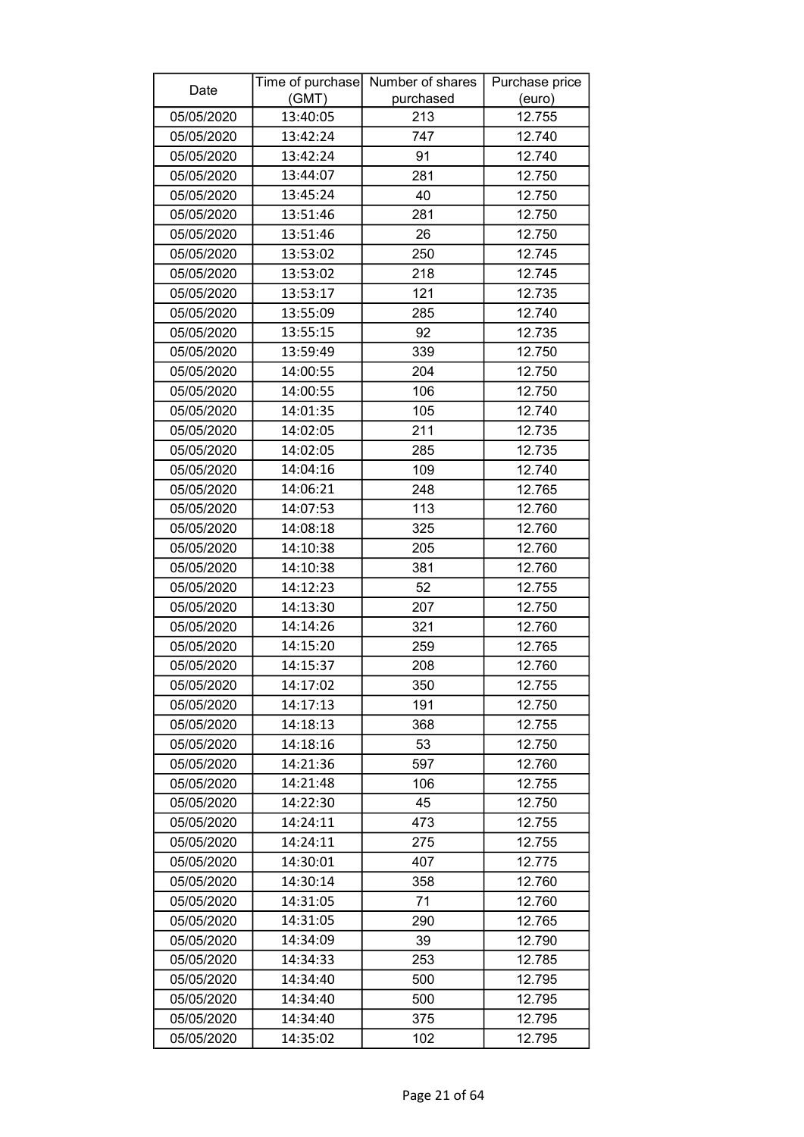| Date       |          | Time of purchase Number of shares | Purchase price |
|------------|----------|-----------------------------------|----------------|
|            | (GMT)    | purchased                         | (euro)         |
| 05/05/2020 | 13:40:05 | 213                               | 12.755         |
| 05/05/2020 | 13:42:24 | 747                               | 12.740         |
| 05/05/2020 | 13:42:24 | 91                                | 12.740         |
| 05/05/2020 | 13:44:07 | 281                               | 12.750         |
| 05/05/2020 | 13:45:24 | 40                                | 12.750         |
| 05/05/2020 | 13:51:46 | 281                               | 12.750         |
| 05/05/2020 | 13:51:46 | 26                                | 12.750         |
| 05/05/2020 | 13:53:02 | 250                               | 12.745         |
| 05/05/2020 | 13:53:02 | 218                               | 12.745         |
| 05/05/2020 | 13:53:17 | 121                               | 12.735         |
| 05/05/2020 | 13:55:09 | 285                               | 12.740         |
| 05/05/2020 | 13:55:15 | 92                                | 12.735         |
| 05/05/2020 | 13:59:49 | 339                               | 12.750         |
| 05/05/2020 | 14:00:55 | 204                               | 12.750         |
| 05/05/2020 | 14:00:55 | 106                               | 12.750         |
| 05/05/2020 | 14:01:35 | 105                               | 12.740         |
| 05/05/2020 | 14:02:05 | 211                               | 12.735         |
| 05/05/2020 | 14:02:05 | 285                               | 12.735         |
| 05/05/2020 | 14:04:16 | 109                               | 12.740         |
| 05/05/2020 | 14:06:21 | 248                               | 12.765         |
| 05/05/2020 | 14:07:53 | 113                               | 12.760         |
| 05/05/2020 | 14:08:18 | 325                               | 12.760         |
| 05/05/2020 | 14:10:38 | 205                               | 12.760         |
| 05/05/2020 | 14:10:38 | 381                               | 12.760         |
| 05/05/2020 | 14:12:23 | 52                                | 12.755         |
| 05/05/2020 | 14:13:30 | 207                               | 12.750         |
| 05/05/2020 | 14:14:26 | 321                               | 12.760         |
| 05/05/2020 | 14:15:20 | 259                               | 12.765         |
| 05/05/2020 | 14:15:37 | 208                               | 12.760         |
| 05/05/2020 | 14:17:02 | 350                               | 12.755         |
| 05/05/2020 | 14:17:13 | 191                               | 12.750         |
| 05/05/2020 | 14:18:13 | 368                               | 12.755         |
| 05/05/2020 | 14:18:16 | 53                                | 12.750         |
| 05/05/2020 | 14:21:36 | 597                               | 12.760         |
| 05/05/2020 | 14:21:48 | 106                               | 12.755         |
| 05/05/2020 | 14:22:30 | 45                                | 12.750         |
| 05/05/2020 | 14:24:11 | 473                               | 12.755         |
| 05/05/2020 | 14:24:11 | 275                               | 12.755         |
| 05/05/2020 | 14:30:01 | 407                               | 12.775         |
| 05/05/2020 | 14:30:14 | 358                               | 12.760         |
| 05/05/2020 | 14:31:05 | 71                                | 12.760         |
| 05/05/2020 | 14:31:05 | 290                               | 12.765         |
| 05/05/2020 | 14:34:09 | 39                                | 12.790         |
| 05/05/2020 | 14:34:33 | 253                               | 12.785         |
| 05/05/2020 | 14:34:40 | 500                               | 12.795         |
| 05/05/2020 | 14:34:40 | 500                               | 12.795         |
| 05/05/2020 | 14:34:40 | 375                               | 12.795         |
| 05/05/2020 | 14:35:02 | 102                               | 12.795         |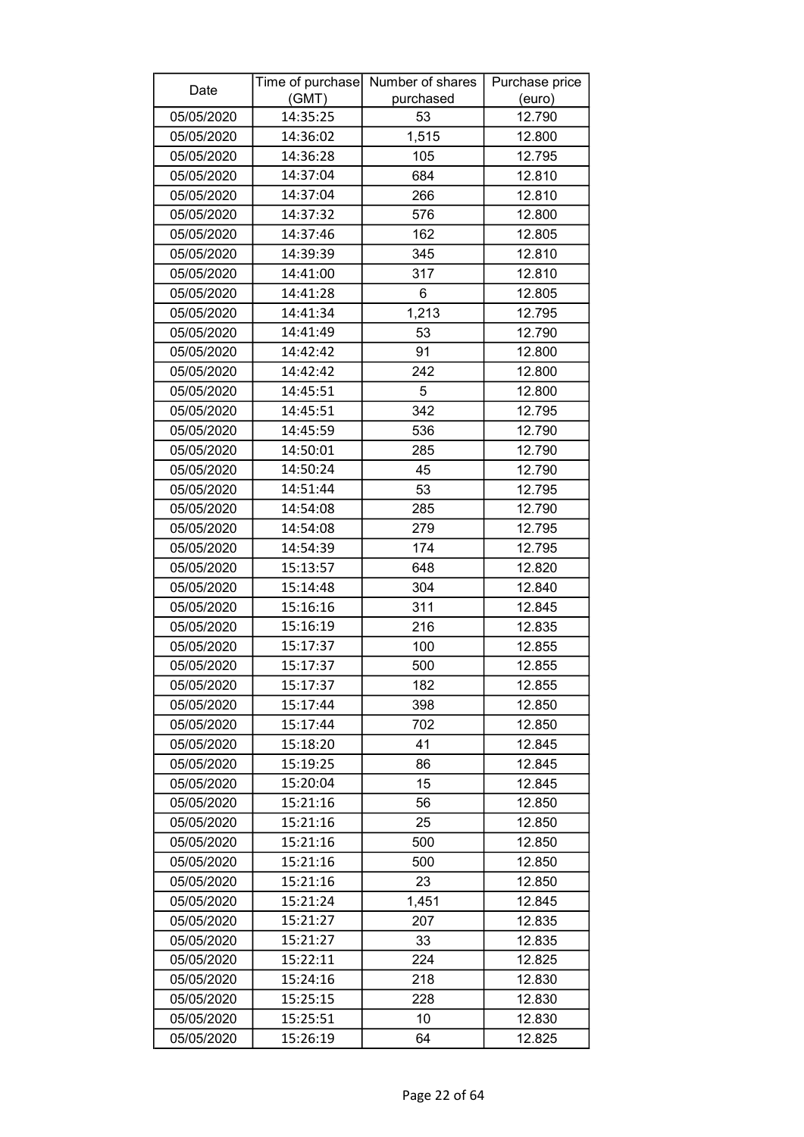| Date       |          | Time of purchase Number of shares | Purchase price |
|------------|----------|-----------------------------------|----------------|
|            | (GMT)    | purchased                         | (euro)         |
| 05/05/2020 | 14:35:25 | 53                                | 12.790         |
| 05/05/2020 | 14:36:02 | 1,515                             | 12.800         |
| 05/05/2020 | 14:36:28 | 105                               | 12.795         |
| 05/05/2020 | 14:37:04 | 684                               | 12.810         |
| 05/05/2020 | 14:37:04 | 266                               | 12.810         |
| 05/05/2020 | 14:37:32 | 576                               | 12.800         |
| 05/05/2020 | 14:37:46 | 162                               | 12.805         |
| 05/05/2020 | 14:39:39 | 345                               | 12.810         |
| 05/05/2020 | 14:41:00 | 317                               | 12.810         |
| 05/05/2020 | 14:41:28 | 6                                 | 12.805         |
| 05/05/2020 | 14:41:34 | 1,213                             | 12.795         |
| 05/05/2020 | 14:41:49 | 53                                | 12.790         |
| 05/05/2020 | 14:42:42 | 91                                | 12.800         |
| 05/05/2020 | 14:42:42 | 242                               | 12.800         |
| 05/05/2020 | 14:45:51 | 5                                 | 12.800         |
| 05/05/2020 | 14:45:51 | 342                               | 12.795         |
| 05/05/2020 | 14:45:59 | 536                               | 12.790         |
| 05/05/2020 | 14:50:01 | 285                               | 12.790         |
| 05/05/2020 | 14:50:24 | 45                                | 12.790         |
| 05/05/2020 | 14:51:44 | 53                                | 12.795         |
| 05/05/2020 | 14:54:08 | 285                               | 12.790         |
| 05/05/2020 | 14:54:08 | 279                               | 12.795         |
| 05/05/2020 | 14:54:39 | 174                               | 12.795         |
| 05/05/2020 | 15:13:57 | 648                               | 12.820         |
| 05/05/2020 | 15:14:48 | 304                               | 12.840         |
| 05/05/2020 | 15:16:16 | 311                               | 12.845         |
| 05/05/2020 | 15:16:19 | 216                               | 12.835         |
| 05/05/2020 | 15:17:37 | 100                               | 12.855         |
| 05/05/2020 | 15:17:37 | 500                               | 12.855         |
| 05/05/2020 | 15:17:37 | 182                               | 12.855         |
| 05/05/2020 | 15:17:44 | 398                               | 12.850         |
| 05/05/2020 | 15:17:44 | 702                               | 12.850         |
| 05/05/2020 | 15:18:20 | 41                                | 12.845         |
| 05/05/2020 | 15:19:25 | 86                                | 12.845         |
| 05/05/2020 | 15:20:04 | 15                                | 12.845         |
| 05/05/2020 | 15:21:16 | 56                                | 12.850         |
| 05/05/2020 | 15:21:16 | 25                                | 12.850         |
| 05/05/2020 | 15:21:16 | 500                               | 12.850         |
| 05/05/2020 | 15:21:16 | 500                               | 12.850         |
| 05/05/2020 | 15:21:16 | 23                                | 12.850         |
| 05/05/2020 | 15:21:24 | 1,451                             | 12.845         |
| 05/05/2020 | 15:21:27 | 207                               | 12.835         |
| 05/05/2020 | 15:21:27 | 33                                | 12.835         |
| 05/05/2020 | 15:22:11 | 224                               | 12.825         |
| 05/05/2020 | 15:24:16 | 218                               | 12.830         |
| 05/05/2020 | 15:25:15 | 228                               | 12.830         |
| 05/05/2020 | 15:25:51 | 10                                | 12.830         |
| 05/05/2020 | 15:26:19 | 64                                | 12.825         |
|            |          |                                   |                |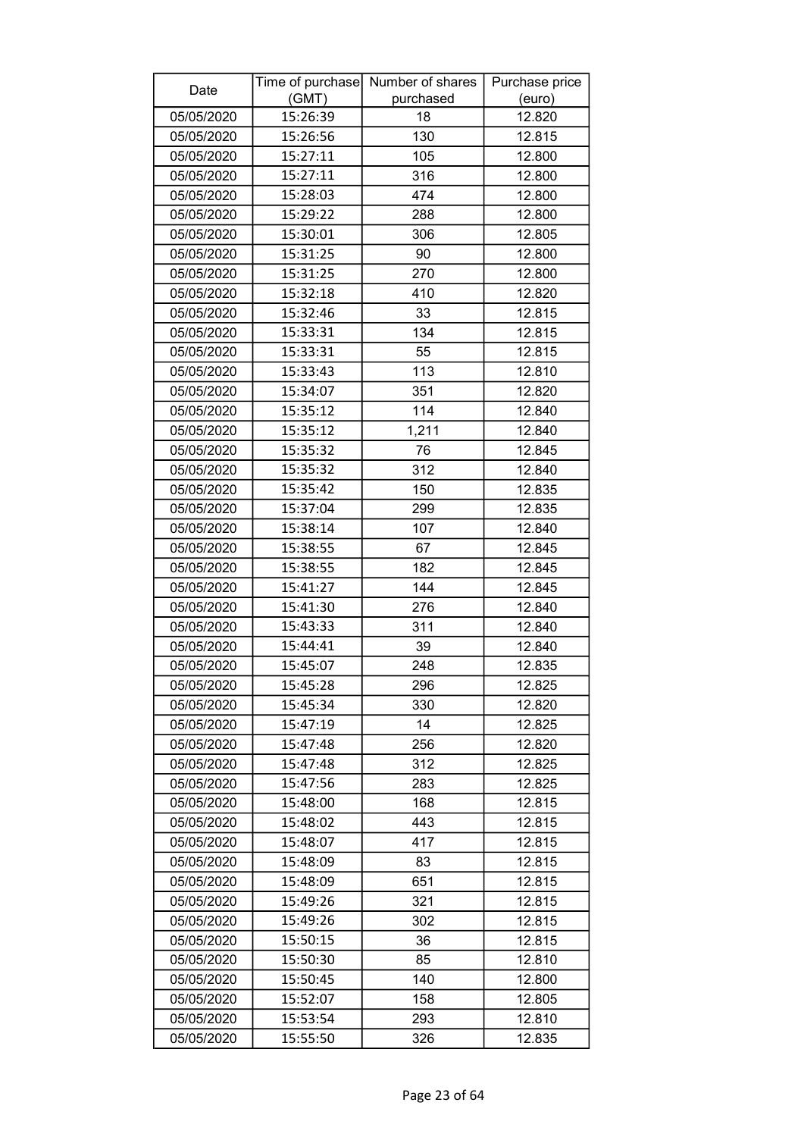| Date       |          | Time of purchase Number of shares | Purchase price |
|------------|----------|-----------------------------------|----------------|
|            | (GMT)    | purchased                         | (euro)         |
| 05/05/2020 | 15:26:39 | 18                                | 12.820         |
| 05/05/2020 | 15:26:56 | 130                               | 12.815         |
| 05/05/2020 | 15:27:11 | 105                               | 12.800         |
| 05/05/2020 | 15:27:11 | 316                               | 12.800         |
| 05/05/2020 | 15:28:03 | 474                               | 12.800         |
| 05/05/2020 | 15:29:22 | 288                               | 12.800         |
| 05/05/2020 | 15:30:01 | 306                               | 12.805         |
| 05/05/2020 | 15:31:25 | 90                                | 12.800         |
| 05/05/2020 | 15:31:25 | 270                               | 12.800         |
| 05/05/2020 | 15:32:18 | 410                               | 12.820         |
| 05/05/2020 | 15:32:46 | 33                                | 12.815         |
| 05/05/2020 | 15:33:31 | 134                               | 12.815         |
| 05/05/2020 | 15:33:31 | 55                                | 12.815         |
| 05/05/2020 | 15:33:43 | 113                               | 12.810         |
| 05/05/2020 | 15:34:07 | 351                               | 12.820         |
| 05/05/2020 | 15:35:12 | 114                               | 12.840         |
| 05/05/2020 | 15:35:12 | 1,211                             | 12.840         |
| 05/05/2020 | 15:35:32 | 76                                | 12.845         |
| 05/05/2020 | 15:35:32 | 312                               | 12.840         |
| 05/05/2020 | 15:35:42 | 150                               | 12.835         |
| 05/05/2020 | 15:37:04 | 299                               | 12.835         |
| 05/05/2020 | 15:38:14 | 107                               | 12.840         |
| 05/05/2020 | 15:38:55 | 67                                | 12.845         |
| 05/05/2020 | 15:38:55 | 182                               | 12.845         |
| 05/05/2020 | 15:41:27 | 144                               | 12.845         |
| 05/05/2020 | 15:41:30 | 276                               | 12.840         |
| 05/05/2020 | 15:43:33 | 311                               | 12.840         |
| 05/05/2020 | 15:44:41 | 39                                | 12.840         |
| 05/05/2020 | 15:45:07 | 248                               | 12.835         |
| 05/05/2020 | 15:45:28 | 296                               | 12.825         |
| 05/05/2020 | 15:45:34 | 330                               | 12.820         |
| 05/05/2020 | 15:47:19 | 14                                | 12.825         |
| 05/05/2020 | 15:47:48 | 256                               | 12.820         |
| 05/05/2020 | 15:47:48 | 312                               | 12.825         |
| 05/05/2020 | 15:47:56 | 283                               | 12.825         |
| 05/05/2020 | 15:48:00 | 168                               | 12.815         |
| 05/05/2020 | 15:48:02 | 443                               | 12.815         |
| 05/05/2020 | 15:48:07 | 417                               | 12.815         |
| 05/05/2020 | 15:48:09 | 83                                | 12.815         |
| 05/05/2020 | 15:48:09 | 651                               | 12.815         |
| 05/05/2020 | 15:49:26 | 321                               | 12.815         |
| 05/05/2020 | 15:49:26 | 302                               | 12.815         |
| 05/05/2020 | 15:50:15 | 36                                | 12.815         |
| 05/05/2020 | 15:50:30 | 85                                | 12.810         |
| 05/05/2020 | 15:50:45 | 140                               | 12.800         |
| 05/05/2020 | 15:52:07 | 158                               | 12.805         |
| 05/05/2020 | 15:53:54 | 293                               | 12.810         |
| 05/05/2020 | 15:55:50 | 326                               | 12.835         |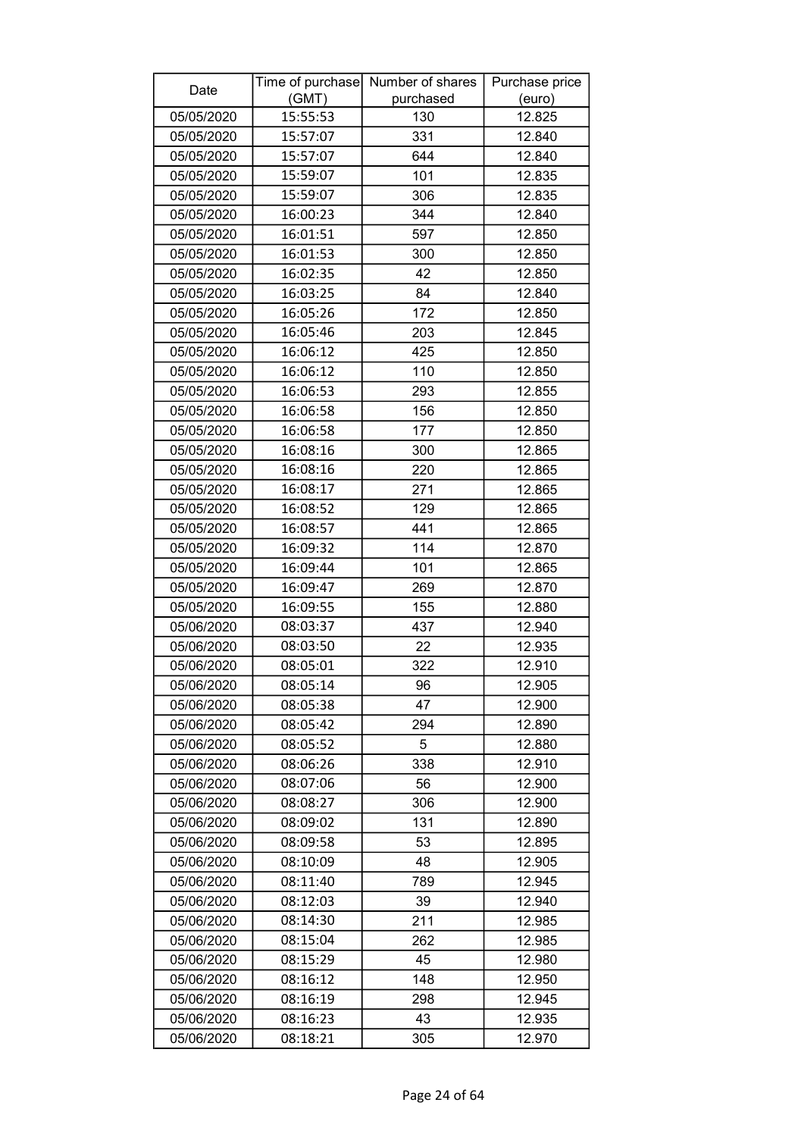| Date       | Time of purchase | Number of shares | Purchase price |
|------------|------------------|------------------|----------------|
|            | (GMT)            | purchased        | (euro)         |
| 05/05/2020 | 15:55:53         | 130              | 12.825         |
| 05/05/2020 | 15:57:07         | 331              | 12.840         |
| 05/05/2020 | 15:57:07         | 644              | 12.840         |
| 05/05/2020 | 15:59:07         | 101              | 12.835         |
| 05/05/2020 | 15:59:07         | 306              | 12.835         |
| 05/05/2020 | 16:00:23         | 344              | 12.840         |
| 05/05/2020 | 16:01:51         | 597              | 12.850         |
| 05/05/2020 | 16:01:53         | 300              | 12.850         |
| 05/05/2020 | 16:02:35         | 42               | 12.850         |
| 05/05/2020 | 16:03:25         | 84               | 12.840         |
| 05/05/2020 | 16:05:26         | 172              | 12.850         |
| 05/05/2020 | 16:05:46         | 203              | 12.845         |
| 05/05/2020 | 16:06:12         | 425              | 12.850         |
| 05/05/2020 | 16:06:12         | 110              | 12.850         |
| 05/05/2020 | 16:06:53         | 293              | 12.855         |
| 05/05/2020 | 16:06:58         | 156              | 12.850         |
| 05/05/2020 | 16:06:58         | 177              | 12.850         |
| 05/05/2020 | 16:08:16         | 300              | 12.865         |
| 05/05/2020 | 16:08:16         | 220              | 12.865         |
| 05/05/2020 | 16:08:17         | 271              | 12.865         |
| 05/05/2020 | 16:08:52         | 129              | 12.865         |
| 05/05/2020 | 16:08:57         | 441              | 12.865         |
| 05/05/2020 | 16:09:32         | 114              | 12.870         |
| 05/05/2020 | 16:09:44         | 101              | 12.865         |
| 05/05/2020 | 16:09:47         | 269              | 12.870         |
| 05/05/2020 | 16:09:55         | 155              | 12.880         |
| 05/06/2020 | 08:03:37         | 437              | 12.940         |
| 05/06/2020 | 08:03:50         | 22               | 12.935         |
| 05/06/2020 | 08:05:01         | 322              | 12.910         |
| 05/06/2020 | 08:05:14         | 96               | 12.905         |
| 05/06/2020 | 08:05:38         | 47               | 12.900         |
| 05/06/2020 | 08:05:42         | 294              | 12.890         |
| 05/06/2020 | 08:05:52         | 5                | 12.880         |
| 05/06/2020 | 08:06:26         | 338              | 12.910         |
| 05/06/2020 | 08:07:06         | 56               | 12.900         |
| 05/06/2020 | 08:08:27         | 306              | 12.900         |
| 05/06/2020 | 08:09:02         | 131              | 12.890         |
| 05/06/2020 | 08:09:58         | 53               | 12.895         |
| 05/06/2020 | 08:10:09         | 48               | 12.905         |
| 05/06/2020 | 08:11:40         | 789              | 12.945         |
| 05/06/2020 | 08:12:03         | 39               | 12.940         |
| 05/06/2020 | 08:14:30         | 211              | 12.985         |
| 05/06/2020 | 08:15:04         | 262              | 12.985         |
| 05/06/2020 | 08:15:29         | 45               | 12.980         |
| 05/06/2020 | 08:16:12         | 148              | 12.950         |
| 05/06/2020 | 08:16:19         | 298              | 12.945         |
| 05/06/2020 | 08:16:23         | 43               | 12.935         |
| 05/06/2020 | 08:18:21         | 305              | 12.970         |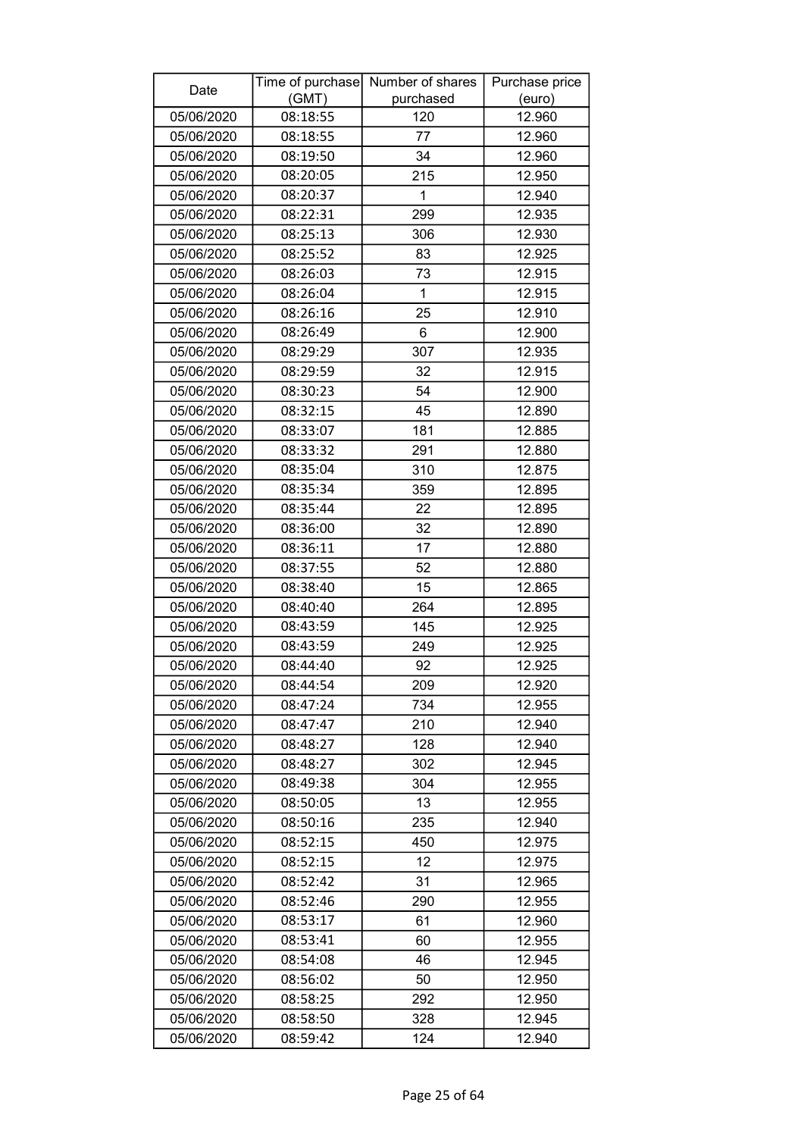| Date       | Time of purchase<br>(GMT) | Number of shares<br>purchased | Purchase price<br>(euro) |
|------------|---------------------------|-------------------------------|--------------------------|
| 05/06/2020 | 08:18:55                  | 120                           | 12.960                   |
| 05/06/2020 | 08:18:55                  | 77                            | 12.960                   |
| 05/06/2020 | 08:19:50                  | 34                            | 12.960                   |
| 05/06/2020 | 08:20:05                  | 215                           | 12.950                   |
| 05/06/2020 | 08:20:37                  | 1                             | 12.940                   |
| 05/06/2020 | 08:22:31                  | 299                           | 12.935                   |
| 05/06/2020 | 08:25:13                  | 306                           | 12.930                   |
| 05/06/2020 | 08:25:52                  | 83                            | 12.925                   |
| 05/06/2020 | 08:26:03                  | 73                            | 12.915                   |
| 05/06/2020 | 08:26:04                  | 1                             | 12.915                   |
| 05/06/2020 | 08:26:16                  | 25                            | 12.910                   |
| 05/06/2020 | 08:26:49                  | 6                             | 12.900                   |
| 05/06/2020 | 08:29:29                  | 307                           | 12.935                   |
| 05/06/2020 | 08:29:59                  | 32                            | 12.915                   |
| 05/06/2020 | 08:30:23                  | 54                            | 12.900                   |
| 05/06/2020 | 08:32:15                  | 45                            | 12.890                   |
| 05/06/2020 | 08:33:07                  | 181                           | 12.885                   |
| 05/06/2020 | 08:33:32                  | 291                           | 12.880                   |
| 05/06/2020 | 08:35:04                  | 310                           | 12.875                   |
| 05/06/2020 | 08:35:34                  | 359                           | 12.895                   |
| 05/06/2020 | 08:35:44                  | 22                            | 12.895                   |
| 05/06/2020 | 08:36:00                  | 32                            | 12.890                   |
| 05/06/2020 | 08:36:11                  | 17                            | 12.880                   |
| 05/06/2020 | 08:37:55                  | 52                            | 12.880                   |
| 05/06/2020 | 08:38:40                  | 15                            | 12.865                   |
| 05/06/2020 | 08:40:40                  | 264                           | 12.895                   |
| 05/06/2020 | 08:43:59                  | 145                           | 12.925                   |
| 05/06/2020 | 08:43:59                  | 249                           | 12.925                   |
| 05/06/2020 | 08:44:40                  | 92                            | 12.925                   |
| 05/06/2020 | 08:44:54                  | 209                           | 12.920                   |
| 05/06/2020 | 08:47:24                  | 734                           | 12.955                   |
| 05/06/2020 | 08:47:47                  | 210                           | 12.940                   |
| 05/06/2020 | 08:48:27                  | 128                           | 12.940                   |
| 05/06/2020 | 08:48:27                  | 302                           | 12.945                   |
| 05/06/2020 | 08:49:38                  | 304                           | 12.955                   |
| 05/06/2020 | 08:50:05                  | 13                            | 12.955                   |
| 05/06/2020 | 08:50:16                  | 235                           | 12.940                   |
| 05/06/2020 | 08:52:15                  | 450                           | 12.975                   |
| 05/06/2020 | 08:52:15                  | 12                            | 12.975                   |
| 05/06/2020 | 08:52:42                  | 31                            | 12.965                   |
| 05/06/2020 | 08:52:46                  | 290                           | 12.955                   |
| 05/06/2020 | 08:53:17                  | 61                            | 12.960                   |
| 05/06/2020 | 08:53:41                  | 60                            | 12.955                   |
| 05/06/2020 | 08:54:08                  | 46                            | 12.945                   |
| 05/06/2020 | 08:56:02                  | 50                            | 12.950                   |
| 05/06/2020 | 08:58:25                  | 292                           | 12.950                   |
| 05/06/2020 | 08:58:50                  | 328                           | 12.945                   |
| 05/06/2020 | 08:59:42                  | 124                           | 12.940                   |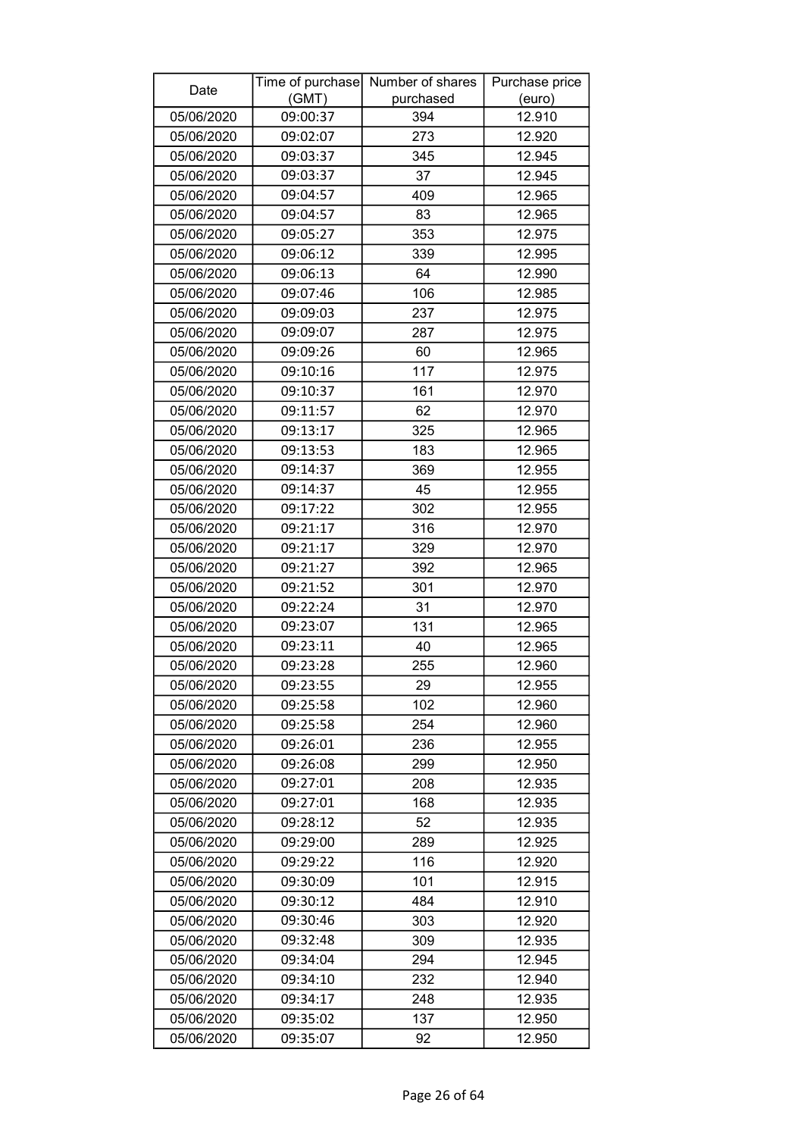| Date       |          | Time of purchase Number of shares | Purchase price |
|------------|----------|-----------------------------------|----------------|
|            | (GMT)    | purchased                         | (euro)         |
| 05/06/2020 | 09:00:37 | 394                               | 12.910         |
| 05/06/2020 | 09:02:07 | 273                               | 12.920         |
| 05/06/2020 | 09:03:37 | 345                               | 12.945         |
| 05/06/2020 | 09:03:37 | 37                                | 12.945         |
| 05/06/2020 | 09:04:57 | 409                               | 12.965         |
| 05/06/2020 | 09:04:57 | 83                                | 12.965         |
| 05/06/2020 | 09:05:27 | 353                               | 12.975         |
| 05/06/2020 | 09:06:12 | 339                               | 12.995         |
| 05/06/2020 | 09:06:13 | 64                                | 12.990         |
| 05/06/2020 | 09:07:46 | 106                               | 12.985         |
| 05/06/2020 | 09:09:03 | 237                               | 12.975         |
| 05/06/2020 | 09:09:07 | 287                               | 12.975         |
| 05/06/2020 | 09:09:26 | 60                                | 12.965         |
| 05/06/2020 | 09:10:16 | 117                               | 12.975         |
| 05/06/2020 | 09:10:37 | 161                               | 12.970         |
| 05/06/2020 | 09:11:57 | 62                                | 12.970         |
| 05/06/2020 | 09:13:17 | 325                               | 12.965         |
| 05/06/2020 | 09:13:53 | 183                               | 12.965         |
| 05/06/2020 | 09:14:37 | 369                               | 12.955         |
| 05/06/2020 | 09:14:37 | 45                                | 12.955         |
| 05/06/2020 | 09:17:22 | 302                               | 12.955         |
| 05/06/2020 | 09:21:17 | 316                               | 12.970         |
| 05/06/2020 | 09:21:17 | 329                               | 12.970         |
| 05/06/2020 | 09:21:27 | 392                               | 12.965         |
| 05/06/2020 | 09:21:52 | 301                               | 12.970         |
| 05/06/2020 | 09:22:24 | 31                                | 12.970         |
| 05/06/2020 | 09:23:07 | 131                               | 12.965         |
| 05/06/2020 | 09:23:11 | 40                                | 12.965         |
| 05/06/2020 | 09:23:28 | 255                               | 12.960         |
| 05/06/2020 | 09:23:55 | 29                                | 12.955         |
| 05/06/2020 | 09:25:58 | 102                               | 12.960         |
| 05/06/2020 | 09:25:58 | 254                               | 12.960         |
| 05/06/2020 | 09:26:01 | 236                               | 12.955         |
| 05/06/2020 | 09:26:08 | 299                               | 12.950         |
| 05/06/2020 | 09:27:01 | 208                               | 12.935         |
| 05/06/2020 | 09:27:01 | 168                               | 12.935         |
| 05/06/2020 | 09:28:12 | 52                                | 12.935         |
| 05/06/2020 | 09:29:00 | 289                               | 12.925         |
| 05/06/2020 | 09:29:22 | 116                               | 12.920         |
| 05/06/2020 | 09:30:09 | 101                               | 12.915         |
| 05/06/2020 | 09:30:12 | 484                               | 12.910         |
| 05/06/2020 | 09:30:46 | 303                               | 12.920         |
| 05/06/2020 | 09:32:48 | 309                               | 12.935         |
| 05/06/2020 | 09:34:04 | 294                               | 12.945         |
| 05/06/2020 | 09:34:10 | 232                               | 12.940         |
| 05/06/2020 | 09:34:17 | 248                               | 12.935         |
| 05/06/2020 | 09:35:02 | 137                               | 12.950         |
| 05/06/2020 | 09:35:07 | 92                                | 12.950         |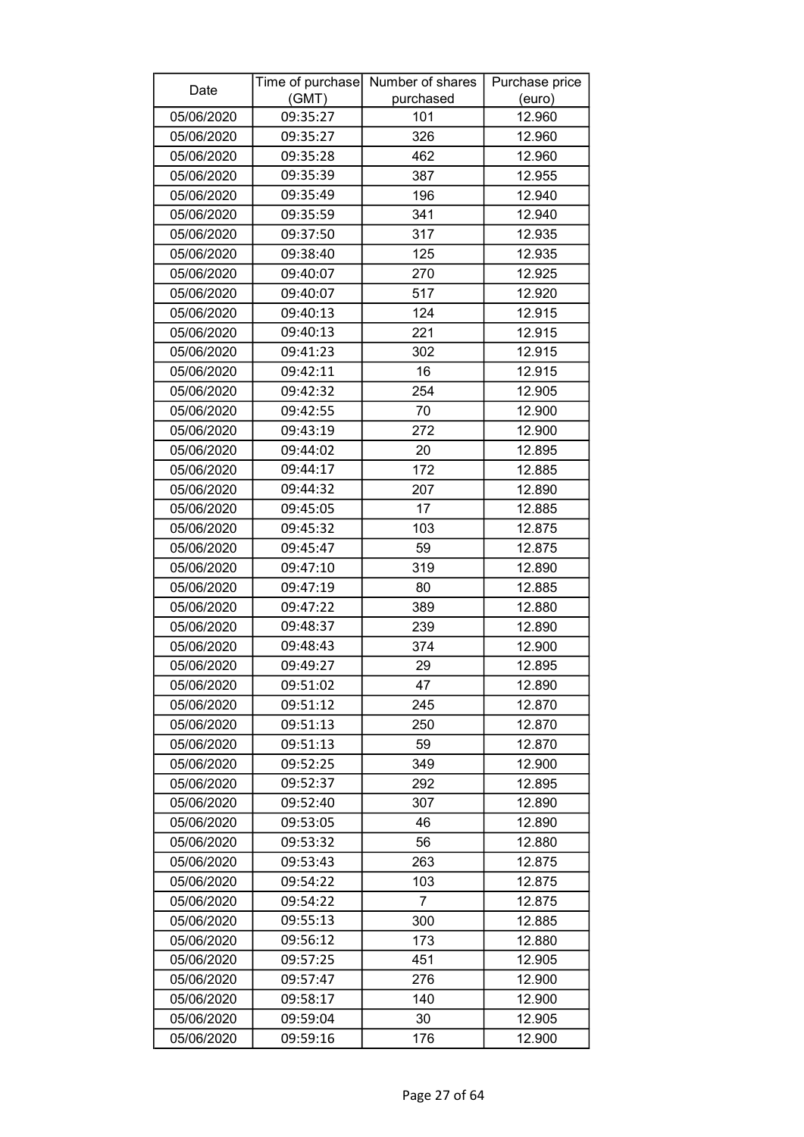| Date       |          | Time of purchase Number of shares | Purchase price |
|------------|----------|-----------------------------------|----------------|
|            | (GMT)    | purchased                         | (euro)         |
| 05/06/2020 | 09:35:27 | 101                               | 12.960         |
| 05/06/2020 | 09:35:27 | 326                               | 12.960         |
| 05/06/2020 | 09:35:28 | 462                               | 12.960         |
| 05/06/2020 | 09:35:39 | 387                               | 12.955         |
| 05/06/2020 | 09:35:49 | 196                               | 12.940         |
| 05/06/2020 | 09:35:59 | 341                               | 12.940         |
| 05/06/2020 | 09:37:50 | 317                               | 12.935         |
| 05/06/2020 | 09:38:40 | 125                               | 12.935         |
| 05/06/2020 | 09:40:07 | 270                               | 12.925         |
| 05/06/2020 | 09:40:07 | 517                               | 12.920         |
| 05/06/2020 | 09:40:13 | 124                               | 12.915         |
| 05/06/2020 | 09:40:13 | 221                               | 12.915         |
| 05/06/2020 | 09:41:23 | 302                               | 12.915         |
| 05/06/2020 | 09:42:11 | 16                                | 12.915         |
| 05/06/2020 | 09:42:32 | 254                               | 12.905         |
| 05/06/2020 | 09:42:55 | 70                                | 12.900         |
| 05/06/2020 | 09:43:19 | 272                               | 12.900         |
| 05/06/2020 | 09:44:02 | 20                                | 12.895         |
| 05/06/2020 | 09:44:17 | 172                               | 12.885         |
| 05/06/2020 | 09:44:32 | 207                               | 12.890         |
| 05/06/2020 | 09:45:05 | 17                                | 12.885         |
| 05/06/2020 | 09:45:32 | 103                               | 12.875         |
| 05/06/2020 | 09:45:47 | 59                                | 12.875         |
| 05/06/2020 | 09:47:10 | 319                               | 12.890         |
| 05/06/2020 | 09:47:19 | 80                                | 12.885         |
| 05/06/2020 | 09:47:22 | 389                               | 12.880         |
| 05/06/2020 | 09:48:37 | 239                               | 12.890         |
| 05/06/2020 | 09:48:43 | 374                               | 12.900         |
| 05/06/2020 | 09:49:27 | 29                                | 12.895         |
| 05/06/2020 | 09:51:02 | 47                                | 12.890         |
| 05/06/2020 | 09:51:12 | 245                               | 12.870         |
| 05/06/2020 | 09:51:13 | 250                               | 12.870         |
| 05/06/2020 | 09:51:13 | 59                                | 12.870         |
| 05/06/2020 | 09:52:25 | 349                               | 12.900         |
| 05/06/2020 | 09:52:37 | 292                               | 12.895         |
| 05/06/2020 | 09:52:40 | 307                               | 12.890         |
| 05/06/2020 | 09:53:05 | 46                                | 12.890         |
| 05/06/2020 | 09:53:32 | 56                                | 12.880         |
| 05/06/2020 | 09:53:43 | 263                               | 12.875         |
| 05/06/2020 | 09:54:22 | 103                               | 12.875         |
| 05/06/2020 | 09:54:22 | 7                                 | 12.875         |
| 05/06/2020 | 09:55:13 | 300                               | 12.885         |
| 05/06/2020 | 09:56:12 | 173                               | 12.880         |
| 05/06/2020 | 09:57:25 | 451                               | 12.905         |
| 05/06/2020 | 09:57:47 | 276                               | 12.900         |
| 05/06/2020 | 09:58:17 | 140                               | 12.900         |
| 05/06/2020 | 09:59:04 | 30                                | 12.905         |
| 05/06/2020 | 09:59:16 | 176                               | 12.900         |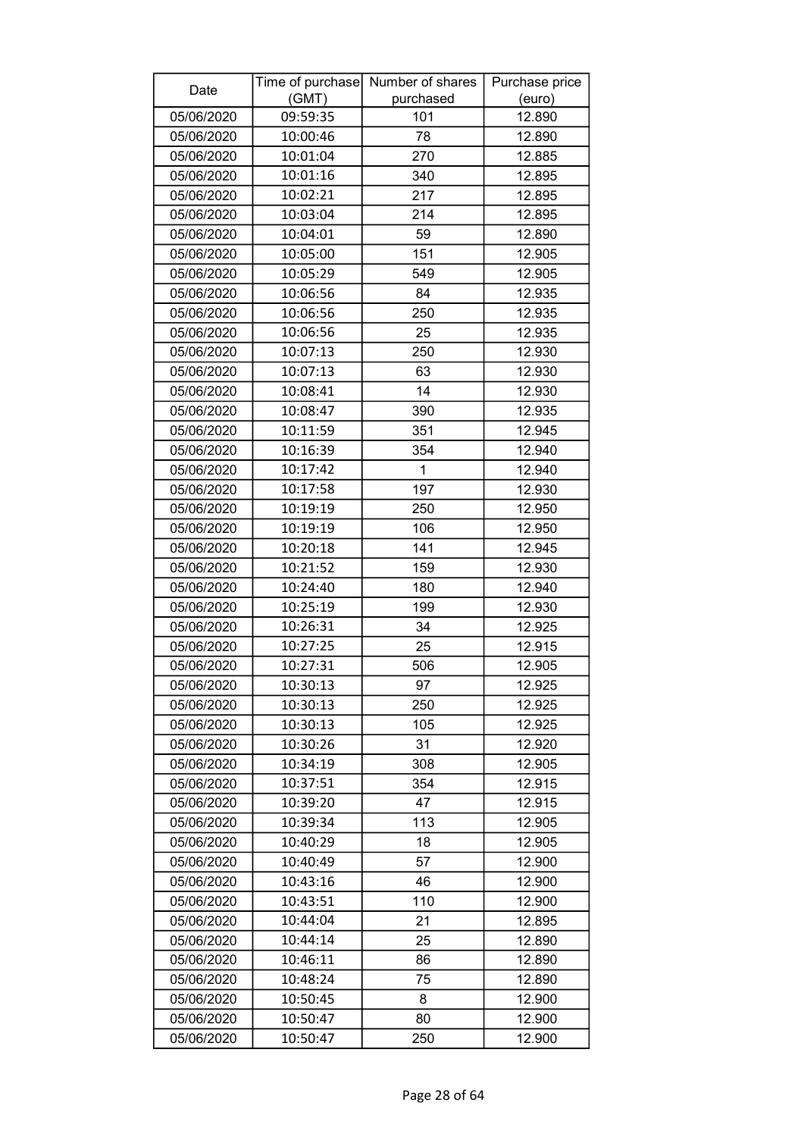| Date       |          | Time of purchase Number of shares | Purchase price |
|------------|----------|-----------------------------------|----------------|
|            | (GMT)    | purchased                         | (euro)         |
| 05/06/2020 | 09:59:35 | 101                               | 12.890         |
| 05/06/2020 | 10:00:46 | 78                                | 12.890         |
| 05/06/2020 | 10:01:04 | 270                               | 12.885         |
| 05/06/2020 | 10:01:16 | 340                               | 12.895         |
| 05/06/2020 | 10:02:21 | 217                               | 12.895         |
| 05/06/2020 | 10:03:04 | 214                               | 12.895         |
| 05/06/2020 | 10:04:01 | 59                                | 12.890         |
| 05/06/2020 | 10:05:00 | 151                               | 12.905         |
| 05/06/2020 | 10:05:29 | 549                               | 12.905         |
| 05/06/2020 | 10:06:56 | 84                                | 12.935         |
| 05/06/2020 | 10:06:56 | 250                               | 12.935         |
| 05/06/2020 | 10:06:56 | 25                                | 12.935         |
| 05/06/2020 | 10:07:13 | 250                               | 12.930         |
| 05/06/2020 | 10:07:13 | 63                                | 12.930         |
| 05/06/2020 | 10:08:41 | 14                                | 12.930         |
| 05/06/2020 | 10:08:47 | 390                               | 12.935         |
| 05/06/2020 | 10:11:59 | 351                               | 12.945         |
| 05/06/2020 | 10:16:39 | 354                               | 12.940         |
| 05/06/2020 | 10:17:42 | $\mathbf{1}$                      | 12.940         |
| 05/06/2020 | 10:17:58 | 197                               | 12.930         |
| 05/06/2020 | 10:19:19 | 250                               | 12.950         |
| 05/06/2020 | 10:19:19 | 106                               | 12.950         |
| 05/06/2020 | 10:20:18 | 141                               | 12.945         |
| 05/06/2020 | 10:21:52 | 159                               | 12.930         |
| 05/06/2020 | 10:24:40 | 180                               | 12.940         |
| 05/06/2020 | 10:25:19 | 199                               | 12.930         |
| 05/06/2020 | 10:26:31 | 34                                | 12.925         |
| 05/06/2020 | 10:27:25 | 25                                | 12.915         |
| 05/06/2020 | 10:27:31 | 506                               | 12.905         |
| 05/06/2020 | 10:30:13 | 97                                | 12.925         |
| 05/06/2020 | 10:30:13 | 250                               | 12.925         |
| 05/06/2020 | 10:30:13 | 105                               | 12.925         |
| 05/06/2020 | 10:30:26 | 31                                | 12.920         |
| 05/06/2020 | 10:34:19 | 308                               | 12.905         |
| 05/06/2020 | 10:37:51 | 354                               | 12.915         |
| 05/06/2020 | 10:39:20 | 47                                | 12.915         |
| 05/06/2020 | 10:39:34 | 113                               | 12.905         |
| 05/06/2020 | 10:40:29 | 18                                | 12.905         |
| 05/06/2020 | 10:40:49 | 57                                | 12.900         |
| 05/06/2020 | 10:43:16 | 46                                | 12.900         |
| 05/06/2020 | 10:43:51 | 110                               | 12.900         |
| 05/06/2020 | 10:44:04 | 21                                | 12.895         |
| 05/06/2020 | 10:44:14 | 25                                | 12.890         |
| 05/06/2020 | 10:46:11 | 86                                | 12.890         |
| 05/06/2020 | 10:48:24 | 75                                | 12.890         |
| 05/06/2020 | 10:50:45 | 8                                 | 12.900         |
| 05/06/2020 | 10:50:47 | 80                                | 12.900         |
| 05/06/2020 | 10:50:47 | 250                               | 12.900         |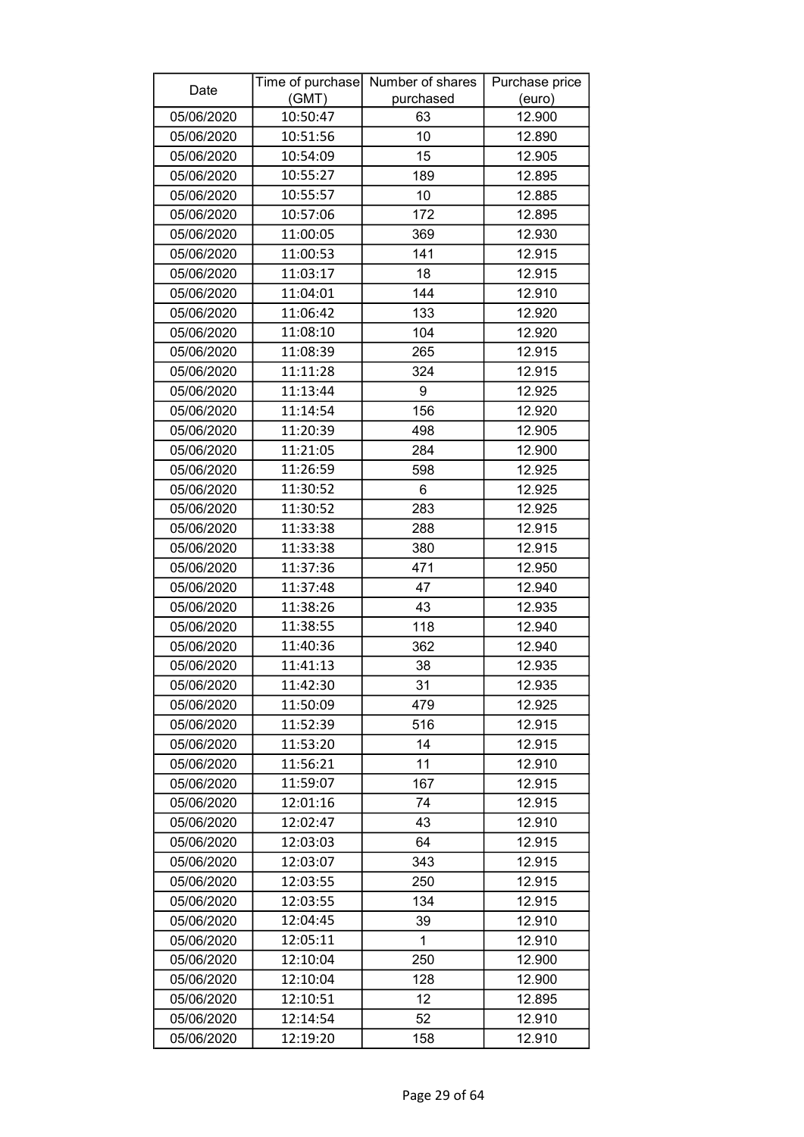| Date       | Time of purchase  | Number of shares | Purchase price |
|------------|-------------------|------------------|----------------|
|            | (GMT)<br>10:50:47 | purchased        | (euro)         |
| 05/06/2020 |                   | 63               | 12.900         |
| 05/06/2020 | 10:51:56          | 10               | 12.890         |
| 05/06/2020 | 10:54:09          | 15               | 12.905         |
| 05/06/2020 | 10:55:27          | 189              | 12.895         |
| 05/06/2020 | 10:55:57          | 10               | 12.885         |
| 05/06/2020 | 10:57:06          | 172              | 12.895         |
| 05/06/2020 | 11:00:05          | 369              | 12.930         |
| 05/06/2020 | 11:00:53          | 141              | 12.915         |
| 05/06/2020 | 11:03:17          | 18               | 12.915         |
| 05/06/2020 | 11:04:01          | 144              | 12.910         |
| 05/06/2020 | 11:06:42          | 133              | 12.920         |
| 05/06/2020 | 11:08:10          | 104              | 12.920         |
| 05/06/2020 | 11:08:39          | 265              | 12.915         |
| 05/06/2020 | 11:11:28          | 324              | 12.915         |
| 05/06/2020 | 11:13:44          | 9                | 12.925         |
| 05/06/2020 | 11:14:54          | 156              | 12.920         |
| 05/06/2020 | 11:20:39          | 498              | 12.905         |
| 05/06/2020 | 11:21:05          | 284              | 12.900         |
| 05/06/2020 | 11:26:59          | 598              | 12.925         |
| 05/06/2020 | 11:30:52          | 6                | 12.925         |
| 05/06/2020 | 11:30:52          | 283              | 12.925         |
| 05/06/2020 | 11:33:38          | 288              | 12.915         |
| 05/06/2020 | 11:33:38          | 380              | 12.915         |
| 05/06/2020 | 11:37:36          | 471              | 12.950         |
| 05/06/2020 | 11:37:48          | 47               | 12.940         |
| 05/06/2020 | 11:38:26          | 43               | 12.935         |
| 05/06/2020 | 11:38:55          | 118              | 12.940         |
| 05/06/2020 | 11:40:36          | 362              | 12.940         |
| 05/06/2020 | 11:41:13          | 38               | 12.935         |
| 05/06/2020 | 11:42:30          | 31               | 12.935         |
| 05/06/2020 | 11:50:09          | 479              | 12.925         |
| 05/06/2020 | 11:52:39          | 516              | 12.915         |
| 05/06/2020 | 11:53:20          | 14               | 12.915         |
| 05/06/2020 | 11:56:21          | 11               | 12.910         |
| 05/06/2020 | 11:59:07          | 167              | 12.915         |
| 05/06/2020 | 12:01:16          | 74               | 12.915         |
| 05/06/2020 | 12:02:47          | 43               | 12.910         |
| 05/06/2020 | 12:03:03          | 64               | 12.915         |
| 05/06/2020 | 12:03:07          | 343              | 12.915         |
| 05/06/2020 | 12:03:55          | 250              | 12.915         |
| 05/06/2020 | 12:03:55          | 134              | 12.915         |
| 05/06/2020 | 12:04:45          | 39               | 12.910         |
| 05/06/2020 | 12:05:11          | 1                | 12.910         |
| 05/06/2020 | 12:10:04          | 250              | 12.900         |
| 05/06/2020 | 12:10:04          | 128              | 12.900         |
| 05/06/2020 | 12:10:51          | 12               | 12.895         |
| 05/06/2020 | 12:14:54          | 52               | 12.910         |
| 05/06/2020 | 12:19:20          | 158              | 12.910         |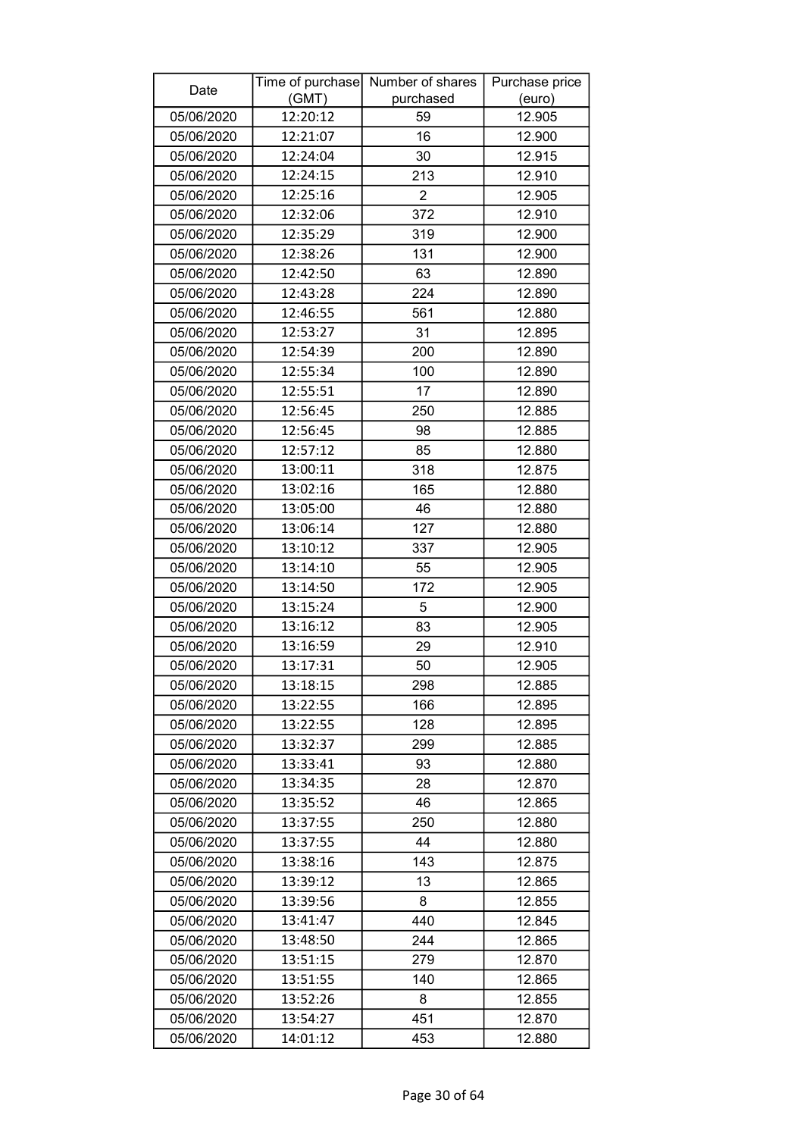| Date       |          | Time of purchase Number of shares | Purchase price |
|------------|----------|-----------------------------------|----------------|
|            | (GMT)    | purchased                         | (euro)         |
| 05/06/2020 | 12:20:12 | 59                                | 12.905         |
| 05/06/2020 | 12:21:07 | 16                                | 12.900         |
| 05/06/2020 | 12:24:04 | 30                                | 12.915         |
| 05/06/2020 | 12:24:15 | 213                               | 12.910         |
| 05/06/2020 | 12:25:16 | $\overline{2}$                    | 12.905         |
| 05/06/2020 | 12:32:06 | 372                               | 12.910         |
| 05/06/2020 | 12:35:29 | 319                               | 12.900         |
| 05/06/2020 | 12:38:26 | 131                               | 12.900         |
| 05/06/2020 | 12:42:50 | 63                                | 12.890         |
| 05/06/2020 | 12:43:28 | 224                               | 12.890         |
| 05/06/2020 | 12:46:55 | 561                               | 12.880         |
| 05/06/2020 | 12:53:27 | 31                                | 12.895         |
| 05/06/2020 | 12:54:39 | 200                               | 12.890         |
| 05/06/2020 | 12:55:34 | 100                               | 12.890         |
| 05/06/2020 | 12:55:51 | 17                                | 12.890         |
| 05/06/2020 | 12:56:45 | 250                               | 12.885         |
| 05/06/2020 | 12:56:45 | 98                                | 12.885         |
| 05/06/2020 | 12:57:12 | 85                                | 12.880         |
| 05/06/2020 | 13:00:11 | 318                               | 12.875         |
| 05/06/2020 | 13:02:16 | 165                               | 12.880         |
| 05/06/2020 | 13:05:00 | 46                                | 12.880         |
| 05/06/2020 | 13:06:14 | 127                               | 12.880         |
| 05/06/2020 | 13:10:12 | 337                               | 12.905         |
| 05/06/2020 | 13:14:10 | 55                                | 12.905         |
| 05/06/2020 | 13:14:50 | 172                               | 12.905         |
| 05/06/2020 | 13:15:24 | 5                                 | 12.900         |
| 05/06/2020 | 13:16:12 | 83                                | 12.905         |
| 05/06/2020 | 13:16:59 | 29                                | 12.910         |
| 05/06/2020 | 13:17:31 | 50                                | 12.905         |
| 05/06/2020 | 13:18:15 | 298                               | 12.885         |
| 05/06/2020 | 13:22:55 | 166                               | 12.895         |
| 05/06/2020 | 13:22:55 | 128                               | 12.895         |
| 05/06/2020 | 13:32:37 | 299                               | 12.885         |
| 05/06/2020 | 13:33:41 | 93                                | 12.880         |
| 05/06/2020 | 13:34:35 | 28                                | 12.870         |
| 05/06/2020 | 13:35:52 | 46                                | 12.865         |
| 05/06/2020 | 13:37:55 | 250                               | 12.880         |
| 05/06/2020 | 13:37:55 | 44                                | 12.880         |
| 05/06/2020 | 13:38:16 | 143                               | 12.875         |
| 05/06/2020 | 13:39:12 | 13                                | 12.865         |
| 05/06/2020 | 13:39:56 | 8                                 | 12.855         |
| 05/06/2020 | 13:41:47 | 440                               | 12.845         |
| 05/06/2020 | 13:48:50 | 244                               | 12.865         |
| 05/06/2020 | 13:51:15 | 279                               | 12.870         |
| 05/06/2020 | 13:51:55 | 140                               | 12.865         |
| 05/06/2020 | 13:52:26 | 8                                 | 12.855         |
| 05/06/2020 | 13:54:27 | 451                               | 12.870         |
| 05/06/2020 | 14:01:12 | 453                               | 12.880         |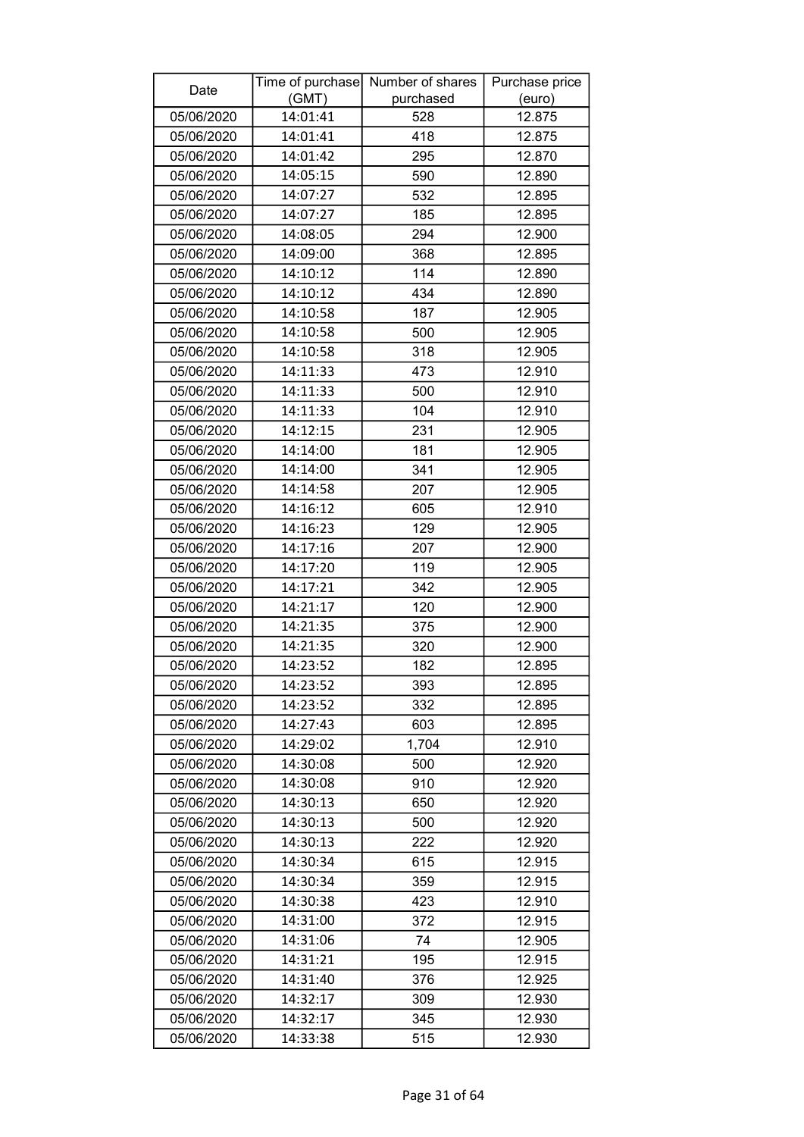| Date       |          | Time of purchase Number of shares | Purchase price |
|------------|----------|-----------------------------------|----------------|
|            | (GMT)    | purchased                         | (euro)         |
| 05/06/2020 | 14:01:41 | 528                               | 12.875         |
| 05/06/2020 | 14:01:41 | 418                               | 12.875         |
| 05/06/2020 | 14:01:42 | 295                               | 12.870         |
| 05/06/2020 | 14:05:15 | 590                               | 12.890         |
| 05/06/2020 | 14:07:27 | 532                               | 12.895         |
| 05/06/2020 | 14:07:27 | 185                               | 12.895         |
| 05/06/2020 | 14:08:05 | 294                               | 12.900         |
| 05/06/2020 | 14:09:00 | 368                               | 12.895         |
| 05/06/2020 | 14:10:12 | 114                               | 12.890         |
| 05/06/2020 | 14:10:12 | 434                               | 12.890         |
| 05/06/2020 | 14:10:58 | 187                               | 12.905         |
| 05/06/2020 | 14:10:58 | 500                               | 12.905         |
| 05/06/2020 | 14:10:58 | 318                               | 12.905         |
| 05/06/2020 | 14:11:33 | 473                               | 12.910         |
| 05/06/2020 | 14:11:33 | 500                               | 12.910         |
| 05/06/2020 | 14:11:33 | 104                               | 12.910         |
| 05/06/2020 | 14:12:15 | 231                               | 12.905         |
| 05/06/2020 | 14:14:00 | 181                               | 12.905         |
| 05/06/2020 | 14:14:00 | 341                               | 12.905         |
| 05/06/2020 | 14:14:58 | 207                               | 12.905         |
| 05/06/2020 | 14:16:12 | 605                               | 12.910         |
| 05/06/2020 | 14:16:23 | 129                               | 12.905         |
| 05/06/2020 | 14:17:16 | 207                               | 12.900         |
| 05/06/2020 | 14:17:20 | 119                               | 12.905         |
| 05/06/2020 | 14:17:21 | 342                               | 12.905         |
| 05/06/2020 | 14:21:17 | 120                               | 12.900         |
| 05/06/2020 | 14:21:35 | 375                               | 12.900         |
| 05/06/2020 | 14:21:35 | 320                               | 12.900         |
| 05/06/2020 | 14:23:52 | 182                               | 12.895         |
| 05/06/2020 | 14:23:52 | 393                               | 12.895         |
| 05/06/2020 | 14:23:52 | 332                               | 12.895         |
| 05/06/2020 | 14:27:43 | 603                               | 12.895         |
| 05/06/2020 | 14:29:02 | 1,704                             | 12.910         |
| 05/06/2020 | 14:30:08 | 500                               | 12.920         |
| 05/06/2020 | 14:30:08 | 910                               | 12.920         |
| 05/06/2020 | 14:30:13 | 650                               | 12.920         |
| 05/06/2020 | 14:30:13 | 500                               | 12.920         |
| 05/06/2020 | 14:30:13 | 222                               | 12.920         |
| 05/06/2020 | 14:30:34 | 615                               | 12.915         |
| 05/06/2020 | 14:30:34 | 359                               | 12.915         |
| 05/06/2020 | 14:30:38 | 423                               | 12.910         |
| 05/06/2020 | 14:31:00 | 372                               | 12.915         |
| 05/06/2020 | 14:31:06 | 74                                | 12.905         |
| 05/06/2020 | 14:31:21 | 195                               | 12.915         |
| 05/06/2020 | 14:31:40 | 376                               | 12.925         |
| 05/06/2020 | 14:32:17 | 309                               | 12.930         |
| 05/06/2020 | 14:32:17 | 345                               | 12.930         |
| 05/06/2020 | 14:33:38 | 515                               | 12.930         |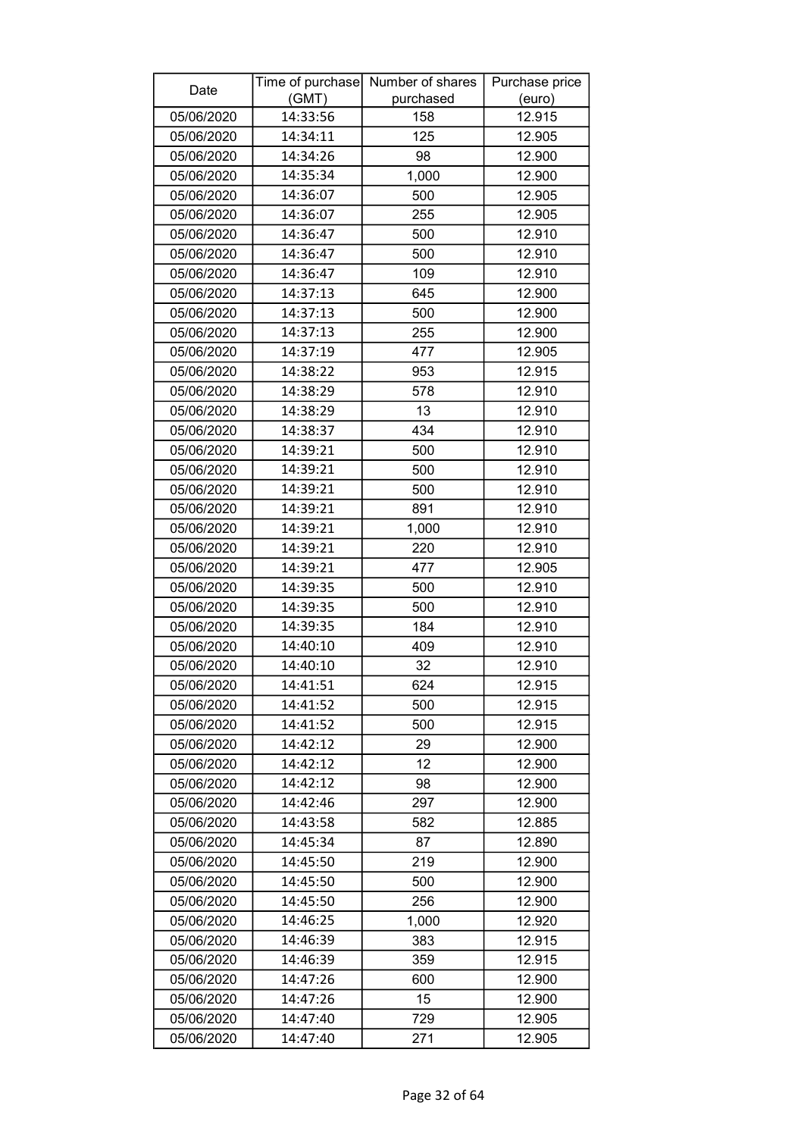| Date       | Time of purchase | Number of shares | Purchase price |
|------------|------------------|------------------|----------------|
|            | (GMT)            | purchased        | (euro)         |
| 05/06/2020 | 14:33:56         | 158              | 12.915         |
| 05/06/2020 | 14:34:11         | 125              | 12.905         |
| 05/06/2020 | 14:34:26         | 98               | 12.900         |
| 05/06/2020 | 14:35:34         | 1,000            | 12.900         |
| 05/06/2020 | 14:36:07         | 500              | 12.905         |
| 05/06/2020 | 14:36:07         | 255              | 12.905         |
| 05/06/2020 | 14:36:47         | 500              | 12.910         |
| 05/06/2020 | 14:36:47         | 500              | 12.910         |
| 05/06/2020 | 14:36:47         | 109              | 12.910         |
| 05/06/2020 | 14:37:13         | 645              | 12.900         |
| 05/06/2020 | 14:37:13         | 500              | 12.900         |
| 05/06/2020 | 14:37:13         | 255              | 12.900         |
| 05/06/2020 | 14:37:19         | 477              | 12.905         |
| 05/06/2020 | 14:38:22         | 953              | 12.915         |
| 05/06/2020 | 14:38:29         | 578              | 12.910         |
| 05/06/2020 | 14:38:29         | 13               | 12.910         |
| 05/06/2020 | 14:38:37         | 434              | 12.910         |
| 05/06/2020 | 14:39:21         | 500              | 12.910         |
| 05/06/2020 | 14:39:21         | 500              | 12.910         |
| 05/06/2020 | 14:39:21         | 500              | 12.910         |
| 05/06/2020 | 14:39:21         | 891              | 12.910         |
| 05/06/2020 | 14:39:21         | 1,000            | 12.910         |
| 05/06/2020 | 14:39:21         | 220              | 12.910         |
| 05/06/2020 | 14:39:21         | 477              | 12.905         |
| 05/06/2020 | 14:39:35         | 500              | 12.910         |
| 05/06/2020 | 14:39:35         | 500              | 12.910         |
| 05/06/2020 | 14:39:35         | 184              | 12.910         |
| 05/06/2020 | 14:40:10         | 409              | 12.910         |
| 05/06/2020 | 14:40:10         | 32               | 12.910         |
| 05/06/2020 | 14:41:51         | 624              | 12.915         |
| 05/06/2020 | 14:41:52         | 500              | 12.915         |
| 05/06/2020 | 14:41:52         | 500              | 12.915         |
| 05/06/2020 | 14:42:12         | 29               | 12.900         |
| 05/06/2020 | 14:42:12         | 12               | 12.900         |
| 05/06/2020 | 14:42:12         | 98               | 12.900         |
| 05/06/2020 | 14:42:46         | 297              | 12.900         |
| 05/06/2020 | 14:43:58         | 582              | 12.885         |
| 05/06/2020 | 14:45:34         | 87               | 12.890         |
| 05/06/2020 | 14:45:50         | 219              | 12.900         |
| 05/06/2020 | 14:45:50         | 500              | 12.900         |
| 05/06/2020 | 14:45:50         | 256              | 12.900         |
| 05/06/2020 | 14:46:25         | 1,000            | 12.920         |
| 05/06/2020 | 14:46:39         | 383              | 12.915         |
| 05/06/2020 | 14:46:39         | 359              | 12.915         |
| 05/06/2020 | 14:47:26         | 600              | 12.900         |
| 05/06/2020 | 14:47:26         | 15               | 12.900         |
| 05/06/2020 | 14:47:40         | 729              | 12.905         |
| 05/06/2020 | 14:47:40         | 271              | 12.905         |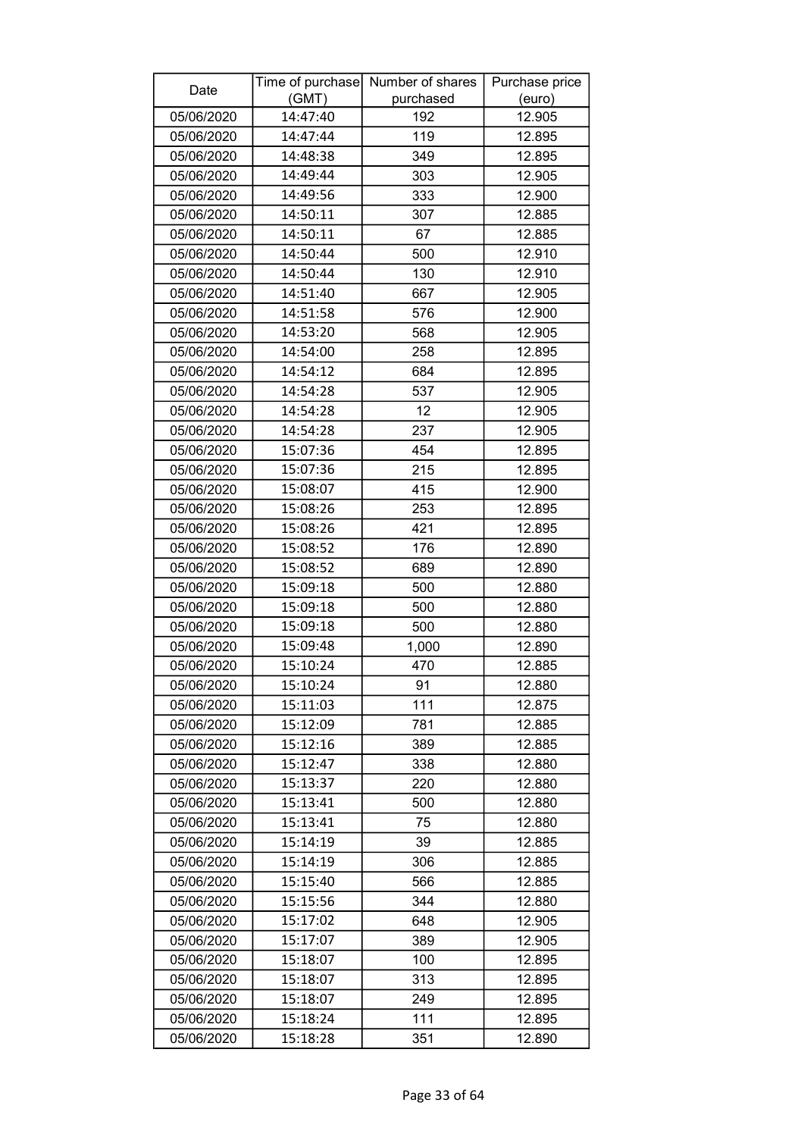| Date                     | (GMT)                | Time of purchase Number of shares<br>purchased | Purchase price   |
|--------------------------|----------------------|------------------------------------------------|------------------|
| 05/06/2020               | 14:47:40             | 192                                            | (euro)<br>12.905 |
| 05/06/2020               | 14:47:44             | 119                                            | 12.895           |
| 05/06/2020               | 14:48:38             | 349                                            | 12.895           |
| 05/06/2020               | 14:49:44             | 303                                            | 12.905           |
| 05/06/2020               | 14:49:56             | 333                                            | 12.900           |
| 05/06/2020               | 14:50:11             | 307                                            | 12.885           |
| 05/06/2020               | 14:50:11             | 67                                             | 12.885           |
| 05/06/2020               | 14:50:44             | 500                                            | 12.910           |
| 05/06/2020               | 14:50:44             | 130                                            | 12.910           |
| 05/06/2020               | 14:51:40             | 667                                            | 12.905           |
| 05/06/2020               | 14:51:58             | 576                                            | 12.900           |
| 05/06/2020               | 14:53:20             | 568                                            | 12.905           |
| 05/06/2020               | 14:54:00             | 258                                            | 12.895           |
| 05/06/2020               | 14:54:12             | 684                                            | 12.895           |
| 05/06/2020               | 14:54:28             | 537                                            | 12.905           |
| 05/06/2020               | 14:54:28             | 12                                             | 12.905           |
| 05/06/2020               | 14:54:28             | 237                                            | 12.905           |
| 05/06/2020               | 15:07:36             | 454                                            | 12.895           |
|                          | 15:07:36             | 215                                            | 12.895           |
| 05/06/2020<br>05/06/2020 | 15:08:07             | 415                                            | 12.900           |
|                          | 15:08:26             | 253                                            | 12.895           |
| 05/06/2020               |                      |                                                |                  |
| 05/06/2020               | 15:08:26<br>15:08:52 | 421                                            | 12.895           |
| 05/06/2020               |                      | 176                                            | 12.890           |
| 05/06/2020               | 15:08:52             | 689                                            | 12.890           |
| 05/06/2020<br>05/06/2020 | 15:09:18<br>15:09:18 | 500                                            | 12.880           |
|                          | 15:09:18             | 500                                            | 12.880           |
| 05/06/2020<br>05/06/2020 | 15:09:48             | 500<br>1,000                                   | 12.880<br>12.890 |
| 05/06/2020               | 15:10:24             | 470                                            | 12.885           |
| 05/06/2020               | 15:10:24             | 91                                             | 12.880           |
| 05/06/2020               | 15:11:03             | 111                                            | 12.875           |
| 05/06/2020               | 15:12:09             | 781                                            | 12.885           |
| 05/06/2020               | 15:12:16             | 389                                            | 12.885           |
| 05/06/2020               | 15:12:47             | 338                                            | 12.880           |
| 05/06/2020               | 15:13:37             | 220                                            | 12.880           |
| 05/06/2020               | 15:13:41             |                                                |                  |
| 05/06/2020               | 15:13:41             | 500<br>75                                      | 12.880<br>12.880 |
|                          | 15:14:19             | 39                                             | 12.885           |
| 05/06/2020<br>05/06/2020 | 15:14:19             | 306                                            | 12.885           |
| 05/06/2020               | 15:15:40             | 566                                            | 12.885           |
|                          |                      |                                                |                  |
| 05/06/2020               | 15:15:56             | 344                                            | 12.880           |
| 05/06/2020               | 15:17:02             | 648                                            | 12.905           |
| 05/06/2020               | 15:17:07<br>15:18:07 | 389                                            | 12.905           |
| 05/06/2020               | 15:18:07             | 100                                            | 12.895           |
| 05/06/2020               |                      | 313                                            | 12.895           |
| 05/06/2020               | 15:18:07             | 249                                            | 12.895           |
| 05/06/2020               | 15:18:24             | 111                                            | 12.895           |
| 05/06/2020               | 15:18:28             | 351                                            | 12.890           |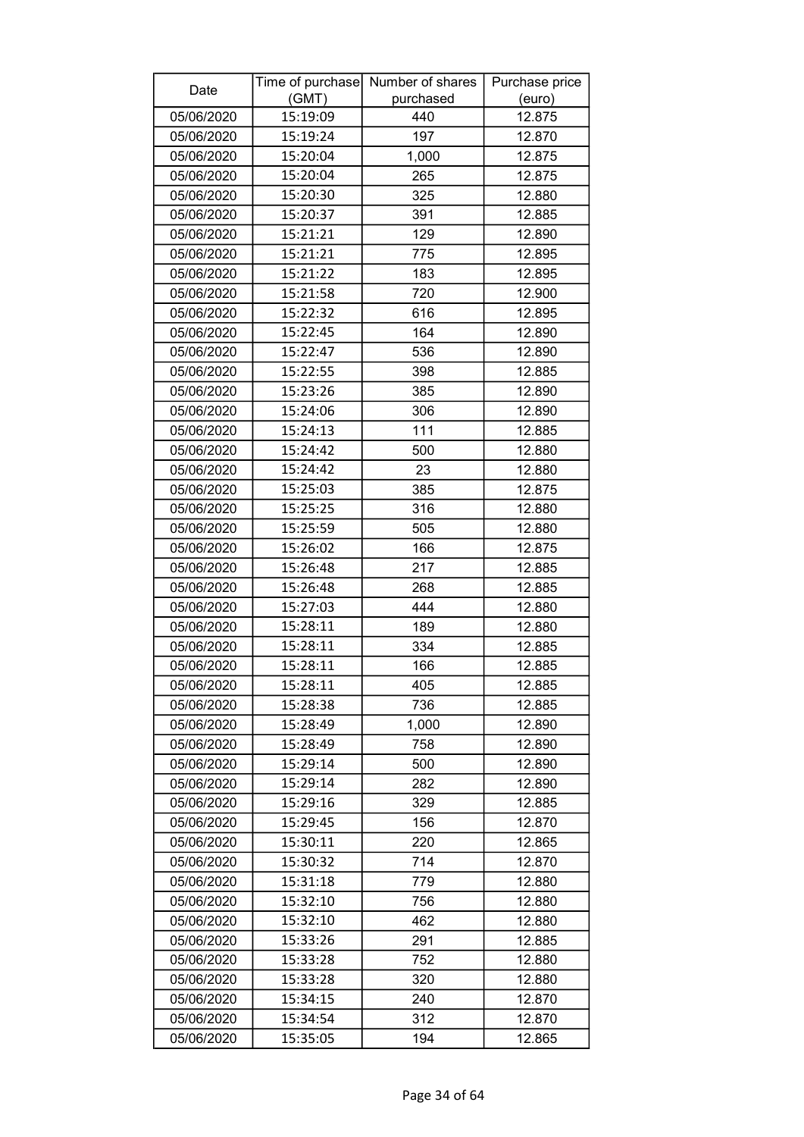| Date       |          | Time of purchase Number of shares | Purchase price |
|------------|----------|-----------------------------------|----------------|
|            | (GMT)    | purchased                         | (euro)         |
| 05/06/2020 | 15:19:09 | 440                               | 12.875         |
| 05/06/2020 | 15:19:24 | 197                               | 12.870         |
| 05/06/2020 | 15:20:04 | 1,000                             | 12.875         |
| 05/06/2020 | 15:20:04 | 265                               | 12.875         |
| 05/06/2020 | 15:20:30 | 325                               | 12.880         |
| 05/06/2020 | 15:20:37 | 391                               | 12.885         |
| 05/06/2020 | 15:21:21 | 129                               | 12.890         |
| 05/06/2020 | 15:21:21 | 775                               | 12.895         |
| 05/06/2020 | 15:21:22 | 183                               | 12.895         |
| 05/06/2020 | 15:21:58 | 720                               | 12.900         |
| 05/06/2020 | 15:22:32 | 616                               | 12.895         |
| 05/06/2020 | 15:22:45 | 164                               | 12.890         |
| 05/06/2020 | 15:22:47 | 536                               | 12.890         |
| 05/06/2020 | 15:22:55 | 398                               | 12.885         |
| 05/06/2020 | 15:23:26 | 385                               | 12.890         |
| 05/06/2020 | 15:24:06 | 306                               | 12.890         |
| 05/06/2020 | 15:24:13 | 111                               | 12.885         |
| 05/06/2020 | 15:24:42 | 500                               | 12.880         |
| 05/06/2020 | 15:24:42 | 23                                | 12.880         |
| 05/06/2020 | 15:25:03 | 385                               | 12.875         |
| 05/06/2020 | 15:25:25 | 316                               | 12.880         |
| 05/06/2020 | 15:25:59 | 505                               | 12.880         |
| 05/06/2020 | 15:26:02 | 166                               | 12.875         |
| 05/06/2020 | 15:26:48 | 217                               | 12.885         |
| 05/06/2020 | 15:26:48 | 268                               | 12.885         |
| 05/06/2020 | 15:27:03 | 444                               | 12.880         |
| 05/06/2020 | 15:28:11 | 189                               | 12.880         |
| 05/06/2020 | 15:28:11 | 334                               | 12.885         |
| 05/06/2020 | 15:28:11 | 166                               | 12.885         |
| 05/06/2020 | 15:28:11 | 405                               | 12.885         |
| 05/06/2020 | 15:28:38 | 736                               | 12.885         |
| 05/06/2020 | 15:28:49 | 1,000                             | 12.890         |
| 05/06/2020 | 15:28:49 | 758                               | 12.890         |
| 05/06/2020 | 15:29:14 | 500                               | 12.890         |
| 05/06/2020 | 15:29:14 | 282                               | 12.890         |
| 05/06/2020 | 15:29:16 | 329                               | 12.885         |
| 05/06/2020 | 15:29:45 | 156                               | 12.870         |
| 05/06/2020 | 15:30:11 | 220                               | 12.865         |
| 05/06/2020 | 15:30:32 | 714                               | 12.870         |
| 05/06/2020 | 15:31:18 | 779                               | 12.880         |
| 05/06/2020 | 15:32:10 | 756                               | 12.880         |
| 05/06/2020 | 15:32:10 | 462                               | 12.880         |
| 05/06/2020 | 15:33:26 | 291                               | 12.885         |
| 05/06/2020 | 15:33:28 | 752                               | 12.880         |
| 05/06/2020 | 15:33:28 | 320                               | 12.880         |
| 05/06/2020 | 15:34:15 | 240                               | 12.870         |
| 05/06/2020 | 15:34:54 | 312                               | 12.870         |
| 05/06/2020 | 15:35:05 | 194                               | 12.865         |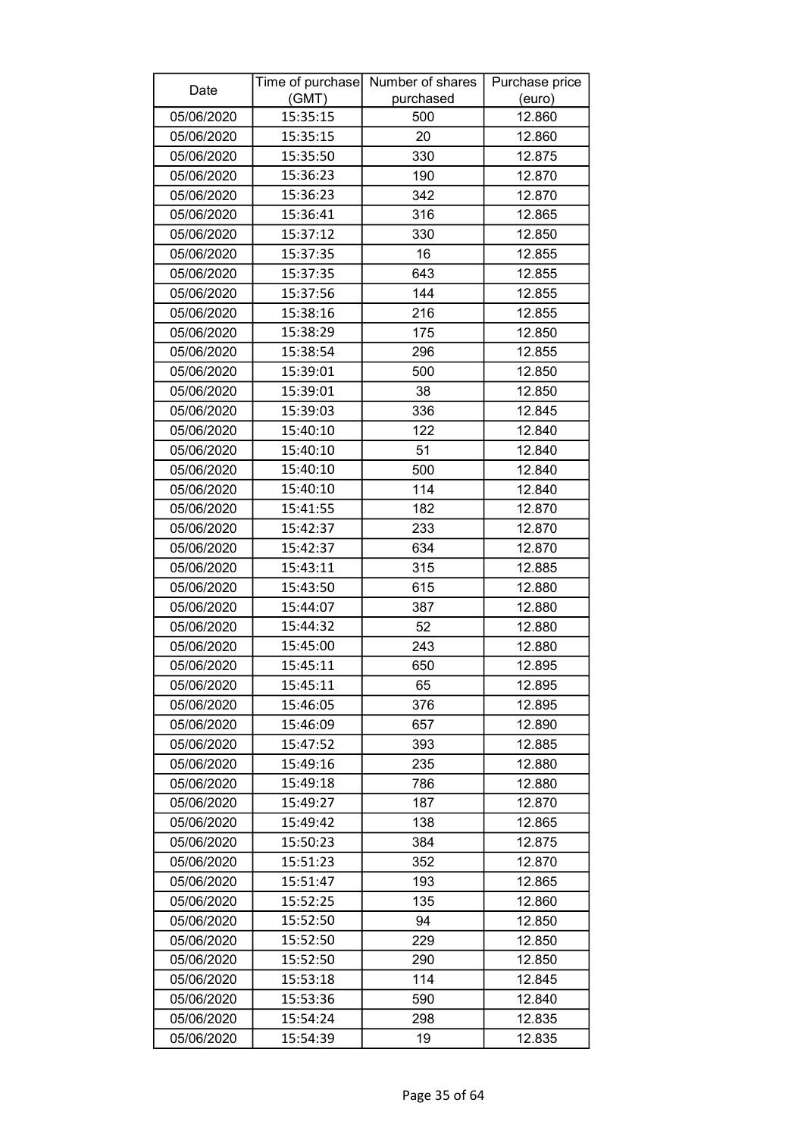| Date       |          | Time of purchase Number of shares | Purchase price |
|------------|----------|-----------------------------------|----------------|
|            | (GMT)    | purchased                         | (euro)         |
| 05/06/2020 | 15:35:15 | 500                               | 12.860         |
| 05/06/2020 | 15:35:15 | 20                                | 12.860         |
| 05/06/2020 | 15:35:50 | 330                               | 12.875         |
| 05/06/2020 | 15:36:23 | 190                               | 12.870         |
| 05/06/2020 | 15:36:23 | 342                               | 12.870         |
| 05/06/2020 | 15:36:41 | 316                               | 12.865         |
| 05/06/2020 | 15:37:12 | 330                               | 12.850         |
| 05/06/2020 | 15:37:35 | 16                                | 12.855         |
| 05/06/2020 | 15:37:35 | 643                               | 12.855         |
| 05/06/2020 | 15:37:56 | 144                               | 12.855         |
| 05/06/2020 | 15:38:16 | 216                               | 12.855         |
| 05/06/2020 | 15:38:29 | 175                               | 12.850         |
| 05/06/2020 | 15:38:54 | 296                               | 12.855         |
| 05/06/2020 | 15:39:01 | 500                               | 12.850         |
| 05/06/2020 | 15:39:01 | 38                                | 12.850         |
| 05/06/2020 | 15:39:03 | 336                               | 12.845         |
| 05/06/2020 | 15:40:10 | 122                               | 12.840         |
| 05/06/2020 | 15:40:10 | 51                                | 12.840         |
| 05/06/2020 | 15:40:10 | 500                               | 12.840         |
| 05/06/2020 | 15:40:10 | 114                               | 12.840         |
| 05/06/2020 | 15:41:55 | 182                               | 12.870         |
| 05/06/2020 | 15:42:37 | 233                               | 12.870         |
| 05/06/2020 | 15:42:37 | 634                               | 12.870         |
| 05/06/2020 | 15:43:11 | 315                               | 12.885         |
| 05/06/2020 | 15:43:50 | 615                               | 12.880         |
| 05/06/2020 | 15:44:07 | 387                               | 12.880         |
| 05/06/2020 | 15:44:32 | 52                                | 12.880         |
| 05/06/2020 | 15:45:00 | 243                               | 12.880         |
| 05/06/2020 | 15:45:11 | 650                               | 12.895         |
| 05/06/2020 | 15:45:11 | 65                                | 12.895         |
| 05/06/2020 | 15:46:05 | 376                               | 12.895         |
| 05/06/2020 | 15:46:09 | 657                               | 12.890         |
| 05/06/2020 | 15:47:52 | 393                               | 12.885         |
| 05/06/2020 | 15:49:16 | 235                               | 12.880         |
| 05/06/2020 | 15:49:18 | 786                               | 12.880         |
| 05/06/2020 | 15:49:27 | 187                               | 12.870         |
| 05/06/2020 | 15:49:42 | 138                               | 12.865         |
| 05/06/2020 | 15:50:23 | 384                               | 12.875         |
| 05/06/2020 | 15:51:23 | 352                               | 12.870         |
| 05/06/2020 | 15:51:47 | 193                               | 12.865         |
| 05/06/2020 | 15:52:25 | 135                               | 12.860         |
| 05/06/2020 | 15:52:50 | 94                                | 12.850         |
| 05/06/2020 | 15:52:50 | 229                               | 12.850         |
| 05/06/2020 | 15:52:50 | 290                               | 12.850         |
| 05/06/2020 | 15:53:18 | 114                               | 12.845         |
| 05/06/2020 | 15:53:36 | 590                               | 12.840         |
| 05/06/2020 | 15:54:24 | 298                               | 12.835         |
| 05/06/2020 | 15:54:39 | 19                                | 12.835         |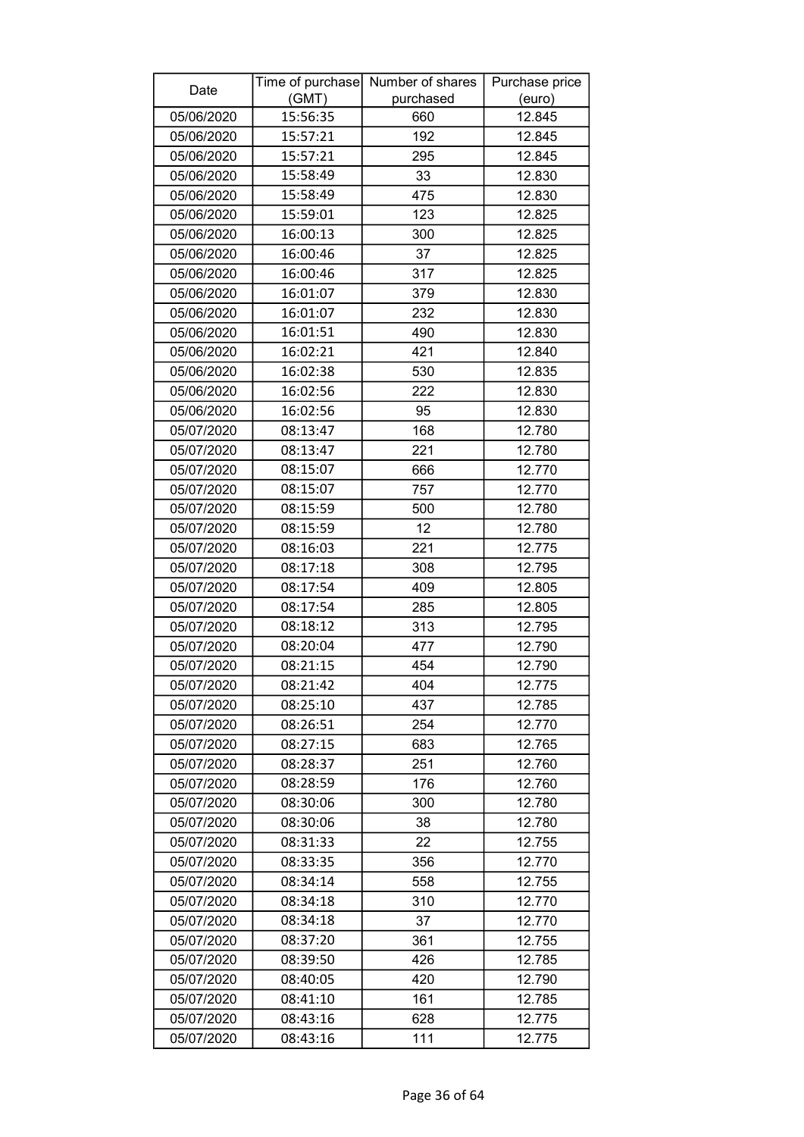| Date       |          | Time of purchase Number of shares | Purchase price |
|------------|----------|-----------------------------------|----------------|
|            | (GMT)    | purchased                         | (euro)         |
| 05/06/2020 | 15:56:35 | 660                               | 12.845         |
| 05/06/2020 | 15:57:21 | 192                               | 12.845         |
| 05/06/2020 | 15:57:21 | 295                               | 12.845         |
| 05/06/2020 | 15:58:49 | 33                                | 12.830         |
| 05/06/2020 | 15:58:49 | 475                               | 12.830         |
| 05/06/2020 | 15:59:01 | 123                               | 12.825         |
| 05/06/2020 | 16:00:13 | 300                               | 12.825         |
| 05/06/2020 | 16:00:46 | 37                                | 12.825         |
| 05/06/2020 | 16:00:46 | 317                               | 12.825         |
| 05/06/2020 | 16:01:07 | 379                               | 12.830         |
| 05/06/2020 | 16:01:07 | 232                               | 12.830         |
| 05/06/2020 | 16:01:51 | 490                               | 12.830         |
| 05/06/2020 | 16:02:21 | 421                               | 12.840         |
| 05/06/2020 | 16:02:38 | 530                               | 12.835         |
| 05/06/2020 | 16:02:56 | 222                               | 12.830         |
| 05/06/2020 | 16:02:56 | 95                                | 12.830         |
| 05/07/2020 | 08:13:47 | 168                               | 12.780         |
| 05/07/2020 | 08:13:47 | 221                               | 12.780         |
| 05/07/2020 | 08:15:07 | 666                               | 12.770         |
| 05/07/2020 | 08:15:07 | 757                               | 12.770         |
| 05/07/2020 | 08:15:59 | 500                               | 12.780         |
| 05/07/2020 | 08:15:59 | 12                                | 12.780         |
| 05/07/2020 | 08:16:03 | 221                               | 12.775         |
| 05/07/2020 | 08:17:18 | 308                               | 12.795         |
| 05/07/2020 | 08:17:54 | 409                               | 12.805         |
| 05/07/2020 | 08:17:54 | 285                               | 12.805         |
| 05/07/2020 | 08:18:12 | 313                               | 12.795         |
| 05/07/2020 | 08:20:04 | 477                               | 12.790         |
| 05/07/2020 | 08:21:15 | 454                               | 12.790         |
| 05/07/2020 | 08:21:42 | 404                               | 12.775         |
| 05/07/2020 | 08:25:10 | 437                               | 12.785         |
| 05/07/2020 | 08:26:51 | 254                               | 12.770         |
| 05/07/2020 | 08:27:15 | 683                               | 12.765         |
| 05/07/2020 | 08:28:37 | 251                               | 12.760         |
| 05/07/2020 | 08:28:59 | 176                               | 12.760         |
| 05/07/2020 | 08:30:06 | 300                               | 12.780         |
| 05/07/2020 | 08:30:06 | 38                                | 12.780         |
| 05/07/2020 | 08:31:33 | 22                                | 12.755         |
| 05/07/2020 | 08:33:35 | 356                               | 12.770         |
| 05/07/2020 | 08:34:14 | 558                               | 12.755         |
| 05/07/2020 | 08:34:18 | 310                               | 12.770         |
| 05/07/2020 | 08:34:18 | 37                                | 12.770         |
| 05/07/2020 | 08:37:20 | 361                               | 12.755         |
| 05/07/2020 | 08:39:50 | 426                               | 12.785         |
| 05/07/2020 | 08:40:05 | 420                               | 12.790         |
| 05/07/2020 | 08:41:10 | 161                               | 12.785         |
| 05/07/2020 | 08:43:16 | 628                               | 12.775         |
| 05/07/2020 | 08:43:16 | 111                               | 12.775         |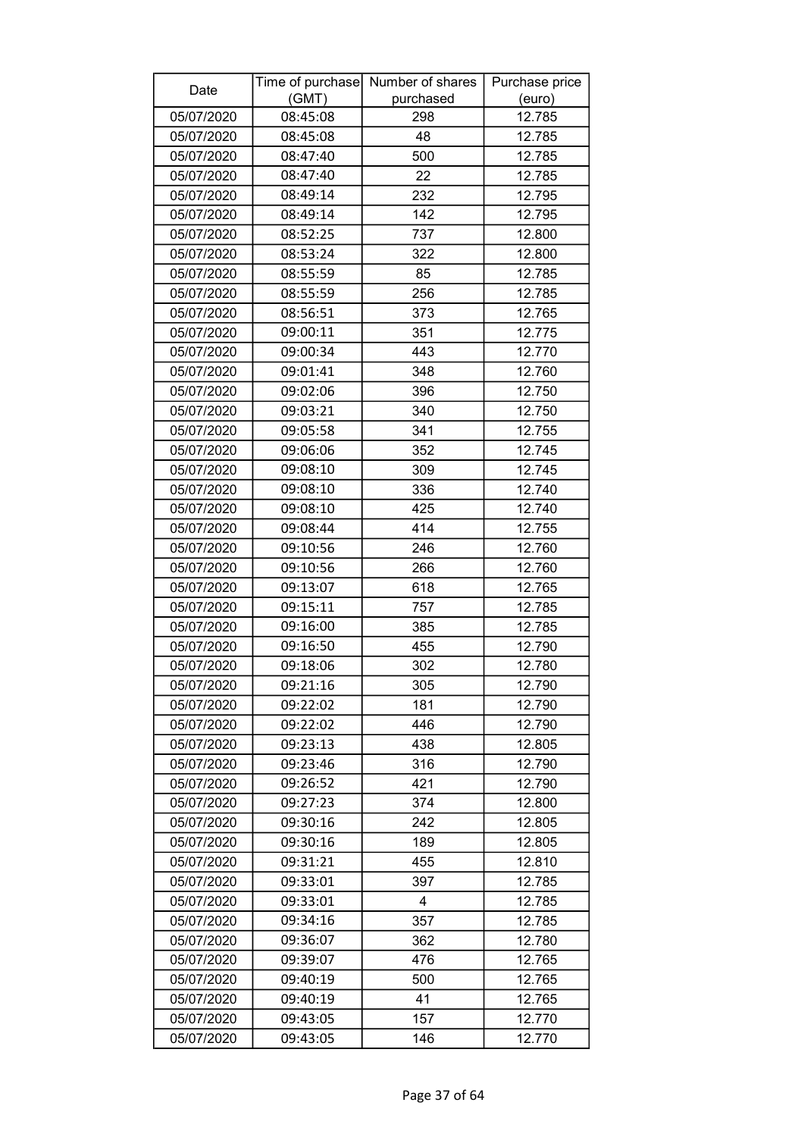| Date       |          | Time of purchase Number of shares | Purchase price |
|------------|----------|-----------------------------------|----------------|
|            | (GMT)    | purchased                         | (euro)         |
| 05/07/2020 | 08:45:08 | 298                               | 12.785         |
| 05/07/2020 | 08:45:08 | 48                                | 12.785         |
| 05/07/2020 | 08:47:40 | 500                               | 12.785         |
| 05/07/2020 | 08:47:40 | 22                                | 12.785         |
| 05/07/2020 | 08:49:14 | 232                               | 12.795         |
| 05/07/2020 | 08:49:14 | 142                               | 12.795         |
| 05/07/2020 | 08:52:25 | 737                               | 12.800         |
| 05/07/2020 | 08:53:24 | 322                               | 12.800         |
| 05/07/2020 | 08:55:59 | 85                                | 12.785         |
| 05/07/2020 | 08:55:59 | 256                               | 12.785         |
| 05/07/2020 | 08:56:51 | 373                               | 12.765         |
| 05/07/2020 | 09:00:11 | 351                               | 12.775         |
| 05/07/2020 | 09:00:34 | 443                               | 12.770         |
| 05/07/2020 | 09:01:41 | 348                               | 12.760         |
| 05/07/2020 | 09:02:06 | 396                               | 12.750         |
| 05/07/2020 | 09:03:21 | 340                               | 12.750         |
| 05/07/2020 | 09:05:58 | 341                               | 12.755         |
| 05/07/2020 | 09:06:06 | 352                               | 12.745         |
| 05/07/2020 | 09:08:10 | 309                               | 12.745         |
| 05/07/2020 | 09:08:10 | 336                               | 12.740         |
| 05/07/2020 | 09:08:10 | 425                               | 12.740         |
| 05/07/2020 | 09:08:44 | 414                               | 12.755         |
| 05/07/2020 | 09:10:56 | 246                               | 12.760         |
| 05/07/2020 | 09:10:56 | 266                               | 12.760         |
| 05/07/2020 | 09:13:07 | 618                               | 12.765         |
| 05/07/2020 | 09:15:11 | 757                               | 12.785         |
| 05/07/2020 | 09:16:00 | 385                               | 12.785         |
| 05/07/2020 | 09:16:50 | 455                               | 12.790         |
| 05/07/2020 | 09:18:06 | 302                               | 12.780         |
| 05/07/2020 | 09:21:16 | 305                               | 12.790         |
| 05/07/2020 | 09:22:02 | 181                               | 12.790         |
| 05/07/2020 | 09:22:02 | 446                               | 12.790         |
| 05/07/2020 | 09:23:13 | 438                               | 12.805         |
| 05/07/2020 | 09:23:46 | 316                               | 12.790         |
| 05/07/2020 | 09:26:52 | 421                               | 12.790         |
| 05/07/2020 | 09:27:23 | 374                               | 12.800         |
| 05/07/2020 | 09:30:16 | 242                               | 12.805         |
| 05/07/2020 | 09:30:16 | 189                               | 12.805         |
| 05/07/2020 | 09:31:21 | 455                               | 12.810         |
| 05/07/2020 | 09:33:01 | 397                               | 12.785         |
| 05/07/2020 | 09:33:01 | 4                                 | 12.785         |
| 05/07/2020 | 09:34:16 | 357                               | 12.785         |
| 05/07/2020 | 09:36:07 | 362                               | 12.780         |
| 05/07/2020 | 09:39:07 | 476                               | 12.765         |
| 05/07/2020 | 09:40:19 | 500                               | 12.765         |
| 05/07/2020 | 09:40:19 | 41                                | 12.765         |
| 05/07/2020 | 09:43:05 | 157                               | 12.770         |
| 05/07/2020 | 09:43:05 | 146                               | 12.770         |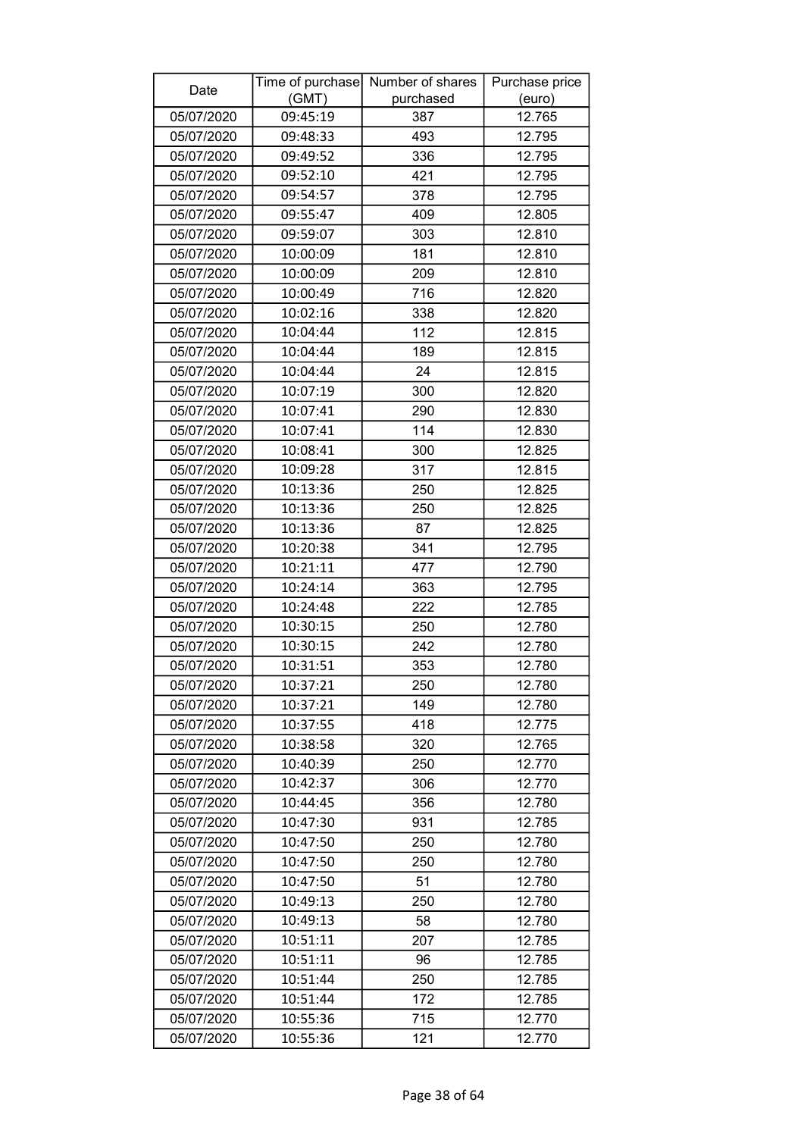| Date       |          | Time of purchase Number of shares | Purchase price |
|------------|----------|-----------------------------------|----------------|
|            | (GMT)    | purchased                         | (euro)         |
| 05/07/2020 | 09:45:19 | 387                               | 12.765         |
| 05/07/2020 | 09:48:33 | 493                               | 12.795         |
| 05/07/2020 | 09:49:52 | 336                               | 12.795         |
| 05/07/2020 | 09:52:10 | 421                               | 12.795         |
| 05/07/2020 | 09:54:57 | 378                               | 12.795         |
| 05/07/2020 | 09:55:47 | 409                               | 12.805         |
| 05/07/2020 | 09:59:07 | 303                               | 12.810         |
| 05/07/2020 | 10:00:09 | 181                               | 12.810         |
| 05/07/2020 | 10:00:09 | 209                               | 12.810         |
| 05/07/2020 | 10:00:49 | 716                               | 12.820         |
| 05/07/2020 | 10:02:16 | 338                               | 12.820         |
| 05/07/2020 | 10:04:44 | 112                               | 12.815         |
| 05/07/2020 | 10:04:44 | 189                               | 12.815         |
| 05/07/2020 | 10:04:44 | 24                                | 12.815         |
| 05/07/2020 | 10:07:19 | 300                               | 12.820         |
| 05/07/2020 | 10:07:41 | 290                               | 12.830         |
| 05/07/2020 | 10:07:41 | 114                               | 12.830         |
| 05/07/2020 | 10:08:41 | 300                               | 12.825         |
| 05/07/2020 | 10:09:28 | 317                               | 12.815         |
| 05/07/2020 | 10:13:36 | 250                               | 12.825         |
| 05/07/2020 | 10:13:36 | 250                               | 12.825         |
| 05/07/2020 | 10:13:36 | 87                                | 12.825         |
| 05/07/2020 | 10:20:38 | 341                               | 12.795         |
| 05/07/2020 | 10:21:11 | 477                               | 12.790         |
| 05/07/2020 | 10:24:14 | 363                               | 12.795         |
| 05/07/2020 | 10:24:48 | 222                               | 12.785         |
| 05/07/2020 | 10:30:15 | 250                               | 12.780         |
| 05/07/2020 | 10:30:15 | 242                               | 12.780         |
| 05/07/2020 | 10:31:51 | 353                               | 12.780         |
| 05/07/2020 | 10:37:21 | 250                               | 12.780         |
| 05/07/2020 | 10:37:21 | 149                               | 12.780         |
| 05/07/2020 | 10:37:55 | 418                               | 12.775         |
| 05/07/2020 | 10:38:58 | 320                               | 12.765         |
| 05/07/2020 | 10:40:39 | 250                               | 12.770         |
| 05/07/2020 | 10:42:37 | 306                               | 12.770         |
| 05/07/2020 | 10:44:45 | 356                               | 12.780         |
| 05/07/2020 | 10:47:30 | 931                               | 12.785         |
| 05/07/2020 | 10:47:50 | 250                               | 12.780         |
| 05/07/2020 | 10:47:50 | 250                               | 12.780         |
| 05/07/2020 | 10:47:50 | 51                                | 12.780         |
| 05/07/2020 | 10:49:13 | 250                               | 12.780         |
| 05/07/2020 | 10:49:13 | 58                                | 12.780         |
| 05/07/2020 | 10:51:11 | 207                               | 12.785         |
| 05/07/2020 | 10:51:11 | 96                                | 12.785         |
| 05/07/2020 | 10:51:44 | 250                               | 12.785         |
| 05/07/2020 | 10:51:44 | 172                               | 12.785         |
| 05/07/2020 | 10:55:36 | 715                               | 12.770         |
| 05/07/2020 | 10:55:36 | 121                               | 12.770         |
|            |          |                                   |                |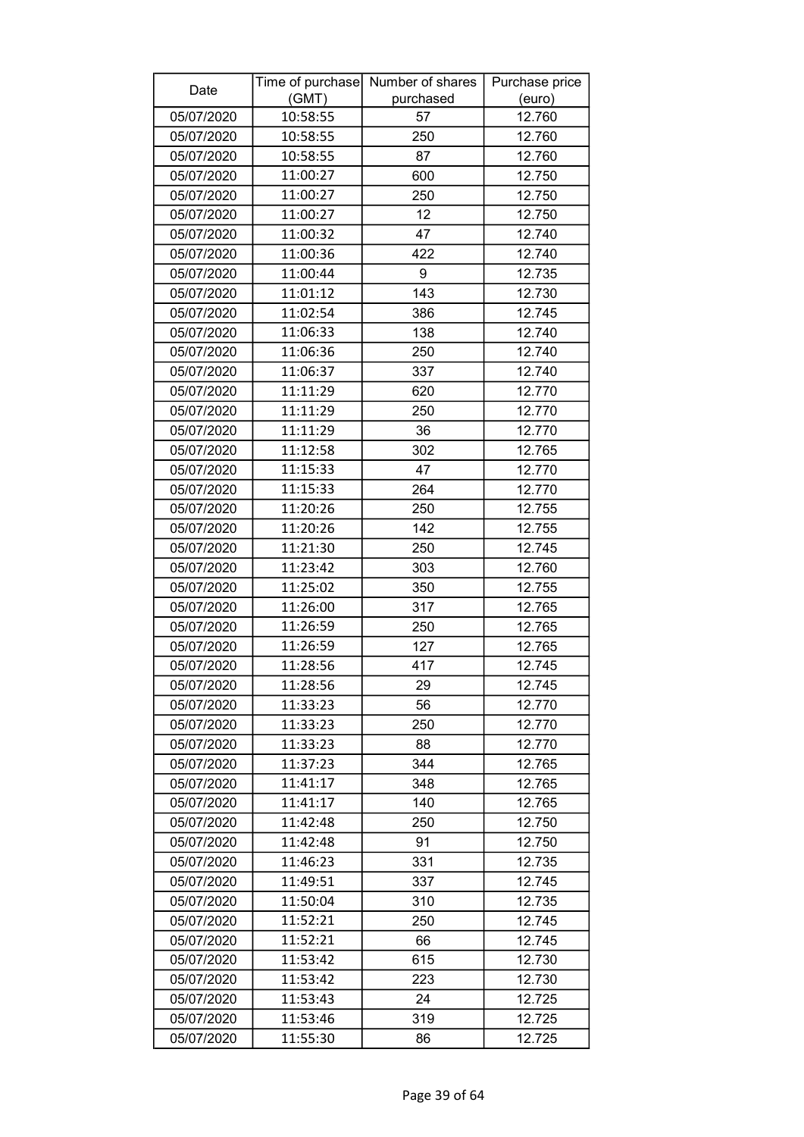| Date       |          | Time of purchase Number of shares | Purchase price |
|------------|----------|-----------------------------------|----------------|
|            | (GMT)    | purchased                         | (euro)         |
| 05/07/2020 | 10:58:55 | 57                                | 12.760         |
| 05/07/2020 | 10:58:55 | 250                               | 12.760         |
| 05/07/2020 | 10:58:55 | 87                                | 12.760         |
| 05/07/2020 | 11:00:27 | 600                               | 12.750         |
| 05/07/2020 | 11:00:27 | 250                               | 12.750         |
| 05/07/2020 | 11:00:27 | 12                                | 12.750         |
| 05/07/2020 | 11:00:32 | 47                                | 12.740         |
| 05/07/2020 | 11:00:36 | 422                               | 12.740         |
| 05/07/2020 | 11:00:44 | 9                                 | 12.735         |
| 05/07/2020 | 11:01:12 | 143                               | 12.730         |
| 05/07/2020 | 11:02:54 | 386                               | 12.745         |
| 05/07/2020 | 11:06:33 | 138                               | 12.740         |
| 05/07/2020 | 11:06:36 | 250                               | 12.740         |
| 05/07/2020 | 11:06:37 | 337                               | 12.740         |
| 05/07/2020 | 11:11:29 | 620                               | 12.770         |
| 05/07/2020 | 11:11:29 | 250                               | 12.770         |
| 05/07/2020 | 11:11:29 | 36                                | 12.770         |
| 05/07/2020 | 11:12:58 | 302                               | 12.765         |
| 05/07/2020 | 11:15:33 | 47                                | 12.770         |
| 05/07/2020 | 11:15:33 | 264                               | 12.770         |
| 05/07/2020 | 11:20:26 | 250                               | 12.755         |
| 05/07/2020 | 11:20:26 | 142                               | 12.755         |
| 05/07/2020 | 11:21:30 | 250                               | 12.745         |
| 05/07/2020 | 11:23:42 | 303                               | 12.760         |
| 05/07/2020 | 11:25:02 | 350                               | 12.755         |
| 05/07/2020 | 11:26:00 | 317                               | 12.765         |
| 05/07/2020 | 11:26:59 | 250                               | 12.765         |
| 05/07/2020 | 11:26:59 | 127                               | 12.765         |
| 05/07/2020 | 11:28:56 | 417                               | 12.745         |
| 05/07/2020 | 11:28:56 | 29                                | 12.745         |
| 05/07/2020 | 11:33:23 | 56                                | 12.770         |
| 05/07/2020 | 11:33:23 | 250                               | 12.770         |
| 05/07/2020 | 11:33:23 | 88                                | 12.770         |
| 05/07/2020 | 11:37:23 | 344                               | 12.765         |
| 05/07/2020 | 11:41:17 | 348                               | 12.765         |
| 05/07/2020 | 11:41:17 | 140                               | 12.765         |
| 05/07/2020 | 11:42:48 | 250                               | 12.750         |
| 05/07/2020 | 11:42:48 | 91                                | 12.750         |
| 05/07/2020 | 11:46:23 | 331                               | 12.735         |
| 05/07/2020 | 11:49:51 | 337                               | 12.745         |
| 05/07/2020 | 11:50:04 | 310                               | 12.735         |
| 05/07/2020 | 11:52:21 | 250                               | 12.745         |
| 05/07/2020 | 11:52:21 | 66                                | 12.745         |
| 05/07/2020 | 11:53:42 | 615                               | 12.730         |
| 05/07/2020 | 11:53:42 | 223                               | 12.730         |
| 05/07/2020 | 11:53:43 | 24                                | 12.725         |
| 05/07/2020 | 11:53:46 | 319                               | 12.725         |
| 05/07/2020 | 11:55:30 | 86                                | 12.725         |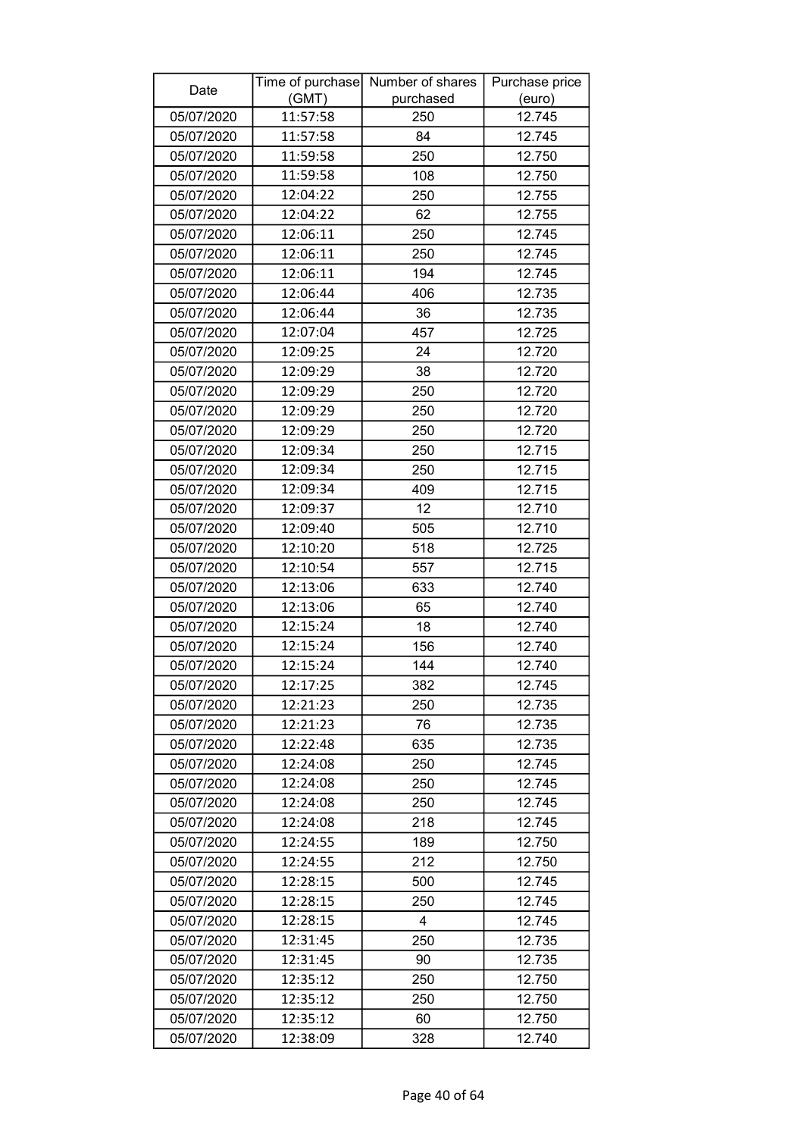| Date       |          | Time of purchase Number of shares | Purchase price |
|------------|----------|-----------------------------------|----------------|
|            | (GMT)    | purchased                         | (euro)         |
| 05/07/2020 | 11:57:58 | 250                               | 12.745         |
| 05/07/2020 | 11:57:58 | 84                                | 12.745         |
| 05/07/2020 | 11:59:58 | 250                               | 12.750         |
| 05/07/2020 | 11:59:58 | 108                               | 12.750         |
| 05/07/2020 | 12:04:22 | 250                               | 12.755         |
| 05/07/2020 | 12:04:22 | 62                                | 12.755         |
| 05/07/2020 | 12:06:11 | 250                               | 12.745         |
| 05/07/2020 | 12:06:11 | 250                               | 12.745         |
| 05/07/2020 | 12:06:11 | 194                               | 12.745         |
| 05/07/2020 | 12:06:44 | 406                               | 12.735         |
| 05/07/2020 | 12:06:44 | 36                                | 12.735         |
| 05/07/2020 | 12:07:04 | 457                               | 12.725         |
| 05/07/2020 | 12:09:25 | 24                                | 12.720         |
| 05/07/2020 | 12:09:29 | 38                                | 12.720         |
| 05/07/2020 | 12:09:29 | 250                               | 12.720         |
| 05/07/2020 | 12:09:29 | 250                               | 12.720         |
| 05/07/2020 | 12:09:29 | 250                               | 12.720         |
| 05/07/2020 | 12:09:34 | 250                               | 12.715         |
| 05/07/2020 | 12:09:34 | 250                               | 12.715         |
| 05/07/2020 | 12:09:34 | 409                               | 12.715         |
| 05/07/2020 | 12:09:37 | 12                                | 12.710         |
| 05/07/2020 | 12:09:40 | 505                               | 12.710         |
| 05/07/2020 | 12:10:20 | 518                               | 12.725         |
| 05/07/2020 | 12:10:54 | 557                               | 12.715         |
| 05/07/2020 | 12:13:06 | 633                               | 12.740         |
| 05/07/2020 | 12:13:06 | 65                                | 12.740         |
| 05/07/2020 | 12:15:24 | 18                                | 12.740         |
| 05/07/2020 | 12:15:24 | 156                               | 12.740         |
| 05/07/2020 | 12:15:24 | 144                               | 12.740         |
| 05/07/2020 | 12:17:25 | 382                               | 12.745         |
| 05/07/2020 | 12:21:23 | 250                               | 12.735         |
| 05/07/2020 | 12:21:23 | 76                                | 12.735         |
| 05/07/2020 | 12:22:48 | 635                               | 12.735         |
| 05/07/2020 | 12:24:08 | 250                               | 12.745         |
| 05/07/2020 | 12:24:08 | 250                               | 12.745         |
| 05/07/2020 | 12:24:08 | 250                               | 12.745         |
| 05/07/2020 | 12:24:08 | 218                               | 12.745         |
| 05/07/2020 | 12:24:55 | 189                               | 12.750         |
| 05/07/2020 | 12:24:55 | 212                               | 12.750         |
| 05/07/2020 | 12:28:15 | 500                               | 12.745         |
| 05/07/2020 | 12:28:15 | 250                               | 12.745         |
| 05/07/2020 | 12:28:15 | 4                                 | 12.745         |
| 05/07/2020 | 12:31:45 | 250                               | 12.735         |
| 05/07/2020 | 12:31:45 | 90                                | 12.735         |
| 05/07/2020 | 12:35:12 | 250                               | 12.750         |
| 05/07/2020 | 12:35:12 | 250                               | 12.750         |
| 05/07/2020 | 12:35:12 | 60                                | 12.750         |
| 05/07/2020 | 12:38:09 | 328                               | 12.740         |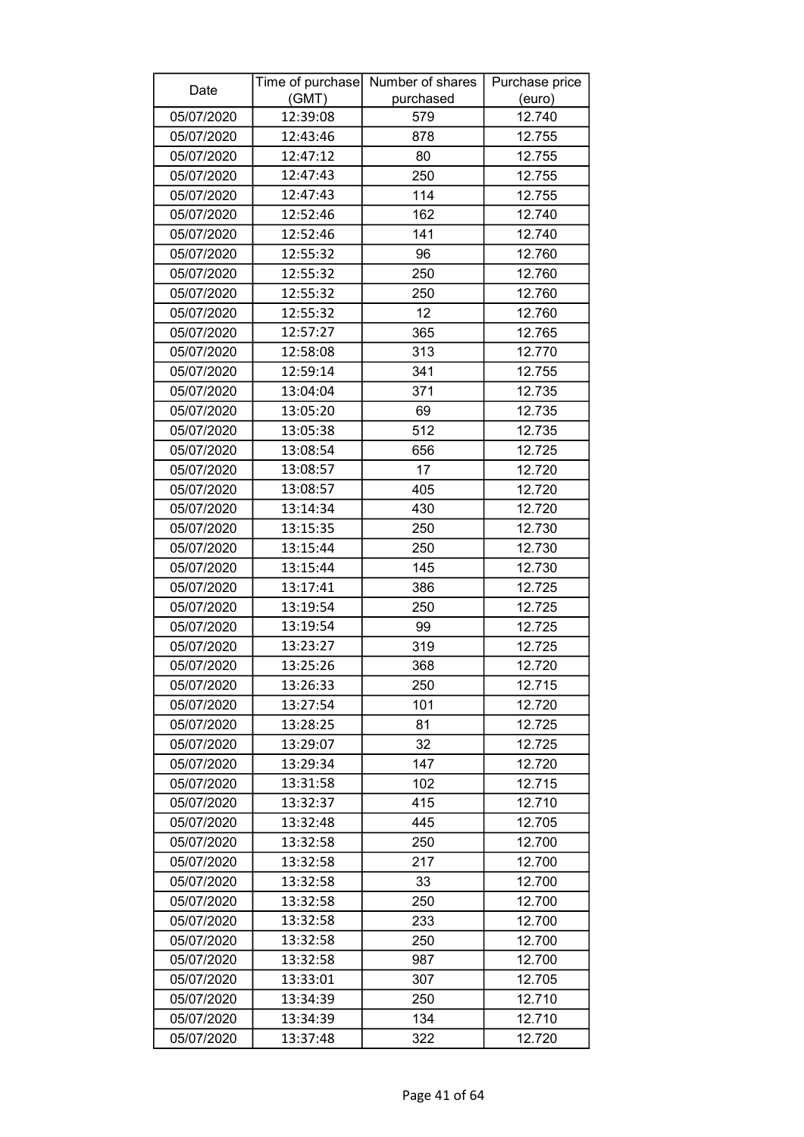| Date       |          | Time of purchase Number of shares | Purchase price |
|------------|----------|-----------------------------------|----------------|
|            | (GMT)    | purchased                         | (euro)         |
| 05/07/2020 | 12:39:08 | 579                               | 12.740         |
| 05/07/2020 | 12:43:46 | 878                               | 12.755         |
| 05/07/2020 | 12:47:12 | 80                                | 12.755         |
| 05/07/2020 | 12:47:43 | 250                               | 12.755         |
| 05/07/2020 | 12:47:43 | 114                               | 12.755         |
| 05/07/2020 | 12:52:46 | 162                               | 12.740         |
| 05/07/2020 | 12:52:46 | 141                               | 12.740         |
| 05/07/2020 | 12:55:32 | 96                                | 12.760         |
| 05/07/2020 | 12:55:32 | 250                               | 12.760         |
| 05/07/2020 | 12:55:32 | 250                               | 12.760         |
| 05/07/2020 | 12:55:32 | 12                                | 12.760         |
| 05/07/2020 | 12:57:27 | 365                               | 12.765         |
| 05/07/2020 | 12:58:08 | 313                               | 12.770         |
| 05/07/2020 | 12:59:14 | 341                               | 12.755         |
| 05/07/2020 | 13:04:04 | 371                               | 12.735         |
| 05/07/2020 | 13:05:20 | 69                                | 12.735         |
| 05/07/2020 | 13:05:38 | 512                               | 12.735         |
| 05/07/2020 | 13:08:54 | 656                               | 12.725         |
| 05/07/2020 | 13:08:57 | 17                                | 12.720         |
| 05/07/2020 | 13:08:57 | 405                               | 12.720         |
| 05/07/2020 | 13:14:34 | 430                               | 12.720         |
| 05/07/2020 | 13:15:35 | 250                               | 12.730         |
| 05/07/2020 | 13:15:44 | 250                               | 12.730         |
| 05/07/2020 | 13:15:44 | 145                               | 12.730         |
| 05/07/2020 | 13:17:41 | 386                               | 12.725         |
| 05/07/2020 | 13:19:54 | 250                               | 12.725         |
| 05/07/2020 | 13:19:54 | 99                                | 12.725         |
| 05/07/2020 | 13:23:27 | 319                               | 12.725         |
| 05/07/2020 | 13:25:26 | 368                               | 12.720         |
| 05/07/2020 | 13:26:33 | 250                               | 12.715         |
| 05/07/2020 | 13:27:54 | 101                               | 12.720         |
| 05/07/2020 | 13:28:25 | 81                                | 12.725         |
| 05/07/2020 | 13:29:07 | 32                                | 12.725         |
| 05/07/2020 | 13:29:34 | 147                               | 12.720         |
| 05/07/2020 | 13:31:58 | 102                               | 12.715         |
| 05/07/2020 | 13:32:37 | 415                               | 12.710         |
| 05/07/2020 | 13:32:48 | 445                               | 12.705         |
| 05/07/2020 | 13:32:58 | 250                               | 12.700         |
| 05/07/2020 | 13:32:58 | 217                               | 12.700         |
| 05/07/2020 | 13:32:58 | 33                                | 12.700         |
| 05/07/2020 | 13:32:58 | 250                               | 12.700         |
| 05/07/2020 | 13:32:58 | 233                               | 12.700         |
| 05/07/2020 | 13:32:58 | 250                               | 12.700         |
| 05/07/2020 | 13:32:58 | 987                               | 12.700         |
| 05/07/2020 | 13:33:01 | 307                               | 12.705         |
| 05/07/2020 | 13:34:39 | 250                               | 12.710         |
| 05/07/2020 | 13:34:39 | 134                               | 12.710         |
| 05/07/2020 | 13:37:48 | 322                               | 12.720         |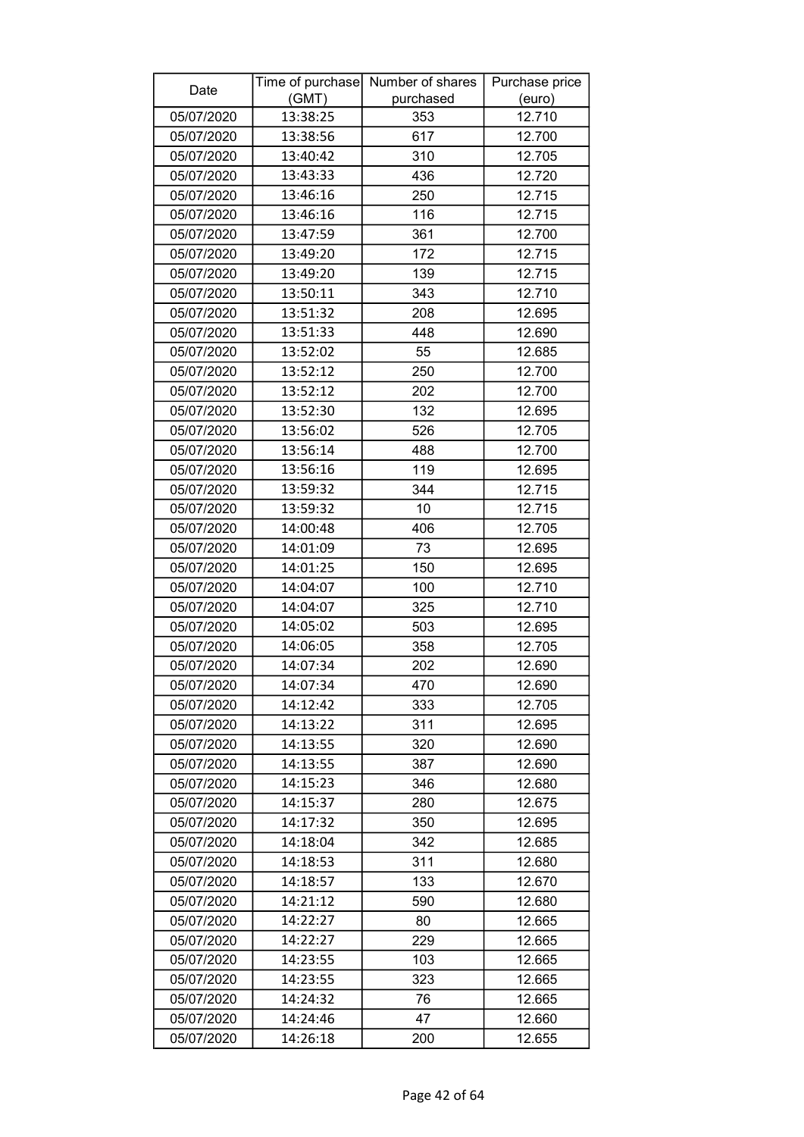| Date       |          | Time of purchase Number of shares | Purchase price |
|------------|----------|-----------------------------------|----------------|
|            | (GMT)    | purchased                         | (euro)         |
| 05/07/2020 | 13:38:25 | 353                               | 12.710         |
| 05/07/2020 | 13:38:56 | 617                               | 12.700         |
| 05/07/2020 | 13:40:42 | 310                               | 12.705         |
| 05/07/2020 | 13:43:33 | 436                               | 12.720         |
| 05/07/2020 | 13:46:16 | 250                               | 12.715         |
| 05/07/2020 | 13:46:16 | 116                               | 12.715         |
| 05/07/2020 | 13:47:59 | 361                               | 12.700         |
| 05/07/2020 | 13:49:20 | 172                               | 12.715         |
| 05/07/2020 | 13:49:20 | 139                               | 12.715         |
| 05/07/2020 | 13:50:11 | 343                               | 12.710         |
| 05/07/2020 | 13:51:32 | 208                               | 12.695         |
| 05/07/2020 | 13:51:33 | 448                               | 12.690         |
| 05/07/2020 | 13:52:02 | 55                                | 12.685         |
| 05/07/2020 | 13:52:12 | 250                               | 12.700         |
| 05/07/2020 | 13:52:12 | 202                               | 12.700         |
| 05/07/2020 | 13:52:30 | 132                               | 12.695         |
| 05/07/2020 | 13:56:02 | 526                               | 12.705         |
| 05/07/2020 | 13:56:14 | 488                               | 12.700         |
| 05/07/2020 | 13:56:16 | 119                               | 12.695         |
| 05/07/2020 | 13:59:32 | 344                               | 12.715         |
| 05/07/2020 | 13:59:32 | 10                                | 12.715         |
| 05/07/2020 | 14:00:48 | 406                               | 12.705         |
| 05/07/2020 | 14:01:09 | 73                                | 12.695         |
| 05/07/2020 | 14:01:25 | 150                               | 12.695         |
| 05/07/2020 | 14:04:07 | 100                               | 12.710         |
| 05/07/2020 | 14:04:07 | 325                               | 12.710         |
| 05/07/2020 | 14:05:02 | 503                               | 12.695         |
| 05/07/2020 | 14:06:05 | 358                               | 12.705         |
| 05/07/2020 | 14:07:34 | 202                               | 12.690         |
| 05/07/2020 | 14:07:34 | 470                               | 12.690         |
| 05/07/2020 | 14:12:42 | 333                               | 12.705         |
| 05/07/2020 | 14:13:22 | 311                               | 12.695         |
| 05/07/2020 | 14:13:55 | 320                               | 12.690         |
| 05/07/2020 | 14:13:55 | 387                               | 12.690         |
| 05/07/2020 | 14:15:23 | 346                               | 12.680         |
| 05/07/2020 | 14:15:37 | 280                               | 12.675         |
| 05/07/2020 | 14:17:32 | 350                               | 12.695         |
| 05/07/2020 | 14:18:04 | 342                               | 12.685         |
| 05/07/2020 | 14:18:53 | 311                               | 12.680         |
| 05/07/2020 | 14:18:57 | 133                               | 12.670         |
| 05/07/2020 | 14:21:12 | 590                               | 12.680         |
| 05/07/2020 | 14:22:27 | 80                                | 12.665         |
| 05/07/2020 | 14:22:27 | 229                               | 12.665         |
| 05/07/2020 | 14:23:55 | 103                               | 12.665         |
| 05/07/2020 | 14:23:55 | 323                               | 12.665         |
| 05/07/2020 | 14:24:32 | 76                                | 12.665         |
| 05/07/2020 | 14:24:46 | 47                                | 12.660         |
| 05/07/2020 | 14:26:18 | 200                               | 12.655         |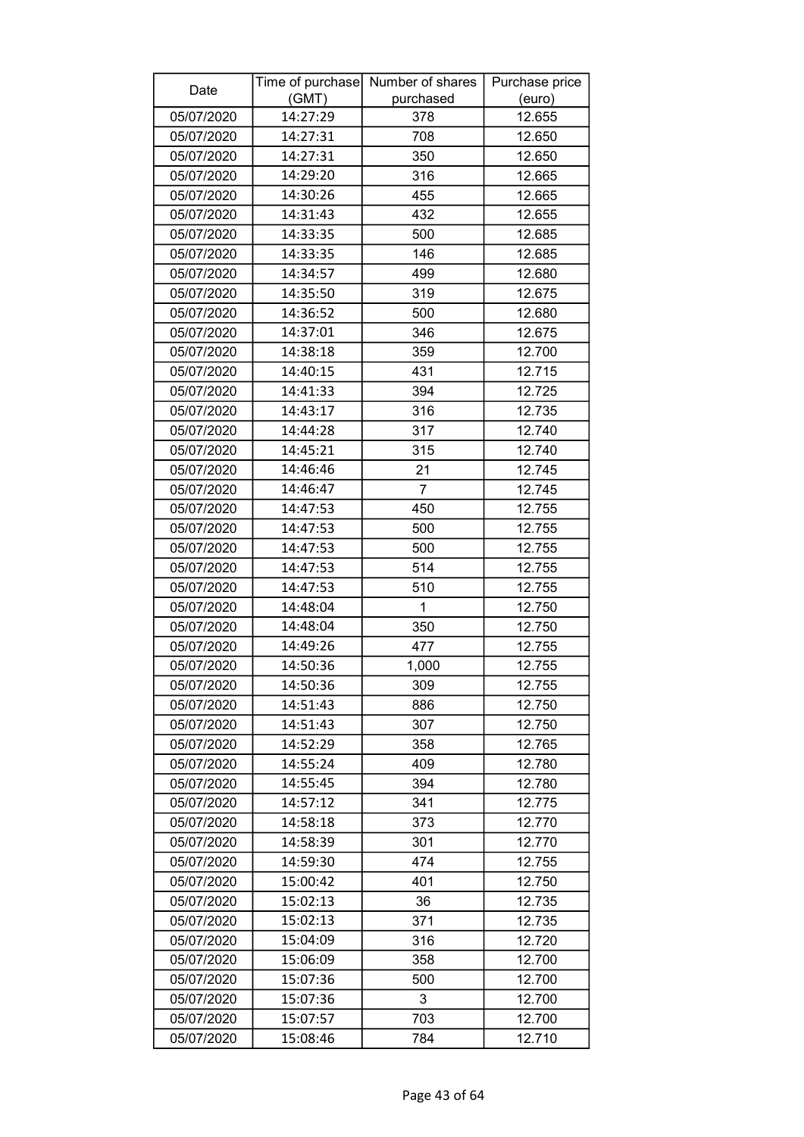| Date       |          | Time of purchase Number of shares | Purchase price |
|------------|----------|-----------------------------------|----------------|
|            | (GMT)    | purchased                         | (euro)         |
| 05/07/2020 | 14:27:29 | 378                               | 12.655         |
| 05/07/2020 | 14:27:31 | 708                               | 12.650         |
| 05/07/2020 | 14:27:31 | 350                               | 12.650         |
| 05/07/2020 | 14:29:20 | 316                               | 12.665         |
| 05/07/2020 | 14:30:26 | 455                               | 12.665         |
| 05/07/2020 | 14:31:43 | 432                               | 12.655         |
| 05/07/2020 | 14:33:35 | 500                               | 12.685         |
| 05/07/2020 | 14:33:35 | 146                               | 12.685         |
| 05/07/2020 | 14:34:57 | 499                               | 12.680         |
| 05/07/2020 | 14:35:50 | 319                               | 12.675         |
| 05/07/2020 | 14:36:52 | 500                               | 12.680         |
| 05/07/2020 | 14:37:01 | 346                               | 12.675         |
| 05/07/2020 | 14:38:18 | 359                               | 12.700         |
| 05/07/2020 | 14:40:15 | 431                               | 12.715         |
| 05/07/2020 | 14:41:33 | 394                               | 12.725         |
| 05/07/2020 | 14:43:17 | 316                               | 12.735         |
| 05/07/2020 | 14:44:28 | 317                               | 12.740         |
| 05/07/2020 | 14:45:21 | 315                               | 12.740         |
| 05/07/2020 | 14:46:46 | 21                                | 12.745         |
| 05/07/2020 | 14:46:47 | $\overline{7}$                    | 12.745         |
| 05/07/2020 | 14:47:53 | 450                               | 12.755         |
| 05/07/2020 | 14:47:53 | 500                               | 12.755         |
| 05/07/2020 | 14:47:53 | 500                               | 12.755         |
| 05/07/2020 | 14:47:53 | 514                               | 12.755         |
| 05/07/2020 | 14:47:53 | 510                               | 12.755         |
| 05/07/2020 | 14:48:04 | 1                                 | 12.750         |
| 05/07/2020 | 14:48:04 | 350                               | 12.750         |
| 05/07/2020 | 14:49:26 | 477                               | 12.755         |
| 05/07/2020 | 14:50:36 | 1,000                             | 12.755         |
| 05/07/2020 | 14:50:36 | 309                               | 12.755         |
| 05/07/2020 | 14:51:43 | 886                               | 12.750         |
| 05/07/2020 | 14:51:43 | 307                               | 12.750         |
| 05/07/2020 | 14:52:29 | 358                               | 12.765         |
| 05/07/2020 | 14:55:24 | 409                               | 12.780         |
| 05/07/2020 | 14:55:45 | 394                               | 12.780         |
| 05/07/2020 | 14:57:12 | 341                               | 12.775         |
| 05/07/2020 | 14:58:18 | 373                               | 12.770         |
| 05/07/2020 | 14:58:39 | 301                               | 12.770         |
| 05/07/2020 | 14:59:30 | 474                               | 12.755         |
| 05/07/2020 | 15:00:42 | 401                               | 12.750         |
| 05/07/2020 | 15:02:13 | 36                                | 12.735         |
| 05/07/2020 | 15:02:13 | 371                               | 12.735         |
| 05/07/2020 | 15:04:09 | 316                               | 12.720         |
| 05/07/2020 | 15:06:09 | 358                               | 12.700         |
| 05/07/2020 | 15:07:36 | 500                               | 12.700         |
| 05/07/2020 | 15:07:36 | 3                                 | 12.700         |
| 05/07/2020 | 15:07:57 | 703                               | 12.700         |
| 05/07/2020 | 15:08:46 | 784                               | 12.710         |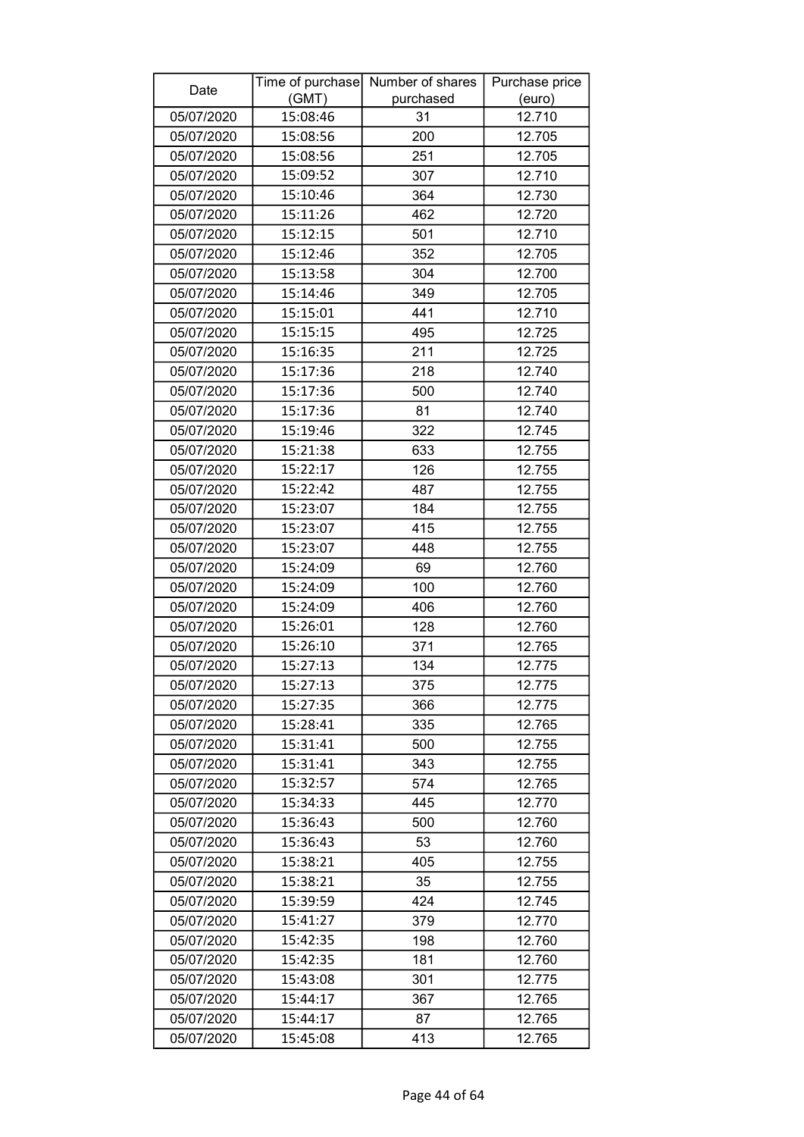| Date       |          | Time of purchase Number of shares | Purchase price |
|------------|----------|-----------------------------------|----------------|
|            | (GMT)    | purchased                         | (euro)         |
| 05/07/2020 | 15:08:46 | 31                                | 12.710         |
| 05/07/2020 | 15:08:56 | 200                               | 12.705         |
| 05/07/2020 | 15:08:56 | 251                               | 12.705         |
| 05/07/2020 | 15:09:52 | 307                               | 12.710         |
| 05/07/2020 | 15:10:46 | 364                               | 12.730         |
| 05/07/2020 | 15:11:26 | 462                               | 12.720         |
| 05/07/2020 | 15:12:15 | 501                               | 12.710         |
| 05/07/2020 | 15:12:46 | 352                               | 12.705         |
| 05/07/2020 | 15:13:58 | 304                               | 12.700         |
| 05/07/2020 | 15:14:46 | 349                               | 12.705         |
| 05/07/2020 | 15:15:01 | 441                               | 12.710         |
| 05/07/2020 | 15:15:15 | 495                               | 12.725         |
| 05/07/2020 | 15:16:35 | 211                               | 12.725         |
| 05/07/2020 | 15:17:36 | 218                               | 12.740         |
| 05/07/2020 | 15:17:36 | 500                               | 12.740         |
| 05/07/2020 | 15:17:36 | 81                                | 12.740         |
| 05/07/2020 | 15:19:46 | 322                               | 12.745         |
| 05/07/2020 | 15:21:38 | 633                               | 12.755         |
| 05/07/2020 | 15:22:17 | 126                               | 12.755         |
| 05/07/2020 | 15:22:42 | 487                               | 12.755         |
| 05/07/2020 | 15:23:07 | 184                               | 12.755         |
| 05/07/2020 | 15:23:07 | 415                               | 12.755         |
| 05/07/2020 | 15:23:07 | 448                               | 12.755         |
| 05/07/2020 | 15:24:09 | 69                                | 12.760         |
| 05/07/2020 | 15:24:09 | 100                               | 12.760         |
| 05/07/2020 | 15:24:09 | 406                               | 12.760         |
| 05/07/2020 | 15:26:01 | 128                               | 12.760         |
| 05/07/2020 | 15:26:10 | 371                               | 12.765         |
| 05/07/2020 | 15:27:13 | 134                               | 12.775         |
| 05/07/2020 | 15:27:13 | 375                               | 12.775         |
| 05/07/2020 | 15:27:35 | 366                               | 12.775         |
| 05/07/2020 | 15:28:41 | 335                               | 12.765         |
| 05/07/2020 | 15:31:41 | 500                               | 12.755         |
| 05/07/2020 | 15:31:41 | 343                               | 12.755         |
| 05/07/2020 | 15:32:57 | 574                               | 12.765         |
| 05/07/2020 | 15:34:33 | 445                               | 12.770         |
| 05/07/2020 | 15:36:43 | 500                               | 12.760         |
| 05/07/2020 | 15:36:43 | 53                                | 12.760         |
| 05/07/2020 | 15:38:21 | 405                               | 12.755         |
| 05/07/2020 | 15:38:21 | 35                                | 12.755         |
| 05/07/2020 | 15:39:59 | 424                               | 12.745         |
| 05/07/2020 | 15:41:27 | 379                               | 12.770         |
| 05/07/2020 | 15:42:35 | 198                               | 12.760         |
| 05/07/2020 | 15:42:35 | 181                               | 12.760         |
| 05/07/2020 | 15:43:08 | 301                               | 12.775         |
| 05/07/2020 | 15:44:17 | 367                               | 12.765         |
| 05/07/2020 | 15:44:17 | 87                                | 12.765         |
| 05/07/2020 | 15:45:08 | 413                               | 12.765         |
|            |          |                                   |                |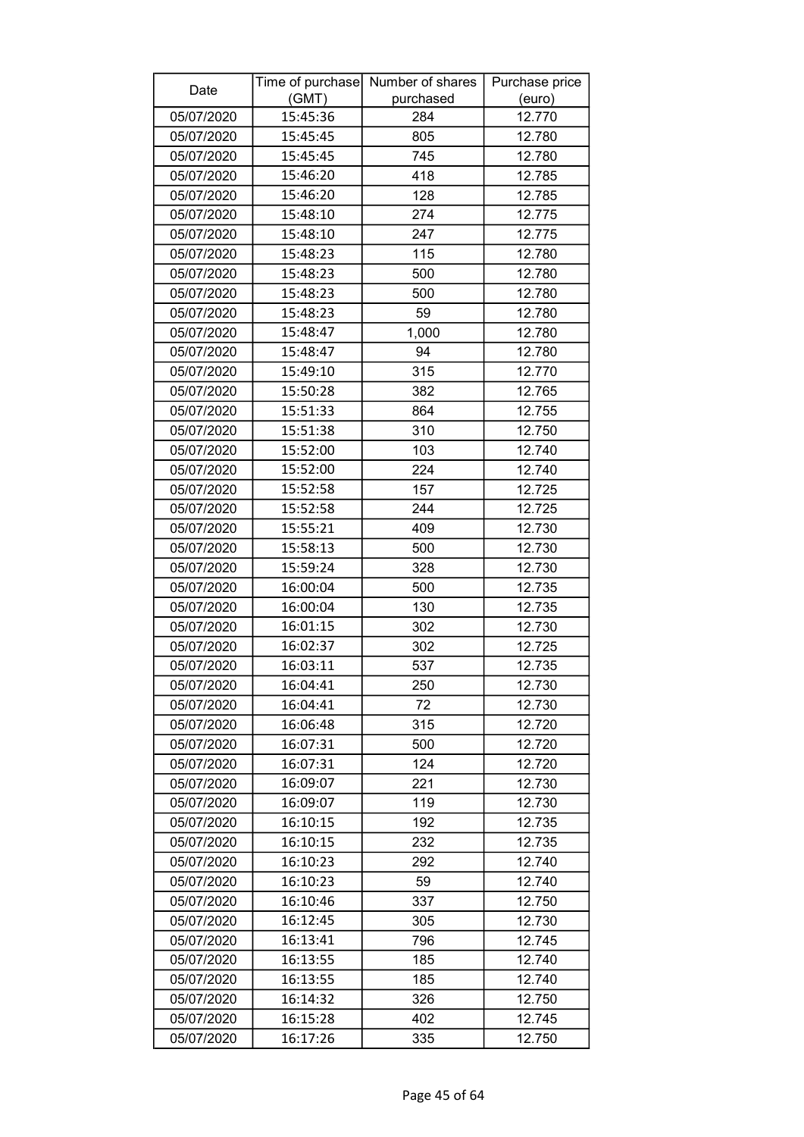| Date       |          | Time of purchase Number of shares | Purchase price |
|------------|----------|-----------------------------------|----------------|
|            | (GMT)    | purchased                         | (euro)         |
| 05/07/2020 | 15:45:36 | 284                               | 12.770         |
| 05/07/2020 | 15:45:45 | 805                               | 12.780         |
| 05/07/2020 | 15:45:45 | 745                               | 12.780         |
| 05/07/2020 | 15:46:20 | 418                               | 12.785         |
| 05/07/2020 | 15:46:20 | 128                               | 12.785         |
| 05/07/2020 | 15:48:10 | 274                               | 12.775         |
| 05/07/2020 | 15:48:10 | 247                               | 12.775         |
| 05/07/2020 | 15:48:23 | 115                               | 12.780         |
| 05/07/2020 | 15:48:23 | 500                               | 12.780         |
| 05/07/2020 | 15:48:23 | 500                               | 12.780         |
| 05/07/2020 | 15:48:23 | 59                                | 12.780         |
| 05/07/2020 | 15:48:47 | 1,000                             | 12.780         |
| 05/07/2020 | 15:48:47 | 94                                | 12.780         |
| 05/07/2020 | 15:49:10 | 315                               | 12.770         |
| 05/07/2020 | 15:50:28 | 382                               | 12.765         |
| 05/07/2020 | 15:51:33 | 864                               | 12.755         |
| 05/07/2020 | 15:51:38 | 310                               | 12.750         |
| 05/07/2020 | 15:52:00 | 103                               | 12.740         |
| 05/07/2020 | 15:52:00 | 224                               | 12.740         |
| 05/07/2020 | 15:52:58 | 157                               | 12.725         |
| 05/07/2020 | 15:52:58 | 244                               | 12.725         |
| 05/07/2020 | 15:55:21 | 409                               | 12.730         |
| 05/07/2020 | 15:58:13 | 500                               | 12.730         |
| 05/07/2020 | 15:59:24 | 328                               | 12.730         |
| 05/07/2020 | 16:00:04 | 500                               | 12.735         |
| 05/07/2020 | 16:00:04 | 130                               | 12.735         |
| 05/07/2020 | 16:01:15 | 302                               | 12.730         |
| 05/07/2020 | 16:02:37 | 302                               | 12.725         |
| 05/07/2020 | 16:03:11 | 537                               | 12.735         |
| 05/07/2020 | 16:04:41 | 250                               | 12.730         |
| 05/07/2020 | 16:04:41 | 72                                | 12.730         |
| 05/07/2020 | 16:06:48 | 315                               | 12.720         |
| 05/07/2020 | 16:07:31 | 500                               | 12.720         |
| 05/07/2020 | 16:07:31 | 124                               | 12.720         |
| 05/07/2020 | 16:09:07 | 221                               | 12.730         |
| 05/07/2020 | 16:09:07 | 119                               | 12.730         |
| 05/07/2020 | 16:10:15 | 192                               | 12.735         |
| 05/07/2020 | 16:10:15 | 232                               | 12.735         |
| 05/07/2020 | 16:10:23 | 292                               | 12.740         |
| 05/07/2020 | 16:10:23 | 59                                | 12.740         |
| 05/07/2020 | 16:10:46 | 337                               | 12.750         |
| 05/07/2020 | 16:12:45 | 305                               | 12.730         |
| 05/07/2020 | 16:13:41 | 796                               | 12.745         |
| 05/07/2020 | 16:13:55 | 185                               | 12.740         |
| 05/07/2020 | 16:13:55 | 185                               | 12.740         |
| 05/07/2020 | 16:14:32 | 326                               | 12.750         |
| 05/07/2020 | 16:15:28 | 402                               | 12.745         |
| 05/07/2020 | 16:17:26 | 335                               | 12.750         |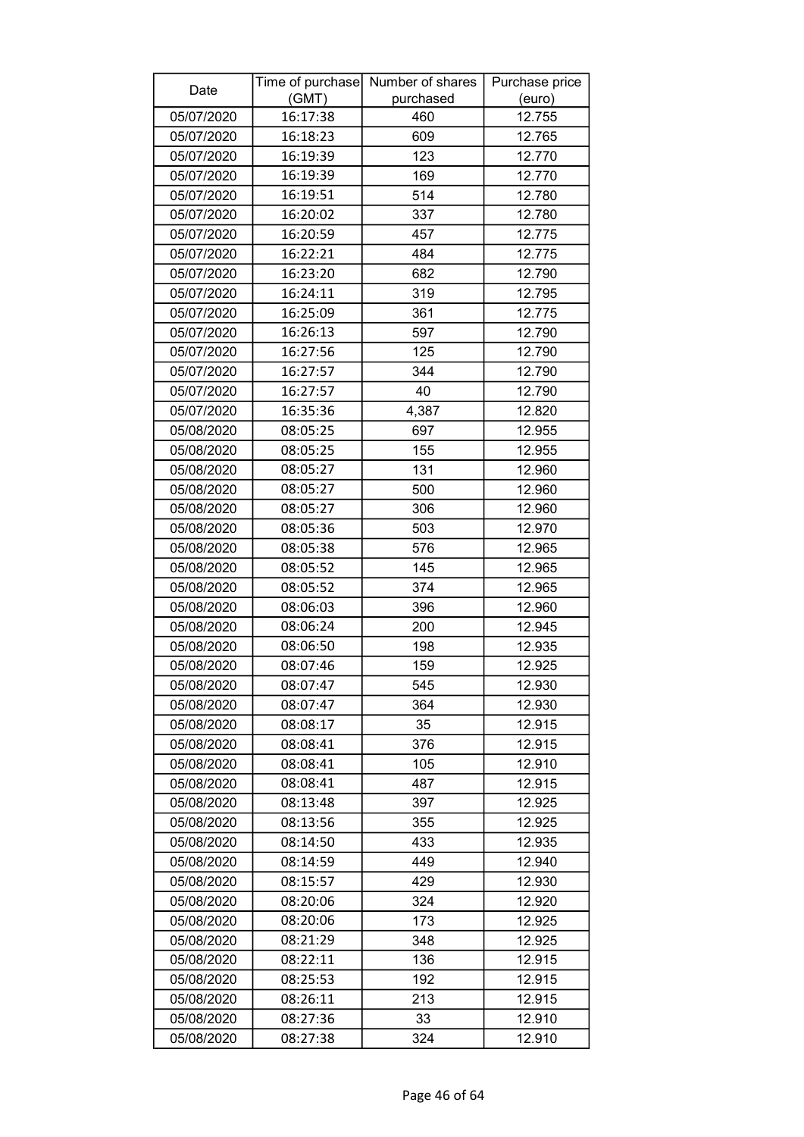| Date       | Time of purchase<br>(GMT) | Number of shares<br>purchased | Purchase price<br>(euro) |
|------------|---------------------------|-------------------------------|--------------------------|
| 05/07/2020 | 16:17:38                  | 460                           | 12.755                   |
| 05/07/2020 | 16:18:23                  | 609                           | 12.765                   |
| 05/07/2020 | 16:19:39                  | 123                           | 12.770                   |
| 05/07/2020 | 16:19:39                  | 169                           | 12.770                   |
| 05/07/2020 | 16:19:51                  | 514                           | 12.780                   |
| 05/07/2020 | 16:20:02                  | 337                           | 12.780                   |
| 05/07/2020 | 16:20:59                  | 457                           | 12.775                   |
| 05/07/2020 | 16:22:21                  | 484                           | 12.775                   |
| 05/07/2020 | 16:23:20                  | 682                           | 12.790                   |
| 05/07/2020 | 16:24:11                  | 319                           | 12.795                   |
| 05/07/2020 | 16:25:09                  | 361                           | 12.775                   |
| 05/07/2020 | 16:26:13                  | 597                           | 12.790                   |
| 05/07/2020 | 16:27:56                  | 125                           | 12.790                   |
| 05/07/2020 | 16:27:57                  | 344                           | 12.790                   |
| 05/07/2020 | 16:27:57                  | 40                            | 12.790                   |
| 05/07/2020 | 16:35:36                  | 4,387                         | 12.820                   |
| 05/08/2020 | 08:05:25                  | 697                           | 12.955                   |
| 05/08/2020 | 08:05:25                  | 155                           | 12.955                   |
| 05/08/2020 | 08:05:27                  | 131                           | 12.960                   |
| 05/08/2020 | 08:05:27                  | 500                           | 12.960                   |
| 05/08/2020 | 08:05:27                  | 306                           | 12.960                   |
| 05/08/2020 | 08:05:36                  | 503                           | 12.970                   |
| 05/08/2020 | 08:05:38                  | 576                           | 12.965                   |
| 05/08/2020 | 08:05:52                  | 145                           | 12.965                   |
| 05/08/2020 | 08:05:52                  | 374                           | 12.965                   |
| 05/08/2020 | 08:06:03                  | 396                           | 12.960                   |
| 05/08/2020 | 08:06:24                  | 200                           | 12.945                   |
| 05/08/2020 | 08:06:50                  | 198                           | 12.935                   |
| 05/08/2020 | 08:07:46                  | 159                           | 12.925                   |
| 05/08/2020 | 08:07:47                  | 545                           | 12.930                   |
| 05/08/2020 | 08:07:47                  | 364                           | 12.930                   |
| 05/08/2020 | 08:08:17                  | 35                            | 12.915                   |
| 05/08/2020 | 08:08:41                  | 376                           | 12.915                   |
| 05/08/2020 | 08:08:41                  | 105                           | 12.910                   |
| 05/08/2020 | 08:08:41                  | 487                           | 12.915                   |
| 05/08/2020 | 08:13:48                  | 397                           | 12.925                   |
| 05/08/2020 | 08:13:56                  | 355                           | 12.925                   |
| 05/08/2020 | 08:14:50                  | 433                           | 12.935                   |
| 05/08/2020 | 08:14:59                  | 449                           | 12.940                   |
| 05/08/2020 | 08:15:57                  | 429                           | 12.930                   |
| 05/08/2020 | 08:20:06                  | 324                           | 12.920                   |
| 05/08/2020 | 08:20:06                  | 173                           | 12.925                   |
| 05/08/2020 | 08:21:29                  | 348                           | 12.925                   |
| 05/08/2020 | 08:22:11                  | 136                           | 12.915                   |
| 05/08/2020 | 08:25:53                  | 192                           | 12.915                   |
| 05/08/2020 | 08:26:11                  | 213                           | 12.915                   |
| 05/08/2020 | 08:27:36                  | 33                            | 12.910                   |
| 05/08/2020 | 08:27:38                  | 324                           | 12.910                   |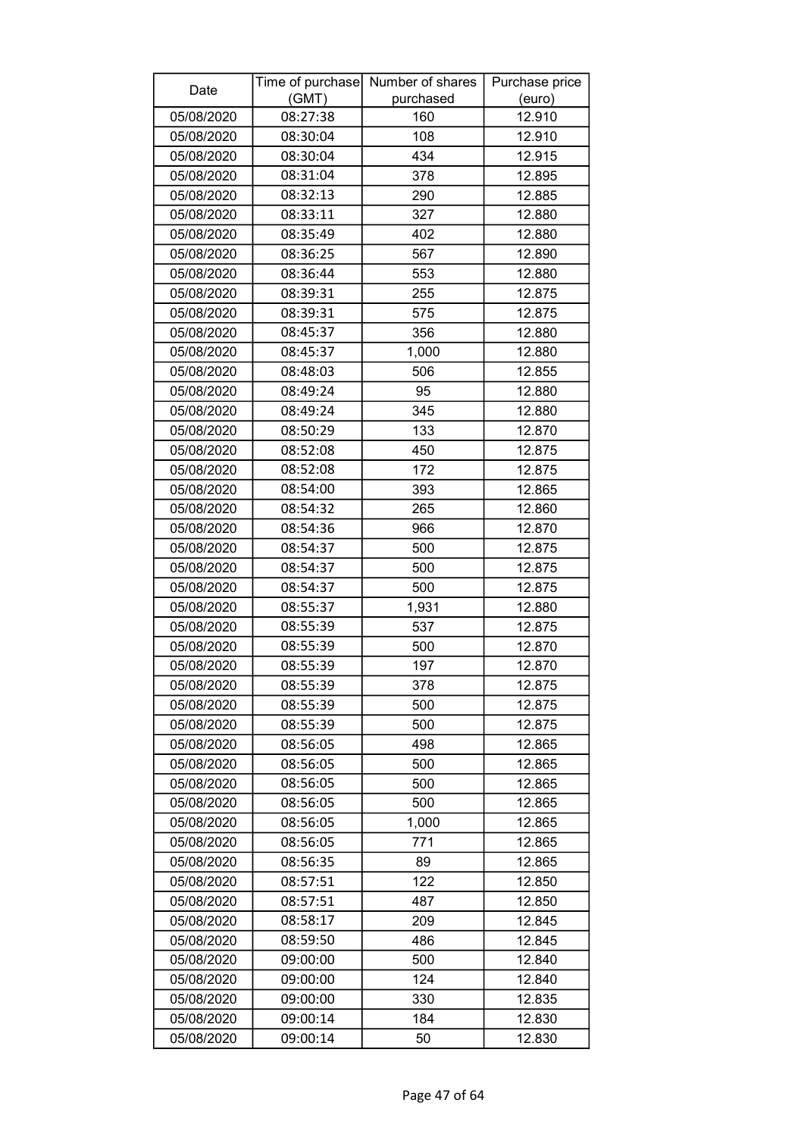| Date       |          | Time of purchase Number of shares | Purchase price |
|------------|----------|-----------------------------------|----------------|
|            | (GMT)    | purchased                         | (euro)         |
| 05/08/2020 | 08:27:38 | 160                               | 12.910         |
| 05/08/2020 | 08:30:04 | 108                               | 12.910         |
| 05/08/2020 | 08:30:04 | 434                               | 12.915         |
| 05/08/2020 | 08:31:04 | 378                               | 12.895         |
| 05/08/2020 | 08:32:13 | 290                               | 12.885         |
| 05/08/2020 | 08:33:11 | 327                               | 12.880         |
| 05/08/2020 | 08:35:49 | 402                               | 12.880         |
| 05/08/2020 | 08:36:25 | 567                               | 12.890         |
| 05/08/2020 | 08:36:44 | 553                               | 12.880         |
| 05/08/2020 | 08:39:31 | 255                               | 12.875         |
| 05/08/2020 | 08:39:31 | 575                               | 12.875         |
| 05/08/2020 | 08:45:37 | 356                               | 12.880         |
| 05/08/2020 | 08:45:37 | 1,000                             | 12.880         |
| 05/08/2020 | 08:48:03 | 506                               | 12.855         |
| 05/08/2020 | 08:49:24 | 95                                | 12.880         |
| 05/08/2020 | 08:49:24 | 345                               | 12.880         |
| 05/08/2020 | 08:50:29 | 133                               | 12.870         |
| 05/08/2020 | 08:52:08 | 450                               | 12.875         |
| 05/08/2020 | 08:52:08 | 172                               | 12.875         |
| 05/08/2020 | 08:54:00 | 393                               | 12.865         |
| 05/08/2020 | 08:54:32 | 265                               | 12.860         |
| 05/08/2020 | 08:54:36 | 966                               | 12.870         |
| 05/08/2020 | 08:54:37 | 500                               | 12.875         |
| 05/08/2020 | 08:54:37 | 500                               | 12.875         |
| 05/08/2020 | 08:54:37 | 500                               | 12.875         |
| 05/08/2020 | 08:55:37 | 1,931                             | 12.880         |
| 05/08/2020 | 08:55:39 | 537                               | 12.875         |
| 05/08/2020 | 08:55:39 | 500                               | 12.870         |
| 05/08/2020 | 08:55:39 | 197                               | 12.870         |
| 05/08/2020 | 08:55:39 | 378                               | 12.875         |
| 05/08/2020 | 08:55:39 | 500                               | 12.875         |
| 05/08/2020 | 08:55:39 | 500                               | 12.875         |
| 05/08/2020 | 08:56:05 | 498                               | 12.865         |
| 05/08/2020 | 08:56:05 | 500                               | 12.865         |
| 05/08/2020 | 08:56:05 | 500                               | 12.865         |
| 05/08/2020 | 08:56:05 | 500                               | 12.865         |
| 05/08/2020 | 08:56:05 | 1,000                             | 12.865         |
| 05/08/2020 | 08:56:05 | 771                               | 12.865         |
| 05/08/2020 | 08:56:35 | 89                                | 12.865         |
| 05/08/2020 | 08:57:51 | 122                               | 12.850         |
| 05/08/2020 | 08:57:51 | 487                               | 12.850         |
| 05/08/2020 | 08:58:17 | 209                               | 12.845         |
| 05/08/2020 | 08:59:50 | 486                               | 12.845         |
| 05/08/2020 | 09:00:00 | 500                               | 12.840         |
| 05/08/2020 | 09:00:00 | 124                               | 12.840         |
| 05/08/2020 | 09:00:00 | 330                               | 12.835         |
| 05/08/2020 | 09:00:14 | 184                               | 12.830         |
| 05/08/2020 | 09:00:14 | 50                                | 12.830         |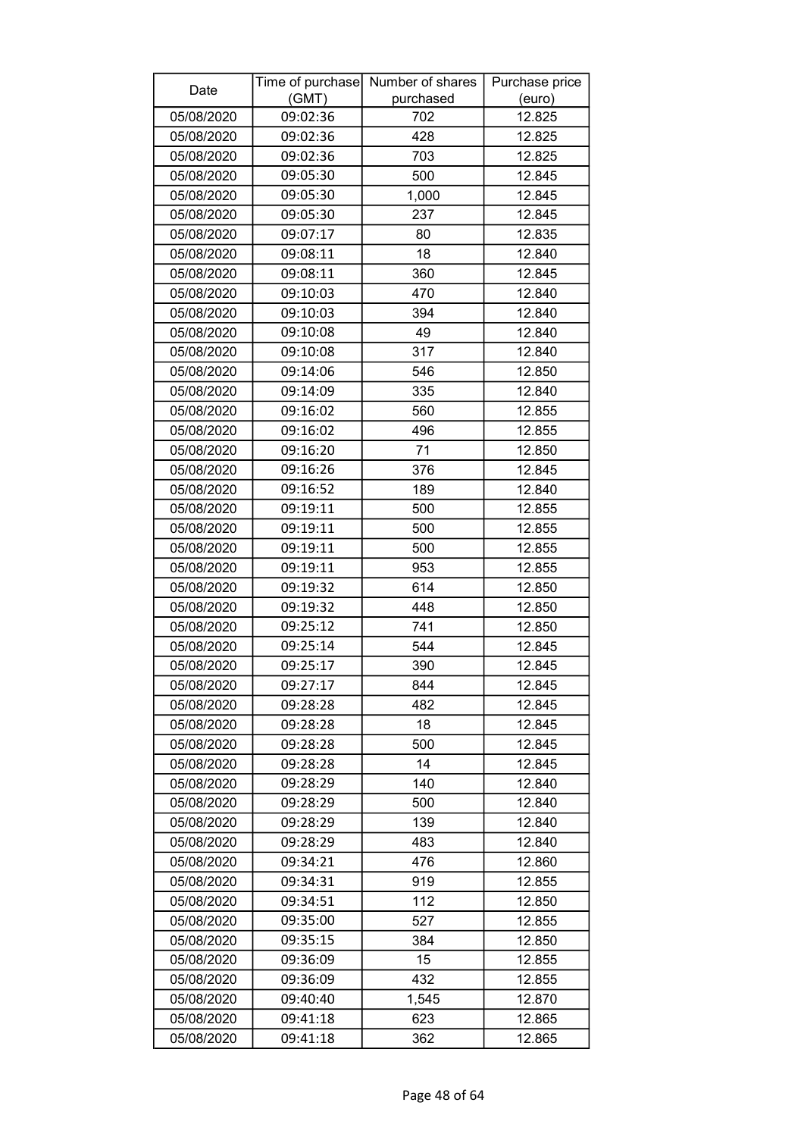| Date<br>(GMT)<br>purchased<br>(euro)<br>12.825<br>05/08/2020<br>09:02:36<br>702<br>428<br>05/08/2020<br>09:02:36<br>12.825<br>05/08/2020<br>703<br>12.825<br>09:02:36<br>09:05:30<br>12.845<br>05/08/2020<br>500<br>05/08/2020<br>09:05:30<br>1,000<br>12.845<br>05/08/2020<br>09:05:30<br>237<br>12.845<br>12.835<br>05/08/2020<br>09:07:17<br>80<br>09:08:11<br>18<br>05/08/2020<br>12.840<br>12.845<br>05/08/2020<br>09:08:11<br>360<br>05/08/2020<br>09:10:03<br>470<br>12.840<br>09:10:03<br>394<br>05/08/2020<br>12.840<br>09:10:08<br>05/08/2020<br>49<br>12.840 |
|-------------------------------------------------------------------------------------------------------------------------------------------------------------------------------------------------------------------------------------------------------------------------------------------------------------------------------------------------------------------------------------------------------------------------------------------------------------------------------------------------------------------------------------------------------------------------|
|                                                                                                                                                                                                                                                                                                                                                                                                                                                                                                                                                                         |
|                                                                                                                                                                                                                                                                                                                                                                                                                                                                                                                                                                         |
|                                                                                                                                                                                                                                                                                                                                                                                                                                                                                                                                                                         |
|                                                                                                                                                                                                                                                                                                                                                                                                                                                                                                                                                                         |
|                                                                                                                                                                                                                                                                                                                                                                                                                                                                                                                                                                         |
|                                                                                                                                                                                                                                                                                                                                                                                                                                                                                                                                                                         |
|                                                                                                                                                                                                                                                                                                                                                                                                                                                                                                                                                                         |
|                                                                                                                                                                                                                                                                                                                                                                                                                                                                                                                                                                         |
|                                                                                                                                                                                                                                                                                                                                                                                                                                                                                                                                                                         |
|                                                                                                                                                                                                                                                                                                                                                                                                                                                                                                                                                                         |
|                                                                                                                                                                                                                                                                                                                                                                                                                                                                                                                                                                         |
|                                                                                                                                                                                                                                                                                                                                                                                                                                                                                                                                                                         |
|                                                                                                                                                                                                                                                                                                                                                                                                                                                                                                                                                                         |
| 09:10:08<br>317<br>05/08/2020<br>12.840                                                                                                                                                                                                                                                                                                                                                                                                                                                                                                                                 |
| 09:14:06<br>546<br>05/08/2020<br>12.850                                                                                                                                                                                                                                                                                                                                                                                                                                                                                                                                 |
| 09:14:09<br>335<br>12.840<br>05/08/2020                                                                                                                                                                                                                                                                                                                                                                                                                                                                                                                                 |
| 560<br>09:16:02<br>12.855<br>05/08/2020                                                                                                                                                                                                                                                                                                                                                                                                                                                                                                                                 |
| 05/08/2020<br>09:16:02<br>496<br>12.855                                                                                                                                                                                                                                                                                                                                                                                                                                                                                                                                 |
| 09:16:20<br>71<br>05/08/2020<br>12.850                                                                                                                                                                                                                                                                                                                                                                                                                                                                                                                                  |
| 09:16:26<br>376<br>05/08/2020<br>12.845                                                                                                                                                                                                                                                                                                                                                                                                                                                                                                                                 |
| 05/08/2020<br>09:16:52<br>189<br>12.840                                                                                                                                                                                                                                                                                                                                                                                                                                                                                                                                 |
| 500<br>12.855<br>05/08/2020<br>09:19:11                                                                                                                                                                                                                                                                                                                                                                                                                                                                                                                                 |
| 09:19:11<br>12.855<br>05/08/2020<br>500                                                                                                                                                                                                                                                                                                                                                                                                                                                                                                                                 |
| 09:19:11<br>500<br>12.855<br>05/08/2020                                                                                                                                                                                                                                                                                                                                                                                                                                                                                                                                 |
| 09:19:11<br>953<br>12.855<br>05/08/2020                                                                                                                                                                                                                                                                                                                                                                                                                                                                                                                                 |
| 614<br>05/08/2020<br>09:19:32<br>12.850                                                                                                                                                                                                                                                                                                                                                                                                                                                                                                                                 |
| 09:19:32<br>448<br>12.850<br>05/08/2020                                                                                                                                                                                                                                                                                                                                                                                                                                                                                                                                 |
| 09:25:12<br>05/08/2020<br>741<br>12.850                                                                                                                                                                                                                                                                                                                                                                                                                                                                                                                                 |
| 12.845<br>05/08/2020<br>09:25:14<br>544                                                                                                                                                                                                                                                                                                                                                                                                                                                                                                                                 |
| 390<br>12.845<br>05/08/2020<br>09:25:17                                                                                                                                                                                                                                                                                                                                                                                                                                                                                                                                 |
| 09:27:17<br>05/08/2020<br>844<br>12.845                                                                                                                                                                                                                                                                                                                                                                                                                                                                                                                                 |
| 482<br>12.845<br>05/08/2020<br>09:28:28                                                                                                                                                                                                                                                                                                                                                                                                                                                                                                                                 |
| 18<br>12.845<br>05/08/2020<br>09:28:28                                                                                                                                                                                                                                                                                                                                                                                                                                                                                                                                  |
| 500<br>12.845<br>05/08/2020<br>09:28:28                                                                                                                                                                                                                                                                                                                                                                                                                                                                                                                                 |
| 09:28:28<br>14<br>12.845<br>05/08/2020                                                                                                                                                                                                                                                                                                                                                                                                                                                                                                                                  |
| 09:28:29<br>140<br>12.840<br>05/08/2020                                                                                                                                                                                                                                                                                                                                                                                                                                                                                                                                 |
| 05/08/2020<br>09:28:29<br>500<br>12.840                                                                                                                                                                                                                                                                                                                                                                                                                                                                                                                                 |
| 139<br>12.840<br>05/08/2020<br>09:28:29                                                                                                                                                                                                                                                                                                                                                                                                                                                                                                                                 |
| 09:28:29<br>12.840<br>05/08/2020<br>483                                                                                                                                                                                                                                                                                                                                                                                                                                                                                                                                 |
| 05/08/2020<br>476<br>12.860<br>09:34:21                                                                                                                                                                                                                                                                                                                                                                                                                                                                                                                                 |
| 05/08/2020<br>09:34:31<br>919<br>12.855                                                                                                                                                                                                                                                                                                                                                                                                                                                                                                                                 |
| 112<br>12.850<br>05/08/2020<br>09:34:51                                                                                                                                                                                                                                                                                                                                                                                                                                                                                                                                 |
| 527<br>12.855<br>09:35:00<br>05/08/2020                                                                                                                                                                                                                                                                                                                                                                                                                                                                                                                                 |
| 05/08/2020<br>09:35:15<br>384<br>12.850                                                                                                                                                                                                                                                                                                                                                                                                                                                                                                                                 |
| 05/08/2020<br>09:36:09<br>15<br>12.855                                                                                                                                                                                                                                                                                                                                                                                                                                                                                                                                  |
| 09:36:09<br>05/08/2020<br>432<br>12.855                                                                                                                                                                                                                                                                                                                                                                                                                                                                                                                                 |
| 05/08/2020<br>09:40:40<br>1,545<br>12.870                                                                                                                                                                                                                                                                                                                                                                                                                                                                                                                               |
| 12.865<br>09:41:18<br>623<br>05/08/2020                                                                                                                                                                                                                                                                                                                                                                                                                                                                                                                                 |
| 05/08/2020<br>09:41:18<br>362<br>12.865                                                                                                                                                                                                                                                                                                                                                                                                                                                                                                                                 |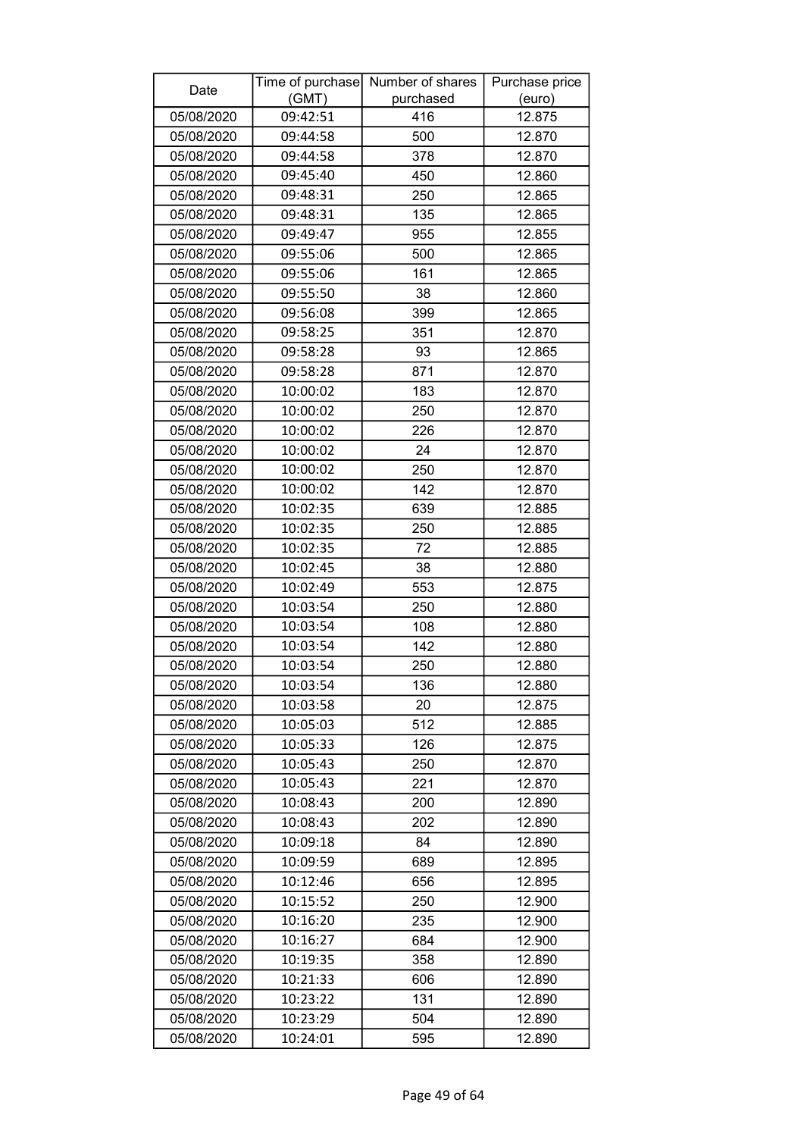| Date       |          | Time of purchase Number of shares | Purchase price |
|------------|----------|-----------------------------------|----------------|
|            | (GMT)    | purchased                         | (euro)         |
| 05/08/2020 | 09:42:51 | 416                               | 12.875         |
| 05/08/2020 | 09:44:58 | 500                               | 12.870         |
| 05/08/2020 | 09:44:58 | 378                               | 12.870         |
| 05/08/2020 | 09:45:40 | 450                               | 12.860         |
| 05/08/2020 | 09:48:31 | 250                               | 12.865         |
| 05/08/2020 | 09:48:31 | 135                               | 12.865         |
| 05/08/2020 | 09:49:47 | 955                               | 12.855         |
| 05/08/2020 | 09:55:06 | 500                               | 12.865         |
| 05/08/2020 | 09:55:06 | 161                               | 12.865         |
| 05/08/2020 | 09:55:50 | 38                                | 12.860         |
| 05/08/2020 | 09:56:08 | 399                               | 12.865         |
| 05/08/2020 | 09:58:25 | 351                               | 12.870         |
| 05/08/2020 | 09:58:28 | 93                                | 12.865         |
| 05/08/2020 | 09:58:28 | 871                               | 12.870         |
| 05/08/2020 | 10:00:02 | 183                               | 12.870         |
| 05/08/2020 | 10:00:02 | 250                               | 12.870         |
| 05/08/2020 | 10:00:02 | 226                               | 12.870         |
| 05/08/2020 | 10:00:02 | 24                                | 12.870         |
| 05/08/2020 | 10:00:02 | 250                               | 12.870         |
| 05/08/2020 | 10:00:02 | 142                               | 12.870         |
| 05/08/2020 | 10:02:35 | 639                               | 12.885         |
| 05/08/2020 | 10:02:35 | 250                               | 12.885         |
| 05/08/2020 | 10:02:35 | 72                                | 12.885         |
| 05/08/2020 | 10:02:45 | 38                                | 12.880         |
| 05/08/2020 | 10:02:49 | 553                               | 12.875         |
| 05/08/2020 | 10:03:54 | 250                               | 12.880         |
| 05/08/2020 | 10:03:54 | 108                               | 12.880         |
| 05/08/2020 | 10:03:54 | 142                               | 12.880         |
| 05/08/2020 | 10:03:54 | 250                               | 12.880         |
| 05/08/2020 | 10:03:54 | 136                               | 12.880         |
| 05/08/2020 | 10:03:58 | 20                                | 12.875         |
| 05/08/2020 | 10:05:03 | 512                               | 12.885         |
| 05/08/2020 | 10:05:33 | 126                               | 12.875         |
| 05/08/2020 | 10:05:43 | 250                               | 12.870         |
| 05/08/2020 | 10:05:43 | 221                               | 12.870         |
| 05/08/2020 | 10:08:43 | 200                               | 12.890         |
| 05/08/2020 | 10:08:43 | 202                               | 12.890         |
| 05/08/2020 | 10:09:18 | 84                                | 12.890         |
| 05/08/2020 | 10:09:59 | 689                               | 12.895         |
| 05/08/2020 | 10:12:46 | 656                               | 12.895         |
| 05/08/2020 | 10:15:52 | 250                               | 12.900         |
| 05/08/2020 | 10:16:20 | 235                               | 12.900         |
| 05/08/2020 | 10:16:27 | 684                               | 12.900         |
| 05/08/2020 | 10:19:35 | 358                               | 12.890         |
| 05/08/2020 | 10:21:33 | 606                               | 12.890         |
| 05/08/2020 | 10:23:22 | 131                               | 12.890         |
| 05/08/2020 | 10:23:29 | 504                               | 12.890         |
| 05/08/2020 | 10:24:01 | 595                               | 12.890         |
|            |          |                                   |                |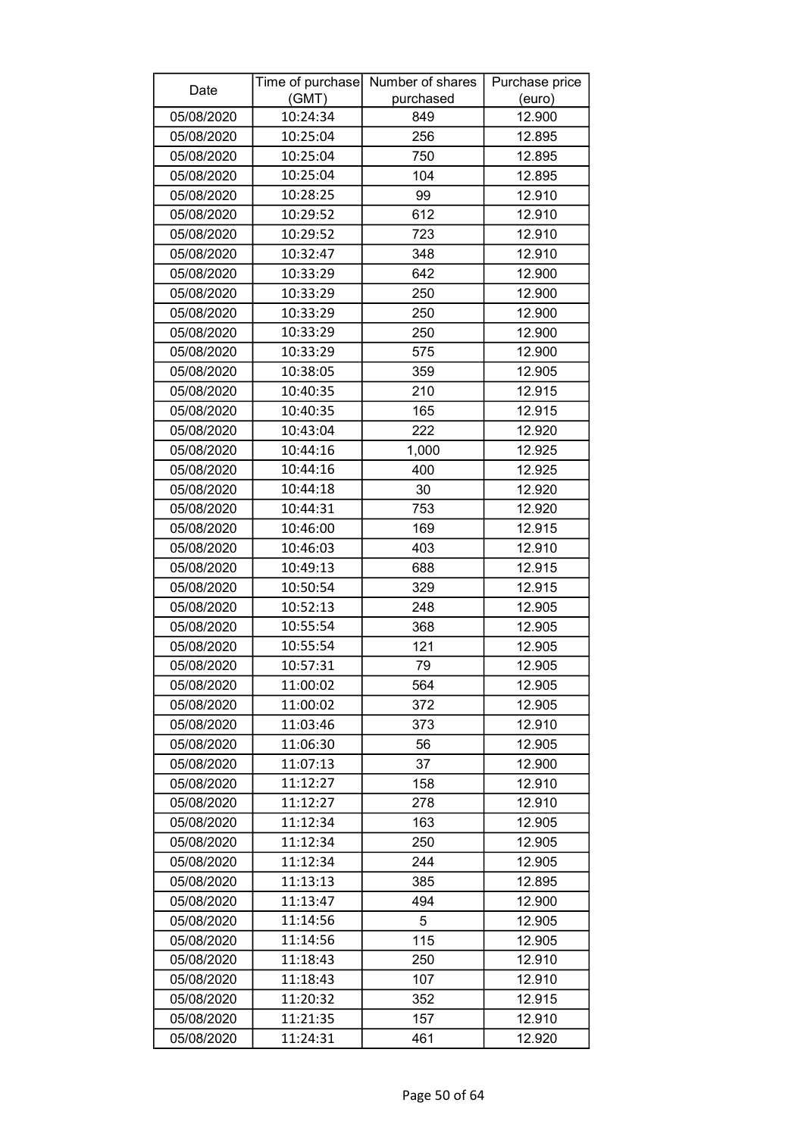| Date       | Time of purchase | Number of shares | Purchase price |
|------------|------------------|------------------|----------------|
|            | (GMT)            | purchased        | (euro)         |
| 05/08/2020 | 10:24:34         | 849              | 12.900         |
| 05/08/2020 | 10:25:04         | 256              | 12.895         |
| 05/08/2020 | 10:25:04         | 750              | 12.895         |
| 05/08/2020 | 10:25:04         | 104              | 12.895         |
| 05/08/2020 | 10:28:25         | 99               | 12.910         |
| 05/08/2020 | 10:29:52         | 612              | 12.910         |
| 05/08/2020 | 10:29:52         | 723              | 12.910         |
| 05/08/2020 | 10:32:47         | 348              | 12.910         |
| 05/08/2020 | 10:33:29         | 642              | 12.900         |
| 05/08/2020 | 10:33:29         | 250              | 12.900         |
| 05/08/2020 | 10:33:29         | 250              | 12.900         |
| 05/08/2020 | 10:33:29         | 250              | 12.900         |
| 05/08/2020 | 10:33:29         | 575              | 12.900         |
| 05/08/2020 | 10:38:05         | 359              | 12.905         |
| 05/08/2020 | 10:40:35         | 210              | 12.915         |
| 05/08/2020 | 10:40:35         | 165              | 12.915         |
| 05/08/2020 | 10:43:04         | 222              | 12.920         |
| 05/08/2020 | 10:44:16         | 1,000            | 12.925         |
| 05/08/2020 | 10:44:16         | 400              | 12.925         |
| 05/08/2020 | 10:44:18         | 30               | 12.920         |
| 05/08/2020 | 10:44:31         | 753              | 12.920         |
| 05/08/2020 | 10:46:00         | 169              | 12.915         |
| 05/08/2020 | 10:46:03         | 403              | 12.910         |
| 05/08/2020 | 10:49:13         | 688              | 12.915         |
| 05/08/2020 | 10:50:54         | 329              | 12.915         |
| 05/08/2020 | 10:52:13         | 248              | 12.905         |
| 05/08/2020 | 10:55:54         | 368              | 12.905         |
| 05/08/2020 | 10:55:54         | 121              | 12.905         |
| 05/08/2020 | 10:57:31         | 79               | 12.905         |
| 05/08/2020 | 11:00:02         | 564              | 12.905         |
| 05/08/2020 | 11:00:02         | 372              | 12.905         |
| 05/08/2020 | 11:03:46         | 373              | 12.910         |
| 05/08/2020 | 11:06:30         | 56               | 12.905         |
| 05/08/2020 | 11:07:13         | 37               | 12.900         |
| 05/08/2020 | 11:12:27         | 158              | 12.910         |
| 05/08/2020 | 11:12:27         | 278              | 12.910         |
| 05/08/2020 | 11:12:34         | 163              | 12.905         |
| 05/08/2020 | 11:12:34         | 250              | 12.905         |
| 05/08/2020 | 11:12:34         | 244              | 12.905         |
| 05/08/2020 | 11:13:13         | 385              | 12.895         |
| 05/08/2020 | 11:13:47         | 494              | 12.900         |
| 05/08/2020 | 11:14:56         | 5                | 12.905         |
| 05/08/2020 | 11:14:56         | 115              | 12.905         |
| 05/08/2020 | 11:18:43         | 250              | 12.910         |
| 05/08/2020 | 11:18:43         | 107              | 12.910         |
| 05/08/2020 | 11:20:32         | 352              | 12.915         |
| 05/08/2020 | 11:21:35         | 157              | 12.910         |
| 05/08/2020 | 11:24:31         | 461              | 12.920         |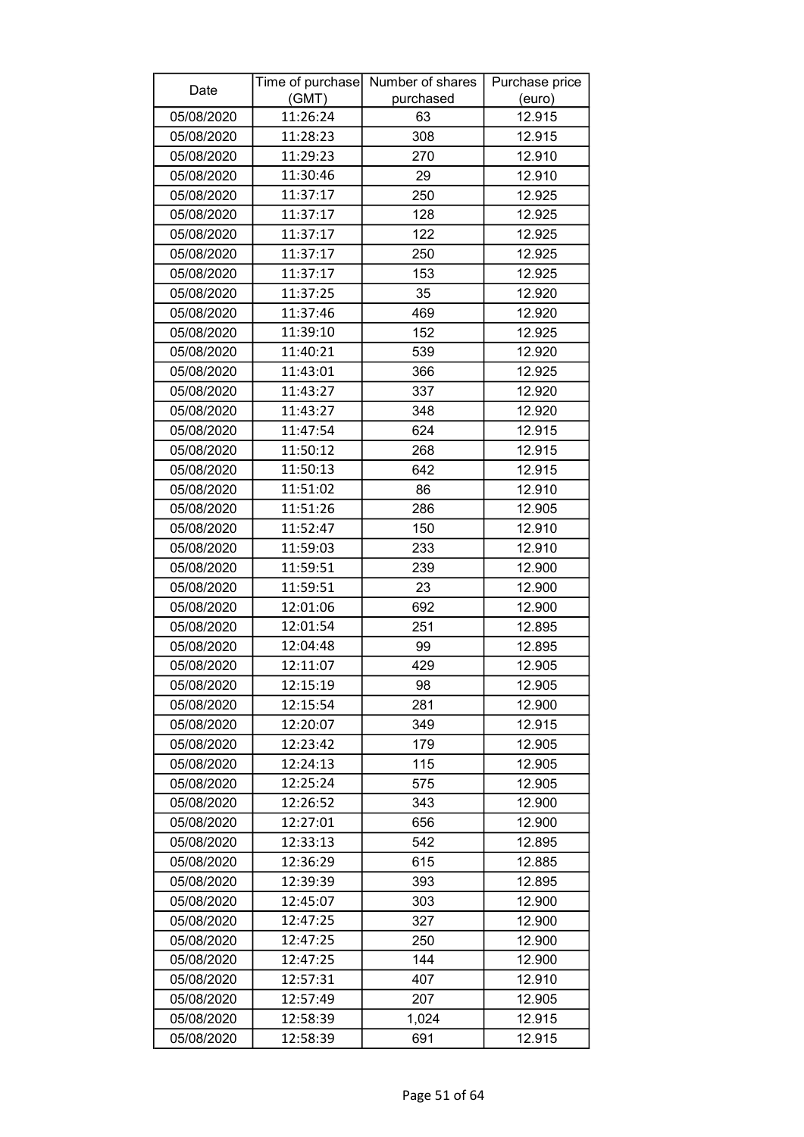| Date       |          | Time of purchase Number of shares | Purchase price |
|------------|----------|-----------------------------------|----------------|
|            | (GMT)    | purchased                         | (euro)         |
| 05/08/2020 | 11:26:24 | 63                                | 12.915         |
| 05/08/2020 | 11:28:23 | 308                               | 12.915         |
| 05/08/2020 | 11:29:23 | 270                               | 12.910         |
| 05/08/2020 | 11:30:46 | 29                                | 12.910         |
| 05/08/2020 | 11:37:17 | 250                               | 12.925         |
| 05/08/2020 | 11:37:17 | 128                               | 12.925         |
| 05/08/2020 | 11:37:17 | 122                               | 12.925         |
| 05/08/2020 | 11:37:17 | 250                               | 12.925         |
| 05/08/2020 | 11:37:17 | 153                               | 12.925         |
| 05/08/2020 | 11:37:25 | 35                                | 12.920         |
| 05/08/2020 | 11:37:46 | 469                               | 12.920         |
| 05/08/2020 | 11:39:10 | 152                               | 12.925         |
| 05/08/2020 | 11:40:21 | 539                               | 12.920         |
| 05/08/2020 | 11:43:01 | 366                               | 12.925         |
| 05/08/2020 | 11:43:27 | 337                               | 12.920         |
| 05/08/2020 | 11:43:27 | 348                               | 12.920         |
| 05/08/2020 | 11:47:54 | 624                               | 12.915         |
| 05/08/2020 | 11:50:12 | 268                               | 12.915         |
| 05/08/2020 | 11:50:13 | 642                               | 12.915         |
| 05/08/2020 | 11:51:02 | 86                                | 12.910         |
| 05/08/2020 | 11:51:26 | 286                               | 12.905         |
| 05/08/2020 | 11:52:47 | 150                               | 12.910         |
| 05/08/2020 | 11:59:03 | 233                               | 12.910         |
| 05/08/2020 | 11:59:51 | 239                               | 12.900         |
| 05/08/2020 | 11:59:51 | 23                                | 12.900         |
| 05/08/2020 | 12:01:06 | 692                               | 12.900         |
| 05/08/2020 | 12:01:54 | 251                               | 12.895         |
| 05/08/2020 | 12:04:48 | 99                                | 12.895         |
| 05/08/2020 | 12:11:07 | 429                               | 12.905         |
| 05/08/2020 | 12:15:19 | 98                                | 12.905         |
| 05/08/2020 | 12:15:54 | 281                               | 12.900         |
| 05/08/2020 | 12:20:07 | 349                               | 12.915         |
| 05/08/2020 | 12:23:42 | 179                               | 12.905         |
| 05/08/2020 | 12:24:13 | 115                               | 12.905         |
| 05/08/2020 | 12:25:24 | 575                               | 12.905         |
| 05/08/2020 | 12:26:52 | 343                               | 12.900         |
| 05/08/2020 | 12:27:01 | 656                               | 12.900         |
| 05/08/2020 | 12:33:13 | 542                               | 12.895         |
| 05/08/2020 | 12:36:29 | 615                               | 12.885         |
| 05/08/2020 | 12:39:39 | 393                               | 12.895         |
| 05/08/2020 | 12:45:07 | 303                               | 12.900         |
| 05/08/2020 | 12:47:25 | 327                               | 12.900         |
| 05/08/2020 | 12:47:25 | 250                               | 12.900         |
| 05/08/2020 | 12:47:25 | 144                               | 12.900         |
| 05/08/2020 | 12:57:31 | 407                               | 12.910         |
| 05/08/2020 | 12:57:49 | 207                               | 12.905         |
| 05/08/2020 | 12:58:39 | 1,024                             | 12.915         |
| 05/08/2020 | 12:58:39 | 691                               | 12.915         |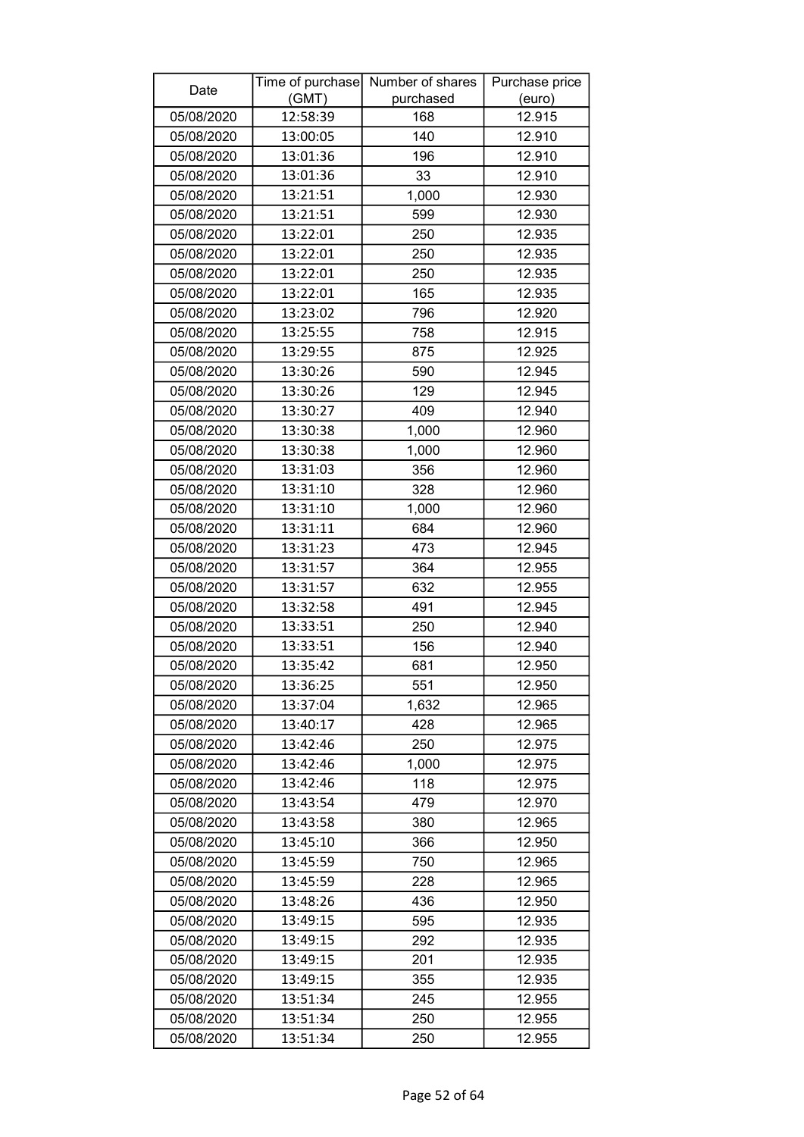| Date       |          | Time of purchase Number of shares | Purchase price |
|------------|----------|-----------------------------------|----------------|
|            | (GMT)    | purchased                         | (euro)         |
| 05/08/2020 | 12:58:39 | 168                               | 12.915         |
| 05/08/2020 | 13:00:05 | 140                               | 12.910         |
| 05/08/2020 | 13:01:36 | 196                               | 12.910         |
| 05/08/2020 | 13:01:36 | 33                                | 12.910         |
| 05/08/2020 | 13:21:51 | 1,000                             | 12.930         |
| 05/08/2020 | 13:21:51 | 599                               | 12.930         |
| 05/08/2020 | 13:22:01 | 250                               | 12.935         |
| 05/08/2020 | 13:22:01 | 250                               | 12.935         |
| 05/08/2020 | 13:22:01 | 250                               | 12.935         |
| 05/08/2020 | 13:22:01 | 165                               | 12.935         |
| 05/08/2020 | 13:23:02 | 796                               | 12.920         |
| 05/08/2020 | 13:25:55 | 758                               | 12.915         |
| 05/08/2020 | 13:29:55 | 875                               | 12.925         |
| 05/08/2020 | 13:30:26 | 590                               | 12.945         |
| 05/08/2020 | 13:30:26 | 129                               | 12.945         |
| 05/08/2020 | 13:30:27 | 409                               | 12.940         |
| 05/08/2020 | 13:30:38 | 1,000                             | 12.960         |
| 05/08/2020 | 13:30:38 | 1,000                             | 12.960         |
| 05/08/2020 | 13:31:03 | 356                               | 12.960         |
| 05/08/2020 | 13:31:10 | 328                               | 12.960         |
| 05/08/2020 | 13:31:10 | 1,000                             | 12.960         |
| 05/08/2020 | 13:31:11 | 684                               | 12.960         |
| 05/08/2020 | 13:31:23 | 473                               | 12.945         |
| 05/08/2020 | 13:31:57 | 364                               | 12.955         |
| 05/08/2020 | 13:31:57 | 632                               | 12.955         |
| 05/08/2020 | 13:32:58 | 491                               | 12.945         |
| 05/08/2020 | 13:33:51 | 250                               | 12.940         |
| 05/08/2020 | 13:33:51 | 156                               | 12.940         |
| 05/08/2020 | 13:35:42 | 681                               | 12.950         |
| 05/08/2020 | 13:36:25 | 551                               | 12.950         |
| 05/08/2020 | 13:37:04 | 1,632                             | 12.965         |
| 05/08/2020 | 13:40:17 | 428                               | 12.965         |
| 05/08/2020 | 13:42:46 | 250                               | 12.975         |
| 05/08/2020 | 13:42:46 | 1,000                             | 12.975         |
| 05/08/2020 | 13:42:46 | 118                               | 12.975         |
| 05/08/2020 | 13:43:54 | 479                               | 12.970         |
| 05/08/2020 | 13:43:58 | 380                               | 12.965         |
| 05/08/2020 | 13:45:10 | 366                               | 12.950         |
| 05/08/2020 | 13:45:59 | 750                               | 12.965         |
| 05/08/2020 | 13:45:59 | 228                               | 12.965         |
| 05/08/2020 | 13:48:26 | 436                               | 12.950         |
| 05/08/2020 | 13:49:15 | 595                               | 12.935         |
| 05/08/2020 | 13:49:15 | 292                               | 12.935         |
| 05/08/2020 | 13:49:15 | 201                               | 12.935         |
| 05/08/2020 | 13:49:15 | 355                               | 12.935         |
| 05/08/2020 | 13:51:34 | 245                               | 12.955         |
| 05/08/2020 | 13:51:34 | 250                               | 12.955         |
| 05/08/2020 | 13:51:34 | 250                               | 12.955         |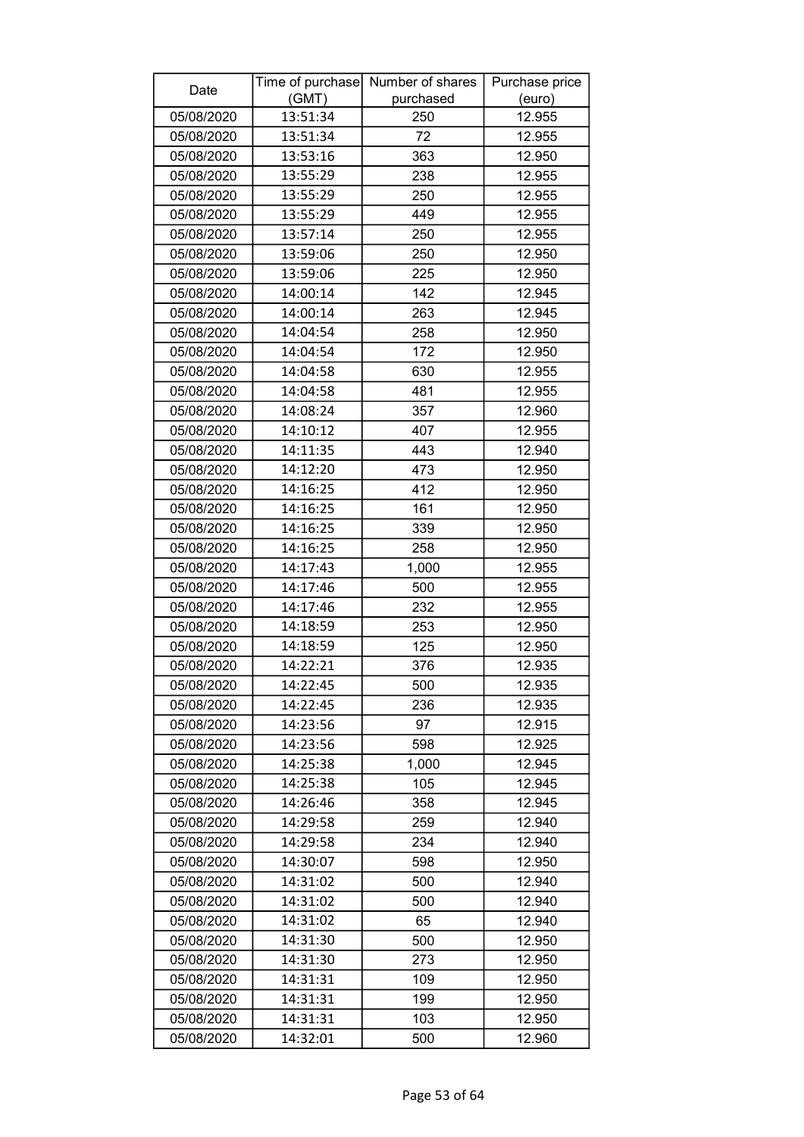| Date       |          | Time of purchase Number of shares | Purchase price |
|------------|----------|-----------------------------------|----------------|
|            | (GMT)    | purchased                         | (euro)         |
| 05/08/2020 | 13:51:34 | 250                               | 12.955         |
| 05/08/2020 | 13:51:34 | 72                                | 12.955         |
| 05/08/2020 | 13:53:16 | 363                               | 12.950         |
| 05/08/2020 | 13:55:29 | 238                               | 12.955         |
| 05/08/2020 | 13:55:29 | 250                               | 12.955         |
| 05/08/2020 | 13:55:29 | 449                               | 12.955         |
| 05/08/2020 | 13:57:14 | 250                               | 12.955         |
| 05/08/2020 | 13:59:06 | 250                               | 12.950         |
| 05/08/2020 | 13:59:06 | 225                               | 12.950         |
| 05/08/2020 | 14:00:14 | 142                               | 12.945         |
| 05/08/2020 | 14:00:14 | 263                               | 12.945         |
| 05/08/2020 | 14:04:54 | 258                               | 12.950         |
| 05/08/2020 | 14:04:54 | 172                               | 12.950         |
| 05/08/2020 | 14:04:58 | 630                               | 12.955         |
| 05/08/2020 | 14:04:58 | 481                               | 12.955         |
| 05/08/2020 | 14:08:24 | 357                               | 12.960         |
| 05/08/2020 | 14:10:12 | 407                               | 12.955         |
| 05/08/2020 | 14:11:35 | 443                               | 12.940         |
| 05/08/2020 | 14:12:20 | 473                               | 12.950         |
| 05/08/2020 | 14:16:25 | 412                               | 12.950         |
| 05/08/2020 | 14:16:25 | 161                               | 12.950         |
| 05/08/2020 | 14:16:25 | 339                               | 12.950         |
| 05/08/2020 | 14:16:25 | 258                               | 12.950         |
| 05/08/2020 | 14:17:43 | 1,000                             | 12.955         |
| 05/08/2020 | 14:17:46 | 500                               | 12.955         |
| 05/08/2020 | 14:17:46 | 232                               | 12.955         |
| 05/08/2020 | 14:18:59 | 253                               | 12.950         |
| 05/08/2020 | 14:18:59 | 125                               | 12.950         |
| 05/08/2020 | 14:22:21 | 376                               | 12.935         |
| 05/08/2020 | 14:22:45 | 500                               | 12.935         |
| 05/08/2020 | 14:22:45 | 236                               | 12.935         |
| 05/08/2020 | 14:23:56 | 97                                | 12.915         |
| 05/08/2020 | 14:23:56 | 598                               | 12.925         |
| 05/08/2020 | 14:25:38 | 1,000                             | 12.945         |
| 05/08/2020 | 14:25:38 | 105                               | 12.945         |
| 05/08/2020 | 14:26:46 | 358                               | 12.945         |
| 05/08/2020 | 14:29:58 | 259                               | 12.940         |
| 05/08/2020 | 14:29:58 | 234                               | 12.940         |
| 05/08/2020 | 14:30:07 | 598                               | 12.950         |
| 05/08/2020 | 14:31:02 | 500                               | 12.940         |
| 05/08/2020 | 14:31:02 | 500                               | 12.940         |
| 05/08/2020 | 14:31:02 | 65                                | 12.940         |
| 05/08/2020 | 14:31:30 | 500                               | 12.950         |
| 05/08/2020 | 14:31:30 | 273                               | 12.950         |
| 05/08/2020 | 14:31:31 | 109                               | 12.950         |
| 05/08/2020 | 14:31:31 | 199                               | 12.950         |
| 05/08/2020 | 14:31:31 | 103                               | 12.950         |
| 05/08/2020 | 14:32:01 | 500                               | 12.960         |
|            |          |                                   |                |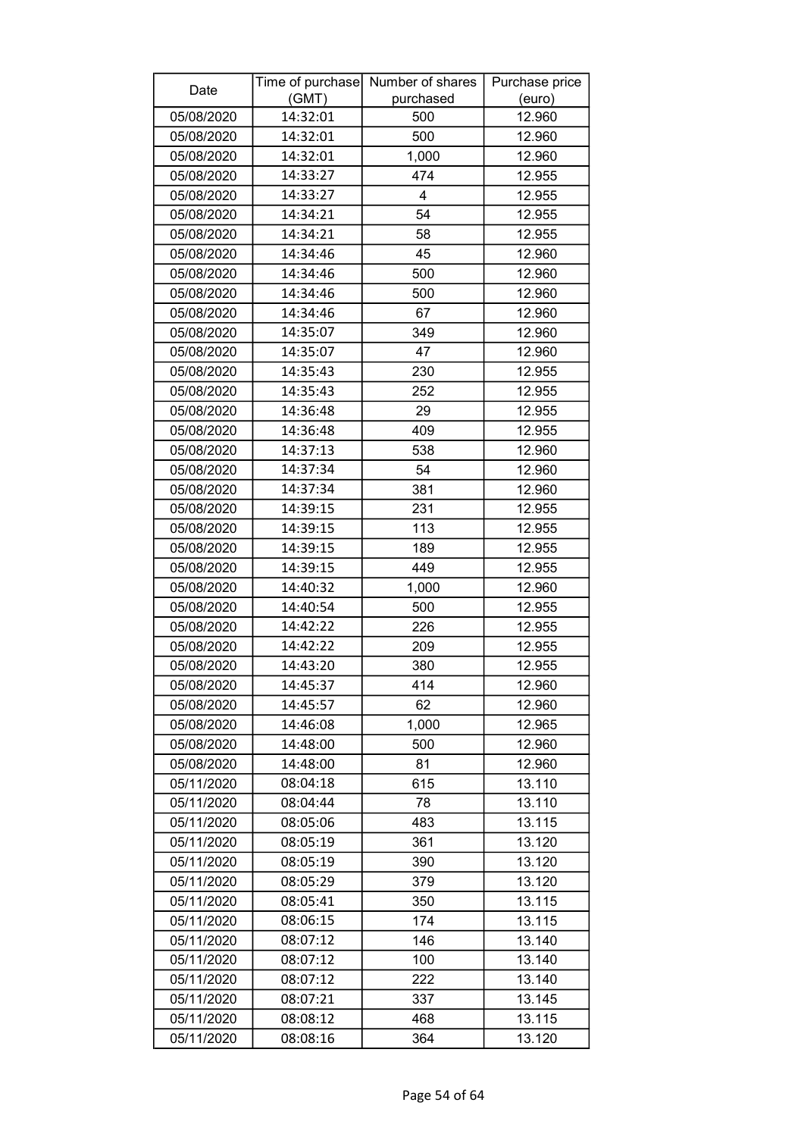| Date       |          | Time of purchase Number of shares | Purchase price |
|------------|----------|-----------------------------------|----------------|
|            | (GMT)    | purchased                         | (euro)         |
| 05/08/2020 | 14:32:01 | 500                               | 12.960         |
| 05/08/2020 | 14:32:01 | 500                               | 12.960         |
| 05/08/2020 | 14:32:01 | 1,000                             | 12.960         |
| 05/08/2020 | 14:33:27 | 474                               | 12.955         |
| 05/08/2020 | 14:33:27 | 4                                 | 12.955         |
| 05/08/2020 | 14:34:21 | 54                                | 12.955         |
| 05/08/2020 | 14:34:21 | 58                                | 12.955         |
| 05/08/2020 | 14:34:46 | 45                                | 12.960         |
| 05/08/2020 | 14:34:46 | 500                               | 12.960         |
| 05/08/2020 | 14:34:46 | 500                               | 12.960         |
| 05/08/2020 | 14:34:46 | 67                                | 12.960         |
| 05/08/2020 | 14:35:07 | 349                               | 12.960         |
| 05/08/2020 | 14:35:07 | 47                                | 12.960         |
| 05/08/2020 | 14:35:43 | 230                               | 12.955         |
| 05/08/2020 | 14:35:43 | 252                               | 12.955         |
| 05/08/2020 | 14:36:48 | 29                                | 12.955         |
| 05/08/2020 | 14:36:48 | 409                               | 12.955         |
| 05/08/2020 | 14:37:13 | 538                               | 12.960         |
| 05/08/2020 | 14:37:34 | 54                                | 12.960         |
| 05/08/2020 | 14:37:34 | 381                               | 12.960         |
| 05/08/2020 | 14:39:15 | 231                               | 12.955         |
| 05/08/2020 | 14:39:15 | 113                               | 12.955         |
| 05/08/2020 | 14:39:15 | 189                               | 12.955         |
| 05/08/2020 | 14:39:15 | 449                               | 12.955         |
| 05/08/2020 | 14:40:32 | 1,000                             | 12.960         |
| 05/08/2020 | 14:40:54 | 500                               | 12.955         |
| 05/08/2020 | 14:42:22 | 226                               | 12.955         |
| 05/08/2020 | 14:42:22 | 209                               | 12.955         |
| 05/08/2020 | 14:43:20 | 380                               | 12.955         |
| 05/08/2020 | 14:45:37 | 414                               | 12.960         |
| 05/08/2020 | 14:45:57 | 62                                | 12.960         |
| 05/08/2020 | 14:46:08 | 1,000                             | 12.965         |
| 05/08/2020 | 14:48:00 | 500                               | 12.960         |
| 05/08/2020 | 14:48:00 | 81                                | 12.960         |
| 05/11/2020 | 08:04:18 | 615                               | 13.110         |
| 05/11/2020 | 08:04:44 | 78                                | 13.110         |
| 05/11/2020 | 08:05:06 | 483                               | 13.115         |
| 05/11/2020 | 08:05:19 | 361                               | 13.120         |
| 05/11/2020 | 08:05:19 | 390                               | 13.120         |
| 05/11/2020 | 08:05:29 | 379                               | 13.120         |
| 05/11/2020 | 08:05:41 | 350                               | 13.115         |
| 05/11/2020 | 08:06:15 | 174                               | 13.115         |
| 05/11/2020 | 08:07:12 | 146                               | 13.140         |
| 05/11/2020 | 08:07:12 | 100                               | 13.140         |
| 05/11/2020 | 08:07:12 | 222                               | 13.140         |
| 05/11/2020 | 08:07:21 | 337                               | 13.145         |
| 05/11/2020 | 08:08:12 | 468                               | 13.115         |
| 05/11/2020 | 08:08:16 | 364                               | 13.120         |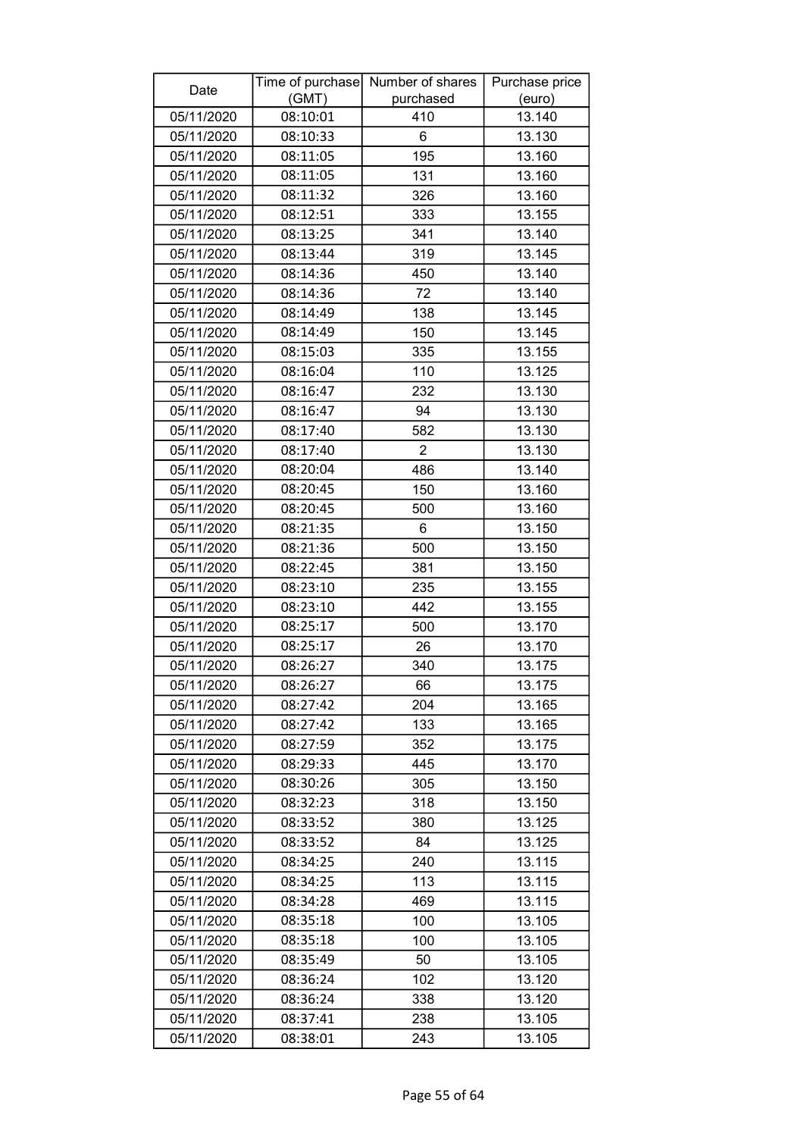| Date       |          | Time of purchase Number of shares | Purchase price |
|------------|----------|-----------------------------------|----------------|
|            | (GMT)    | purchased                         | (euro)         |
| 05/11/2020 | 08:10:01 | 410                               | 13.140         |
| 05/11/2020 | 08:10:33 | 6                                 | 13.130         |
| 05/11/2020 | 08:11:05 | 195                               | 13.160         |
| 05/11/2020 | 08:11:05 | 131                               | 13.160         |
| 05/11/2020 | 08:11:32 | 326                               | 13.160         |
| 05/11/2020 | 08:12:51 | 333                               | 13.155         |
| 05/11/2020 | 08:13:25 | 341                               | 13.140         |
| 05/11/2020 | 08:13:44 | 319                               | 13.145         |
| 05/11/2020 | 08:14:36 | 450                               | 13.140         |
| 05/11/2020 | 08:14:36 | 72                                | 13.140         |
| 05/11/2020 | 08:14:49 | 138                               | 13.145         |
| 05/11/2020 | 08:14:49 | 150                               | 13.145         |
| 05/11/2020 | 08:15:03 | 335                               | 13.155         |
| 05/11/2020 | 08:16:04 | 110                               | 13.125         |
| 05/11/2020 | 08:16:47 | 232                               | 13.130         |
| 05/11/2020 | 08:16:47 | 94                                | 13.130         |
| 05/11/2020 | 08:17:40 | 582                               | 13.130         |
| 05/11/2020 | 08:17:40 | $\overline{2}$                    | 13.130         |
| 05/11/2020 | 08:20:04 | 486                               | 13.140         |
| 05/11/2020 | 08:20:45 | 150                               | 13.160         |
| 05/11/2020 | 08:20:45 | 500                               | 13.160         |
| 05/11/2020 | 08:21:35 | 6                                 | 13.150         |
| 05/11/2020 | 08:21:36 | 500                               | 13.150         |
| 05/11/2020 | 08:22:45 | 381                               | 13.150         |
| 05/11/2020 | 08:23:10 | 235                               | 13.155         |
| 05/11/2020 | 08:23:10 | 442                               | 13.155         |
| 05/11/2020 | 08:25:17 | 500                               | 13.170         |
| 05/11/2020 | 08:25:17 | 26                                | 13.170         |
| 05/11/2020 | 08:26:27 | 340                               | 13.175         |
| 05/11/2020 | 08:26:27 | 66                                | 13.175         |
| 05/11/2020 | 08:27:42 | 204                               | 13.165         |
| 05/11/2020 | 08:27:42 | 133                               | 13.165         |
| 05/11/2020 | 08:27:59 | 352                               | 13.175         |
| 05/11/2020 | 08:29:33 | 445                               | 13.170         |
| 05/11/2020 | 08:30:26 | 305                               | 13.150         |
| 05/11/2020 | 08:32:23 | 318                               | 13.150         |
| 05/11/2020 | 08:33:52 | 380                               | 13.125         |
| 05/11/2020 | 08:33:52 | 84                                | 13.125         |
| 05/11/2020 | 08:34:25 | 240                               | 13.115         |
| 05/11/2020 | 08:34:25 | 113                               | 13.115         |
| 05/11/2020 | 08:34:28 | 469                               | 13.115         |
| 05/11/2020 | 08:35:18 | 100                               | 13.105         |
| 05/11/2020 | 08:35:18 | 100                               | 13.105         |
| 05/11/2020 | 08:35:49 | 50                                | 13.105         |
| 05/11/2020 | 08:36:24 | 102                               | 13.120         |
| 05/11/2020 | 08:36:24 | 338                               | 13.120         |
| 05/11/2020 | 08:37:41 | 238                               | 13.105         |
| 05/11/2020 | 08:38:01 | 243                               | 13.105         |
|            |          |                                   |                |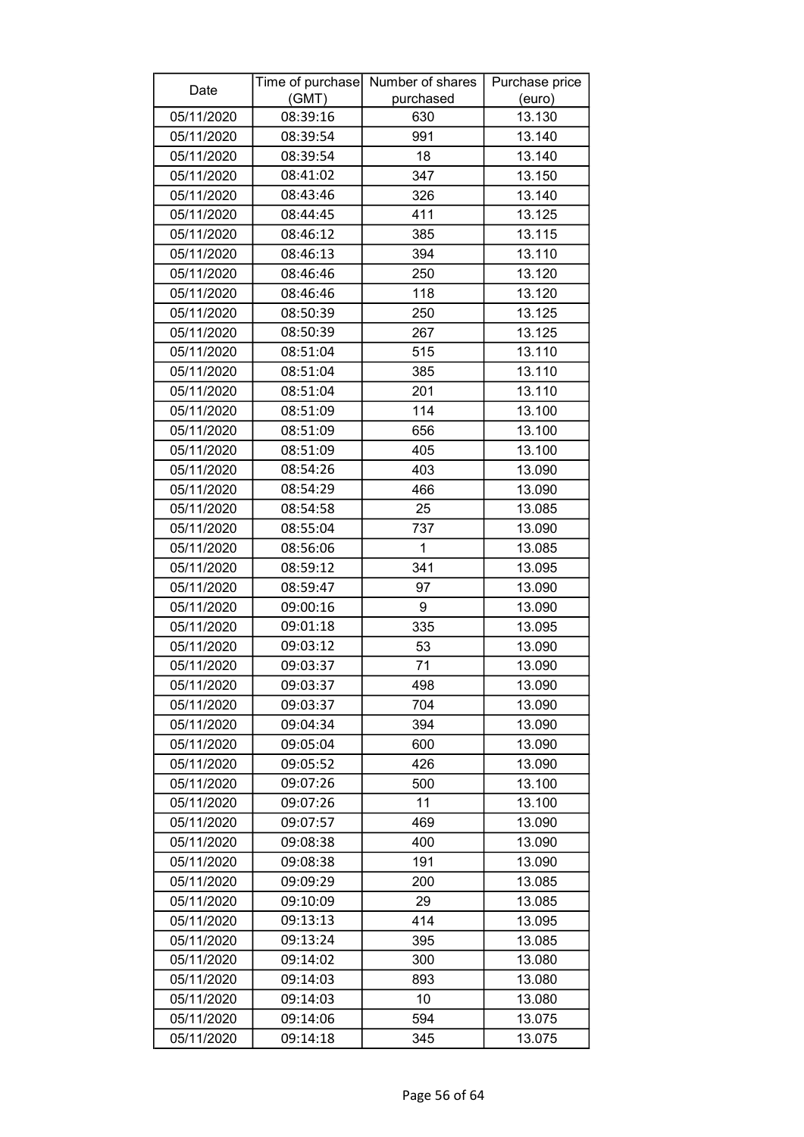| Date       |          | Time of purchase Number of shares | Purchase price |
|------------|----------|-----------------------------------|----------------|
|            | (GMT)    | purchased                         | (euro)         |
| 05/11/2020 | 08:39:16 | 630                               | 13.130         |
| 05/11/2020 | 08:39:54 | 991                               | 13.140         |
| 05/11/2020 | 08:39:54 | 18                                | 13.140         |
| 05/11/2020 | 08:41:02 | 347                               | 13.150         |
| 05/11/2020 | 08:43:46 | 326                               | 13.140         |
| 05/11/2020 | 08:44:45 | 411                               | 13.125         |
| 05/11/2020 | 08:46:12 | 385                               | 13.115         |
| 05/11/2020 | 08:46:13 | 394                               | 13.110         |
| 05/11/2020 | 08:46:46 | 250                               | 13.120         |
| 05/11/2020 | 08:46:46 | 118                               | 13.120         |
| 05/11/2020 | 08:50:39 | 250                               | 13.125         |
| 05/11/2020 | 08:50:39 | 267                               | 13.125         |
| 05/11/2020 | 08:51:04 | 515                               | 13.110         |
| 05/11/2020 | 08:51:04 | 385                               | 13.110         |
| 05/11/2020 | 08:51:04 | 201                               | 13.110         |
| 05/11/2020 | 08:51:09 | 114                               | 13.100         |
| 05/11/2020 | 08:51:09 | 656                               | 13.100         |
| 05/11/2020 | 08:51:09 | 405                               | 13.100         |
| 05/11/2020 | 08:54:26 | 403                               | 13.090         |
| 05/11/2020 | 08:54:29 | 466                               | 13.090         |
| 05/11/2020 | 08:54:58 | 25                                | 13.085         |
| 05/11/2020 | 08:55:04 | 737                               | 13.090         |
| 05/11/2020 | 08:56:06 | 1                                 | 13.085         |
| 05/11/2020 | 08:59:12 | 341                               | 13.095         |
| 05/11/2020 | 08:59:47 | 97                                | 13.090         |
| 05/11/2020 | 09:00:16 | 9                                 | 13.090         |
| 05/11/2020 | 09:01:18 | 335                               | 13.095         |
| 05/11/2020 | 09:03:12 | 53                                | 13.090         |
| 05/11/2020 | 09:03:37 | 71                                | 13.090         |
| 05/11/2020 | 09:03:37 | 498                               | 13.090         |
| 05/11/2020 | 09:03:37 | 704                               | 13.090         |
| 05/11/2020 | 09:04:34 | 394                               | 13.090         |
| 05/11/2020 | 09:05:04 | 600                               | 13.090         |
| 05/11/2020 | 09:05:52 | 426                               | 13.090         |
| 05/11/2020 | 09:07:26 | 500                               | 13.100         |
| 05/11/2020 | 09:07:26 | 11                                | 13.100         |
| 05/11/2020 | 09:07:57 | 469                               | 13.090         |
| 05/11/2020 | 09:08:38 | 400                               | 13.090         |
| 05/11/2020 | 09:08:38 | 191                               | 13.090         |
| 05/11/2020 | 09:09:29 | 200                               | 13.085         |
| 05/11/2020 | 09:10:09 | 29                                | 13.085         |
| 05/11/2020 | 09:13:13 | 414                               | 13.095         |
| 05/11/2020 | 09:13:24 | 395                               | 13.085         |
| 05/11/2020 | 09:14:02 | 300                               | 13.080         |
| 05/11/2020 | 09:14:03 | 893                               | 13.080         |
| 05/11/2020 | 09:14:03 | 10                                | 13.080         |
| 05/11/2020 | 09:14:06 | 594                               | 13.075         |
| 05/11/2020 | 09:14:18 | 345                               | 13.075         |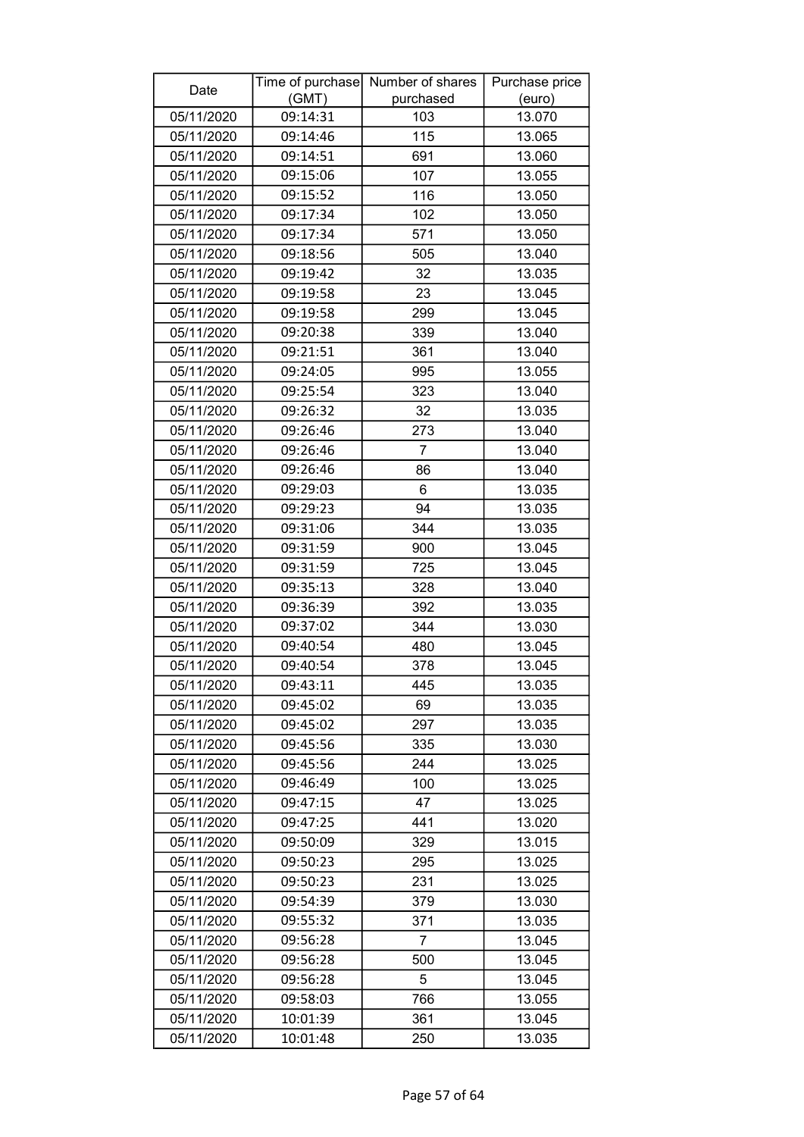| Date       |          | Time of purchase Number of shares | Purchase price |
|------------|----------|-----------------------------------|----------------|
|            | (GMT)    | purchased                         | (euro)         |
| 05/11/2020 | 09:14:31 | 103                               | 13.070         |
| 05/11/2020 | 09:14:46 | 115                               | 13.065         |
| 05/11/2020 | 09:14:51 | 691                               | 13.060         |
| 05/11/2020 | 09:15:06 | 107                               | 13.055         |
| 05/11/2020 | 09:15:52 | 116                               | 13.050         |
| 05/11/2020 | 09:17:34 | 102                               | 13.050         |
| 05/11/2020 | 09:17:34 | 571                               | 13.050         |
| 05/11/2020 | 09:18:56 | 505                               | 13.040         |
| 05/11/2020 | 09:19:42 | 32                                | 13.035         |
| 05/11/2020 | 09:19:58 | 23                                | 13.045         |
| 05/11/2020 | 09:19:58 | 299                               | 13.045         |
| 05/11/2020 | 09:20:38 | 339                               | 13.040         |
| 05/11/2020 | 09:21:51 | 361                               | 13.040         |
| 05/11/2020 | 09:24:05 | 995                               | 13.055         |
| 05/11/2020 | 09:25:54 | 323                               | 13.040         |
| 05/11/2020 | 09:26:32 | 32                                | 13.035         |
| 05/11/2020 | 09:26:46 | 273                               | 13.040         |
| 05/11/2020 | 09:26:46 | $\overline{7}$                    | 13.040         |
| 05/11/2020 | 09:26:46 | 86                                | 13.040         |
| 05/11/2020 | 09:29:03 | 6                                 | 13.035         |
| 05/11/2020 | 09:29:23 | 94                                | 13.035         |
| 05/11/2020 | 09:31:06 | 344                               | 13.035         |
| 05/11/2020 | 09:31:59 | 900                               | 13.045         |
| 05/11/2020 | 09:31:59 | 725                               | 13.045         |
| 05/11/2020 | 09:35:13 | 328                               | 13.040         |
| 05/11/2020 | 09:36:39 | 392                               | 13.035         |
| 05/11/2020 | 09:37:02 | 344                               | 13.030         |
| 05/11/2020 | 09:40:54 | 480                               | 13.045         |
| 05/11/2020 | 09:40:54 | 378                               | 13.045         |
| 05/11/2020 | 09:43:11 | 445                               | 13.035         |
| 05/11/2020 | 09:45:02 | 69                                | 13.035         |
| 05/11/2020 | 09:45:02 | 297                               | 13.035         |
| 05/11/2020 | 09:45:56 | 335                               | 13.030         |
| 05/11/2020 | 09:45:56 | 244                               | 13.025         |
| 05/11/2020 | 09:46:49 | 100                               | 13.025         |
| 05/11/2020 | 09:47:15 | 47                                | 13.025         |
| 05/11/2020 | 09:47:25 | 441                               | 13.020         |
| 05/11/2020 | 09:50:09 | 329                               | 13.015         |
| 05/11/2020 | 09:50:23 | 295                               | 13.025         |
| 05/11/2020 | 09:50:23 | 231                               | 13.025         |
| 05/11/2020 | 09:54:39 | 379                               | 13.030         |
| 05/11/2020 | 09:55:32 | 371                               | 13.035         |
| 05/11/2020 | 09:56:28 | 7                                 | 13.045         |
| 05/11/2020 | 09:56:28 | 500                               | 13.045         |
| 05/11/2020 | 09:56:28 | 5                                 | 13.045         |
| 05/11/2020 | 09:58:03 | 766                               | 13.055         |
| 05/11/2020 | 10:01:39 | 361                               | 13.045         |
| 05/11/2020 | 10:01:48 | 250                               | 13.035         |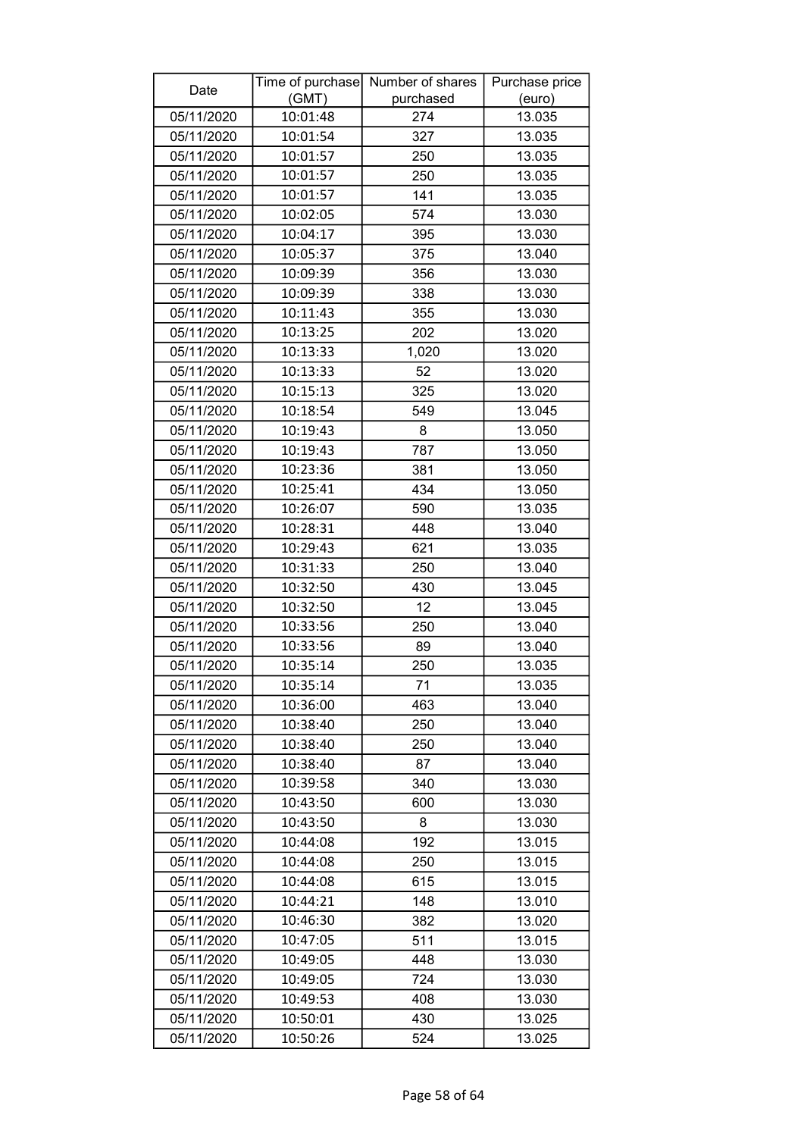| Date       |          | Time of purchase Number of shares | Purchase price |
|------------|----------|-----------------------------------|----------------|
|            | (GMT)    | purchased                         | (euro)         |
| 05/11/2020 | 10:01:48 | 274                               | 13.035         |
| 05/11/2020 | 10:01:54 | 327                               | 13.035         |
| 05/11/2020 | 10:01:57 | 250                               | 13.035         |
| 05/11/2020 | 10:01:57 | 250                               | 13.035         |
| 05/11/2020 | 10:01:57 | 141                               | 13.035         |
| 05/11/2020 | 10:02:05 | 574                               | 13.030         |
| 05/11/2020 | 10:04:17 | 395                               | 13.030         |
| 05/11/2020 | 10:05:37 | 375                               | 13.040         |
| 05/11/2020 | 10:09:39 | 356                               | 13.030         |
| 05/11/2020 | 10:09:39 | 338                               | 13.030         |
| 05/11/2020 | 10:11:43 | 355                               | 13.030         |
| 05/11/2020 | 10:13:25 | 202                               | 13.020         |
| 05/11/2020 | 10:13:33 | 1,020                             | 13.020         |
| 05/11/2020 | 10:13:33 | 52                                | 13.020         |
| 05/11/2020 | 10:15:13 | 325                               | 13.020         |
| 05/11/2020 | 10:18:54 | 549                               | 13.045         |
| 05/11/2020 | 10:19:43 | 8                                 | 13.050         |
| 05/11/2020 | 10:19:43 | 787                               | 13.050         |
| 05/11/2020 | 10:23:36 | 381                               | 13.050         |
| 05/11/2020 | 10:25:41 | 434                               | 13.050         |
| 05/11/2020 | 10:26:07 | 590                               | 13.035         |
| 05/11/2020 | 10:28:31 | 448                               | 13.040         |
| 05/11/2020 | 10:29:43 | 621                               | 13.035         |
| 05/11/2020 | 10:31:33 | 250                               | 13.040         |
| 05/11/2020 | 10:32:50 | 430                               | 13.045         |
| 05/11/2020 | 10:32:50 | 12                                | 13.045         |
| 05/11/2020 | 10:33:56 | 250                               | 13.040         |
| 05/11/2020 | 10:33:56 | 89                                | 13.040         |
| 05/11/2020 | 10:35:14 | 250                               | 13.035         |
| 05/11/2020 | 10:35:14 | 71                                | 13.035         |
| 05/11/2020 | 10:36:00 | 463                               | 13.040         |
| 05/11/2020 | 10:38:40 | 250                               | 13.040         |
| 05/11/2020 | 10:38:40 | 250                               | 13.040         |
| 05/11/2020 | 10:38:40 | 87                                | 13.040         |
| 05/11/2020 | 10:39:58 | 340                               | 13.030         |
| 05/11/2020 | 10:43:50 | 600                               | 13.030         |
| 05/11/2020 | 10:43:50 | 8                                 | 13.030         |
| 05/11/2020 | 10:44:08 | 192                               | 13.015         |
| 05/11/2020 | 10:44:08 | 250                               | 13.015         |
| 05/11/2020 | 10:44:08 | 615                               | 13.015         |
| 05/11/2020 | 10:44:21 | 148                               | 13.010         |
| 05/11/2020 | 10:46:30 | 382                               | 13.020         |
| 05/11/2020 | 10:47:05 | 511                               | 13.015         |
| 05/11/2020 | 10:49:05 | 448                               | 13.030         |
| 05/11/2020 | 10:49:05 | 724                               | 13.030         |
| 05/11/2020 | 10:49:53 | 408                               | 13.030         |
| 05/11/2020 | 10:50:01 | 430                               | 13.025         |
| 05/11/2020 | 10:50:26 | 524                               | 13.025         |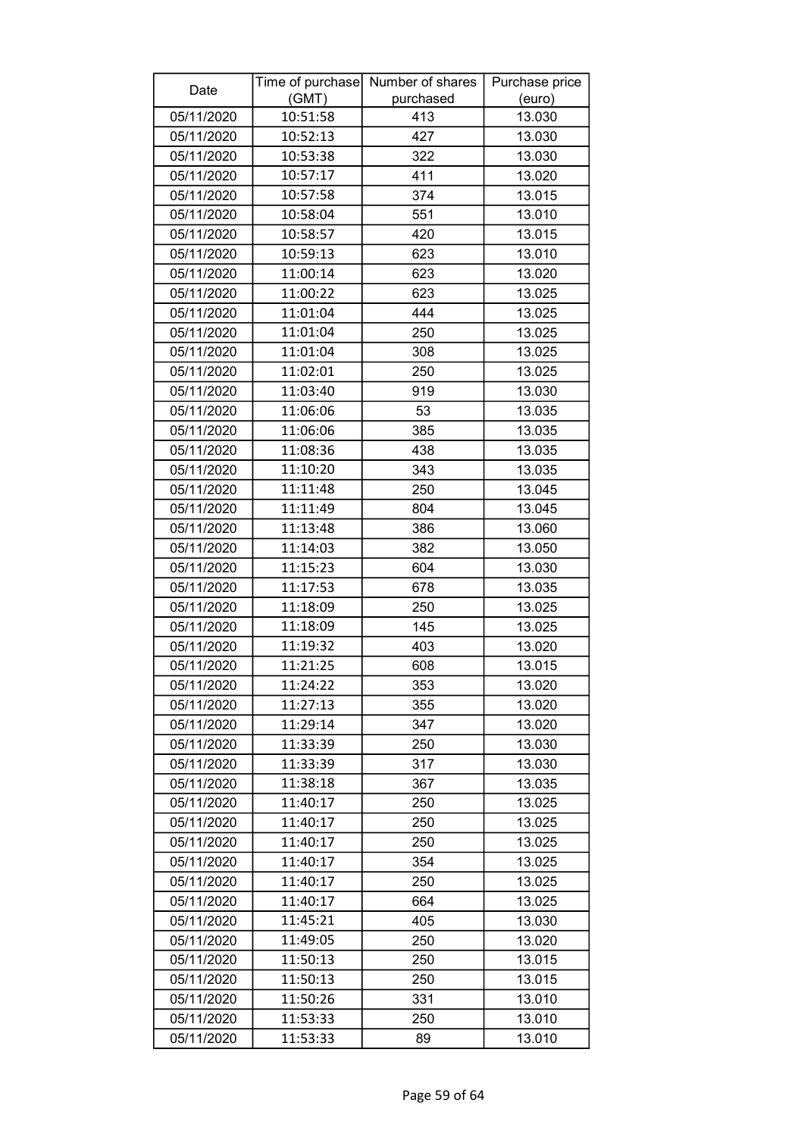| Date       |          | Time of purchase Number of shares | Purchase price |
|------------|----------|-----------------------------------|----------------|
|            | (GMT)    | purchased                         | (euro)         |
| 05/11/2020 | 10:51:58 | 413                               | 13.030         |
| 05/11/2020 | 10:52:13 | 427                               | 13.030         |
| 05/11/2020 | 10:53:38 | 322                               | 13.030         |
| 05/11/2020 | 10:57:17 | 411                               | 13.020         |
| 05/11/2020 | 10:57:58 | 374                               | 13.015         |
| 05/11/2020 | 10:58:04 | 551                               | 13.010         |
| 05/11/2020 | 10:58:57 | 420                               | 13.015         |
| 05/11/2020 | 10:59:13 | 623                               | 13.010         |
| 05/11/2020 | 11:00:14 | 623                               | 13.020         |
| 05/11/2020 | 11:00:22 | 623                               | 13.025         |
| 05/11/2020 | 11:01:04 | 444                               | 13.025         |
| 05/11/2020 | 11:01:04 | 250                               | 13.025         |
| 05/11/2020 | 11:01:04 | 308                               | 13.025         |
| 05/11/2020 | 11:02:01 | 250                               | 13.025         |
| 05/11/2020 | 11:03:40 | 919                               | 13.030         |
| 05/11/2020 | 11:06:06 | 53                                | 13.035         |
| 05/11/2020 | 11:06:06 | 385                               | 13.035         |
| 05/11/2020 | 11:08:36 | 438                               | 13.035         |
| 05/11/2020 | 11:10:20 | 343                               | 13.035         |
| 05/11/2020 | 11:11:48 | 250                               | 13.045         |
| 05/11/2020 | 11:11:49 | 804                               | 13.045         |
| 05/11/2020 | 11:13:48 | 386                               | 13.060         |
| 05/11/2020 | 11:14:03 | 382                               | 13.050         |
| 05/11/2020 | 11:15:23 | 604                               | 13.030         |
| 05/11/2020 | 11:17:53 | 678                               | 13.035         |
| 05/11/2020 | 11:18:09 | 250                               | 13.025         |
| 05/11/2020 | 11:18:09 | 145                               | 13.025         |
| 05/11/2020 | 11:19:32 | 403                               | 13.020         |
| 05/11/2020 | 11:21:25 | 608                               | 13.015         |
| 05/11/2020 | 11:24:22 | 353                               | 13.020         |
| 05/11/2020 | 11:27:13 | 355                               | 13.020         |
| 05/11/2020 | 11:29:14 | 347                               | 13.020         |
| 05/11/2020 | 11:33:39 | 250                               | 13.030         |
| 05/11/2020 | 11:33:39 | 317                               | 13.030         |
| 05/11/2020 | 11:38:18 | 367                               | 13.035         |
| 05/11/2020 | 11:40:17 | 250                               | 13.025         |
| 05/11/2020 | 11:40:17 | 250                               | 13.025         |
| 05/11/2020 | 11:40:17 | 250                               | 13.025         |
| 05/11/2020 | 11:40:17 | 354                               | 13.025         |
| 05/11/2020 | 11:40:17 | 250                               | 13.025         |
| 05/11/2020 | 11:40:17 | 664                               | 13.025         |
| 05/11/2020 | 11:45:21 | 405                               | 13.030         |
| 05/11/2020 | 11:49:05 | 250                               | 13.020         |
| 05/11/2020 | 11:50:13 | 250                               | 13.015         |
| 05/11/2020 | 11:50:13 | 250                               | 13.015         |
| 05/11/2020 | 11:50:26 | 331                               | 13.010         |
| 05/11/2020 | 11:53:33 | 250                               | 13.010         |
| 05/11/2020 | 11:53:33 | 89                                | 13.010         |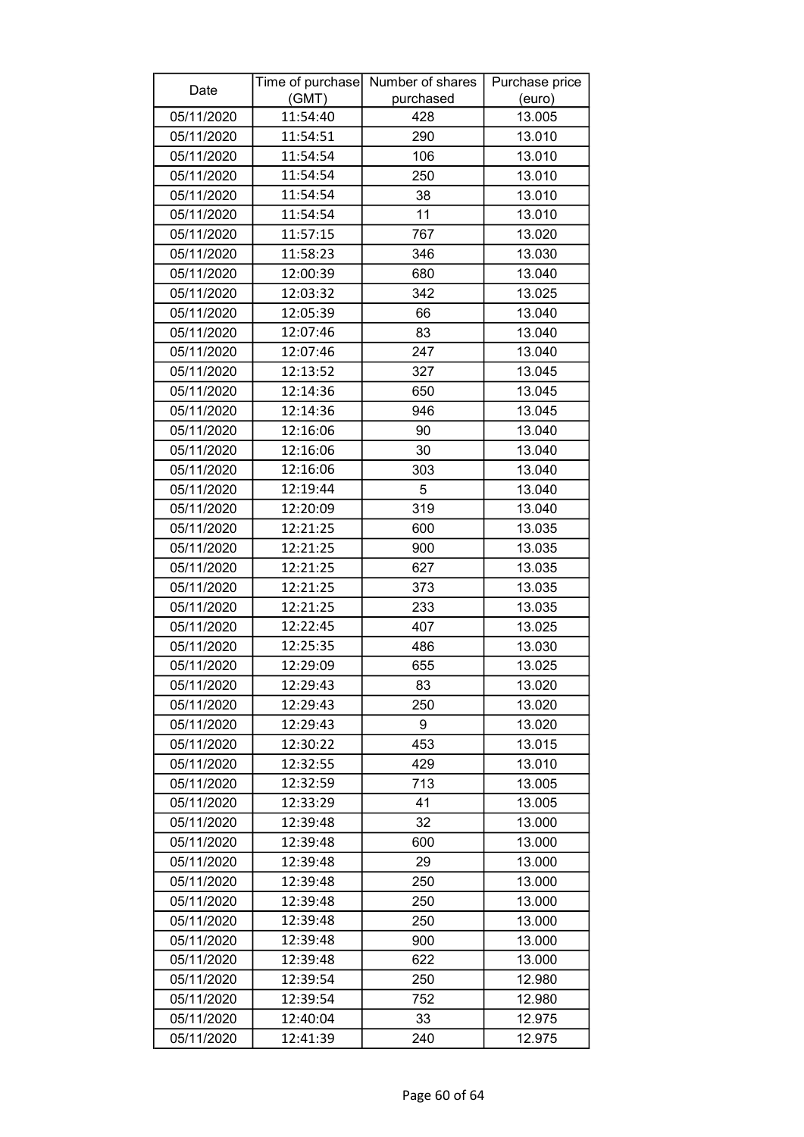| Date       |          | Time of purchase Number of shares | Purchase price |
|------------|----------|-----------------------------------|----------------|
|            | (GMT)    | purchased                         | (euro)         |
| 05/11/2020 | 11:54:40 | 428                               | 13.005         |
| 05/11/2020 | 11:54:51 | 290                               | 13.010         |
| 05/11/2020 | 11:54:54 | 106                               | 13.010         |
| 05/11/2020 | 11:54:54 | 250                               | 13.010         |
| 05/11/2020 | 11:54:54 | 38                                | 13.010         |
| 05/11/2020 | 11:54:54 | 11                                | 13.010         |
| 05/11/2020 | 11:57:15 | 767                               | 13.020         |
| 05/11/2020 | 11:58:23 | 346                               | 13.030         |
| 05/11/2020 | 12:00:39 | 680                               | 13.040         |
| 05/11/2020 | 12:03:32 | 342                               | 13.025         |
| 05/11/2020 | 12:05:39 | 66                                | 13.040         |
| 05/11/2020 | 12:07:46 | 83                                | 13.040         |
| 05/11/2020 | 12:07:46 | 247                               | 13.040         |
| 05/11/2020 | 12:13:52 | 327                               | 13.045         |
| 05/11/2020 | 12:14:36 | 650                               | 13.045         |
| 05/11/2020 | 12:14:36 | 946                               | 13.045         |
| 05/11/2020 | 12:16:06 | 90                                | 13.040         |
| 05/11/2020 | 12:16:06 | 30                                | 13.040         |
| 05/11/2020 | 12:16:06 | 303                               | 13.040         |
| 05/11/2020 | 12:19:44 | 5                                 | 13.040         |
| 05/11/2020 | 12:20:09 | 319                               | 13.040         |
| 05/11/2020 | 12:21:25 | 600                               | 13.035         |
| 05/11/2020 | 12:21:25 | 900                               | 13.035         |
| 05/11/2020 | 12:21:25 | 627                               | 13.035         |
| 05/11/2020 | 12:21:25 | 373                               | 13.035         |
| 05/11/2020 | 12:21:25 | 233                               | 13.035         |
| 05/11/2020 | 12:22:45 | 407                               | 13.025         |
| 05/11/2020 | 12:25:35 | 486                               | 13.030         |
| 05/11/2020 | 12:29:09 | 655                               | 13.025         |
| 05/11/2020 | 12:29:43 | 83                                | 13.020         |
| 05/11/2020 | 12:29:43 | 250                               | 13.020         |
| 05/11/2020 | 12:29:43 | 9                                 | 13.020         |
| 05/11/2020 | 12:30:22 | 453                               | 13.015         |
| 05/11/2020 | 12:32:55 | 429                               | 13.010         |
| 05/11/2020 | 12:32:59 | 713                               | 13.005         |
| 05/11/2020 | 12:33:29 | 41                                | 13.005         |
| 05/11/2020 | 12:39:48 | 32                                | 13.000         |
| 05/11/2020 | 12:39:48 | 600                               | 13.000         |
| 05/11/2020 | 12:39:48 | 29                                | 13.000         |
| 05/11/2020 | 12:39:48 | 250                               | 13.000         |
| 05/11/2020 | 12:39:48 | 250                               | 13.000         |
| 05/11/2020 | 12:39:48 | 250                               | 13.000         |
| 05/11/2020 | 12:39:48 | 900                               | 13.000         |
| 05/11/2020 | 12:39:48 | 622                               | 13.000         |
| 05/11/2020 | 12:39:54 | 250                               | 12.980         |
| 05/11/2020 | 12:39:54 | 752                               | 12.980         |
| 05/11/2020 | 12:40:04 | 33                                | 12.975         |
| 05/11/2020 | 12:41:39 | 240                               | 12.975         |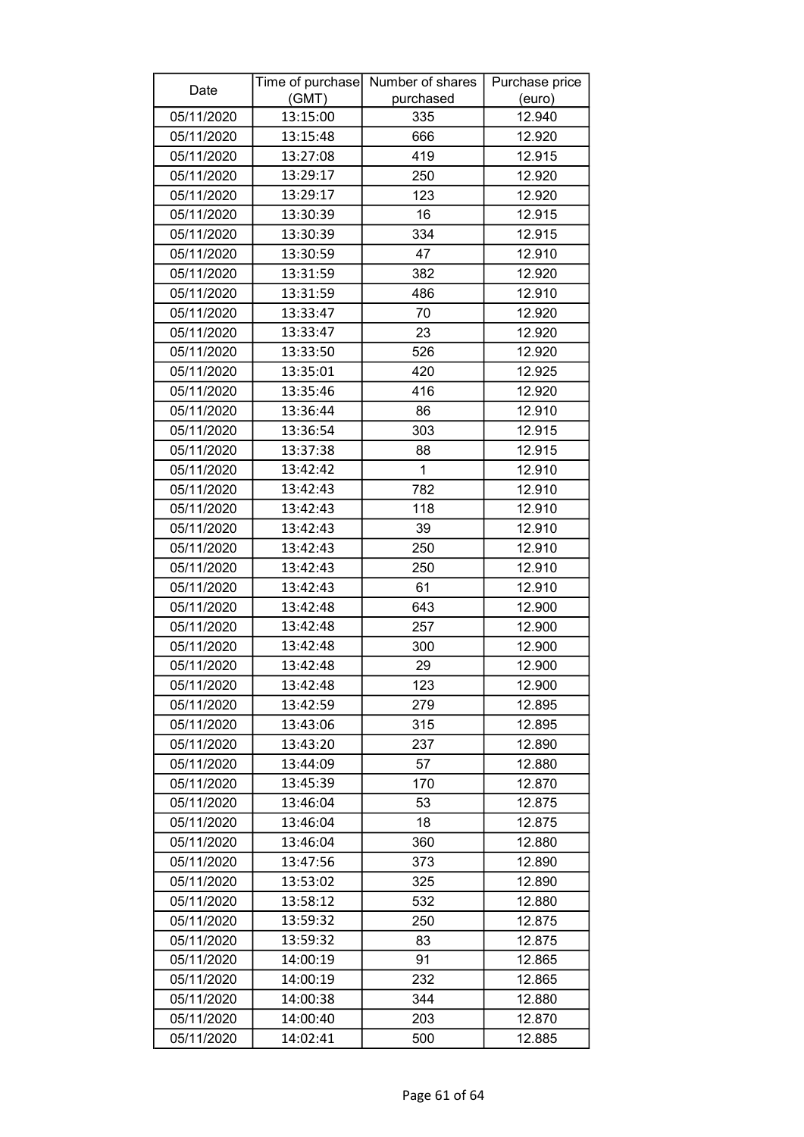| (GMT)<br>purchased<br>(euro)<br>05/11/2020<br>13:15:00<br>12.940<br>335<br>05/11/2020<br>13:15:48<br>666<br>12.920<br>05/11/2020<br>419<br>12.915<br>13:27:08<br>13:29:17<br>05/11/2020<br>250<br>12.920<br>05/11/2020<br>13:29:17<br>123<br>12.920<br>16<br>05/11/2020<br>13:30:39<br>12.915<br>334<br>05/11/2020<br>13:30:39<br>12.915<br>05/11/2020<br>13:30:59<br>47<br>12.910<br>12.920<br>05/11/2020<br>13:31:59<br>382<br>05/11/2020<br>13:31:59<br>486<br>12.910<br>05/11/2020<br>13:33:47<br>70<br>12.920<br>13:33:47<br>05/11/2020<br>23<br>12.920<br>05/11/2020<br>13:33:50<br>526<br>12.920<br>05/11/2020<br>13:35:01<br>420<br>12.925<br>13:35:46<br>416<br>05/11/2020<br>12.920<br>12.910<br>05/11/2020<br>13:36:44<br>86<br>05/11/2020<br>13:36:54<br>303<br>12.915<br>05/11/2020<br>13:37:38<br>12.915<br>88<br>13:42:42<br>1<br>12.910<br>05/11/2020<br>782<br>05/11/2020<br>13:42:43<br>12.910<br>05/11/2020<br>13:42:43<br>118<br>12.910<br>05/11/2020<br>13:42:43<br>39<br>12.910<br>13:42:43<br>12.910<br>05/11/2020<br>250<br>05/11/2020<br>13:42:43<br>250<br>12.910<br>13:42:43<br>05/11/2020<br>61<br>12.910<br>13:42:48<br>05/11/2020<br>643<br>12.900<br>05/11/2020<br>13:42:48<br>257<br>12.900<br>12.900<br>05/11/2020<br>13:42:48<br>300<br>05/11/2020<br>29<br>12.900<br>13:42:48<br>13:42:48<br>05/11/2020<br>123<br>12.900<br>05/11/2020<br>13:42:59<br>279<br>12.895<br>05/11/2020<br>315<br>12.895<br>13:43:06<br>05/11/2020<br>13:43:20<br>237<br>12.890<br>05/11/2020<br>13:44:09<br>12.880<br>57<br>05/11/2020<br>13:45:39<br>170<br>12.870<br>05/11/2020<br>53<br>13:46:04<br>12.875<br>18<br>05/11/2020<br>13:46:04<br>12.875<br>05/11/2020<br>13:46:04<br>360<br>12.880<br>05/11/2020<br>13:47:56<br>373<br>12.890<br>05/11/2020<br>13:53:02<br>325<br>12.890<br>05/11/2020<br>532<br>12.880<br>13:58:12<br>13:59:32<br>250<br>05/11/2020<br>12.875<br>05/11/2020<br>13:59:32<br>83<br>12.875<br>91<br>05/11/2020<br>14:00:19<br>12.865<br>05/11/2020<br>14:00:19<br>232<br>12.865<br>05/11/2020<br>14:00:38<br>344<br>12.880<br>12.870<br>05/11/2020<br>14:00:40<br>203 | Date       |          | Time of purchase Number of shares | Purchase price |
|-------------------------------------------------------------------------------------------------------------------------------------------------------------------------------------------------------------------------------------------------------------------------------------------------------------------------------------------------------------------------------------------------------------------------------------------------------------------------------------------------------------------------------------------------------------------------------------------------------------------------------------------------------------------------------------------------------------------------------------------------------------------------------------------------------------------------------------------------------------------------------------------------------------------------------------------------------------------------------------------------------------------------------------------------------------------------------------------------------------------------------------------------------------------------------------------------------------------------------------------------------------------------------------------------------------------------------------------------------------------------------------------------------------------------------------------------------------------------------------------------------------------------------------------------------------------------------------------------------------------------------------------------------------------------------------------------------------------------------------------------------------------------------------------------------------------------------------------------------------------------------------------------------------------------------------------------------------------------------------------------------------------------------------------------------------------------------------------------------------------|------------|----------|-----------------------------------|----------------|
|                                                                                                                                                                                                                                                                                                                                                                                                                                                                                                                                                                                                                                                                                                                                                                                                                                                                                                                                                                                                                                                                                                                                                                                                                                                                                                                                                                                                                                                                                                                                                                                                                                                                                                                                                                                                                                                                                                                                                                                                                                                                                                                   |            |          |                                   |                |
|                                                                                                                                                                                                                                                                                                                                                                                                                                                                                                                                                                                                                                                                                                                                                                                                                                                                                                                                                                                                                                                                                                                                                                                                                                                                                                                                                                                                                                                                                                                                                                                                                                                                                                                                                                                                                                                                                                                                                                                                                                                                                                                   |            |          |                                   |                |
|                                                                                                                                                                                                                                                                                                                                                                                                                                                                                                                                                                                                                                                                                                                                                                                                                                                                                                                                                                                                                                                                                                                                                                                                                                                                                                                                                                                                                                                                                                                                                                                                                                                                                                                                                                                                                                                                                                                                                                                                                                                                                                                   |            |          |                                   |                |
|                                                                                                                                                                                                                                                                                                                                                                                                                                                                                                                                                                                                                                                                                                                                                                                                                                                                                                                                                                                                                                                                                                                                                                                                                                                                                                                                                                                                                                                                                                                                                                                                                                                                                                                                                                                                                                                                                                                                                                                                                                                                                                                   |            |          |                                   |                |
|                                                                                                                                                                                                                                                                                                                                                                                                                                                                                                                                                                                                                                                                                                                                                                                                                                                                                                                                                                                                                                                                                                                                                                                                                                                                                                                                                                                                                                                                                                                                                                                                                                                                                                                                                                                                                                                                                                                                                                                                                                                                                                                   |            |          |                                   |                |
|                                                                                                                                                                                                                                                                                                                                                                                                                                                                                                                                                                                                                                                                                                                                                                                                                                                                                                                                                                                                                                                                                                                                                                                                                                                                                                                                                                                                                                                                                                                                                                                                                                                                                                                                                                                                                                                                                                                                                                                                                                                                                                                   |            |          |                                   |                |
|                                                                                                                                                                                                                                                                                                                                                                                                                                                                                                                                                                                                                                                                                                                                                                                                                                                                                                                                                                                                                                                                                                                                                                                                                                                                                                                                                                                                                                                                                                                                                                                                                                                                                                                                                                                                                                                                                                                                                                                                                                                                                                                   |            |          |                                   |                |
|                                                                                                                                                                                                                                                                                                                                                                                                                                                                                                                                                                                                                                                                                                                                                                                                                                                                                                                                                                                                                                                                                                                                                                                                                                                                                                                                                                                                                                                                                                                                                                                                                                                                                                                                                                                                                                                                                                                                                                                                                                                                                                                   |            |          |                                   |                |
|                                                                                                                                                                                                                                                                                                                                                                                                                                                                                                                                                                                                                                                                                                                                                                                                                                                                                                                                                                                                                                                                                                                                                                                                                                                                                                                                                                                                                                                                                                                                                                                                                                                                                                                                                                                                                                                                                                                                                                                                                                                                                                                   |            |          |                                   |                |
|                                                                                                                                                                                                                                                                                                                                                                                                                                                                                                                                                                                                                                                                                                                                                                                                                                                                                                                                                                                                                                                                                                                                                                                                                                                                                                                                                                                                                                                                                                                                                                                                                                                                                                                                                                                                                                                                                                                                                                                                                                                                                                                   |            |          |                                   |                |
|                                                                                                                                                                                                                                                                                                                                                                                                                                                                                                                                                                                                                                                                                                                                                                                                                                                                                                                                                                                                                                                                                                                                                                                                                                                                                                                                                                                                                                                                                                                                                                                                                                                                                                                                                                                                                                                                                                                                                                                                                                                                                                                   |            |          |                                   |                |
|                                                                                                                                                                                                                                                                                                                                                                                                                                                                                                                                                                                                                                                                                                                                                                                                                                                                                                                                                                                                                                                                                                                                                                                                                                                                                                                                                                                                                                                                                                                                                                                                                                                                                                                                                                                                                                                                                                                                                                                                                                                                                                                   |            |          |                                   |                |
|                                                                                                                                                                                                                                                                                                                                                                                                                                                                                                                                                                                                                                                                                                                                                                                                                                                                                                                                                                                                                                                                                                                                                                                                                                                                                                                                                                                                                                                                                                                                                                                                                                                                                                                                                                                                                                                                                                                                                                                                                                                                                                                   |            |          |                                   |                |
|                                                                                                                                                                                                                                                                                                                                                                                                                                                                                                                                                                                                                                                                                                                                                                                                                                                                                                                                                                                                                                                                                                                                                                                                                                                                                                                                                                                                                                                                                                                                                                                                                                                                                                                                                                                                                                                                                                                                                                                                                                                                                                                   |            |          |                                   |                |
|                                                                                                                                                                                                                                                                                                                                                                                                                                                                                                                                                                                                                                                                                                                                                                                                                                                                                                                                                                                                                                                                                                                                                                                                                                                                                                                                                                                                                                                                                                                                                                                                                                                                                                                                                                                                                                                                                                                                                                                                                                                                                                                   |            |          |                                   |                |
|                                                                                                                                                                                                                                                                                                                                                                                                                                                                                                                                                                                                                                                                                                                                                                                                                                                                                                                                                                                                                                                                                                                                                                                                                                                                                                                                                                                                                                                                                                                                                                                                                                                                                                                                                                                                                                                                                                                                                                                                                                                                                                                   |            |          |                                   |                |
|                                                                                                                                                                                                                                                                                                                                                                                                                                                                                                                                                                                                                                                                                                                                                                                                                                                                                                                                                                                                                                                                                                                                                                                                                                                                                                                                                                                                                                                                                                                                                                                                                                                                                                                                                                                                                                                                                                                                                                                                                                                                                                                   |            |          |                                   |                |
|                                                                                                                                                                                                                                                                                                                                                                                                                                                                                                                                                                                                                                                                                                                                                                                                                                                                                                                                                                                                                                                                                                                                                                                                                                                                                                                                                                                                                                                                                                                                                                                                                                                                                                                                                                                                                                                                                                                                                                                                                                                                                                                   |            |          |                                   |                |
|                                                                                                                                                                                                                                                                                                                                                                                                                                                                                                                                                                                                                                                                                                                                                                                                                                                                                                                                                                                                                                                                                                                                                                                                                                                                                                                                                                                                                                                                                                                                                                                                                                                                                                                                                                                                                                                                                                                                                                                                                                                                                                                   |            |          |                                   |                |
|                                                                                                                                                                                                                                                                                                                                                                                                                                                                                                                                                                                                                                                                                                                                                                                                                                                                                                                                                                                                                                                                                                                                                                                                                                                                                                                                                                                                                                                                                                                                                                                                                                                                                                                                                                                                                                                                                                                                                                                                                                                                                                                   |            |          |                                   |                |
|                                                                                                                                                                                                                                                                                                                                                                                                                                                                                                                                                                                                                                                                                                                                                                                                                                                                                                                                                                                                                                                                                                                                                                                                                                                                                                                                                                                                                                                                                                                                                                                                                                                                                                                                                                                                                                                                                                                                                                                                                                                                                                                   |            |          |                                   |                |
|                                                                                                                                                                                                                                                                                                                                                                                                                                                                                                                                                                                                                                                                                                                                                                                                                                                                                                                                                                                                                                                                                                                                                                                                                                                                                                                                                                                                                                                                                                                                                                                                                                                                                                                                                                                                                                                                                                                                                                                                                                                                                                                   |            |          |                                   |                |
|                                                                                                                                                                                                                                                                                                                                                                                                                                                                                                                                                                                                                                                                                                                                                                                                                                                                                                                                                                                                                                                                                                                                                                                                                                                                                                                                                                                                                                                                                                                                                                                                                                                                                                                                                                                                                                                                                                                                                                                                                                                                                                                   |            |          |                                   |                |
|                                                                                                                                                                                                                                                                                                                                                                                                                                                                                                                                                                                                                                                                                                                                                                                                                                                                                                                                                                                                                                                                                                                                                                                                                                                                                                                                                                                                                                                                                                                                                                                                                                                                                                                                                                                                                                                                                                                                                                                                                                                                                                                   |            |          |                                   |                |
|                                                                                                                                                                                                                                                                                                                                                                                                                                                                                                                                                                                                                                                                                                                                                                                                                                                                                                                                                                                                                                                                                                                                                                                                                                                                                                                                                                                                                                                                                                                                                                                                                                                                                                                                                                                                                                                                                                                                                                                                                                                                                                                   |            |          |                                   |                |
|                                                                                                                                                                                                                                                                                                                                                                                                                                                                                                                                                                                                                                                                                                                                                                                                                                                                                                                                                                                                                                                                                                                                                                                                                                                                                                                                                                                                                                                                                                                                                                                                                                                                                                                                                                                                                                                                                                                                                                                                                                                                                                                   |            |          |                                   |                |
|                                                                                                                                                                                                                                                                                                                                                                                                                                                                                                                                                                                                                                                                                                                                                                                                                                                                                                                                                                                                                                                                                                                                                                                                                                                                                                                                                                                                                                                                                                                                                                                                                                                                                                                                                                                                                                                                                                                                                                                                                                                                                                                   |            |          |                                   |                |
|                                                                                                                                                                                                                                                                                                                                                                                                                                                                                                                                                                                                                                                                                                                                                                                                                                                                                                                                                                                                                                                                                                                                                                                                                                                                                                                                                                                                                                                                                                                                                                                                                                                                                                                                                                                                                                                                                                                                                                                                                                                                                                                   |            |          |                                   |                |
|                                                                                                                                                                                                                                                                                                                                                                                                                                                                                                                                                                                                                                                                                                                                                                                                                                                                                                                                                                                                                                                                                                                                                                                                                                                                                                                                                                                                                                                                                                                                                                                                                                                                                                                                                                                                                                                                                                                                                                                                                                                                                                                   |            |          |                                   |                |
|                                                                                                                                                                                                                                                                                                                                                                                                                                                                                                                                                                                                                                                                                                                                                                                                                                                                                                                                                                                                                                                                                                                                                                                                                                                                                                                                                                                                                                                                                                                                                                                                                                                                                                                                                                                                                                                                                                                                                                                                                                                                                                                   |            |          |                                   |                |
|                                                                                                                                                                                                                                                                                                                                                                                                                                                                                                                                                                                                                                                                                                                                                                                                                                                                                                                                                                                                                                                                                                                                                                                                                                                                                                                                                                                                                                                                                                                                                                                                                                                                                                                                                                                                                                                                                                                                                                                                                                                                                                                   |            |          |                                   |                |
|                                                                                                                                                                                                                                                                                                                                                                                                                                                                                                                                                                                                                                                                                                                                                                                                                                                                                                                                                                                                                                                                                                                                                                                                                                                                                                                                                                                                                                                                                                                                                                                                                                                                                                                                                                                                                                                                                                                                                                                                                                                                                                                   |            |          |                                   |                |
|                                                                                                                                                                                                                                                                                                                                                                                                                                                                                                                                                                                                                                                                                                                                                                                                                                                                                                                                                                                                                                                                                                                                                                                                                                                                                                                                                                                                                                                                                                                                                                                                                                                                                                                                                                                                                                                                                                                                                                                                                                                                                                                   |            |          |                                   |                |
|                                                                                                                                                                                                                                                                                                                                                                                                                                                                                                                                                                                                                                                                                                                                                                                                                                                                                                                                                                                                                                                                                                                                                                                                                                                                                                                                                                                                                                                                                                                                                                                                                                                                                                                                                                                                                                                                                                                                                                                                                                                                                                                   |            |          |                                   |                |
|                                                                                                                                                                                                                                                                                                                                                                                                                                                                                                                                                                                                                                                                                                                                                                                                                                                                                                                                                                                                                                                                                                                                                                                                                                                                                                                                                                                                                                                                                                                                                                                                                                                                                                                                                                                                                                                                                                                                                                                                                                                                                                                   |            |          |                                   |                |
|                                                                                                                                                                                                                                                                                                                                                                                                                                                                                                                                                                                                                                                                                                                                                                                                                                                                                                                                                                                                                                                                                                                                                                                                                                                                                                                                                                                                                                                                                                                                                                                                                                                                                                                                                                                                                                                                                                                                                                                                                                                                                                                   |            |          |                                   |                |
|                                                                                                                                                                                                                                                                                                                                                                                                                                                                                                                                                                                                                                                                                                                                                                                                                                                                                                                                                                                                                                                                                                                                                                                                                                                                                                                                                                                                                                                                                                                                                                                                                                                                                                                                                                                                                                                                                                                                                                                                                                                                                                                   |            |          |                                   |                |
|                                                                                                                                                                                                                                                                                                                                                                                                                                                                                                                                                                                                                                                                                                                                                                                                                                                                                                                                                                                                                                                                                                                                                                                                                                                                                                                                                                                                                                                                                                                                                                                                                                                                                                                                                                                                                                                                                                                                                                                                                                                                                                                   |            |          |                                   |                |
|                                                                                                                                                                                                                                                                                                                                                                                                                                                                                                                                                                                                                                                                                                                                                                                                                                                                                                                                                                                                                                                                                                                                                                                                                                                                                                                                                                                                                                                                                                                                                                                                                                                                                                                                                                                                                                                                                                                                                                                                                                                                                                                   |            |          |                                   |                |
|                                                                                                                                                                                                                                                                                                                                                                                                                                                                                                                                                                                                                                                                                                                                                                                                                                                                                                                                                                                                                                                                                                                                                                                                                                                                                                                                                                                                                                                                                                                                                                                                                                                                                                                                                                                                                                                                                                                                                                                                                                                                                                                   |            |          |                                   |                |
|                                                                                                                                                                                                                                                                                                                                                                                                                                                                                                                                                                                                                                                                                                                                                                                                                                                                                                                                                                                                                                                                                                                                                                                                                                                                                                                                                                                                                                                                                                                                                                                                                                                                                                                                                                                                                                                                                                                                                                                                                                                                                                                   |            |          |                                   |                |
|                                                                                                                                                                                                                                                                                                                                                                                                                                                                                                                                                                                                                                                                                                                                                                                                                                                                                                                                                                                                                                                                                                                                                                                                                                                                                                                                                                                                                                                                                                                                                                                                                                                                                                                                                                                                                                                                                                                                                                                                                                                                                                                   |            |          |                                   |                |
|                                                                                                                                                                                                                                                                                                                                                                                                                                                                                                                                                                                                                                                                                                                                                                                                                                                                                                                                                                                                                                                                                                                                                                                                                                                                                                                                                                                                                                                                                                                                                                                                                                                                                                                                                                                                                                                                                                                                                                                                                                                                                                                   |            |          |                                   |                |
|                                                                                                                                                                                                                                                                                                                                                                                                                                                                                                                                                                                                                                                                                                                                                                                                                                                                                                                                                                                                                                                                                                                                                                                                                                                                                                                                                                                                                                                                                                                                                                                                                                                                                                                                                                                                                                                                                                                                                                                                                                                                                                                   |            |          |                                   |                |
|                                                                                                                                                                                                                                                                                                                                                                                                                                                                                                                                                                                                                                                                                                                                                                                                                                                                                                                                                                                                                                                                                                                                                                                                                                                                                                                                                                                                                                                                                                                                                                                                                                                                                                                                                                                                                                                                                                                                                                                                                                                                                                                   |            |          |                                   |                |
|                                                                                                                                                                                                                                                                                                                                                                                                                                                                                                                                                                                                                                                                                                                                                                                                                                                                                                                                                                                                                                                                                                                                                                                                                                                                                                                                                                                                                                                                                                                                                                                                                                                                                                                                                                                                                                                                                                                                                                                                                                                                                                                   |            |          |                                   |                |
|                                                                                                                                                                                                                                                                                                                                                                                                                                                                                                                                                                                                                                                                                                                                                                                                                                                                                                                                                                                                                                                                                                                                                                                                                                                                                                                                                                                                                                                                                                                                                                                                                                                                                                                                                                                                                                                                                                                                                                                                                                                                                                                   |            |          |                                   |                |
|                                                                                                                                                                                                                                                                                                                                                                                                                                                                                                                                                                                                                                                                                                                                                                                                                                                                                                                                                                                                                                                                                                                                                                                                                                                                                                                                                                                                                                                                                                                                                                                                                                                                                                                                                                                                                                                                                                                                                                                                                                                                                                                   |            |          |                                   |                |
|                                                                                                                                                                                                                                                                                                                                                                                                                                                                                                                                                                                                                                                                                                                                                                                                                                                                                                                                                                                                                                                                                                                                                                                                                                                                                                                                                                                                                                                                                                                                                                                                                                                                                                                                                                                                                                                                                                                                                                                                                                                                                                                   | 05/11/2020 | 14:02:41 | 500                               | 12.885         |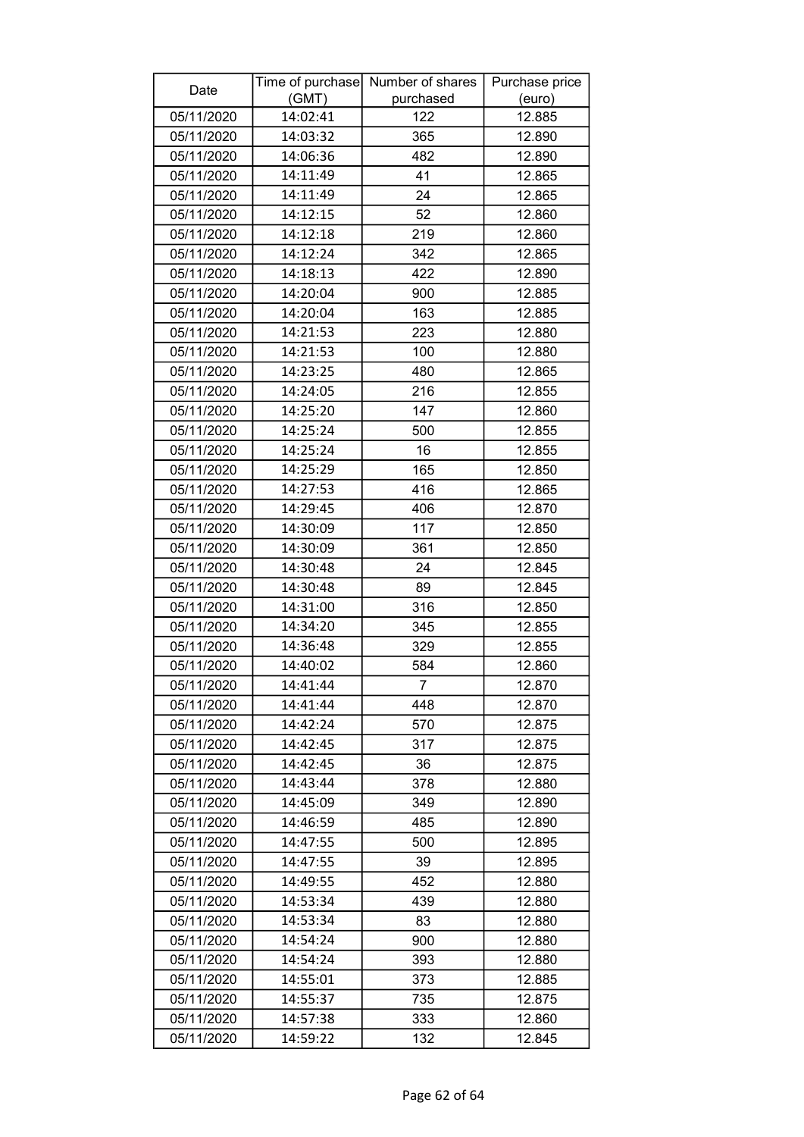| Date       |          | Time of purchase Number of shares | Purchase price |
|------------|----------|-----------------------------------|----------------|
|            | (GMT)    | purchased                         | (euro)         |
| 05/11/2020 | 14:02:41 | 122                               | 12.885         |
| 05/11/2020 | 14:03:32 | 365                               | 12.890         |
| 05/11/2020 | 14:06:36 | 482                               | 12.890         |
| 05/11/2020 | 14:11:49 | 41                                | 12.865         |
| 05/11/2020 | 14:11:49 | 24                                | 12.865         |
| 05/11/2020 | 14:12:15 | 52                                | 12.860         |
| 05/11/2020 | 14:12:18 | 219                               | 12.860         |
| 05/11/2020 | 14:12:24 | 342                               | 12.865         |
| 05/11/2020 | 14:18:13 | 422                               | 12.890         |
| 05/11/2020 | 14:20:04 | 900                               | 12.885         |
| 05/11/2020 | 14:20:04 | 163                               | 12.885         |
| 05/11/2020 | 14:21:53 | 223                               | 12.880         |
| 05/11/2020 | 14:21:53 | 100                               | 12.880         |
| 05/11/2020 | 14:23:25 | 480                               | 12.865         |
| 05/11/2020 | 14:24:05 | 216                               | 12.855         |
| 05/11/2020 | 14:25:20 | 147                               | 12.860         |
| 05/11/2020 | 14:25:24 | 500                               | 12.855         |
| 05/11/2020 | 14:25:24 | 16                                | 12.855         |
| 05/11/2020 | 14:25:29 | 165                               | 12.850         |
| 05/11/2020 | 14:27:53 | 416                               | 12.865         |
| 05/11/2020 | 14:29:45 | 406                               | 12.870         |
| 05/11/2020 | 14:30:09 | 117                               | 12.850         |
| 05/11/2020 | 14:30:09 | 361                               | 12.850         |
| 05/11/2020 | 14:30:48 | 24                                | 12.845         |
| 05/11/2020 | 14:30:48 | 89                                | 12.845         |
| 05/11/2020 | 14:31:00 | 316                               | 12.850         |
| 05/11/2020 | 14:34:20 | 345                               | 12.855         |
| 05/11/2020 | 14:36:48 | 329                               | 12.855         |
| 05/11/2020 | 14:40:02 | 584                               | 12.860         |
| 05/11/2020 | 14:41:44 | $\overline{7}$                    | 12.870         |
| 05/11/2020 | 14:41:44 | 448                               | 12.870         |
| 05/11/2020 | 14:42:24 | 570                               | 12.875         |
| 05/11/2020 | 14:42:45 | 317                               | 12.875         |
| 05/11/2020 | 14:42:45 | 36                                | 12.875         |
| 05/11/2020 | 14:43:44 | 378                               | 12.880         |
| 05/11/2020 | 14:45:09 | 349                               | 12.890         |
| 05/11/2020 | 14:46:59 | 485                               | 12.890         |
| 05/11/2020 | 14:47:55 | 500                               | 12.895         |
| 05/11/2020 | 14:47:55 | 39                                | 12.895         |
| 05/11/2020 | 14:49:55 | 452                               | 12.880         |
| 05/11/2020 | 14:53:34 | 439                               | 12.880         |
| 05/11/2020 | 14:53:34 | 83                                | 12.880         |
| 05/11/2020 | 14:54:24 | 900                               | 12.880         |
| 05/11/2020 | 14:54:24 | 393                               | 12.880         |
| 05/11/2020 | 14:55:01 | 373                               | 12.885         |
| 05/11/2020 | 14:55:37 | 735                               | 12.875         |
| 05/11/2020 | 14:57:38 | 333                               | 12.860         |
| 05/11/2020 | 14:59:22 | 132                               | 12.845         |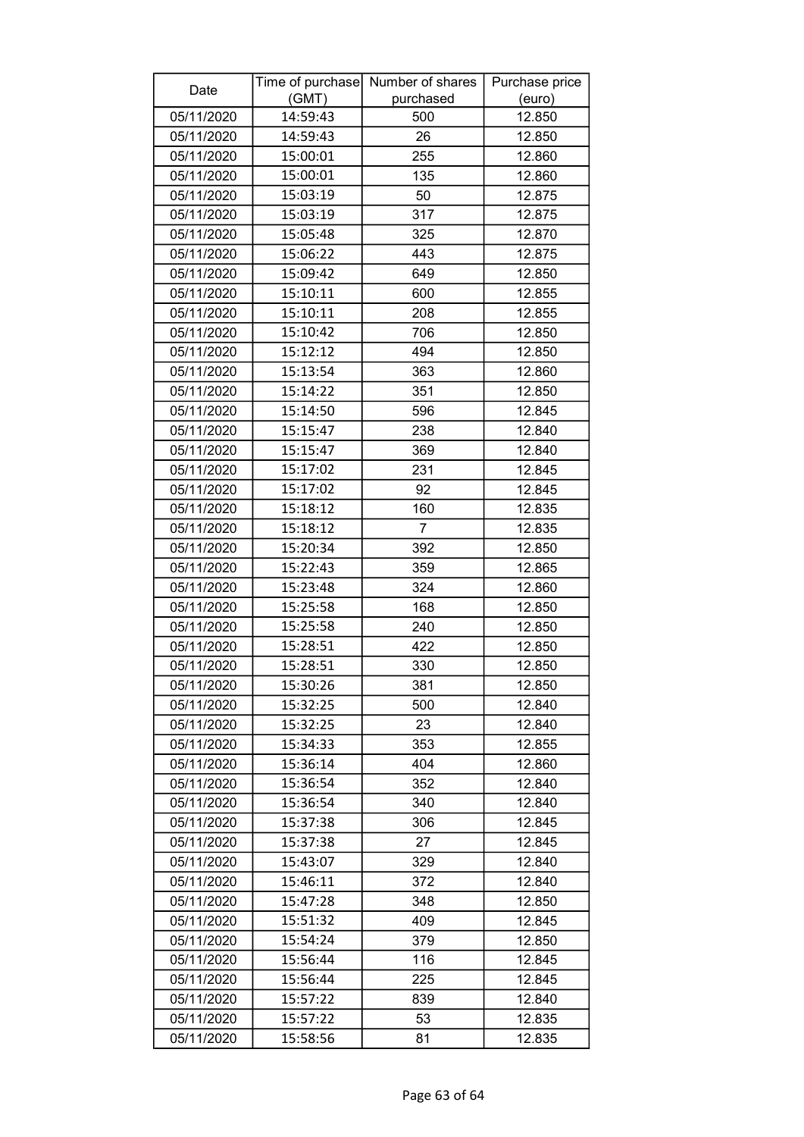| (GMT)<br>(euro)<br>05/11/2020<br>14:59:43<br>12.850<br>500<br>05/11/2020<br>14:59:43<br>26<br>12.850<br>05/11/2020<br>12.860<br>15:00:01<br>255<br>15:00:01<br>05/11/2020<br>135<br>12.860<br>05/11/2020<br>15:03:19<br>50<br>12.875<br>317<br>05/11/2020<br>15:03:19<br>12.875<br>05/11/2020<br>15:05:48<br>325<br>12.870<br>05/11/2020<br>15:06:22<br>443<br>12.875<br>05/11/2020<br>15:09:42<br>649<br>12.850<br>05/11/2020<br>15:10:11<br>600<br>12.855<br>15:10:11<br>05/11/2020<br>208<br>12.855<br>15:10:42<br>05/11/2020<br>706<br>12.850<br>05/11/2020<br>15:12:12<br>494<br>12.850<br>05/11/2020<br>15:13:54<br>363<br>12.860<br>15:14:22<br>05/11/2020<br>351<br>12.850<br>12.845<br>05/11/2020<br>15:14:50<br>596<br>05/11/2020<br>15:15:47<br>238<br>12.840<br>05/11/2020<br>15:15:47<br>369<br>12.840<br>15:17:02<br>231<br>12.845<br>05/11/2020<br>05/11/2020<br>15:17:02<br>92<br>12.845<br>160<br>05/11/2020<br>15:18:12<br>12.835<br>05/11/2020<br>15:18:12<br>7<br>12.835<br>15:20:34<br>05/11/2020<br>392<br>12.850<br>05/11/2020<br>15:22:43<br>359<br>12.865<br>324<br>05/11/2020<br>15:23:48<br>12.860<br>15:25:58<br>05/11/2020<br>168<br>12.850<br>05/11/2020<br>15:25:58<br>240<br>12.850<br>05/11/2020<br>15:28:51<br>422<br>12.850<br>05/11/2020<br>330<br>15:28:51<br>12.850<br>15:30:26<br>05/11/2020<br>381<br>12.850<br>05/11/2020<br>500<br>12.840<br>15:32:25<br>23<br>05/11/2020<br>15:32:25<br>12.840<br>353<br>05/11/2020<br>15:34:33<br>12.855<br>05/11/2020<br>15:36:14<br>12.860<br>404<br>05/11/2020<br>15:36:54<br>352<br>12.840<br>05/11/2020<br>340<br>15:36:54<br>12.840<br>05/11/2020<br>15:37:38<br>306<br>12.845<br>05/11/2020<br>15:37:38<br>27<br>12.845<br>05/11/2020<br>15:43:07<br>329<br>12.840<br>05/11/2020<br>12.840<br>15:46:11<br>372<br>348<br>05/11/2020<br>15:47:28<br>12.850<br>15:51:32<br>12.845<br>05/11/2020<br>409<br>05/11/2020<br>15:54:24<br>379<br>12.850<br>116<br>05/11/2020<br>15:56:44<br>12.845<br>05/11/2020<br>15:56:44<br>225<br>12.845<br>05/11/2020<br>15:57:22<br>839<br>12.840<br>53<br>05/11/2020<br>15:57:22<br>12.835<br>05/11/2020<br>15:58:56<br>81<br>12.835 | Date | Time of purchase Number of shares | Purchase price |
|--------------------------------------------------------------------------------------------------------------------------------------------------------------------------------------------------------------------------------------------------------------------------------------------------------------------------------------------------------------------------------------------------------------------------------------------------------------------------------------------------------------------------------------------------------------------------------------------------------------------------------------------------------------------------------------------------------------------------------------------------------------------------------------------------------------------------------------------------------------------------------------------------------------------------------------------------------------------------------------------------------------------------------------------------------------------------------------------------------------------------------------------------------------------------------------------------------------------------------------------------------------------------------------------------------------------------------------------------------------------------------------------------------------------------------------------------------------------------------------------------------------------------------------------------------------------------------------------------------------------------------------------------------------------------------------------------------------------------------------------------------------------------------------------------------------------------------------------------------------------------------------------------------------------------------------------------------------------------------------------------------------------------------------------------------------------------------------------------------------------------------------------------------|------|-----------------------------------|----------------|
|                                                                                                                                                                                                                                                                                                                                                                                                                                                                                                                                                                                                                                                                                                                                                                                                                                                                                                                                                                                                                                                                                                                                                                                                                                                                                                                                                                                                                                                                                                                                                                                                                                                                                                                                                                                                                                                                                                                                                                                                                                                                                                                                                        |      | purchased                         |                |
|                                                                                                                                                                                                                                                                                                                                                                                                                                                                                                                                                                                                                                                                                                                                                                                                                                                                                                                                                                                                                                                                                                                                                                                                                                                                                                                                                                                                                                                                                                                                                                                                                                                                                                                                                                                                                                                                                                                                                                                                                                                                                                                                                        |      |                                   |                |
|                                                                                                                                                                                                                                                                                                                                                                                                                                                                                                                                                                                                                                                                                                                                                                                                                                                                                                                                                                                                                                                                                                                                                                                                                                                                                                                                                                                                                                                                                                                                                                                                                                                                                                                                                                                                                                                                                                                                                                                                                                                                                                                                                        |      |                                   |                |
|                                                                                                                                                                                                                                                                                                                                                                                                                                                                                                                                                                                                                                                                                                                                                                                                                                                                                                                                                                                                                                                                                                                                                                                                                                                                                                                                                                                                                                                                                                                                                                                                                                                                                                                                                                                                                                                                                                                                                                                                                                                                                                                                                        |      |                                   |                |
|                                                                                                                                                                                                                                                                                                                                                                                                                                                                                                                                                                                                                                                                                                                                                                                                                                                                                                                                                                                                                                                                                                                                                                                                                                                                                                                                                                                                                                                                                                                                                                                                                                                                                                                                                                                                                                                                                                                                                                                                                                                                                                                                                        |      |                                   |                |
|                                                                                                                                                                                                                                                                                                                                                                                                                                                                                                                                                                                                                                                                                                                                                                                                                                                                                                                                                                                                                                                                                                                                                                                                                                                                                                                                                                                                                                                                                                                                                                                                                                                                                                                                                                                                                                                                                                                                                                                                                                                                                                                                                        |      |                                   |                |
|                                                                                                                                                                                                                                                                                                                                                                                                                                                                                                                                                                                                                                                                                                                                                                                                                                                                                                                                                                                                                                                                                                                                                                                                                                                                                                                                                                                                                                                                                                                                                                                                                                                                                                                                                                                                                                                                                                                                                                                                                                                                                                                                                        |      |                                   |                |
|                                                                                                                                                                                                                                                                                                                                                                                                                                                                                                                                                                                                                                                                                                                                                                                                                                                                                                                                                                                                                                                                                                                                                                                                                                                                                                                                                                                                                                                                                                                                                                                                                                                                                                                                                                                                                                                                                                                                                                                                                                                                                                                                                        |      |                                   |                |
|                                                                                                                                                                                                                                                                                                                                                                                                                                                                                                                                                                                                                                                                                                                                                                                                                                                                                                                                                                                                                                                                                                                                                                                                                                                                                                                                                                                                                                                                                                                                                                                                                                                                                                                                                                                                                                                                                                                                                                                                                                                                                                                                                        |      |                                   |                |
|                                                                                                                                                                                                                                                                                                                                                                                                                                                                                                                                                                                                                                                                                                                                                                                                                                                                                                                                                                                                                                                                                                                                                                                                                                                                                                                                                                                                                                                                                                                                                                                                                                                                                                                                                                                                                                                                                                                                                                                                                                                                                                                                                        |      |                                   |                |
|                                                                                                                                                                                                                                                                                                                                                                                                                                                                                                                                                                                                                                                                                                                                                                                                                                                                                                                                                                                                                                                                                                                                                                                                                                                                                                                                                                                                                                                                                                                                                                                                                                                                                                                                                                                                                                                                                                                                                                                                                                                                                                                                                        |      |                                   |                |
|                                                                                                                                                                                                                                                                                                                                                                                                                                                                                                                                                                                                                                                                                                                                                                                                                                                                                                                                                                                                                                                                                                                                                                                                                                                                                                                                                                                                                                                                                                                                                                                                                                                                                                                                                                                                                                                                                                                                                                                                                                                                                                                                                        |      |                                   |                |
|                                                                                                                                                                                                                                                                                                                                                                                                                                                                                                                                                                                                                                                                                                                                                                                                                                                                                                                                                                                                                                                                                                                                                                                                                                                                                                                                                                                                                                                                                                                                                                                                                                                                                                                                                                                                                                                                                                                                                                                                                                                                                                                                                        |      |                                   |                |
|                                                                                                                                                                                                                                                                                                                                                                                                                                                                                                                                                                                                                                                                                                                                                                                                                                                                                                                                                                                                                                                                                                                                                                                                                                                                                                                                                                                                                                                                                                                                                                                                                                                                                                                                                                                                                                                                                                                                                                                                                                                                                                                                                        |      |                                   |                |
|                                                                                                                                                                                                                                                                                                                                                                                                                                                                                                                                                                                                                                                                                                                                                                                                                                                                                                                                                                                                                                                                                                                                                                                                                                                                                                                                                                                                                                                                                                                                                                                                                                                                                                                                                                                                                                                                                                                                                                                                                                                                                                                                                        |      |                                   |                |
|                                                                                                                                                                                                                                                                                                                                                                                                                                                                                                                                                                                                                                                                                                                                                                                                                                                                                                                                                                                                                                                                                                                                                                                                                                                                                                                                                                                                                                                                                                                                                                                                                                                                                                                                                                                                                                                                                                                                                                                                                                                                                                                                                        |      |                                   |                |
|                                                                                                                                                                                                                                                                                                                                                                                                                                                                                                                                                                                                                                                                                                                                                                                                                                                                                                                                                                                                                                                                                                                                                                                                                                                                                                                                                                                                                                                                                                                                                                                                                                                                                                                                                                                                                                                                                                                                                                                                                                                                                                                                                        |      |                                   |                |
|                                                                                                                                                                                                                                                                                                                                                                                                                                                                                                                                                                                                                                                                                                                                                                                                                                                                                                                                                                                                                                                                                                                                                                                                                                                                                                                                                                                                                                                                                                                                                                                                                                                                                                                                                                                                                                                                                                                                                                                                                                                                                                                                                        |      |                                   |                |
|                                                                                                                                                                                                                                                                                                                                                                                                                                                                                                                                                                                                                                                                                                                                                                                                                                                                                                                                                                                                                                                                                                                                                                                                                                                                                                                                                                                                                                                                                                                                                                                                                                                                                                                                                                                                                                                                                                                                                                                                                                                                                                                                                        |      |                                   |                |
|                                                                                                                                                                                                                                                                                                                                                                                                                                                                                                                                                                                                                                                                                                                                                                                                                                                                                                                                                                                                                                                                                                                                                                                                                                                                                                                                                                                                                                                                                                                                                                                                                                                                                                                                                                                                                                                                                                                                                                                                                                                                                                                                                        |      |                                   |                |
|                                                                                                                                                                                                                                                                                                                                                                                                                                                                                                                                                                                                                                                                                                                                                                                                                                                                                                                                                                                                                                                                                                                                                                                                                                                                                                                                                                                                                                                                                                                                                                                                                                                                                                                                                                                                                                                                                                                                                                                                                                                                                                                                                        |      |                                   |                |
|                                                                                                                                                                                                                                                                                                                                                                                                                                                                                                                                                                                                                                                                                                                                                                                                                                                                                                                                                                                                                                                                                                                                                                                                                                                                                                                                                                                                                                                                                                                                                                                                                                                                                                                                                                                                                                                                                                                                                                                                                                                                                                                                                        |      |                                   |                |
|                                                                                                                                                                                                                                                                                                                                                                                                                                                                                                                                                                                                                                                                                                                                                                                                                                                                                                                                                                                                                                                                                                                                                                                                                                                                                                                                                                                                                                                                                                                                                                                                                                                                                                                                                                                                                                                                                                                                                                                                                                                                                                                                                        |      |                                   |                |
|                                                                                                                                                                                                                                                                                                                                                                                                                                                                                                                                                                                                                                                                                                                                                                                                                                                                                                                                                                                                                                                                                                                                                                                                                                                                                                                                                                                                                                                                                                                                                                                                                                                                                                                                                                                                                                                                                                                                                                                                                                                                                                                                                        |      |                                   |                |
|                                                                                                                                                                                                                                                                                                                                                                                                                                                                                                                                                                                                                                                                                                                                                                                                                                                                                                                                                                                                                                                                                                                                                                                                                                                                                                                                                                                                                                                                                                                                                                                                                                                                                                                                                                                                                                                                                                                                                                                                                                                                                                                                                        |      |                                   |                |
|                                                                                                                                                                                                                                                                                                                                                                                                                                                                                                                                                                                                                                                                                                                                                                                                                                                                                                                                                                                                                                                                                                                                                                                                                                                                                                                                                                                                                                                                                                                                                                                                                                                                                                                                                                                                                                                                                                                                                                                                                                                                                                                                                        |      |                                   |                |
|                                                                                                                                                                                                                                                                                                                                                                                                                                                                                                                                                                                                                                                                                                                                                                                                                                                                                                                                                                                                                                                                                                                                                                                                                                                                                                                                                                                                                                                                                                                                                                                                                                                                                                                                                                                                                                                                                                                                                                                                                                                                                                                                                        |      |                                   |                |
|                                                                                                                                                                                                                                                                                                                                                                                                                                                                                                                                                                                                                                                                                                                                                                                                                                                                                                                                                                                                                                                                                                                                                                                                                                                                                                                                                                                                                                                                                                                                                                                                                                                                                                                                                                                                                                                                                                                                                                                                                                                                                                                                                        |      |                                   |                |
|                                                                                                                                                                                                                                                                                                                                                                                                                                                                                                                                                                                                                                                                                                                                                                                                                                                                                                                                                                                                                                                                                                                                                                                                                                                                                                                                                                                                                                                                                                                                                                                                                                                                                                                                                                                                                                                                                                                                                                                                                                                                                                                                                        |      |                                   |                |
|                                                                                                                                                                                                                                                                                                                                                                                                                                                                                                                                                                                                                                                                                                                                                                                                                                                                                                                                                                                                                                                                                                                                                                                                                                                                                                                                                                                                                                                                                                                                                                                                                                                                                                                                                                                                                                                                                                                                                                                                                                                                                                                                                        |      |                                   |                |
|                                                                                                                                                                                                                                                                                                                                                                                                                                                                                                                                                                                                                                                                                                                                                                                                                                                                                                                                                                                                                                                                                                                                                                                                                                                                                                                                                                                                                                                                                                                                                                                                                                                                                                                                                                                                                                                                                                                                                                                                                                                                                                                                                        |      |                                   |                |
|                                                                                                                                                                                                                                                                                                                                                                                                                                                                                                                                                                                                                                                                                                                                                                                                                                                                                                                                                                                                                                                                                                                                                                                                                                                                                                                                                                                                                                                                                                                                                                                                                                                                                                                                                                                                                                                                                                                                                                                                                                                                                                                                                        |      |                                   |                |
|                                                                                                                                                                                                                                                                                                                                                                                                                                                                                                                                                                                                                                                                                                                                                                                                                                                                                                                                                                                                                                                                                                                                                                                                                                                                                                                                                                                                                                                                                                                                                                                                                                                                                                                                                                                                                                                                                                                                                                                                                                                                                                                                                        |      |                                   |                |
|                                                                                                                                                                                                                                                                                                                                                                                                                                                                                                                                                                                                                                                                                                                                                                                                                                                                                                                                                                                                                                                                                                                                                                                                                                                                                                                                                                                                                                                                                                                                                                                                                                                                                                                                                                                                                                                                                                                                                                                                                                                                                                                                                        |      |                                   |                |
|                                                                                                                                                                                                                                                                                                                                                                                                                                                                                                                                                                                                                                                                                                                                                                                                                                                                                                                                                                                                                                                                                                                                                                                                                                                                                                                                                                                                                                                                                                                                                                                                                                                                                                                                                                                                                                                                                                                                                                                                                                                                                                                                                        |      |                                   |                |
|                                                                                                                                                                                                                                                                                                                                                                                                                                                                                                                                                                                                                                                                                                                                                                                                                                                                                                                                                                                                                                                                                                                                                                                                                                                                                                                                                                                                                                                                                                                                                                                                                                                                                                                                                                                                                                                                                                                                                                                                                                                                                                                                                        |      |                                   |                |
|                                                                                                                                                                                                                                                                                                                                                                                                                                                                                                                                                                                                                                                                                                                                                                                                                                                                                                                                                                                                                                                                                                                                                                                                                                                                                                                                                                                                                                                                                                                                                                                                                                                                                                                                                                                                                                                                                                                                                                                                                                                                                                                                                        |      |                                   |                |
|                                                                                                                                                                                                                                                                                                                                                                                                                                                                                                                                                                                                                                                                                                                                                                                                                                                                                                                                                                                                                                                                                                                                                                                                                                                                                                                                                                                                                                                                                                                                                                                                                                                                                                                                                                                                                                                                                                                                                                                                                                                                                                                                                        |      |                                   |                |
|                                                                                                                                                                                                                                                                                                                                                                                                                                                                                                                                                                                                                                                                                                                                                                                                                                                                                                                                                                                                                                                                                                                                                                                                                                                                                                                                                                                                                                                                                                                                                                                                                                                                                                                                                                                                                                                                                                                                                                                                                                                                                                                                                        |      |                                   |                |
|                                                                                                                                                                                                                                                                                                                                                                                                                                                                                                                                                                                                                                                                                                                                                                                                                                                                                                                                                                                                                                                                                                                                                                                                                                                                                                                                                                                                                                                                                                                                                                                                                                                                                                                                                                                                                                                                                                                                                                                                                                                                                                                                                        |      |                                   |                |
|                                                                                                                                                                                                                                                                                                                                                                                                                                                                                                                                                                                                                                                                                                                                                                                                                                                                                                                                                                                                                                                                                                                                                                                                                                                                                                                                                                                                                                                                                                                                                                                                                                                                                                                                                                                                                                                                                                                                                                                                                                                                                                                                                        |      |                                   |                |
|                                                                                                                                                                                                                                                                                                                                                                                                                                                                                                                                                                                                                                                                                                                                                                                                                                                                                                                                                                                                                                                                                                                                                                                                                                                                                                                                                                                                                                                                                                                                                                                                                                                                                                                                                                                                                                                                                                                                                                                                                                                                                                                                                        |      |                                   |                |
|                                                                                                                                                                                                                                                                                                                                                                                                                                                                                                                                                                                                                                                                                                                                                                                                                                                                                                                                                                                                                                                                                                                                                                                                                                                                                                                                                                                                                                                                                                                                                                                                                                                                                                                                                                                                                                                                                                                                                                                                                                                                                                                                                        |      |                                   |                |
|                                                                                                                                                                                                                                                                                                                                                                                                                                                                                                                                                                                                                                                                                                                                                                                                                                                                                                                                                                                                                                                                                                                                                                                                                                                                                                                                                                                                                                                                                                                                                                                                                                                                                                                                                                                                                                                                                                                                                                                                                                                                                                                                                        |      |                                   |                |
|                                                                                                                                                                                                                                                                                                                                                                                                                                                                                                                                                                                                                                                                                                                                                                                                                                                                                                                                                                                                                                                                                                                                                                                                                                                                                                                                                                                                                                                                                                                                                                                                                                                                                                                                                                                                                                                                                                                                                                                                                                                                                                                                                        |      |                                   |                |
|                                                                                                                                                                                                                                                                                                                                                                                                                                                                                                                                                                                                                                                                                                                                                                                                                                                                                                                                                                                                                                                                                                                                                                                                                                                                                                                                                                                                                                                                                                                                                                                                                                                                                                                                                                                                                                                                                                                                                                                                                                                                                                                                                        |      |                                   |                |
|                                                                                                                                                                                                                                                                                                                                                                                                                                                                                                                                                                                                                                                                                                                                                                                                                                                                                                                                                                                                                                                                                                                                                                                                                                                                                                                                                                                                                                                                                                                                                                                                                                                                                                                                                                                                                                                                                                                                                                                                                                                                                                                                                        |      |                                   |                |
|                                                                                                                                                                                                                                                                                                                                                                                                                                                                                                                                                                                                                                                                                                                                                                                                                                                                                                                                                                                                                                                                                                                                                                                                                                                                                                                                                                                                                                                                                                                                                                                                                                                                                                                                                                                                                                                                                                                                                                                                                                                                                                                                                        |      |                                   |                |
|                                                                                                                                                                                                                                                                                                                                                                                                                                                                                                                                                                                                                                                                                                                                                                                                                                                                                                                                                                                                                                                                                                                                                                                                                                                                                                                                                                                                                                                                                                                                                                                                                                                                                                                                                                                                                                                                                                                                                                                                                                                                                                                                                        |      |                                   |                |